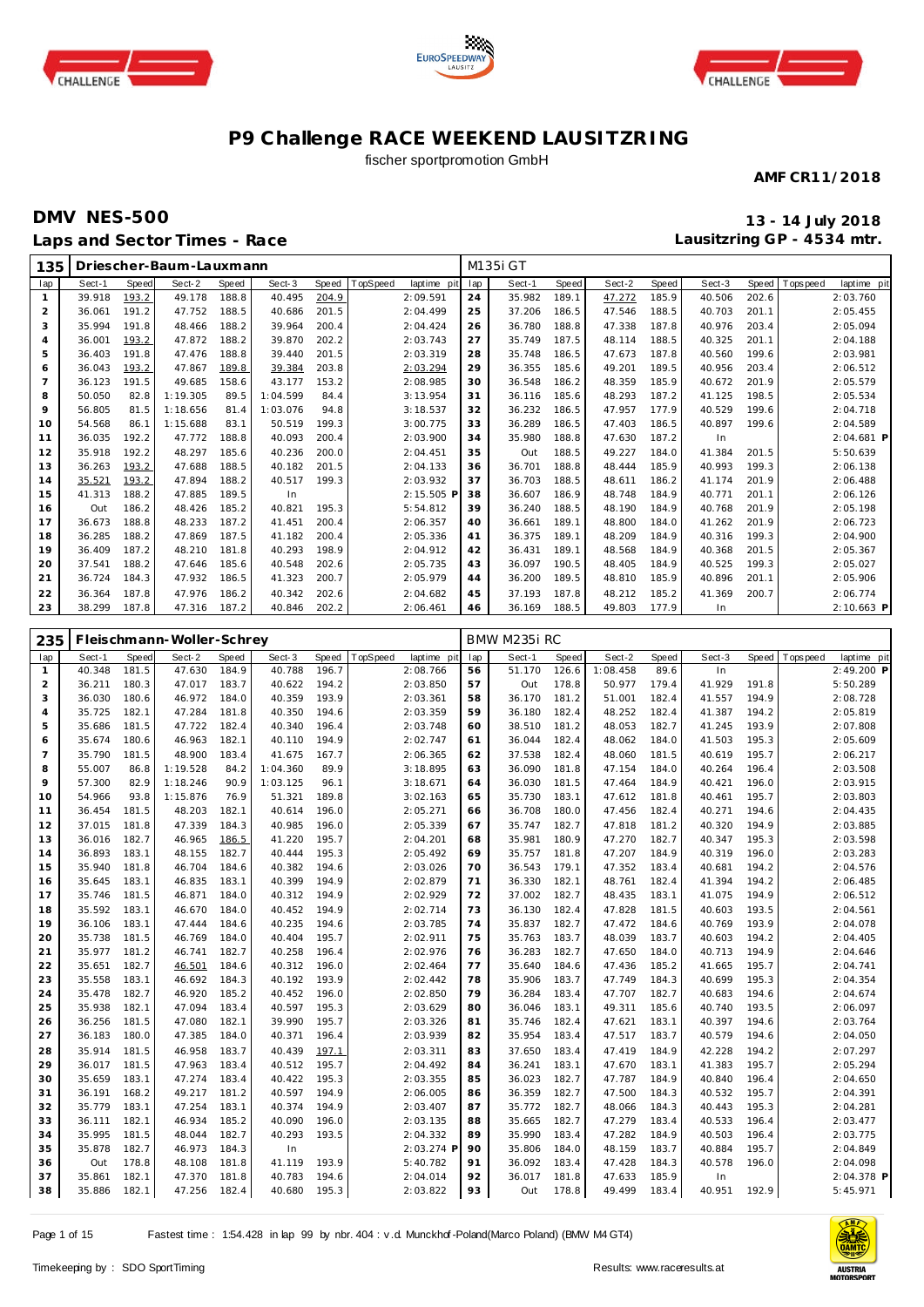





#### fischer sportpromotion GmbH

**AMF CR11/2018**

## **DMV NES-500 13 - 14 July 2018 Laps and Sector Times - Race**

**Lausitzring GP - 4534 mtr.**

| 135                 |                        |                       | Driescher-Baum-Lauxmann   |                           |                      |                |          |                         |           | M135i GT         |                |                        |                |                  |                |             |                           |
|---------------------|------------------------|-----------------------|---------------------------|---------------------------|----------------------|----------------|----------|-------------------------|-----------|------------------|----------------|------------------------|----------------|------------------|----------------|-------------|---------------------------|
| lap                 | Sect-1                 | <b>Speed</b>          | Sect-2                    | <b>Speed</b>              | Sect-3               | Speed          | TopSpeed | laptime pit             | lap       | Sect-1           | <b>Speed</b>   | Sect-2                 | <b>Speed</b>   | Sect-3           | <b>Speed</b>   | T ops pee d | laptime pit               |
| $\mathbf{1}$        | 39.918                 | 193.2                 | 49.178                    | 188.8                     | 40.495               | 204.9          |          | 2:09.591                | 24        | 35.982           | 189.1          | 47.272                 | 185.9          | 40.506           | 202.6          |             | 2:03.760                  |
| $\overline{2}$      | 36.061                 | 191.2                 | 47.752                    | 188.5                     | 40.686               | 201.5          |          | 2:04.499                | 25        | 37.206           | 186.5          | 47.546                 | 188.5          | 40.703           | 201.1          |             | 2:05.455                  |
| 3                   | 35.994                 | 191.8                 | 48.466                    | 188.2                     | 39.964               | 200.4          |          | 2:04.424                | 26        | 36.780           | 188.8          | 47.338                 | 187.8          | 40.976           | 203.4          |             | 2:05.094                  |
| $\overline{4}$      | 36.001                 | 193.2                 | 47.872                    | 188.2                     | 39.870               | 202.2          |          | 2:03.743                | 27        | 35.749           | 187.5          | 48.114                 | 188.5          | 40.325           | 201.1          |             | 2:04.188                  |
| 5                   | 36.403                 | 191.8                 | 47.476                    | 188.8                     | 39.440               | 201.5          |          | 2:03.319                | 28        | 35.748           | 186.5          | 47.673                 | 187.8          | 40.560           | 199.6          |             | 2:03.981                  |
| 6                   | 36.043                 | 193.2                 | 47.867                    | 189.8                     | 39.384               | 203.8          |          | 2:03.294                | 29        | 36.355           | 185.6          | 49.201                 | 189.5          | 40.956           | 203.4          |             | 2:06.512                  |
| $\overline{7}$      | 36.123                 | 191.5                 | 49.685                    | 158.6                     | 43.177               | 153.2          |          | 2:08.985                | 30        | 36.548           | 186.2          | 48.359                 | 185.9          | 40.672           | 201.9          |             | 2:05.579                  |
| 8                   | 50.050                 | 82.8                  | 1:19.305                  | 89.5                      | 1:04.599             | 84.4           |          | 3:13.954                | 31        | 36.116           | 185.6          | 48.293                 | 187.2          | 41.125           | 198.5          |             | 2:05.534                  |
| $\circ$             | 56.805                 | 81.5                  | 1:18.656                  | 81.4                      | 1:03.076             | 94.8           |          | 3:18.537                | 32        | 36.232           | 186.5          | 47.957                 | 177.9          | 40.529           | 199.6          |             | 2:04.718                  |
| 10                  | 54.568                 | 86.1                  | 1:15.688                  | 83.1                      | 50.519               | 199.3          |          | 3:00.775                | 33        | 36.289           | 186.5          | 47.403                 | 186.5          | 40.897           | 199.6          |             | 2:04.589                  |
| 11                  | 36.035                 | 192.2                 | 47.772                    | 188.8                     | 40.093               | 200.4          |          | 2:03.900                | 34        | 35.980           | 188.8          | 47.630                 | 187.2          | In               |                |             | 2:04.681 P                |
| 12                  | 35.918                 | 192.2                 | 48.297                    | 185.6                     | 40.236               | 200.0          |          | 2:04.451                | 35        | Out              | 188.5          | 49.227                 | 184.0          | 41.384           | 201.5          |             | 5:50.639                  |
| 13                  | 36.263                 | 193.2                 | 47.688                    | 188.5                     | 40.182               | 201.5          |          | 2:04.133                | 36        | 36.701           | 188.8          | 48.444                 | 185.9          | 40.993           | 199.3          |             | 2:06.138                  |
| 14                  | 35.521                 | 193.2                 | 47.894                    | 188.2                     | 40.517               | 199.3          |          | 2:03.932                | 37        | 36.703           | 188.5          | 48.611                 | 186.2          | 41.174           | 201.9          |             | 2:06.488                  |
| 15                  | 41.313                 | 188.2                 | 47.885                    | 189.5                     | In                   |                |          | 2:15.505 F              | 38        | 36.607           | 186.9          | 48.748                 | 184.9          | 40.771           | 201.1          |             | 2:06.126                  |
| 16<br>17            | Out                    | 186.2                 | 48.426                    | 185.2                     | 40.821               | 195.3          |          | 5:54.812                | 39<br>40  | 36.240           | 188.5          | 48.190                 | 184.9          | 40.768           | 201.9<br>201.9 |             | 2:05.198                  |
|                     | 36.673<br>36.285       | 188.8<br>188.2        | 48.233<br>47.869          | 187.2<br>187.5            | 41.451               | 200.4<br>200.4 |          | 2:06.357                |           | 36.661<br>36.375 | 189.1<br>189.1 | 48.800<br>48.209       | 184.0<br>184.9 | 41.262           | 199.3          |             | 2:06.723                  |
| 18<br>19            | 36.409                 | 187.2                 | 48.210                    | 181.8                     | 41.182<br>40.293     | 198.9          |          | 2:05.336<br>2:04.912    | 41<br>42  | 36.431           | 189.1          | 48.568                 | 184.9          | 40.316<br>40.368 | 201.5          |             | 2:04.900<br>2:05.367      |
| 20                  | 37.541                 | 188.2                 | 47.646                    | 185.6                     | 40.548               | 202.6          |          | 2:05.735                | 43        | 36.097           | 190.5          | 48.405                 | 184.9          | 40.525           | 199.3          |             | 2:05.027                  |
| 21                  | 36.724                 | 184.3                 | 47.932                    | 186.5                     | 41.323               | 200.7          |          | 2:05.979                | 44        | 36.200           | 189.5          | 48.810                 | 185.9          | 40.896           | 201.1          |             | 2:05.906                  |
| 22                  | 36.364                 | 187.8                 | 47.976                    | 186.2                     | 40.342               | 202.6          |          | 2:04.682                | 45        | 37.193           | 187.8          | 48.212                 | 185.2          | 41.369           | 200.7          |             | 2:06.774                  |
| 23                  | 38.299                 | 187.8                 | 47.316                    | 187.2                     | 40.846               | 202.2          |          | 2:06.461                | 46        | 36.169           | 188.5          | 49.803                 | 177.9          | In               |                |             | 2:10.663 P                |
|                     |                        |                       |                           |                           |                      |                |          |                         |           |                  |                |                        |                |                  |                |             |                           |
|                     |                        |                       |                           |                           |                      |                |          |                         |           |                  |                |                        |                |                  |                |             |                           |
|                     |                        |                       |                           |                           |                      |                |          |                         |           |                  |                |                        |                |                  |                |             |                           |
| 235                 |                        |                       | Fleischmann-Woller-Schrey |                           |                      |                |          |                         |           | BMW M235i RC     |                |                        |                |                  |                |             |                           |
| lap<br>$\mathbf{1}$ | Sect-1<br>40.348       | <b>Speed</b><br>181.5 | Sect-2<br>47.630          | Speed<br>184.9            | Sect-3<br>40.788     | Speed<br>196.7 | TopSpeed | laptime pit<br>2:08.766 | lap<br>56 | Sect-1<br>51.170 | Speed<br>126.6 | Sect-2<br>1:08.458     | Speed<br>89.6  | Sect-3<br>In     | Speed          | T ops peed  | laptime pit<br>2:49.200 P |
| $\overline{2}$      | 36.211                 | 180.3                 | 47.017                    | 183.7                     | 40.622               | 194.2          |          | 2:03.850                | 57        | Out              | 178.8          | 50.977                 | 179.4          | 41.929           | 191.8          |             | 5:50.289                  |
| 3                   | 36.030                 | 180.6                 | 46.972                    | 184.0                     | 40.359               | 193.9          |          | 2:03.361                | 58        | 36.170           | 181.2          | 51.001                 | 182.4          | 41.557           | 194.9          |             | 2:08.728                  |
| $\overline{4}$      | 35.725                 | 182.1                 | 47.284                    | 181.8                     | 40.350               | 194.6          |          | 2:03.359                | 59        | 36.180           | 182.4          | 48.252                 | 182.4          | 41.387           | 194.2          |             | 2:05.819                  |
| 5                   | 35.686                 | 181.5                 | 47.722                    | 182.4                     | 40.340               | 196.4          |          | 2:03.748                | 60        | 38.510           | 181.2          | 48.053                 | 182.7          | 41.245           | 193.9          |             | 2:07.808                  |
| 6                   | 35.674                 | 180.6                 | 46.963                    | 182.1                     | 40.110               | 194.9          |          | 2:02.747                | 61        | 36.044           | 182.4          | 48.062                 | 184.0          | 41.503           | 195.3          |             | 2:05.609                  |
| $\overline{7}$      | 35.790                 | 181.5                 | 48.900                    | 183.4                     | 41.675               | 167.7          |          | 2:06.365                | 62        | 37.538           | 182.4          | 48.060                 | 181.5          | 40.619           | 195.7          |             | 2:06.217                  |
| 8                   | 55.007                 | 86.8                  | 1:19.528                  | 84.2                      | 1:04.360             | 89.9           |          | 3:18.895                | 63        | 36.090           | 181.8          | 47.154                 | 184.0          | 40.264           | 196.4          |             | 2:03.508                  |
| $\circ$             | 57.300                 | 82.9                  | 1:18.246                  | 90.9                      | 1:03.125             | 96.1           |          | 3:18.671                | 64        | 36.030           | 181.5          | 47.464                 | 184.9          | 40.421           | 196.0          |             | 2:03.915                  |
| 10                  | 54.966                 | 93.8                  | 1:15.876                  | 76.9                      | 51.321               | 189.8          |          | 3:02.163                | 65        | 35.730           | 183.1          | 47.612                 | 181.8          | 40.461           | 195.7          |             | 2:03.803                  |
| 11                  | 36.454                 | 181.5                 | 48.203                    | 182.1                     | 40.614               | 196.0          |          | 2:05.271                | 66        | 36.708           | 180.0          | 47.456                 | 182.4          | 40.271           | 194.6          |             | 2:04.435                  |
| 12                  | 37.015                 | 181.8                 | 47.339                    | 184.3                     | 40.985               | 196.0          |          | 2:05.339                | 67        | 35.747           | 182.7          | 47.818                 | 181.2          | 40.320           | 194.9          |             | 2:03.885                  |
| 13                  | 36.016                 | 182.7                 | 46.965                    | 186.5                     | 41.220               | 195.7          |          | 2:04.201                | 68        | 35.981           | 180.9          | 47.270                 | 182.7          | 40.347           | 195.3          |             | 2:03.598                  |
| 14                  | 36.893                 | 183.1                 | 48.155                    | 182.7                     | 40.444               | 195.3          |          | 2:05.492                | 69        | 35.757           | 181.8          | 47.207                 | 184.9          | 40.319           | 196.0          |             | 2:03.283                  |
| 15                  | 35.940                 | 181.8                 | 46.704                    | 184.6                     | 40.382               | 194.6          |          | 2:03.026                | 70        | 36.543           | 179.1          | 47.352                 | 183.4          | 40.681           | 194.2          |             | 2:04.576                  |
| 16                  | 35.645                 | 183.1                 | 46.835                    | 183.1                     | 40.399               | 194.9          |          | 2:02.879                | 71        | 36.330           | 182.1          | 48.761                 | 182.4          | 41.394           | 194.2          |             | 2:06.485                  |
| 17                  | 35.746                 | 181.5                 | 46.871                    | 184.0                     | 40.312               | 194.9          |          | 2:02.929                | 72        | 37.002           | 182.7          | 48.435                 | 183.1          | 41.075           | 194.9          |             | 2:06.512                  |
| 18                  | 35.592                 | 183.1                 | 46.670                    | 184.0                     | 40.452               | 194.9          |          | 2:02.714                | 73        | 36.130           | 182.4          | 47.828                 | 181.5          | 40.603           | 193.5          |             | 2:04.561                  |
| 19<br>20            | 36.106<br>35 738 181 5 | 183.1                 | 47.444<br><b>16760</b>    | 184.6<br>184 <sub>0</sub> | 40.235<br>$AO$ $AOA$ | 194.6<br>105.7 |          | 2:03.785<br>2.02011     | 74<br>75  | 35.837<br>35 763 | 182.7<br>1937  | 47.472<br>18 030 183 7 | 184.6          | 40.769<br>10.603 | 193.9<br>1012  |             | 2:04.078<br>$2.04$ $105$  |



Page 1 of 15 Fastest time : 1:54.428 in lap 99 by nbr. 404 : v .d. Munckhof -Poland(Marco Poland) (BMW M4 GT4)

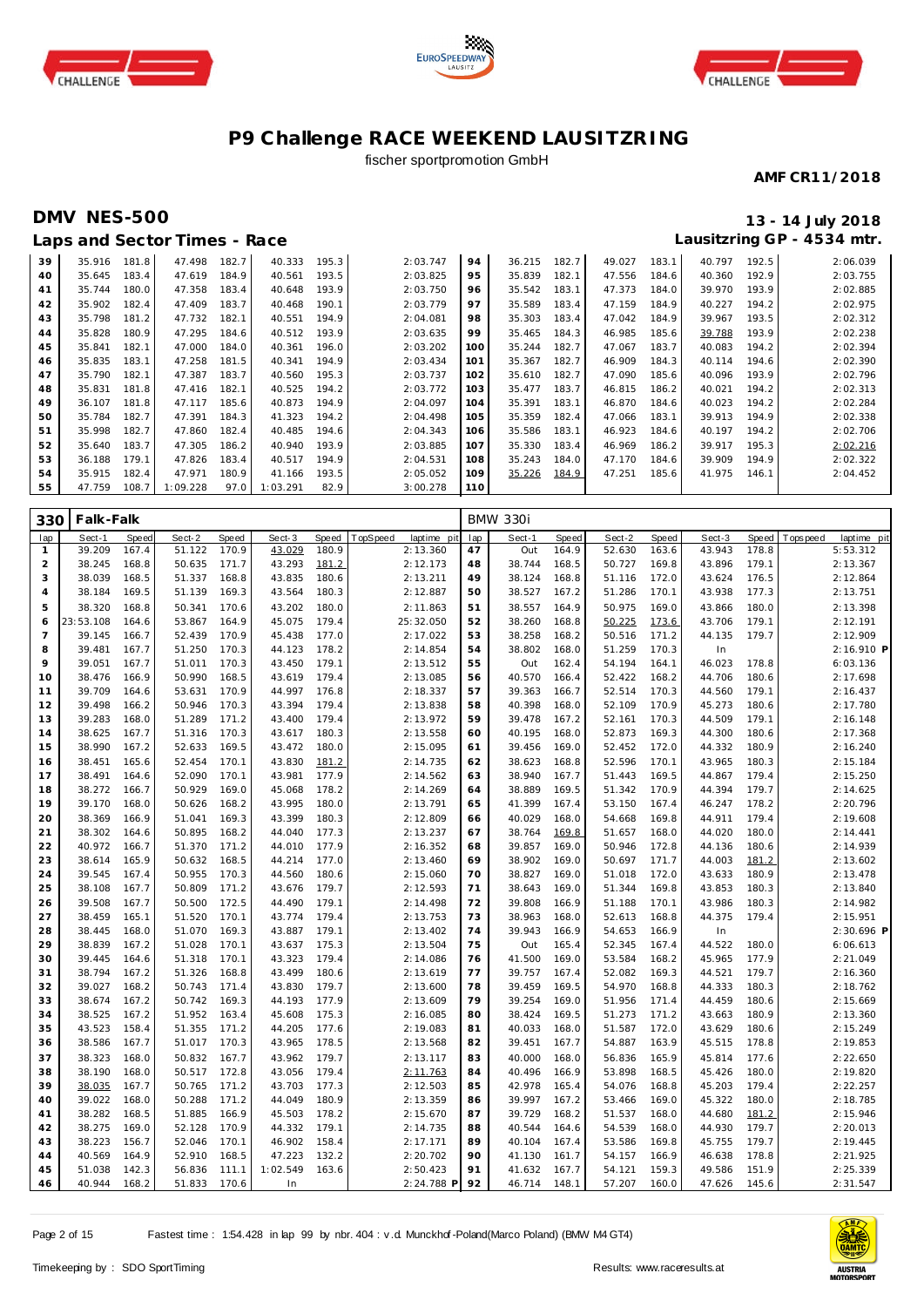





## fischer sportpromotion GmbH

#### **AMF CR11/2018**

## **DMV NES-500 13 - 14 July 2018**

# **Lausitzring GP - 4534 mtr.**

|    |        |       | Laps and Sector Times - Race |       |          |       |          |     |        |       |        |       |        |       | Lausitzring GP - 4534 mtr. |
|----|--------|-------|------------------------------|-------|----------|-------|----------|-----|--------|-------|--------|-------|--------|-------|----------------------------|
| 39 | 35.916 | 181.8 | 47.498                       | 182.7 | 40.333   | 195.3 | 2:03.747 | 94  | 36.215 | 182.7 | 49.027 | 183.1 | 40.797 | 192.5 | 2:06.039                   |
| 40 | 35.645 | 183.4 | 47.619                       | 184.9 | 40.561   | 193.5 | 2:03.825 | 95  | 35.839 | 182.1 | 47.556 | 184.6 | 40.360 | 192.9 | 2:03.755                   |
| 41 | 35.744 | 180.0 | 47.358                       | 183.4 | 40.648   | 193.9 | 2:03.750 | 96  | 35.542 | 183.1 | 47.373 | 184.0 | 39.970 | 193.9 | 2:02.885                   |
| 42 | 35.902 | 182.4 | 47.409                       | 183.7 | 40.468   | 190.1 | 2:03.779 | 97  | 35.589 | 183.4 | 47.159 | 184.9 | 40.227 | 194.2 | 2:02.975                   |
| 43 | 35.798 | 181.2 | 47.732                       | 182.1 | 40.551   | 194.9 | 2:04.081 | 98  | 35.303 | 183.4 | 47.042 | 184.9 | 39.967 | 193.5 | 2:02.312                   |
| 44 | 35.828 | 180.9 | 47.295                       | 184.6 | 40.512   | 193.9 | 2:03.635 | 99  | 35.465 | 184.3 | 46.985 | 185.6 | 39.788 | 193.9 | 2:02.238                   |
| 45 | 35.841 | 182.1 | 47.000                       | 184.0 | 40.361   | 196.0 | 2:03.202 | 100 | 35.244 | 182.7 | 47.067 | 183.7 | 40.083 | 194.2 | 2:02.394                   |
| 46 | 35.835 | 183.1 | 47.258                       | 181.5 | 40.341   | 194.9 | 2:03.434 | 101 | 35.367 | 182.7 | 46.909 | 184.3 | 40.114 | 194.6 | 2:02.390                   |
| 47 | 35.790 | 182.1 | 47.387                       | 183.7 | 40.560   | 195.3 | 2:03.737 | 102 | 35.610 | 182.7 | 47.090 | 185.6 | 40.096 | 193.9 | 2:02.796                   |
| 48 | 35.831 | 181.8 | 47.416                       | 182.1 | 40.525   | 194.2 | 2:03.772 | 103 | 35.477 | 183.7 | 46.815 | 186.2 | 40.021 | 194.2 | 2:02.313                   |
| 49 | 36.107 | 181.8 | 47.117                       | 185.6 | 40.873   | 194.9 | 2:04.097 | 104 | 35.391 | 183.1 | 46.870 | 184.6 | 40.023 | 194.2 | 2:02.284                   |
| 50 | 35.784 | 182.7 | 47.391                       | 184.3 | 41.323   | 194.2 | 2:04.498 | 105 | 35.359 | 182.4 | 47.066 | 183.1 | 39.913 | 194.9 | 2:02.338                   |
| 51 | 35.998 | 182.7 | 47.860                       | 182.4 | 40.485   | 194.6 | 2:04.343 | 106 | 35.586 | 183.1 | 46.923 | 184.6 | 40.197 | 194.2 | 2:02.706                   |
| 52 | 35.640 | 183.7 | 47.305                       | 186.2 | 40.940   | 193.9 | 2:03.885 | 107 | 35.330 | 183.4 | 46.969 | 186.2 | 39.917 | 195.3 | 2:02.216                   |
| 53 | 36.188 | 179.1 | 47.826                       | 183.4 | 40.517   | 194.9 | 2:04.531 | 108 | 35.243 | 184.0 | 47.170 | 184.6 | 39.909 | 194.9 | 2:02.322                   |
| 54 | 35.915 | 182.4 | 47.971                       | 180.9 | 41.166   | 193.5 | 2:05.052 | 109 | 35.226 | 184.9 | 47.251 | 185.6 | 41.975 | 146.1 | 2:04.452                   |
| 55 | 47.759 | 108.7 | 1:09.228                     | 97.0  | 1:03.291 | 82.9  | 3:00.278 | 110 |        |       |        |       |        |       |                            |

| 330            | Falk-Falk |       |        |              |          |       |          |             |     | <b>BMW 330i</b> |              |        |       |        |       |          |             |
|----------------|-----------|-------|--------|--------------|----------|-------|----------|-------------|-----|-----------------|--------------|--------|-------|--------|-------|----------|-------------|
| lap            | Sect-1    | Speed | Sect-2 | <b>Speed</b> | Sect-3   | Speed | TopSpeed | laptime pit | lap | Sect-1          | <b>Speed</b> | Sect-2 | Speed | Sect-3 | Speed | Topspeed | laptime pit |
| $\mathbf{1}$   | 39.209    | 167.4 | 51.122 | 170.9        | 43.029   | 180.9 |          | 2:13.360    | 47  | Out             | 164.9        | 52.630 | 163.6 | 43.943 | 178.8 |          | 5:53.312    |
| 2              | 38.245    | 168.8 | 50.635 | 171.7        | 43.293   | 181.2 |          | 2:12.173    | 48  | 38.744          | 168.5        | 50.727 | 169.8 | 43.896 | 179.1 |          | 2:13.367    |
| 3              | 38.039    | 168.5 | 51.337 | 168.8        | 43.835   | 180.6 |          | 2:13.211    | 49  | 38.124          | 168.8        | 51.116 | 172.0 | 43.624 | 176.5 |          | 2:12.864    |
| $\overline{4}$ | 38.184    | 169.5 | 51.139 | 169.3        | 43.564   | 180.3 |          | 2:12.887    | 50  | 38.527          | 167.2        | 51.286 | 170.1 | 43.938 | 177.3 |          | 2:13.751    |
| 5              | 38.320    | 168.8 | 50.341 | 170.6        | 43.202   | 180.0 |          | 2:11.863    | 51  | 38.557          | 164.9        | 50.975 | 169.0 | 43.866 | 180.0 |          | 2:13.398    |
| 6              | 23:53.108 | 164.6 | 53.867 | 164.9        | 45.075   | 179.4 |          | 25:32.050   | 52  | 38.260          | 168.8        | 50.225 | 173.6 | 43.706 | 179.1 |          | 2:12.191    |
| $\overline{7}$ | 39.145    | 166.7 | 52.439 | 170.9        | 45.438   | 177.0 |          | 2:17.022    | 53  | 38.258          | 168.2        | 50.516 | 171.2 | 44.135 | 179.7 |          | 2:12.909    |
| 8              | 39.481    | 167.7 | 51.250 | 170.3        | 44.123   | 178.2 |          | 2:14.854    | 54  | 38.802          | 168.0        | 51.259 | 170.3 | In     |       |          | 2:16.910 P  |
| $\circ$        | 39.051    | 167.7 | 51.011 | 170.3        | 43.450   | 179.1 |          | 2:13.512    | 55  | Out             | 162.4        | 54.194 | 164.1 | 46.023 | 178.8 |          | 6:03.136    |
| 10             | 38.476    | 166.9 | 50.990 | 168.5        | 43.619   | 179.4 |          | 2:13.085    | 56  | 40.570          | 166.4        | 52.422 | 168.2 | 44.706 | 180.6 |          | 2:17.698    |
| 11             | 39.709    | 164.6 | 53.631 | 170.9        | 44.997   | 176.8 |          | 2:18.337    | 57  | 39.363          | 166.7        | 52.514 | 170.3 | 44.560 | 179.1 |          | 2:16.437    |
| 12             | 39.498    | 166.2 | 50.946 | 170.3        | 43.394   | 179.4 |          | 2:13.838    | 58  | 40.398          | 168.0        | 52.109 | 170.9 | 45.273 | 180.6 |          | 2:17.780    |
| 13             | 39.283    | 168.0 | 51.289 | 171.2        | 43.400   | 179.4 |          | 2:13.972    | 59  | 39.478          | 167.2        | 52.161 | 170.3 | 44.509 | 179.1 |          | 2:16.148    |
| 14             | 38.625    | 167.7 | 51.316 | 170.3        | 43.617   | 180.3 |          | 2:13.558    | 60  | 40.195          | 168.0        | 52.873 | 169.3 | 44.300 | 180.6 |          | 2:17.368    |
| 15             | 38.990    | 167.2 | 52.633 | 169.5        | 43.472   | 180.0 |          | 2:15.095    | 61  | 39.456          | 169.0        | 52.452 | 172.0 | 44.332 | 180.9 |          | 2:16.240    |
| 16             | 38.451    | 165.6 | 52.454 | 170.1        | 43.830   | 181.2 |          | 2:14.735    | 62  | 38.623          | 168.8        | 52.596 | 170.1 | 43.965 | 180.3 |          | 2:15.184    |
| 17             | 38.491    | 164.6 | 52.090 | 170.1        | 43.981   | 177.9 |          | 2:14.562    | 63  | 38.940          | 167.7        | 51.443 | 169.5 | 44.867 | 179.4 |          | 2:15.250    |
| 18             | 38.272    | 166.7 | 50.929 | 169.0        | 45.068   | 178.2 |          | 2:14.269    | 64  | 38.889          | 169.5        | 51.342 | 170.9 | 44.394 | 179.7 |          | 2:14.625    |
| 19             | 39.170    | 168.0 | 50.626 | 168.2        | 43.995   | 180.0 |          | 2:13.791    | 65  | 41.399          | 167.4        | 53.150 | 167.4 | 46.247 | 178.2 |          | 2:20.796    |
| 20             | 38.369    | 166.9 | 51.041 | 169.3        | 43.399   | 180.3 |          | 2:12.809    | 66  | 40.029          | 168.0        | 54.668 | 169.8 | 44.911 | 179.4 |          | 2:19.608    |
| 21             | 38.302    | 164.6 | 50.895 | 168.2        | 44.040   | 177.3 |          | 2:13.237    | 67  | 38.764          | 169.8        | 51.657 | 168.0 | 44.020 | 180.0 |          | 2:14.441    |
| 22             | 40.972    | 166.7 | 51.370 | 171.2        | 44.010   | 177.9 |          | 2:16.352    | 68  | 39.857          | 169.0        | 50.946 | 172.8 | 44.136 | 180.6 |          | 2:14.939    |
| 23             | 38.614    | 165.9 | 50.632 | 168.5        | 44.214   | 177.0 |          | 2:13.460    | 69  | 38.902          | 169.0        | 50.697 | 171.7 | 44.003 | 181.2 |          | 2:13.602    |
| 24             | 39.545    | 167.4 | 50.955 | 170.3        | 44.560   | 180.6 |          | 2:15.060    | 70  | 38.827          | 169.0        | 51.018 | 172.0 | 43.633 | 180.9 |          | 2:13.478    |
| 25             | 38.108    | 167.7 | 50.809 | 171.2        | 43.676   | 179.7 |          | 2:12.593    | 71  | 38.643          | 169.0        | 51.344 | 169.8 | 43.853 | 180.3 |          | 2:13.840    |
| 26             | 39.508    | 167.7 | 50.500 | 172.5        | 44.490   | 179.1 |          | 2:14.498    | 72  | 39.808          | 166.9        | 51.188 | 170.1 | 43.986 | 180.3 |          | 2:14.982    |
| 27             | 38.459    | 165.1 | 51.520 | 170.1        | 43.774   | 179.4 |          | 2:13.753    | 73  | 38.963          | 168.0        | 52.613 | 168.8 | 44.375 | 179.4 |          | 2:15.951    |
| 28             | 38.445    | 168.0 | 51.070 | 169.3        | 43.887   | 179.1 |          | 2:13.402    | 74  | 39.943          | 166.9        | 54.653 | 166.9 | In     |       |          | 2:30.696 P  |
| 29             | 38.839    | 167.2 | 51.028 | 170.1        | 43.637   | 175.3 |          | 2:13.504    | 75  | Out             | 165.4        | 52.345 | 167.4 | 44.522 | 180.0 |          | 6:06.613    |
| 30             | 39.445    | 164.6 | 51.318 | 170.1        | 43.323   | 179.4 |          | 2:14.086    | 76  | 41.500          | 169.0        | 53.584 | 168.2 | 45.965 | 177.9 |          | 2:21.049    |
| 31             | 38.794    | 167.2 | 51.326 | 168.8        | 43.499   | 180.6 |          | 2:13.619    | 77  | 39.757          | 167.4        | 52.082 | 169.3 | 44.521 | 179.7 |          | 2:16.360    |
| 32             | 39.027    | 168.2 | 50.743 | 171.4        | 43.830   | 179.7 |          | 2:13.600    | 78  | 39.459          | 169.5        | 54.970 | 168.8 | 44.333 | 180.3 |          | 2:18.762    |
| 33             | 38.674    | 167.2 | 50.742 | 169.3        | 44.193   | 177.9 |          | 2:13.609    | 79  | 39.254          | 169.0        | 51.956 | 171.4 | 44.459 | 180.6 |          | 2:15.669    |
| 34             | 38.525    | 167.2 | 51.952 | 163.4        | 45.608   | 175.3 |          | 2:16.085    | 80  | 38.424          | 169.5        | 51.273 | 171.2 | 43.663 | 180.9 |          | 2:13.360    |
| 35             | 43.523    | 158.4 | 51.355 | 171.2        | 44.205   | 177.6 |          | 2:19.083    | 81  | 40.033          | 168.0        | 51.587 | 172.0 | 43.629 | 180.6 |          | 2:15.249    |
| 36             | 38.586    | 167.7 | 51.017 | 170.3        | 43.965   | 178.5 |          | 2:13.568    | 82  | 39.451          | 167.7        | 54.887 | 163.9 | 45.515 | 178.8 |          | 2:19.853    |
| 37             | 38.323    | 168.0 | 50.832 | 167.7        | 43.962   | 179.7 |          | 2:13.117    | 83  | 40.000          | 168.0        | 56.836 | 165.9 | 45.814 | 177.6 |          | 2:22.650    |
| 38             | 38.190    | 168.0 | 50.517 | 172.8        | 43.056   | 179.4 |          | 2:11.763    | 84  | 40.496          | 166.9        | 53.898 | 168.5 | 45.426 | 180.0 |          | 2:19.820    |
| 39             | 38.035    | 167.7 | 50.765 | 171.2        | 43.703   | 177.3 |          | 2:12.503    | 85  | 42.978          | 165.4        | 54.076 | 168.8 | 45.203 | 179.4 |          | 2:22.257    |
| 40             | 39.022    | 168.0 | 50.288 | 171.2        | 44.049   | 180.9 |          | 2:13.359    | 86  | 39.997          | 167.2        | 53.466 | 169.0 | 45.322 | 180.0 |          | 2:18.785    |
| 41             | 38.282    | 168.5 | 51.885 | 166.9        | 45.503   | 178.2 |          | 2:15.670    | 87  | 39.729          | 168.2        | 51.537 | 168.0 | 44.680 | 181.2 |          | 2:15.946    |
| 42             | 38.275    | 169.0 | 52.128 | 170.9        | 44.332   | 179.1 |          | 2:14.735    | 88  | 40.544          | 164.6        | 54.539 | 168.0 | 44.930 | 179.7 |          | 2:20.013    |
| 43             | 38.223    | 156.7 | 52.046 | 170.1        | 46.902   | 158.4 |          | 2:17.171    | 89  | 40.104          | 167.4        | 53.586 | 169.8 | 45.755 | 179.7 |          | 2:19.445    |
| 44             | 40.569    | 164.9 | 52.910 | 168.5        | 47.223   | 132.2 |          | 2:20.702    | 90  | 41.130          | 161.7        | 54.157 | 166.9 | 46.638 | 178.8 |          | 2:21.925    |
| 45             | 51.038    | 142.3 | 56.836 | 111.1        | 1:02.549 | 163.6 |          | 2:50.423    | 91  | 41.632          | 167.7        | 54.121 | 159.3 | 49.586 | 151.9 |          | 2:25.339    |
| 46             | 40.944    | 168.2 | 51.833 | 170.6        | In       |       |          | 2:24.788 P  | 92  | 46.714          | 148.1        | 57.207 | 160.0 | 47.626 | 145.6 |          | 2:31.547    |

Page 2 of 15 Fastest time : 1:54.428 in lap 99 by nbr. 404 : v .d. Munckhof -Poland(Marco Poland) (BMW M4 GT4)

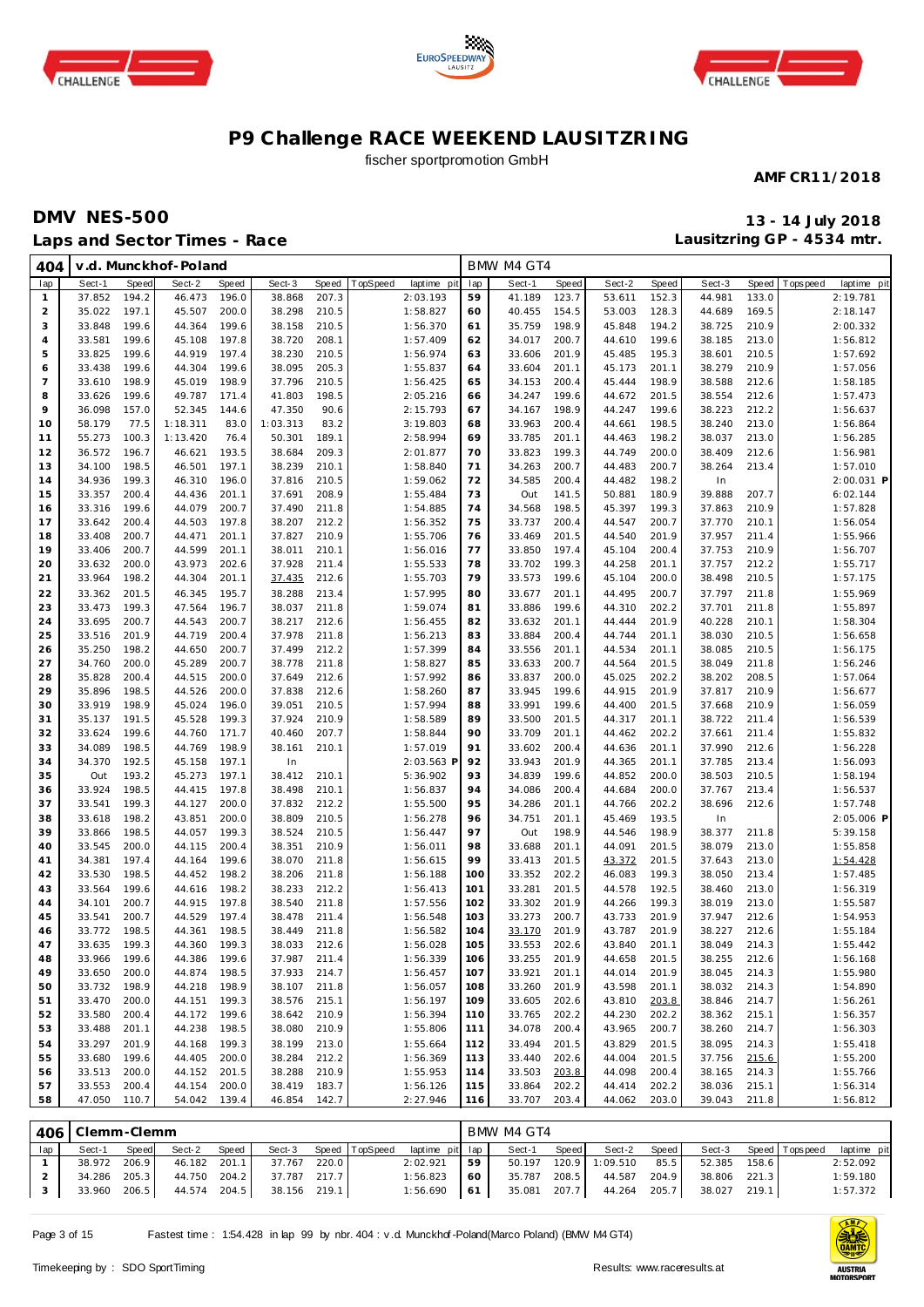





fischer sportpromotion GmbH

**AMF CR11/2018**

## **DMV NES-500 13 - 14 July 2018 Laps and Sector Times - Race**

**Lausitzring GP - 4534 mtr.**

| 404            |                        |                | v.d. Munckhof-Poland         |                |                  |                |                         |            | BMW M4 GT4       |                |                  |                |                  |                |                            |
|----------------|------------------------|----------------|------------------------------|----------------|------------------|----------------|-------------------------|------------|------------------|----------------|------------------|----------------|------------------|----------------|----------------------------|
| lap            | Sect-1                 | <b>Speed</b>   | Sect-2                       | Speed          | Sect-3           | Speed          | TopSpeed<br>laptime pit | lap        | Sect-1           | Speed          | Sect-2           | Speed          | Sect-3           | Speed          | T ops pee d<br>laptime pit |
| $\mathbf{1}$   | 37.852                 | 194.2          | 46.473                       | 196.0          | 38.868           | 207.3          | 2:03.193                | 59         | 41.189           | 123.7          | 53.611           | 152.3          | 44.981           | 133.0          | 2:19.781                   |
| $\overline{a}$ | 35.022                 | 197.1          | 45.507                       | 200.0          | 38.298           | 210.5          | 1:58.827                | 60         | 40.455           | 154.5          | 53.003           | 128.3          | 44.689           | 169.5          | 2:18.147                   |
| 3              | 33.848                 | 199.6          | 44.364                       | 199.6          | 38.158           | 210.5          | 1:56.370                | 61         | 35.759           | 198.9          | 45.848           | 194.2          | 38.725           | 210.9          | 2:00.332                   |
| $\overline{4}$ | 33.581                 | 199.6          | 45.108                       | 197.8          | 38.720           | 208.1          | 1:57.409                | 62         | 34.017           | 200.7          | 44.610           | 199.6          | 38.185           | 213.0          | 1:56.812                   |
| 5              | 33.825                 | 199.6          | 44.919                       | 197.4          | 38.230           | 210.5          | 1:56.974                | 63         | 33.606           | 201.9          | 45.485           | 195.3          | 38.601           | 210.5          | 1:57.692                   |
| 6              | 33.438                 | 199.6          | 44.304                       | 199.6          | 38.095           | 205.3          | 1:55.837                | 64         | 33.604           | 201.1          | 45.173           | 201.1          | 38.279           | 210.9          | 1:57.056                   |
| $\overline{7}$ | 33.610                 | 198.9          | 45.019                       | 198.9          | 37.796           | 210.5          | 1:56.425                | 65         | 34.153           | 200.4          | 45.444           | 198.9          | 38.588           | 212.6          | 1:58.185                   |
| 8<br>9         | 33.626                 | 199.6          | 49.787                       | 171.4<br>144.6 | 41.803<br>47.350 | 198.5<br>90.6  | 2:05.216                | 66<br>67   | 34.247           | 199.6<br>198.9 | 44.672           | 201.5<br>199.6 | 38.554           | 212.6          | 1:57.473                   |
| 10             | 36.098<br>58.179       | 157.0<br>77.5  | 52.345<br>1:18.311           | 83.0           | 1:03.313         | 83.2           | 2:15.793<br>3:19.803    | 68         | 34.167<br>33.963 | 200.4          | 44.247<br>44.661 | 198.5          | 38.223<br>38.240 | 212.2<br>213.0 | 1:56.637<br>1:56.864       |
| 11             | 55.273                 | 100.3          | 1:13.420                     | 76.4           | 50.301           | 189.1          | 2:58.994                | 69         | 33.785           | 201.1          | 44.463           | 198.2          | 38.037           | 213.0          | 1:56.285                   |
| 12             | 36.572                 | 196.7          | 46.621                       | 193.5          | 38.684           | 209.3          | 2:01.877                | 70         | 33.823           | 199.3          | 44.749           | 200.0          | 38.409           | 212.6          | 1:56.981                   |
| 13             | 34.100                 | 198.5          | 46.501                       | 197.1          | 38.239           | 210.1          | 1:58.840                | 71         | 34.263           | 200.7          | 44.483           | 200.7          | 38.264           | 213.4          | 1:57.010                   |
| 14             | 34.936                 | 199.3          | 46.310                       | 196.0          | 37.816           | 210.5          | 1:59.062                | 72         | 34.585           | 200.4          | 44.482           | 198.2          | In               |                | 2:00.031 P                 |
| 15             | 33.357                 | 200.4          | 44.436                       | 201.1          | 37.691           | 208.9          | 1:55.484                | 73         | Out              | 141.5          | 50.881           | 180.9          | 39.888           | 207.7          | 6:02.144                   |
| 16             | 33.316                 | 199.6          | 44.079                       | 200.7          | 37.490           | 211.8          | 1:54.885                | 74         | 34.568           | 198.5          | 45.397           | 199.3          | 37.863           | 210.9          | 1:57.828                   |
| 17             | 33.642                 | 200.4          | 44.503                       | 197.8          | 38.207           | 212.2          | 1:56.352                | 75         | 33.737           | 200.4          | 44.547           | 200.7          | 37.770           | 210.1          | 1:56.054                   |
| 18             | 33.408                 | 200.7          | 44.471                       | 201.1          | 37.827           | 210.9          | 1:55.706                | 76         | 33.469           | 201.5          | 44.540           | 201.9          | 37.957           | 211.4          | 1:55.966                   |
| 19             | 33.406                 | 200.7          | 44.599                       | 201.1          | 38.011           | 210.1          | 1:56.016                | 77         | 33.850           | 197.4          | 45.104           | 200.4          | 37.753           | 210.9          | 1:56.707                   |
| 20             | 33.632                 | 200.0          | 43.973                       | 202.6          | 37.928           | 211.4          | 1:55.533                | 78         | 33.702           | 199.3          | 44.258           | 201.1          | 37.757           | 212.2          | 1:55.717                   |
| 21             | 33.964                 | 198.2          | 44.304                       | 201.1          | 37.435           | 212.6          | 1:55.703                | 79         | 33.573           | 199.6          | 45.104           | 200.0          | 38.498           | 210.5          | 1:57.175                   |
| 22             | 33.362                 | 201.5          | 46.345                       | 195.7          | 38.288           | 213.4          | 1:57.995                | 80         | 33.677           | 201.1          | 44.495           | 200.7          | 37.797           | 211.8          | 1:55.969                   |
| 23             | 33.473                 | 199.3          | 47.564                       | 196.7          | 38.037           | 211.8          | 1:59.074                | 81         | 33.886           | 199.6          | 44.310           | 202.2          | 37.701           | 211.8          | 1:55.897                   |
| 24             | 33.695                 | 200.7          | 44.543                       | 200.7          | 38.217           | 212.6          | 1:56.455                | 82         | 33.632           | 201.1          | 44.444           | 201.9          | 40.228           | 210.1          | 1:58.304                   |
| 25             | 33.516                 | 201.9          | 44.719                       | 200.4          | 37.978           | 211.8          | 1:56.213                | 83         | 33.884           | 200.4          | 44.744           | 201.1          | 38.030           | 210.5          | 1:56.658                   |
| 26             | 35.250                 | 198.2          | 44.650                       | 200.7          | 37.499           | 212.2          | 1:57.399                | 84         | 33.556           | 201.1          | 44.534           | 201.1          | 38.085           | 210.5          | 1:56.175                   |
| 27             | 34.760                 | 200.0          | 45.289                       | 200.7          | 38.778           | 211.8          | 1:58.827                | 85         | 33.633           | 200.7          | 44.564           | 201.5          | 38.049           | 211.8          | 1:56.246                   |
| 28             | 35.828                 | 200.4          | 44.515                       | 200.0          | 37.649           | 212.6          | 1:57.992                | 86         | 33.837           | 200.0          | 45.025           | 202.2          | 38.202           | 208.5          | 1:57.064                   |
| 29             | 35.896<br>33.919       | 198.5<br>198.9 | 44.526<br>45.024             | 200.0<br>196.0 | 37.838<br>39.051 | 212.6<br>210.5 | 1:58.260<br>1:57.994    | 87<br>88   | 33.945<br>33.991 | 199.6<br>199.6 | 44.915<br>44.400 | 201.9<br>201.5 | 37.817<br>37.668 | 210.9<br>210.9 | 1:56.677<br>1:56.059       |
| 30<br>31       | 35.137                 | 191.5          | 45.528                       | 199.3          | 37.924           | 210.9          | 1:58.589                | 89         | 33.500           | 201.5          | 44.317           | 201.1          | 38.722           | 211.4          | 1:56.539                   |
| 32             | 33.624                 | 199.6          | 44.760                       | 171.7          | 40.460           | 207.7          | 1:58.844                | 90         | 33.709           | 201.1          | 44.462           | 202.2          | 37.661           | 211.4          | 1:55.832                   |
| 33             | 34.089                 | 198.5          | 44.769                       | 198.9          | 38.161           | 210.1          | 1:57.019                | 91         | 33.602           | 200.4          | 44.636           | 201.1          | 37.990           | 212.6          | 1:56.228                   |
| 34             | 34.370                 | 192.5          | 45.158                       | 197.1          | In               |                | 2:03.563 F              | 92         | 33.943           | 201.9          | 44.365           | 201.1          | 37.785           | 213.4          | 1:56.093                   |
| 35             | Out                    | 193.2          | 45.273                       | 197.1          | 38.412           | 210.1          | 5:36.902                | 93         | 34.839           | 199.6          | 44.852           | 200.0          | 38.503           | 210.5          | 1:58.194                   |
| 36             | 33.924                 | 198.5          | 44.415                       | 197.8          | 38.498           | 210.1          | 1:56.837                | 94         | 34.086           | 200.4          | 44.684           | 200.0          | 37.767           | 213.4          | 1:56.537                   |
| 37             | 33.541                 | 199.3          | 44.127                       | 200.0          | 37.832           | 212.2          | 1:55.500                | 95         | 34.286           | 201.1          | 44.766           | 202.2          | 38.696           | 212.6          | 1:57.748                   |
| 38             | 33.618                 | 198.2          | 43.851                       | 200.0          | 38.809           | 210.5          | 1:56.278                | 96         | 34.751           | 201.1          | 45.469           | 193.5          | In               |                | 2:05.006 P                 |
| 39             | 33.866                 | 198.5          | 44.057                       | 199.3          | 38.524           | 210.5          | 1:56.447                | 97         | Out              | 198.9          | 44.546           | 198.9          | 38.377           | 211.8          | 5:39.158                   |
| 40             | 33.545                 | 200.0          | 44.115                       | 200.4          | 38.351           | 210.9          | 1:56.011                | 98         | 33.688           | 201.1          | 44.091           | 201.5          | 38.079           | 213.0          | 1:55.858                   |
| 41             | 34.381                 | 197.4          | 44.164                       | 199.6          | 38.070           | 211.8          | 1:56.615                | 99         | 33.413           | 201.5          | 43.372           | 201.5          | 37.643           | 213.0          | 1:54.428                   |
| 42             | 33.530                 | 198.5          | 44.452                       | 198.2          | 38.206           | 211.8          | 1:56.188                | 100        | 33.352           | 202.2          | 46.083           | 199.3          | 38.050           | 213.4          | 1:57.485                   |
| 43             | 33.564                 | 199.6          | 44.616                       | 198.2          | 38.233           | 212.2          | 1:56.413                | 101        | 33.281           | 201.5          | 44.578           | 192.5          | 38.460           | 213.0          | 1:56.319                   |
| 44             | 34.101                 | 200.7          | 44.915                       | 197.8          | 38.540           | 211.8          | 1:57.556                | 102        | 33.302           | 201.9          | 44.266           | 199.3          | 38.019           | 213.0          | 1:55.587                   |
| 45             | 33.541                 | 200.7          | 44.529                       | 197.4          | 38.478           | 211.4          | 1:56.548                | 103        | 33.273           | 200.7          | 43.733           | 201.9          | 37.947           | 212.6          | 1:54.953                   |
| 46             | 33.772                 | 198.5          | 44.361                       | 198.5          | 38.449           | 211.8          | 1:56.582                | 104        | 33.170           | 201.9          | 43.787           | 201.9          | 38.227           | 212.6          | 1:55.184                   |
| 47             | 33.635 199.3           |                | 44.360 199.3                 |                | 38.033 212.6     |                | 1:56.028                | 105        | 33.553           | 202.6          | 43.840           | 201.1          | 38.049           | 214.3          | 1:55.442                   |
| 48<br>49       | 33.966 199.6<br>33.650 |                | 44.386 199.6<br>44.874 198.5 |                | 37.987<br>37.933 | 211.4          | 1:56.339                | 106        | 33.255 201.9     |                | 44.658<br>44.014 | 201.5          | 38.255<br>38.045 | 212.6          | 1:56.168                   |
| 50             | 33.732                 | 200.0          | 44.218 198.9                 |                |                  | 214.7          | 1:56.457<br>1:56.057    | 107<br>108 | 33.921<br>33.260 | 201.1          | 43.598           | 201.9          | 38.032           | 214.3<br>214.3 | 1:55.980<br>1:54.890       |
| 51             | 33.470                 | 198.9<br>200.0 | 44.151 199.3                 |                | 38.107<br>38.576 | 211.8<br>215.1 | 1:56.197                | 109        | 33.605           | 201.9<br>202.6 | 43.810           | 201.1<br>203.8 | 38.846           | 214.7          | 1:56.261                   |
| 52             | 33.580                 | 200.4          | 44.172 199.6                 |                | 38.642           | 210.9          | 1:56.394                | 110        | 33.765           | 202.2          | 44.230           | 202.2          | 38.362           | 215.1          | 1:56.357                   |
| 53             | 33.488                 | 201.1          | 44.238                       | 198.5          | 38.080           | 210.9          | 1:55.806                | 111        | 34.078           | 200.4          | 43.965           | 200.7          | 38.260           | 214.7          | 1:56.303                   |
| 54             | 33.297                 | 201.9          | 44.168                       | 199.3          | 38.199           | 213.0          | 1:55.664                | 112        | 33.494           | 201.5          | 43.829           | 201.5          | 38.095           | 214.3          | 1:55.418                   |
| 55             | 33.680                 | 199.6          | 44.405                       | 200.0          | 38.284           | 212.2          | 1:56.369                | 113        | 33.440           | 202.6          | 44.004           | 201.5          | 37.756           | 215.6          | 1:55.200                   |
| 56             | 33.513                 | 200.0          | 44.152                       | 201.5          | 38.288           | 210.9          | 1:55.953                | 114        | 33.503           | 203.8          | 44.098           | 200.4          | 38.165           | 214.3          | 1:55.766                   |
| 57             | 33.553                 | 200.4          | 44.154                       | 200.0          | 38.419           | 183.7          | 1:56.126                | 115        | 33.864           | 202.2          | 44.414           | 202.2          | 38.036           | 215.1          | 1:56.314                   |
| 58             | 47.050                 | 110.7          | 54.042 139.4                 |                | 46.854           | 142.7          | 2:27.946                | 116        | 33.707           | 203.4          | 44.062           | 203.0          | 39.043           | 211.8          | 1:56.812                   |
|                |                        |                |                              |                |                  |                |                         |            |                  |                |                  |                |                  |                |                            |

|     | 406   Clemm-Clemm |       |              |       |              |       |                       |                 |     | BMW M4 GT4   |       |                       |       |              |       |                       |             |
|-----|-------------------|-------|--------------|-------|--------------|-------|-----------------------|-----------------|-----|--------------|-------|-----------------------|-------|--------------|-------|-----------------------|-------------|
| lap | Sect-1            | Speed | Sect-2       | Speed |              |       | Sect-3 Speed TopSpeed | laptime pit lap |     | Sect-1       | Speed | Sect-2                | Speed |              |       | Sect-3 Speed Topspeed | laptime pit |
|     | 38.972 206.9      |       | 46.182 201.1 |       | 37.767       | 220.0 |                       | 2:02.921        | 59  |              |       | 50.197 120.9 1:09.510 | 85.5  | 52.385       | 158.6 |                       | 2:52.092    |
|     | 34.286 205.3      |       | 44.750 204.2 |       | 37.787 217.7 |       |                       | 1:56.823        | -60 | 35.787 208.5 |       | 44.587                | 204.9 | 38.806 221.3 |       |                       | 1:59.180    |
|     | 33.960 206.5      |       | 44.574 204.5 |       | 38.156 219.1 |       |                       | $1:56.690$ 61   |     | 35.081 207.7 |       | 44.264 205.7          |       | 38.027 219.1 |       |                       | 1:57.372    |

Page 3 of 15 Fastest time : 1:54.428 in lap 99 by nbr. 404 : v .d. Munckhof -Poland(Marco Poland) (BMW M4 GT4)

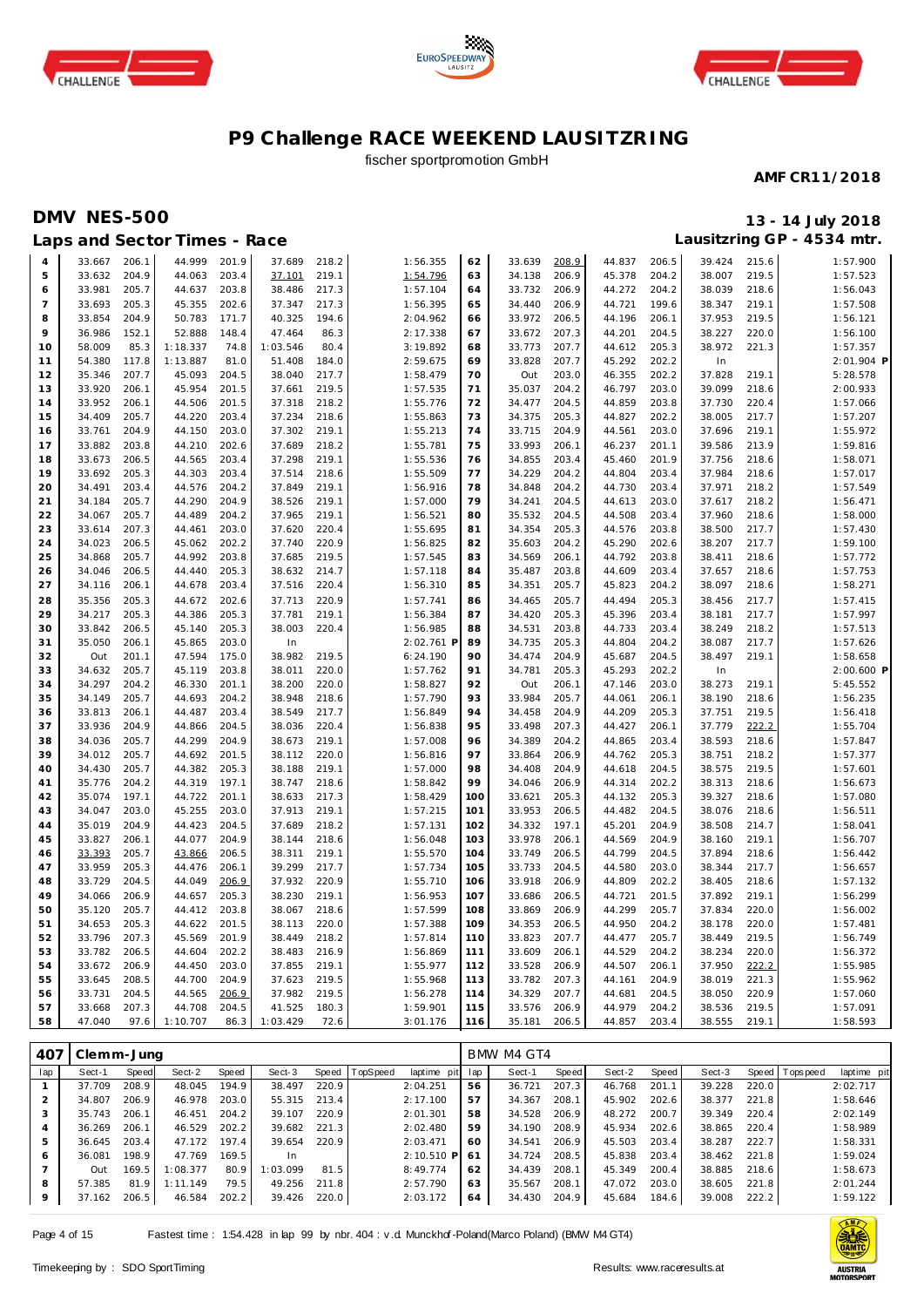





## fischer sportpromotion GmbH

#### **AMF CR11/2018**

## **DMV NES-500 13 - 14 July 2018**

| 206.1<br>44.999<br>201.9<br>37.689<br>218.2<br>1:56.355<br>62<br>33.639<br>208.9<br>44.837<br>206.5<br>39.424<br>215.6<br>1:57.900<br>33.667<br>4<br>204.9<br>203.4<br>219.1<br>206.9<br>204.2<br>219.5<br>1:57.523<br>5<br>33.632<br>44.063<br>37.101<br>1:54.796<br>63<br>34.138<br>45.378<br>38.007<br>33.981<br>205.7<br>44.637<br>203.8<br>38.486<br>217.3<br>1:57.104<br>33.732<br>206.9<br>44.272<br>204.2<br>38.039<br>218.6<br>1:56.043<br>6<br>64<br>205.3<br>45.355<br>202.6<br>217.3<br>1:56.395<br>206.9<br>199.6<br>38.347<br>219.1<br>1:57.508<br>$\overline{7}$<br>33.693<br>37.347<br>65<br>34.440<br>44.721<br>204.9<br>50.783<br>206.5<br>206.1<br>219.5<br>8<br>33.854<br>171.7<br>40.325<br>194.6<br>2:04.962<br>66<br>33.972<br>44.196<br>37.953<br>1:56.121<br>36.986<br>148.4<br>47.464<br>33.672<br>44.201<br>38.227<br>220.0<br>9<br>152.1<br>52.888<br>86.3<br>2:17.338<br>67<br>207.3<br>204.5<br>1:56.100<br>58.009<br>85.3<br>74.8<br>1:03.546<br>80.4<br>3:19.892<br>33.773<br>207.7<br>44.612<br>205.3<br>38.972<br>221.3<br>1:57.357<br>1:18.337<br>68<br>10<br>2:01.904 P<br>1:13.887<br>81.0<br>33.828<br>207.7<br>45.292<br>202.2<br>54.380<br>117.8<br>51.408<br>184.0<br>2:59.675<br>69<br>In<br>11<br>5:28.578<br>12<br>35.346<br>207.7<br>45.093<br>204.5<br>38.040<br>217.7<br>1:58.479<br>70<br>Out<br>203.0<br>46.355<br>202.2<br>37.828<br>219.1<br>33.920<br>206.1<br>45.954<br>201.5<br>219.5<br>1:57.535<br>35.037<br>204.2<br>46.797<br>203.0<br>39.099<br>218.6<br>2:00.933<br>13<br>37.661<br>71<br>33.952<br>206.1<br>44.506<br>201.5<br>218.2<br>72<br>34.477<br>204.5<br>44.859<br>203.8<br>37.730<br>220.4<br>1:57.066<br>14<br>37.318<br>1:55.776<br>34.409<br>205.7<br>203.4<br>218.6<br>34.375<br>44.827<br>202.2<br>38.005<br>217.7<br>15<br>44.220<br>37.234<br>1:55.863<br>73<br>205.3<br>1:57.207<br>1:55.213<br>219.1<br>33.761<br>204.9<br>44.150<br>203.0<br>37.302<br>219.1<br>74<br>33.715<br>204.9<br>44.561<br>203.0<br>37.696<br>1:55.972<br>16<br>33.882<br>203.8<br>44.210<br>202.6<br>37.689<br>218.2<br>1:55.781<br>75<br>33.993<br>206.1<br>46.237<br>201.1<br>39.586<br>213.9<br>1:59.816<br>17<br>33.673<br>206.5<br>203.4<br>37.298<br>219.1<br>1:55.536<br>34.855<br>45.460<br>201.9<br>37.756<br>218.6<br>1:58.071<br>18<br>44.565<br>76<br>203.4<br>33.692<br>205.3<br>44.303<br>203.4<br>37.514<br>218.6<br>1:55.509<br>77<br>34.229<br>204.2<br>44.804<br>203.4<br>37.984<br>218.6<br>1:57.017<br>19<br>34.491<br>203.4<br>44.576<br>204.2<br>37.849<br>219.1<br>1:56.916<br>78<br>34.848<br>204.2<br>44.730<br>203.4<br>37.971<br>218.2<br>1:57.549<br>20<br>34.184<br>205.7<br>44.290<br>204.9<br>38.526<br>219.1<br>1:57.000<br>79<br>204.5<br>44.613<br>203.0<br>37.617<br>218.2<br>1:56.471<br>34.241<br>21<br>205.7<br>204.2<br>37.965<br>1:56.521<br>35.532<br>44.508<br>203.4<br>37.960<br>218.6<br>22<br>34.067<br>44.489<br>219.1<br>80<br>204.5<br>1:58.000<br>33.614<br>207.3<br>44.461<br>203.0<br>37.620<br>220.4<br>1:55.695<br>81<br>34.354<br>205.3<br>44.576<br>203.8<br>38.500<br>217.7<br>1:57.430<br>23<br>34.023<br>206.5<br>45.062<br>202.2<br>37.740<br>220.9<br>1:56.825<br>82<br>35.603<br>204.2<br>45.290<br>202.6<br>38.207<br>217.7<br>1:59.100<br>24<br>34.868<br>205.7<br>44.992<br>203.8<br>37.685<br>219.5<br>1:57.545<br>83<br>34.569<br>206.1<br>44.792<br>203.8<br>38.411<br>218.6<br>25<br>1:57.772<br>34.046<br>206.5<br>205.3<br>214.7<br>1:57.118<br>84<br>44.609<br>203.4<br>37.657<br>218.6<br>44.440<br>38.632<br>35.487<br>203.8<br>1:57.753<br>26<br>34.116<br>206.1<br>44.678<br>203.4<br>37.516<br>220.4<br>1:56.310<br>85<br>34.351<br>205.7<br>45.823<br>204.2<br>38.097<br>218.6<br>1:58.271<br>27<br>202.6<br>44.494<br>217.7<br>35.356<br>205.3<br>44.672<br>37.713<br>220.9<br>1:57.741<br>86<br>34.465<br>205.7<br>205.3<br>38.456<br>1:57.415<br>28<br>34.217<br>205.3<br>44.386<br>205.3<br>37.781<br>219.1<br>1:56.384<br>87<br>34.420<br>205.3<br>45.396<br>203.4<br>38.181<br>217.7<br>1:57.997<br>29<br>205.3<br>38.003<br>1:56.985<br>203.4<br>218.2<br>33.842<br>206.5<br>45.140<br>220.4<br>88<br>34.531<br>203.8<br>44.733<br>38.249<br>1:57.513<br>30<br>203.0<br>2:02.761 P<br>44.804<br>217.7<br>35.050<br>206.1<br>45.865<br>In<br>89<br>34.735<br>205.3<br>204.2<br>38.087<br>1:57.626<br>31<br>175.0<br>90<br>201.1<br>47.594<br>38.982<br>219.5<br>6:24.190<br>34.474<br>204.9<br>45.687<br>204.5<br>38.497<br>219.1<br>1:58.658<br>32<br>Out<br>220.0<br>2:00.600 P<br>34.632<br>205.7<br>45.119<br>203.8<br>38.011<br>1:57.762<br>91<br>34.781<br>205.3<br>45.293<br>202.2<br>In<br>33<br>34.297<br>204.2<br>46.330<br>201.1<br>38.200<br>220.0<br>1:58.827<br>92<br>Out<br>206.1<br>47.146<br>203.0<br>38.273<br>219.1<br>5:45.552<br>34<br>204.2<br>218.6<br>1:57.790<br>218.6<br>34.149<br>205.7<br>44.693<br>38.948<br>93<br>33.984<br>205.7<br>44.061<br>206.1<br>38.190<br>1:56.235<br>35<br>33.813<br>206.1<br>44.487<br>203.4<br>38.549<br>217.7<br>1:56.849<br>94<br>34.458<br>204.9<br>44.209<br>205.3<br>37.751<br>219.5<br>1:56.418<br>36<br>33.936<br>204.9<br>44.866<br>204.5<br>38.036<br>220.4<br>1:56.838<br>95<br>33.498<br>207.3<br>44.427<br>206.1<br>37.779<br>222.2<br>1:55.704<br>37<br>34.036<br>205.7<br>44.299<br>204.9<br>219.1<br>1:57.008<br>96<br>204.2<br>44.865<br>203.4<br>38.593<br>218.6<br>1:57.847<br>38.673<br>34.389<br>38<br>34.012<br>205.7<br>201.5<br>220.0<br>44.762<br>205.3<br>218.2<br>39<br>44.692<br>38.112<br>1:56.816<br>97<br>33.864<br>206.9<br>38.751<br>1:57.377<br>205.7<br>205.3<br>38.188<br>34.408<br>44.618<br>38.575<br>219.5<br>34.430<br>44.382<br>219.1<br>1:57.000<br>98<br>204.9<br>204.5<br>1:57.601<br>40<br>35.776<br>204.2<br>44.319<br>197.1<br>218.6<br>1:58.842<br>99<br>206.9<br>44.314<br>202.2<br>38.313<br>218.6<br>38.747<br>34.046<br>1:56.673<br>41<br>35.074<br>197.1<br>201.1<br>217.3<br>205.3<br>39.327<br>218.6<br>1:57.080<br>44.722<br>38.633<br>1:58.429<br>100<br>33.621<br>205.3<br>44.132<br>42<br>219.1<br>38.076<br>34.047<br>203.0<br>45.255<br>203.0<br>37.913<br>1:57.215<br>101<br>33.953<br>206.5<br>44.482<br>204.5<br>218.6<br>1:56.511<br>43<br>35.019<br>204.9<br>44.423<br>204.5<br>37.689<br>218.2<br>1:57.131<br>102<br>34.332<br>197.1<br>45.201<br>204.9<br>38.508<br>214.7<br>1:58.041<br>44<br>33.827<br>206.1<br>44.077<br>204.9<br>218.6<br>1:56.048<br>103<br>33.978<br>206.1<br>44.569<br>204.9<br>38.160<br>219.1<br>1:56.707<br>38.144<br>45<br>33.393<br>206.5<br>219.1<br>1:55.570<br>44.799<br>204.5<br>37.894<br>218.6<br>205.7<br>43.866<br>38.311<br>104<br>33.749<br>206.5<br>1:56.442<br>46<br>39.299<br>1:57.734<br>217.7<br>47<br>33.959<br>205.3<br>44.476<br>206.1<br>217.7<br>105<br>33.733<br>204.5<br>44.580<br>203.0<br>38.344<br>1:56.657<br>33.729<br>204.5<br>206.9<br>37.932<br>220.9<br>1:55.710<br>33.918<br>206.9<br>44.809<br>202.2<br>38.405<br>218.6<br>48<br>44.049<br>106<br>1:57.132<br>34.066<br>206.9<br>205.3<br>38.230<br>219.1<br>1:56.953<br>107<br>201.5<br>37.892<br>219.1<br>1:56.299<br>49<br>44.657<br>33.686<br>206.5<br>44.721<br>35.120<br>205.7<br>44.412<br>203.8<br>38.067<br>218.6<br>1:57.599<br>108<br>33.869<br>206.9<br>44.299<br>205.7<br>37.834<br>220.0<br>1:56.002<br>50<br>34.653<br>205.3<br>44.622<br>201.5<br>38.113<br>220.0<br>1:57.388<br>109<br>34.353<br>206.5<br>44.950<br>204.2<br>38.178<br>220.0<br>1:57.481<br>51<br>219.5<br>33.796<br>207.3<br>45.569<br>201.9<br>38.449<br>218.2<br>1:57.814<br>110<br>33.823<br>207.7<br>44.477<br>205.7<br>38.449<br>1:56.749<br>52<br>33.782<br>206.5<br>202.2<br>38.483<br>216.9<br>1:56.869<br>44.529<br>204.2<br>38.234<br>220.0<br>1:56.372<br>53<br>44.604<br>111<br>33.609<br>206.1<br>33.672<br>206.9<br>44.450<br>203.0<br>37.855<br>219.1<br>1:55.977<br>112<br>33.528<br>206.9<br>44.507<br>206.1<br>37.950<br>222.2<br>1:55.985<br>54<br>33.645<br>208.5<br>44.700<br>204.9<br>37.623<br>219.5<br>1:55.968<br>113<br>33.782<br>207.3<br>44.161<br>204.9<br>38.019<br>221.3<br>1:55.962<br>55<br>33.731<br>206.9<br>37.982<br>219.5<br>1:56.278<br>114<br>34.329<br>207.7<br>44.681<br>204.5<br>38.050<br>220.9<br>204.5<br>44.565<br>1:57.060<br>56<br>207.3<br>204.5<br>180.3<br>1:59.901<br>33.576<br>206.9<br>44.979<br>204.2<br>38.536<br>219.5<br>57<br>33.668<br>44.708<br>41.525<br>115<br>1:57.091 |    |        |      | Laps and Sector Times - Race |      |          |      |          |     |        |       |        |       |        |       | Lausitzring GP - 4534 mtr. |
|----------------------------------------------------------------------------------------------------------------------------------------------------------------------------------------------------------------------------------------------------------------------------------------------------------------------------------------------------------------------------------------------------------------------------------------------------------------------------------------------------------------------------------------------------------------------------------------------------------------------------------------------------------------------------------------------------------------------------------------------------------------------------------------------------------------------------------------------------------------------------------------------------------------------------------------------------------------------------------------------------------------------------------------------------------------------------------------------------------------------------------------------------------------------------------------------------------------------------------------------------------------------------------------------------------------------------------------------------------------------------------------------------------------------------------------------------------------------------------------------------------------------------------------------------------------------------------------------------------------------------------------------------------------------------------------------------------------------------------------------------------------------------------------------------------------------------------------------------------------------------------------------------------------------------------------------------------------------------------------------------------------------------------------------------------------------------------------------------------------------------------------------------------------------------------------------------------------------------------------------------------------------------------------------------------------------------------------------------------------------------------------------------------------------------------------------------------------------------------------------------------------------------------------------------------------------------------------------------------------------------------------------------------------------------------------------------------------------------------------------------------------------------------------------------------------------------------------------------------------------------------------------------------------------------------------------------------------------------------------------------------------------------------------------------------------------------------------------------------------------------------------------------------------------------------------------------------------------------------------------------------------------------------------------------------------------------------------------------------------------------------------------------------------------------------------------------------------------------------------------------------------------------------------------------------------------------------------------------------------------------------------------------------------------------------------------------------------------------------------------------------------------------------------------------------------------------------------------------------------------------------------------------------------------------------------------------------------------------------------------------------------------------------------------------------------------------------------------------------------------------------------------------------------------------------------------------------------------------------------------------------------------------------------------------------------------------------------------------------------------------------------------------------------------------------------------------------------------------------------------------------------------------------------------------------------------------------------------------------------------------------------------------------------------------------------------------------------------------------------------------------------------------------------------------------------------------------------------------------------------------------------------------------------------------------------------------------------------------------------------------------------------------------------------------------------------------------------------------------------------------------------------------------------------------------------------------------------------------------------------------------------------------------------------------------------------------------------------------------------------------------------------------------------------------------------------------------------------------------------------------------------------------------------------------------------------------------------------------------------------------------------------------------------------------------------------------------------------------------------------------------------------------------------------------------------------------------------------------------------------------------------------------------------------------------------------------------------------------------------------------------------------------------------------------------------------------------------------------------------------------------------------------------------------------------------------------------------------------------------------------------------------------------------------------------------------------------------------------------------------------------------------------------------------------------------------------------------------------------------------------------------------------------------------------------------------------------------------------------------------------------------------------------------------------------------------------------------------------------------------------------------------------------------------------------------------------------------------------------------------------------------------------------------------------------------------------------------------------------------------------------------------------------------------------------------------------------------------------------------------------------------------------------------------------------------------------------------------------------------------------------------------------------------------------------------------------------------------------------------------------------------------------------------------------------------------------------------------------------------------------------------------------------------------------------------------------------------------------------------------------------------------------------------------------------------------------------------------------------------------------------------------------------------------------------------------------------------------------------------------------------------------------------------------------------------------------------------------------------------------------------------------------------------------------------------------------------------------------------------------------------------------------------------------------------------------------------------------------------------------------------------------------------------------------------------------------------------------------------------------------------------------------------------|----|--------|------|------------------------------|------|----------|------|----------|-----|--------|-------|--------|-------|--------|-------|----------------------------|
|                                                                                                                                                                                                                                                                                                                                                                                                                                                                                                                                                                                                                                                                                                                                                                                                                                                                                                                                                                                                                                                                                                                                                                                                                                                                                                                                                                                                                                                                                                                                                                                                                                                                                                                                                                                                                                                                                                                                                                                                                                                                                                                                                                                                                                                                                                                                                                                                                                                                                                                                                                                                                                                                                                                                                                                                                                                                                                                                                                                                                                                                                                                                                                                                                                                                                                                                                                                                                                                                                                                                                                                                                                                                                                                                                                                                                                                                                                                                                                                                                                                                                                                                                                                                                                                                                                                                                                                                                                                                                                                                                                                                                                                                                                                                                                                                                                                                                                                                                                                                                                                                                                                                                                                                                                                                                                                                                                                                                                                                                                                                                                                                                                                                                                                                                                                                                                                                                                                                                                                                                                                                                                                                                                                                                                                                                                                                                                                                                                                                                                                                                                                                                                                                                                                                                                                                                                                                                                                                                                                                                                                                                                                                                                                                                                                                                                                                                                                                                                                                                                                                                                                                                                                                                                                                                                                                                                                                                                                                                                                                                                                                                                                                                                                                                                                                                                                                                                                                                |    |        |      |                              |      |          |      |          |     |        |       |        |       |        |       |                            |
|                                                                                                                                                                                                                                                                                                                                                                                                                                                                                                                                                                                                                                                                                                                                                                                                                                                                                                                                                                                                                                                                                                                                                                                                                                                                                                                                                                                                                                                                                                                                                                                                                                                                                                                                                                                                                                                                                                                                                                                                                                                                                                                                                                                                                                                                                                                                                                                                                                                                                                                                                                                                                                                                                                                                                                                                                                                                                                                                                                                                                                                                                                                                                                                                                                                                                                                                                                                                                                                                                                                                                                                                                                                                                                                                                                                                                                                                                                                                                                                                                                                                                                                                                                                                                                                                                                                                                                                                                                                                                                                                                                                                                                                                                                                                                                                                                                                                                                                                                                                                                                                                                                                                                                                                                                                                                                                                                                                                                                                                                                                                                                                                                                                                                                                                                                                                                                                                                                                                                                                                                                                                                                                                                                                                                                                                                                                                                                                                                                                                                                                                                                                                                                                                                                                                                                                                                                                                                                                                                                                                                                                                                                                                                                                                                                                                                                                                                                                                                                                                                                                                                                                                                                                                                                                                                                                                                                                                                                                                                                                                                                                                                                                                                                                                                                                                                                                                                                                                                |    |        |      |                              |      |          |      |          |     |        |       |        |       |        |       |                            |
|                                                                                                                                                                                                                                                                                                                                                                                                                                                                                                                                                                                                                                                                                                                                                                                                                                                                                                                                                                                                                                                                                                                                                                                                                                                                                                                                                                                                                                                                                                                                                                                                                                                                                                                                                                                                                                                                                                                                                                                                                                                                                                                                                                                                                                                                                                                                                                                                                                                                                                                                                                                                                                                                                                                                                                                                                                                                                                                                                                                                                                                                                                                                                                                                                                                                                                                                                                                                                                                                                                                                                                                                                                                                                                                                                                                                                                                                                                                                                                                                                                                                                                                                                                                                                                                                                                                                                                                                                                                                                                                                                                                                                                                                                                                                                                                                                                                                                                                                                                                                                                                                                                                                                                                                                                                                                                                                                                                                                                                                                                                                                                                                                                                                                                                                                                                                                                                                                                                                                                                                                                                                                                                                                                                                                                                                                                                                                                                                                                                                                                                                                                                                                                                                                                                                                                                                                                                                                                                                                                                                                                                                                                                                                                                                                                                                                                                                                                                                                                                                                                                                                                                                                                                                                                                                                                                                                                                                                                                                                                                                                                                                                                                                                                                                                                                                                                                                                                                                                |    |        |      |                              |      |          |      |          |     |        |       |        |       |        |       |                            |
|                                                                                                                                                                                                                                                                                                                                                                                                                                                                                                                                                                                                                                                                                                                                                                                                                                                                                                                                                                                                                                                                                                                                                                                                                                                                                                                                                                                                                                                                                                                                                                                                                                                                                                                                                                                                                                                                                                                                                                                                                                                                                                                                                                                                                                                                                                                                                                                                                                                                                                                                                                                                                                                                                                                                                                                                                                                                                                                                                                                                                                                                                                                                                                                                                                                                                                                                                                                                                                                                                                                                                                                                                                                                                                                                                                                                                                                                                                                                                                                                                                                                                                                                                                                                                                                                                                                                                                                                                                                                                                                                                                                                                                                                                                                                                                                                                                                                                                                                                                                                                                                                                                                                                                                                                                                                                                                                                                                                                                                                                                                                                                                                                                                                                                                                                                                                                                                                                                                                                                                                                                                                                                                                                                                                                                                                                                                                                                                                                                                                                                                                                                                                                                                                                                                                                                                                                                                                                                                                                                                                                                                                                                                                                                                                                                                                                                                                                                                                                                                                                                                                                                                                                                                                                                                                                                                                                                                                                                                                                                                                                                                                                                                                                                                                                                                                                                                                                                                                                |    |        |      |                              |      |          |      |          |     |        |       |        |       |        |       |                            |
|                                                                                                                                                                                                                                                                                                                                                                                                                                                                                                                                                                                                                                                                                                                                                                                                                                                                                                                                                                                                                                                                                                                                                                                                                                                                                                                                                                                                                                                                                                                                                                                                                                                                                                                                                                                                                                                                                                                                                                                                                                                                                                                                                                                                                                                                                                                                                                                                                                                                                                                                                                                                                                                                                                                                                                                                                                                                                                                                                                                                                                                                                                                                                                                                                                                                                                                                                                                                                                                                                                                                                                                                                                                                                                                                                                                                                                                                                                                                                                                                                                                                                                                                                                                                                                                                                                                                                                                                                                                                                                                                                                                                                                                                                                                                                                                                                                                                                                                                                                                                                                                                                                                                                                                                                                                                                                                                                                                                                                                                                                                                                                                                                                                                                                                                                                                                                                                                                                                                                                                                                                                                                                                                                                                                                                                                                                                                                                                                                                                                                                                                                                                                                                                                                                                                                                                                                                                                                                                                                                                                                                                                                                                                                                                                                                                                                                                                                                                                                                                                                                                                                                                                                                                                                                                                                                                                                                                                                                                                                                                                                                                                                                                                                                                                                                                                                                                                                                                                                |    |        |      |                              |      |          |      |          |     |        |       |        |       |        |       |                            |
|                                                                                                                                                                                                                                                                                                                                                                                                                                                                                                                                                                                                                                                                                                                                                                                                                                                                                                                                                                                                                                                                                                                                                                                                                                                                                                                                                                                                                                                                                                                                                                                                                                                                                                                                                                                                                                                                                                                                                                                                                                                                                                                                                                                                                                                                                                                                                                                                                                                                                                                                                                                                                                                                                                                                                                                                                                                                                                                                                                                                                                                                                                                                                                                                                                                                                                                                                                                                                                                                                                                                                                                                                                                                                                                                                                                                                                                                                                                                                                                                                                                                                                                                                                                                                                                                                                                                                                                                                                                                                                                                                                                                                                                                                                                                                                                                                                                                                                                                                                                                                                                                                                                                                                                                                                                                                                                                                                                                                                                                                                                                                                                                                                                                                                                                                                                                                                                                                                                                                                                                                                                                                                                                                                                                                                                                                                                                                                                                                                                                                                                                                                                                                                                                                                                                                                                                                                                                                                                                                                                                                                                                                                                                                                                                                                                                                                                                                                                                                                                                                                                                                                                                                                                                                                                                                                                                                                                                                                                                                                                                                                                                                                                                                                                                                                                                                                                                                                                                                |    |        |      |                              |      |          |      |          |     |        |       |        |       |        |       |                            |
|                                                                                                                                                                                                                                                                                                                                                                                                                                                                                                                                                                                                                                                                                                                                                                                                                                                                                                                                                                                                                                                                                                                                                                                                                                                                                                                                                                                                                                                                                                                                                                                                                                                                                                                                                                                                                                                                                                                                                                                                                                                                                                                                                                                                                                                                                                                                                                                                                                                                                                                                                                                                                                                                                                                                                                                                                                                                                                                                                                                                                                                                                                                                                                                                                                                                                                                                                                                                                                                                                                                                                                                                                                                                                                                                                                                                                                                                                                                                                                                                                                                                                                                                                                                                                                                                                                                                                                                                                                                                                                                                                                                                                                                                                                                                                                                                                                                                                                                                                                                                                                                                                                                                                                                                                                                                                                                                                                                                                                                                                                                                                                                                                                                                                                                                                                                                                                                                                                                                                                                                                                                                                                                                                                                                                                                                                                                                                                                                                                                                                                                                                                                                                                                                                                                                                                                                                                                                                                                                                                                                                                                                                                                                                                                                                                                                                                                                                                                                                                                                                                                                                                                                                                                                                                                                                                                                                                                                                                                                                                                                                                                                                                                                                                                                                                                                                                                                                                                                                |    |        |      |                              |      |          |      |          |     |        |       |        |       |        |       |                            |
|                                                                                                                                                                                                                                                                                                                                                                                                                                                                                                                                                                                                                                                                                                                                                                                                                                                                                                                                                                                                                                                                                                                                                                                                                                                                                                                                                                                                                                                                                                                                                                                                                                                                                                                                                                                                                                                                                                                                                                                                                                                                                                                                                                                                                                                                                                                                                                                                                                                                                                                                                                                                                                                                                                                                                                                                                                                                                                                                                                                                                                                                                                                                                                                                                                                                                                                                                                                                                                                                                                                                                                                                                                                                                                                                                                                                                                                                                                                                                                                                                                                                                                                                                                                                                                                                                                                                                                                                                                                                                                                                                                                                                                                                                                                                                                                                                                                                                                                                                                                                                                                                                                                                                                                                                                                                                                                                                                                                                                                                                                                                                                                                                                                                                                                                                                                                                                                                                                                                                                                                                                                                                                                                                                                                                                                                                                                                                                                                                                                                                                                                                                                                                                                                                                                                                                                                                                                                                                                                                                                                                                                                                                                                                                                                                                                                                                                                                                                                                                                                                                                                                                                                                                                                                                                                                                                                                                                                                                                                                                                                                                                                                                                                                                                                                                                                                                                                                                                                                |    |        |      |                              |      |          |      |          |     |        |       |        |       |        |       |                            |
|                                                                                                                                                                                                                                                                                                                                                                                                                                                                                                                                                                                                                                                                                                                                                                                                                                                                                                                                                                                                                                                                                                                                                                                                                                                                                                                                                                                                                                                                                                                                                                                                                                                                                                                                                                                                                                                                                                                                                                                                                                                                                                                                                                                                                                                                                                                                                                                                                                                                                                                                                                                                                                                                                                                                                                                                                                                                                                                                                                                                                                                                                                                                                                                                                                                                                                                                                                                                                                                                                                                                                                                                                                                                                                                                                                                                                                                                                                                                                                                                                                                                                                                                                                                                                                                                                                                                                                                                                                                                                                                                                                                                                                                                                                                                                                                                                                                                                                                                                                                                                                                                                                                                                                                                                                                                                                                                                                                                                                                                                                                                                                                                                                                                                                                                                                                                                                                                                                                                                                                                                                                                                                                                                                                                                                                                                                                                                                                                                                                                                                                                                                                                                                                                                                                                                                                                                                                                                                                                                                                                                                                                                                                                                                                                                                                                                                                                                                                                                                                                                                                                                                                                                                                                                                                                                                                                                                                                                                                                                                                                                                                                                                                                                                                                                                                                                                                                                                                                                |    |        |      |                              |      |          |      |          |     |        |       |        |       |        |       |                            |
|                                                                                                                                                                                                                                                                                                                                                                                                                                                                                                                                                                                                                                                                                                                                                                                                                                                                                                                                                                                                                                                                                                                                                                                                                                                                                                                                                                                                                                                                                                                                                                                                                                                                                                                                                                                                                                                                                                                                                                                                                                                                                                                                                                                                                                                                                                                                                                                                                                                                                                                                                                                                                                                                                                                                                                                                                                                                                                                                                                                                                                                                                                                                                                                                                                                                                                                                                                                                                                                                                                                                                                                                                                                                                                                                                                                                                                                                                                                                                                                                                                                                                                                                                                                                                                                                                                                                                                                                                                                                                                                                                                                                                                                                                                                                                                                                                                                                                                                                                                                                                                                                                                                                                                                                                                                                                                                                                                                                                                                                                                                                                                                                                                                                                                                                                                                                                                                                                                                                                                                                                                                                                                                                                                                                                                                                                                                                                                                                                                                                                                                                                                                                                                                                                                                                                                                                                                                                                                                                                                                                                                                                                                                                                                                                                                                                                                                                                                                                                                                                                                                                                                                                                                                                                                                                                                                                                                                                                                                                                                                                                                                                                                                                                                                                                                                                                                                                                                                                                |    |        |      |                              |      |          |      |          |     |        |       |        |       |        |       |                            |
|                                                                                                                                                                                                                                                                                                                                                                                                                                                                                                                                                                                                                                                                                                                                                                                                                                                                                                                                                                                                                                                                                                                                                                                                                                                                                                                                                                                                                                                                                                                                                                                                                                                                                                                                                                                                                                                                                                                                                                                                                                                                                                                                                                                                                                                                                                                                                                                                                                                                                                                                                                                                                                                                                                                                                                                                                                                                                                                                                                                                                                                                                                                                                                                                                                                                                                                                                                                                                                                                                                                                                                                                                                                                                                                                                                                                                                                                                                                                                                                                                                                                                                                                                                                                                                                                                                                                                                                                                                                                                                                                                                                                                                                                                                                                                                                                                                                                                                                                                                                                                                                                                                                                                                                                                                                                                                                                                                                                                                                                                                                                                                                                                                                                                                                                                                                                                                                                                                                                                                                                                                                                                                                                                                                                                                                                                                                                                                                                                                                                                                                                                                                                                                                                                                                                                                                                                                                                                                                                                                                                                                                                                                                                                                                                                                                                                                                                                                                                                                                                                                                                                                                                                                                                                                                                                                                                                                                                                                                                                                                                                                                                                                                                                                                                                                                                                                                                                                                                                |    |        |      |                              |      |          |      |          |     |        |       |        |       |        |       |                            |
|                                                                                                                                                                                                                                                                                                                                                                                                                                                                                                                                                                                                                                                                                                                                                                                                                                                                                                                                                                                                                                                                                                                                                                                                                                                                                                                                                                                                                                                                                                                                                                                                                                                                                                                                                                                                                                                                                                                                                                                                                                                                                                                                                                                                                                                                                                                                                                                                                                                                                                                                                                                                                                                                                                                                                                                                                                                                                                                                                                                                                                                                                                                                                                                                                                                                                                                                                                                                                                                                                                                                                                                                                                                                                                                                                                                                                                                                                                                                                                                                                                                                                                                                                                                                                                                                                                                                                                                                                                                                                                                                                                                                                                                                                                                                                                                                                                                                                                                                                                                                                                                                                                                                                                                                                                                                                                                                                                                                                                                                                                                                                                                                                                                                                                                                                                                                                                                                                                                                                                                                                                                                                                                                                                                                                                                                                                                                                                                                                                                                                                                                                                                                                                                                                                                                                                                                                                                                                                                                                                                                                                                                                                                                                                                                                                                                                                                                                                                                                                                                                                                                                                                                                                                                                                                                                                                                                                                                                                                                                                                                                                                                                                                                                                                                                                                                                                                                                                                                                |    |        |      |                              |      |          |      |          |     |        |       |        |       |        |       |                            |
|                                                                                                                                                                                                                                                                                                                                                                                                                                                                                                                                                                                                                                                                                                                                                                                                                                                                                                                                                                                                                                                                                                                                                                                                                                                                                                                                                                                                                                                                                                                                                                                                                                                                                                                                                                                                                                                                                                                                                                                                                                                                                                                                                                                                                                                                                                                                                                                                                                                                                                                                                                                                                                                                                                                                                                                                                                                                                                                                                                                                                                                                                                                                                                                                                                                                                                                                                                                                                                                                                                                                                                                                                                                                                                                                                                                                                                                                                                                                                                                                                                                                                                                                                                                                                                                                                                                                                                                                                                                                                                                                                                                                                                                                                                                                                                                                                                                                                                                                                                                                                                                                                                                                                                                                                                                                                                                                                                                                                                                                                                                                                                                                                                                                                                                                                                                                                                                                                                                                                                                                                                                                                                                                                                                                                                                                                                                                                                                                                                                                                                                                                                                                                                                                                                                                                                                                                                                                                                                                                                                                                                                                                                                                                                                                                                                                                                                                                                                                                                                                                                                                                                                                                                                                                                                                                                                                                                                                                                                                                                                                                                                                                                                                                                                                                                                                                                                                                                                                                |    |        |      |                              |      |          |      |          |     |        |       |        |       |        |       |                            |
|                                                                                                                                                                                                                                                                                                                                                                                                                                                                                                                                                                                                                                                                                                                                                                                                                                                                                                                                                                                                                                                                                                                                                                                                                                                                                                                                                                                                                                                                                                                                                                                                                                                                                                                                                                                                                                                                                                                                                                                                                                                                                                                                                                                                                                                                                                                                                                                                                                                                                                                                                                                                                                                                                                                                                                                                                                                                                                                                                                                                                                                                                                                                                                                                                                                                                                                                                                                                                                                                                                                                                                                                                                                                                                                                                                                                                                                                                                                                                                                                                                                                                                                                                                                                                                                                                                                                                                                                                                                                                                                                                                                                                                                                                                                                                                                                                                                                                                                                                                                                                                                                                                                                                                                                                                                                                                                                                                                                                                                                                                                                                                                                                                                                                                                                                                                                                                                                                                                                                                                                                                                                                                                                                                                                                                                                                                                                                                                                                                                                                                                                                                                                                                                                                                                                                                                                                                                                                                                                                                                                                                                                                                                                                                                                                                                                                                                                                                                                                                                                                                                                                                                                                                                                                                                                                                                                                                                                                                                                                                                                                                                                                                                                                                                                                                                                                                                                                                                                                |    |        |      |                              |      |          |      |          |     |        |       |        |       |        |       |                            |
|                                                                                                                                                                                                                                                                                                                                                                                                                                                                                                                                                                                                                                                                                                                                                                                                                                                                                                                                                                                                                                                                                                                                                                                                                                                                                                                                                                                                                                                                                                                                                                                                                                                                                                                                                                                                                                                                                                                                                                                                                                                                                                                                                                                                                                                                                                                                                                                                                                                                                                                                                                                                                                                                                                                                                                                                                                                                                                                                                                                                                                                                                                                                                                                                                                                                                                                                                                                                                                                                                                                                                                                                                                                                                                                                                                                                                                                                                                                                                                                                                                                                                                                                                                                                                                                                                                                                                                                                                                                                                                                                                                                                                                                                                                                                                                                                                                                                                                                                                                                                                                                                                                                                                                                                                                                                                                                                                                                                                                                                                                                                                                                                                                                                                                                                                                                                                                                                                                                                                                                                                                                                                                                                                                                                                                                                                                                                                                                                                                                                                                                                                                                                                                                                                                                                                                                                                                                                                                                                                                                                                                                                                                                                                                                                                                                                                                                                                                                                                                                                                                                                                                                                                                                                                                                                                                                                                                                                                                                                                                                                                                                                                                                                                                                                                                                                                                                                                                                                                |    |        |      |                              |      |          |      |          |     |        |       |        |       |        |       |                            |
|                                                                                                                                                                                                                                                                                                                                                                                                                                                                                                                                                                                                                                                                                                                                                                                                                                                                                                                                                                                                                                                                                                                                                                                                                                                                                                                                                                                                                                                                                                                                                                                                                                                                                                                                                                                                                                                                                                                                                                                                                                                                                                                                                                                                                                                                                                                                                                                                                                                                                                                                                                                                                                                                                                                                                                                                                                                                                                                                                                                                                                                                                                                                                                                                                                                                                                                                                                                                                                                                                                                                                                                                                                                                                                                                                                                                                                                                                                                                                                                                                                                                                                                                                                                                                                                                                                                                                                                                                                                                                                                                                                                                                                                                                                                                                                                                                                                                                                                                                                                                                                                                                                                                                                                                                                                                                                                                                                                                                                                                                                                                                                                                                                                                                                                                                                                                                                                                                                                                                                                                                                                                                                                                                                                                                                                                                                                                                                                                                                                                                                                                                                                                                                                                                                                                                                                                                                                                                                                                                                                                                                                                                                                                                                                                                                                                                                                                                                                                                                                                                                                                                                                                                                                                                                                                                                                                                                                                                                                                                                                                                                                                                                                                                                                                                                                                                                                                                                                                                |    |        |      |                              |      |          |      |          |     |        |       |        |       |        |       |                            |
|                                                                                                                                                                                                                                                                                                                                                                                                                                                                                                                                                                                                                                                                                                                                                                                                                                                                                                                                                                                                                                                                                                                                                                                                                                                                                                                                                                                                                                                                                                                                                                                                                                                                                                                                                                                                                                                                                                                                                                                                                                                                                                                                                                                                                                                                                                                                                                                                                                                                                                                                                                                                                                                                                                                                                                                                                                                                                                                                                                                                                                                                                                                                                                                                                                                                                                                                                                                                                                                                                                                                                                                                                                                                                                                                                                                                                                                                                                                                                                                                                                                                                                                                                                                                                                                                                                                                                                                                                                                                                                                                                                                                                                                                                                                                                                                                                                                                                                                                                                                                                                                                                                                                                                                                                                                                                                                                                                                                                                                                                                                                                                                                                                                                                                                                                                                                                                                                                                                                                                                                                                                                                                                                                                                                                                                                                                                                                                                                                                                                                                                                                                                                                                                                                                                                                                                                                                                                                                                                                                                                                                                                                                                                                                                                                                                                                                                                                                                                                                                                                                                                                                                                                                                                                                                                                                                                                                                                                                                                                                                                                                                                                                                                                                                                                                                                                                                                                                                                                |    |        |      |                              |      |          |      |          |     |        |       |        |       |        |       |                            |
|                                                                                                                                                                                                                                                                                                                                                                                                                                                                                                                                                                                                                                                                                                                                                                                                                                                                                                                                                                                                                                                                                                                                                                                                                                                                                                                                                                                                                                                                                                                                                                                                                                                                                                                                                                                                                                                                                                                                                                                                                                                                                                                                                                                                                                                                                                                                                                                                                                                                                                                                                                                                                                                                                                                                                                                                                                                                                                                                                                                                                                                                                                                                                                                                                                                                                                                                                                                                                                                                                                                                                                                                                                                                                                                                                                                                                                                                                                                                                                                                                                                                                                                                                                                                                                                                                                                                                                                                                                                                                                                                                                                                                                                                                                                                                                                                                                                                                                                                                                                                                                                                                                                                                                                                                                                                                                                                                                                                                                                                                                                                                                                                                                                                                                                                                                                                                                                                                                                                                                                                                                                                                                                                                                                                                                                                                                                                                                                                                                                                                                                                                                                                                                                                                                                                                                                                                                                                                                                                                                                                                                                                                                                                                                                                                                                                                                                                                                                                                                                                                                                                                                                                                                                                                                                                                                                                                                                                                                                                                                                                                                                                                                                                                                                                                                                                                                                                                                                                                |    |        |      |                              |      |          |      |          |     |        |       |        |       |        |       |                            |
|                                                                                                                                                                                                                                                                                                                                                                                                                                                                                                                                                                                                                                                                                                                                                                                                                                                                                                                                                                                                                                                                                                                                                                                                                                                                                                                                                                                                                                                                                                                                                                                                                                                                                                                                                                                                                                                                                                                                                                                                                                                                                                                                                                                                                                                                                                                                                                                                                                                                                                                                                                                                                                                                                                                                                                                                                                                                                                                                                                                                                                                                                                                                                                                                                                                                                                                                                                                                                                                                                                                                                                                                                                                                                                                                                                                                                                                                                                                                                                                                                                                                                                                                                                                                                                                                                                                                                                                                                                                                                                                                                                                                                                                                                                                                                                                                                                                                                                                                                                                                                                                                                                                                                                                                                                                                                                                                                                                                                                                                                                                                                                                                                                                                                                                                                                                                                                                                                                                                                                                                                                                                                                                                                                                                                                                                                                                                                                                                                                                                                                                                                                                                                                                                                                                                                                                                                                                                                                                                                                                                                                                                                                                                                                                                                                                                                                                                                                                                                                                                                                                                                                                                                                                                                                                                                                                                                                                                                                                                                                                                                                                                                                                                                                                                                                                                                                                                                                                                                |    |        |      |                              |      |          |      |          |     |        |       |        |       |        |       |                            |
|                                                                                                                                                                                                                                                                                                                                                                                                                                                                                                                                                                                                                                                                                                                                                                                                                                                                                                                                                                                                                                                                                                                                                                                                                                                                                                                                                                                                                                                                                                                                                                                                                                                                                                                                                                                                                                                                                                                                                                                                                                                                                                                                                                                                                                                                                                                                                                                                                                                                                                                                                                                                                                                                                                                                                                                                                                                                                                                                                                                                                                                                                                                                                                                                                                                                                                                                                                                                                                                                                                                                                                                                                                                                                                                                                                                                                                                                                                                                                                                                                                                                                                                                                                                                                                                                                                                                                                                                                                                                                                                                                                                                                                                                                                                                                                                                                                                                                                                                                                                                                                                                                                                                                                                                                                                                                                                                                                                                                                                                                                                                                                                                                                                                                                                                                                                                                                                                                                                                                                                                                                                                                                                                                                                                                                                                                                                                                                                                                                                                                                                                                                                                                                                                                                                                                                                                                                                                                                                                                                                                                                                                                                                                                                                                                                                                                                                                                                                                                                                                                                                                                                                                                                                                                                                                                                                                                                                                                                                                                                                                                                                                                                                                                                                                                                                                                                                                                                                                                |    |        |      |                              |      |          |      |          |     |        |       |        |       |        |       |                            |
|                                                                                                                                                                                                                                                                                                                                                                                                                                                                                                                                                                                                                                                                                                                                                                                                                                                                                                                                                                                                                                                                                                                                                                                                                                                                                                                                                                                                                                                                                                                                                                                                                                                                                                                                                                                                                                                                                                                                                                                                                                                                                                                                                                                                                                                                                                                                                                                                                                                                                                                                                                                                                                                                                                                                                                                                                                                                                                                                                                                                                                                                                                                                                                                                                                                                                                                                                                                                                                                                                                                                                                                                                                                                                                                                                                                                                                                                                                                                                                                                                                                                                                                                                                                                                                                                                                                                                                                                                                                                                                                                                                                                                                                                                                                                                                                                                                                                                                                                                                                                                                                                                                                                                                                                                                                                                                                                                                                                                                                                                                                                                                                                                                                                                                                                                                                                                                                                                                                                                                                                                                                                                                                                                                                                                                                                                                                                                                                                                                                                                                                                                                                                                                                                                                                                                                                                                                                                                                                                                                                                                                                                                                                                                                                                                                                                                                                                                                                                                                                                                                                                                                                                                                                                                                                                                                                                                                                                                                                                                                                                                                                                                                                                                                                                                                                                                                                                                                                                                |    |        |      |                              |      |          |      |          |     |        |       |        |       |        |       |                            |
|                                                                                                                                                                                                                                                                                                                                                                                                                                                                                                                                                                                                                                                                                                                                                                                                                                                                                                                                                                                                                                                                                                                                                                                                                                                                                                                                                                                                                                                                                                                                                                                                                                                                                                                                                                                                                                                                                                                                                                                                                                                                                                                                                                                                                                                                                                                                                                                                                                                                                                                                                                                                                                                                                                                                                                                                                                                                                                                                                                                                                                                                                                                                                                                                                                                                                                                                                                                                                                                                                                                                                                                                                                                                                                                                                                                                                                                                                                                                                                                                                                                                                                                                                                                                                                                                                                                                                                                                                                                                                                                                                                                                                                                                                                                                                                                                                                                                                                                                                                                                                                                                                                                                                                                                                                                                                                                                                                                                                                                                                                                                                                                                                                                                                                                                                                                                                                                                                                                                                                                                                                                                                                                                                                                                                                                                                                                                                                                                                                                                                                                                                                                                                                                                                                                                                                                                                                                                                                                                                                                                                                                                                                                                                                                                                                                                                                                                                                                                                                                                                                                                                                                                                                                                                                                                                                                                                                                                                                                                                                                                                                                                                                                                                                                                                                                                                                                                                                                                                |    |        |      |                              |      |          |      |          |     |        |       |        |       |        |       |                            |
|                                                                                                                                                                                                                                                                                                                                                                                                                                                                                                                                                                                                                                                                                                                                                                                                                                                                                                                                                                                                                                                                                                                                                                                                                                                                                                                                                                                                                                                                                                                                                                                                                                                                                                                                                                                                                                                                                                                                                                                                                                                                                                                                                                                                                                                                                                                                                                                                                                                                                                                                                                                                                                                                                                                                                                                                                                                                                                                                                                                                                                                                                                                                                                                                                                                                                                                                                                                                                                                                                                                                                                                                                                                                                                                                                                                                                                                                                                                                                                                                                                                                                                                                                                                                                                                                                                                                                                                                                                                                                                                                                                                                                                                                                                                                                                                                                                                                                                                                                                                                                                                                                                                                                                                                                                                                                                                                                                                                                                                                                                                                                                                                                                                                                                                                                                                                                                                                                                                                                                                                                                                                                                                                                                                                                                                                                                                                                                                                                                                                                                                                                                                                                                                                                                                                                                                                                                                                                                                                                                                                                                                                                                                                                                                                                                                                                                                                                                                                                                                                                                                                                                                                                                                                                                                                                                                                                                                                                                                                                                                                                                                                                                                                                                                                                                                                                                                                                                                                                |    |        |      |                              |      |          |      |          |     |        |       |        |       |        |       |                            |
|                                                                                                                                                                                                                                                                                                                                                                                                                                                                                                                                                                                                                                                                                                                                                                                                                                                                                                                                                                                                                                                                                                                                                                                                                                                                                                                                                                                                                                                                                                                                                                                                                                                                                                                                                                                                                                                                                                                                                                                                                                                                                                                                                                                                                                                                                                                                                                                                                                                                                                                                                                                                                                                                                                                                                                                                                                                                                                                                                                                                                                                                                                                                                                                                                                                                                                                                                                                                                                                                                                                                                                                                                                                                                                                                                                                                                                                                                                                                                                                                                                                                                                                                                                                                                                                                                                                                                                                                                                                                                                                                                                                                                                                                                                                                                                                                                                                                                                                                                                                                                                                                                                                                                                                                                                                                                                                                                                                                                                                                                                                                                                                                                                                                                                                                                                                                                                                                                                                                                                                                                                                                                                                                                                                                                                                                                                                                                                                                                                                                                                                                                                                                                                                                                                                                                                                                                                                                                                                                                                                                                                                                                                                                                                                                                                                                                                                                                                                                                                                                                                                                                                                                                                                                                                                                                                                                                                                                                                                                                                                                                                                                                                                                                                                                                                                                                                                                                                                                                |    |        |      |                              |      |          |      |          |     |        |       |        |       |        |       |                            |
|                                                                                                                                                                                                                                                                                                                                                                                                                                                                                                                                                                                                                                                                                                                                                                                                                                                                                                                                                                                                                                                                                                                                                                                                                                                                                                                                                                                                                                                                                                                                                                                                                                                                                                                                                                                                                                                                                                                                                                                                                                                                                                                                                                                                                                                                                                                                                                                                                                                                                                                                                                                                                                                                                                                                                                                                                                                                                                                                                                                                                                                                                                                                                                                                                                                                                                                                                                                                                                                                                                                                                                                                                                                                                                                                                                                                                                                                                                                                                                                                                                                                                                                                                                                                                                                                                                                                                                                                                                                                                                                                                                                                                                                                                                                                                                                                                                                                                                                                                                                                                                                                                                                                                                                                                                                                                                                                                                                                                                                                                                                                                                                                                                                                                                                                                                                                                                                                                                                                                                                                                                                                                                                                                                                                                                                                                                                                                                                                                                                                                                                                                                                                                                                                                                                                                                                                                                                                                                                                                                                                                                                                                                                                                                                                                                                                                                                                                                                                                                                                                                                                                                                                                                                                                                                                                                                                                                                                                                                                                                                                                                                                                                                                                                                                                                                                                                                                                                                                                |    |        |      |                              |      |          |      |          |     |        |       |        |       |        |       |                            |
|                                                                                                                                                                                                                                                                                                                                                                                                                                                                                                                                                                                                                                                                                                                                                                                                                                                                                                                                                                                                                                                                                                                                                                                                                                                                                                                                                                                                                                                                                                                                                                                                                                                                                                                                                                                                                                                                                                                                                                                                                                                                                                                                                                                                                                                                                                                                                                                                                                                                                                                                                                                                                                                                                                                                                                                                                                                                                                                                                                                                                                                                                                                                                                                                                                                                                                                                                                                                                                                                                                                                                                                                                                                                                                                                                                                                                                                                                                                                                                                                                                                                                                                                                                                                                                                                                                                                                                                                                                                                                                                                                                                                                                                                                                                                                                                                                                                                                                                                                                                                                                                                                                                                                                                                                                                                                                                                                                                                                                                                                                                                                                                                                                                                                                                                                                                                                                                                                                                                                                                                                                                                                                                                                                                                                                                                                                                                                                                                                                                                                                                                                                                                                                                                                                                                                                                                                                                                                                                                                                                                                                                                                                                                                                                                                                                                                                                                                                                                                                                                                                                                                                                                                                                                                                                                                                                                                                                                                                                                                                                                                                                                                                                                                                                                                                                                                                                                                                                                                |    |        |      |                              |      |          |      |          |     |        |       |        |       |        |       |                            |
|                                                                                                                                                                                                                                                                                                                                                                                                                                                                                                                                                                                                                                                                                                                                                                                                                                                                                                                                                                                                                                                                                                                                                                                                                                                                                                                                                                                                                                                                                                                                                                                                                                                                                                                                                                                                                                                                                                                                                                                                                                                                                                                                                                                                                                                                                                                                                                                                                                                                                                                                                                                                                                                                                                                                                                                                                                                                                                                                                                                                                                                                                                                                                                                                                                                                                                                                                                                                                                                                                                                                                                                                                                                                                                                                                                                                                                                                                                                                                                                                                                                                                                                                                                                                                                                                                                                                                                                                                                                                                                                                                                                                                                                                                                                                                                                                                                                                                                                                                                                                                                                                                                                                                                                                                                                                                                                                                                                                                                                                                                                                                                                                                                                                                                                                                                                                                                                                                                                                                                                                                                                                                                                                                                                                                                                                                                                                                                                                                                                                                                                                                                                                                                                                                                                                                                                                                                                                                                                                                                                                                                                                                                                                                                                                                                                                                                                                                                                                                                                                                                                                                                                                                                                                                                                                                                                                                                                                                                                                                                                                                                                                                                                                                                                                                                                                                                                                                                                                                |    |        |      |                              |      |          |      |          |     |        |       |        |       |        |       |                            |
|                                                                                                                                                                                                                                                                                                                                                                                                                                                                                                                                                                                                                                                                                                                                                                                                                                                                                                                                                                                                                                                                                                                                                                                                                                                                                                                                                                                                                                                                                                                                                                                                                                                                                                                                                                                                                                                                                                                                                                                                                                                                                                                                                                                                                                                                                                                                                                                                                                                                                                                                                                                                                                                                                                                                                                                                                                                                                                                                                                                                                                                                                                                                                                                                                                                                                                                                                                                                                                                                                                                                                                                                                                                                                                                                                                                                                                                                                                                                                                                                                                                                                                                                                                                                                                                                                                                                                                                                                                                                                                                                                                                                                                                                                                                                                                                                                                                                                                                                                                                                                                                                                                                                                                                                                                                                                                                                                                                                                                                                                                                                                                                                                                                                                                                                                                                                                                                                                                                                                                                                                                                                                                                                                                                                                                                                                                                                                                                                                                                                                                                                                                                                                                                                                                                                                                                                                                                                                                                                                                                                                                                                                                                                                                                                                                                                                                                                                                                                                                                                                                                                                                                                                                                                                                                                                                                                                                                                                                                                                                                                                                                                                                                                                                                                                                                                                                                                                                                                                |    |        |      |                              |      |          |      |          |     |        |       |        |       |        |       |                            |
|                                                                                                                                                                                                                                                                                                                                                                                                                                                                                                                                                                                                                                                                                                                                                                                                                                                                                                                                                                                                                                                                                                                                                                                                                                                                                                                                                                                                                                                                                                                                                                                                                                                                                                                                                                                                                                                                                                                                                                                                                                                                                                                                                                                                                                                                                                                                                                                                                                                                                                                                                                                                                                                                                                                                                                                                                                                                                                                                                                                                                                                                                                                                                                                                                                                                                                                                                                                                                                                                                                                                                                                                                                                                                                                                                                                                                                                                                                                                                                                                                                                                                                                                                                                                                                                                                                                                                                                                                                                                                                                                                                                                                                                                                                                                                                                                                                                                                                                                                                                                                                                                                                                                                                                                                                                                                                                                                                                                                                                                                                                                                                                                                                                                                                                                                                                                                                                                                                                                                                                                                                                                                                                                                                                                                                                                                                                                                                                                                                                                                                                                                                                                                                                                                                                                                                                                                                                                                                                                                                                                                                                                                                                                                                                                                                                                                                                                                                                                                                                                                                                                                                                                                                                                                                                                                                                                                                                                                                                                                                                                                                                                                                                                                                                                                                                                                                                                                                                                                |    |        |      |                              |      |          |      |          |     |        |       |        |       |        |       |                            |
|                                                                                                                                                                                                                                                                                                                                                                                                                                                                                                                                                                                                                                                                                                                                                                                                                                                                                                                                                                                                                                                                                                                                                                                                                                                                                                                                                                                                                                                                                                                                                                                                                                                                                                                                                                                                                                                                                                                                                                                                                                                                                                                                                                                                                                                                                                                                                                                                                                                                                                                                                                                                                                                                                                                                                                                                                                                                                                                                                                                                                                                                                                                                                                                                                                                                                                                                                                                                                                                                                                                                                                                                                                                                                                                                                                                                                                                                                                                                                                                                                                                                                                                                                                                                                                                                                                                                                                                                                                                                                                                                                                                                                                                                                                                                                                                                                                                                                                                                                                                                                                                                                                                                                                                                                                                                                                                                                                                                                                                                                                                                                                                                                                                                                                                                                                                                                                                                                                                                                                                                                                                                                                                                                                                                                                                                                                                                                                                                                                                                                                                                                                                                                                                                                                                                                                                                                                                                                                                                                                                                                                                                                                                                                                                                                                                                                                                                                                                                                                                                                                                                                                                                                                                                                                                                                                                                                                                                                                                                                                                                                                                                                                                                                                                                                                                                                                                                                                                                                |    |        |      |                              |      |          |      |          |     |        |       |        |       |        |       |                            |
|                                                                                                                                                                                                                                                                                                                                                                                                                                                                                                                                                                                                                                                                                                                                                                                                                                                                                                                                                                                                                                                                                                                                                                                                                                                                                                                                                                                                                                                                                                                                                                                                                                                                                                                                                                                                                                                                                                                                                                                                                                                                                                                                                                                                                                                                                                                                                                                                                                                                                                                                                                                                                                                                                                                                                                                                                                                                                                                                                                                                                                                                                                                                                                                                                                                                                                                                                                                                                                                                                                                                                                                                                                                                                                                                                                                                                                                                                                                                                                                                                                                                                                                                                                                                                                                                                                                                                                                                                                                                                                                                                                                                                                                                                                                                                                                                                                                                                                                                                                                                                                                                                                                                                                                                                                                                                                                                                                                                                                                                                                                                                                                                                                                                                                                                                                                                                                                                                                                                                                                                                                                                                                                                                                                                                                                                                                                                                                                                                                                                                                                                                                                                                                                                                                                                                                                                                                                                                                                                                                                                                                                                                                                                                                                                                                                                                                                                                                                                                                                                                                                                                                                                                                                                                                                                                                                                                                                                                                                                                                                                                                                                                                                                                                                                                                                                                                                                                                                                                |    |        |      |                              |      |          |      |          |     |        |       |        |       |        |       |                            |
|                                                                                                                                                                                                                                                                                                                                                                                                                                                                                                                                                                                                                                                                                                                                                                                                                                                                                                                                                                                                                                                                                                                                                                                                                                                                                                                                                                                                                                                                                                                                                                                                                                                                                                                                                                                                                                                                                                                                                                                                                                                                                                                                                                                                                                                                                                                                                                                                                                                                                                                                                                                                                                                                                                                                                                                                                                                                                                                                                                                                                                                                                                                                                                                                                                                                                                                                                                                                                                                                                                                                                                                                                                                                                                                                                                                                                                                                                                                                                                                                                                                                                                                                                                                                                                                                                                                                                                                                                                                                                                                                                                                                                                                                                                                                                                                                                                                                                                                                                                                                                                                                                                                                                                                                                                                                                                                                                                                                                                                                                                                                                                                                                                                                                                                                                                                                                                                                                                                                                                                                                                                                                                                                                                                                                                                                                                                                                                                                                                                                                                                                                                                                                                                                                                                                                                                                                                                                                                                                                                                                                                                                                                                                                                                                                                                                                                                                                                                                                                                                                                                                                                                                                                                                                                                                                                                                                                                                                                                                                                                                                                                                                                                                                                                                                                                                                                                                                                                                                |    |        |      |                              |      |          |      |          |     |        |       |        |       |        |       |                            |
|                                                                                                                                                                                                                                                                                                                                                                                                                                                                                                                                                                                                                                                                                                                                                                                                                                                                                                                                                                                                                                                                                                                                                                                                                                                                                                                                                                                                                                                                                                                                                                                                                                                                                                                                                                                                                                                                                                                                                                                                                                                                                                                                                                                                                                                                                                                                                                                                                                                                                                                                                                                                                                                                                                                                                                                                                                                                                                                                                                                                                                                                                                                                                                                                                                                                                                                                                                                                                                                                                                                                                                                                                                                                                                                                                                                                                                                                                                                                                                                                                                                                                                                                                                                                                                                                                                                                                                                                                                                                                                                                                                                                                                                                                                                                                                                                                                                                                                                                                                                                                                                                                                                                                                                                                                                                                                                                                                                                                                                                                                                                                                                                                                                                                                                                                                                                                                                                                                                                                                                                                                                                                                                                                                                                                                                                                                                                                                                                                                                                                                                                                                                                                                                                                                                                                                                                                                                                                                                                                                                                                                                                                                                                                                                                                                                                                                                                                                                                                                                                                                                                                                                                                                                                                                                                                                                                                                                                                                                                                                                                                                                                                                                                                                                                                                                                                                                                                                                                                |    |        |      |                              |      |          |      |          |     |        |       |        |       |        |       |                            |
|                                                                                                                                                                                                                                                                                                                                                                                                                                                                                                                                                                                                                                                                                                                                                                                                                                                                                                                                                                                                                                                                                                                                                                                                                                                                                                                                                                                                                                                                                                                                                                                                                                                                                                                                                                                                                                                                                                                                                                                                                                                                                                                                                                                                                                                                                                                                                                                                                                                                                                                                                                                                                                                                                                                                                                                                                                                                                                                                                                                                                                                                                                                                                                                                                                                                                                                                                                                                                                                                                                                                                                                                                                                                                                                                                                                                                                                                                                                                                                                                                                                                                                                                                                                                                                                                                                                                                                                                                                                                                                                                                                                                                                                                                                                                                                                                                                                                                                                                                                                                                                                                                                                                                                                                                                                                                                                                                                                                                                                                                                                                                                                                                                                                                                                                                                                                                                                                                                                                                                                                                                                                                                                                                                                                                                                                                                                                                                                                                                                                                                                                                                                                                                                                                                                                                                                                                                                                                                                                                                                                                                                                                                                                                                                                                                                                                                                                                                                                                                                                                                                                                                                                                                                                                                                                                                                                                                                                                                                                                                                                                                                                                                                                                                                                                                                                                                                                                                                                                |    |        |      |                              |      |          |      |          |     |        |       |        |       |        |       |                            |
|                                                                                                                                                                                                                                                                                                                                                                                                                                                                                                                                                                                                                                                                                                                                                                                                                                                                                                                                                                                                                                                                                                                                                                                                                                                                                                                                                                                                                                                                                                                                                                                                                                                                                                                                                                                                                                                                                                                                                                                                                                                                                                                                                                                                                                                                                                                                                                                                                                                                                                                                                                                                                                                                                                                                                                                                                                                                                                                                                                                                                                                                                                                                                                                                                                                                                                                                                                                                                                                                                                                                                                                                                                                                                                                                                                                                                                                                                                                                                                                                                                                                                                                                                                                                                                                                                                                                                                                                                                                                                                                                                                                                                                                                                                                                                                                                                                                                                                                                                                                                                                                                                                                                                                                                                                                                                                                                                                                                                                                                                                                                                                                                                                                                                                                                                                                                                                                                                                                                                                                                                                                                                                                                                                                                                                                                                                                                                                                                                                                                                                                                                                                                                                                                                                                                                                                                                                                                                                                                                                                                                                                                                                                                                                                                                                                                                                                                                                                                                                                                                                                                                                                                                                                                                                                                                                                                                                                                                                                                                                                                                                                                                                                                                                                                                                                                                                                                                                                                                |    |        |      |                              |      |          |      |          |     |        |       |        |       |        |       |                            |
|                                                                                                                                                                                                                                                                                                                                                                                                                                                                                                                                                                                                                                                                                                                                                                                                                                                                                                                                                                                                                                                                                                                                                                                                                                                                                                                                                                                                                                                                                                                                                                                                                                                                                                                                                                                                                                                                                                                                                                                                                                                                                                                                                                                                                                                                                                                                                                                                                                                                                                                                                                                                                                                                                                                                                                                                                                                                                                                                                                                                                                                                                                                                                                                                                                                                                                                                                                                                                                                                                                                                                                                                                                                                                                                                                                                                                                                                                                                                                                                                                                                                                                                                                                                                                                                                                                                                                                                                                                                                                                                                                                                                                                                                                                                                                                                                                                                                                                                                                                                                                                                                                                                                                                                                                                                                                                                                                                                                                                                                                                                                                                                                                                                                                                                                                                                                                                                                                                                                                                                                                                                                                                                                                                                                                                                                                                                                                                                                                                                                                                                                                                                                                                                                                                                                                                                                                                                                                                                                                                                                                                                                                                                                                                                                                                                                                                                                                                                                                                                                                                                                                                                                                                                                                                                                                                                                                                                                                                                                                                                                                                                                                                                                                                                                                                                                                                                                                                                                                |    |        |      |                              |      |          |      |          |     |        |       |        |       |        |       |                            |
|                                                                                                                                                                                                                                                                                                                                                                                                                                                                                                                                                                                                                                                                                                                                                                                                                                                                                                                                                                                                                                                                                                                                                                                                                                                                                                                                                                                                                                                                                                                                                                                                                                                                                                                                                                                                                                                                                                                                                                                                                                                                                                                                                                                                                                                                                                                                                                                                                                                                                                                                                                                                                                                                                                                                                                                                                                                                                                                                                                                                                                                                                                                                                                                                                                                                                                                                                                                                                                                                                                                                                                                                                                                                                                                                                                                                                                                                                                                                                                                                                                                                                                                                                                                                                                                                                                                                                                                                                                                                                                                                                                                                                                                                                                                                                                                                                                                                                                                                                                                                                                                                                                                                                                                                                                                                                                                                                                                                                                                                                                                                                                                                                                                                                                                                                                                                                                                                                                                                                                                                                                                                                                                                                                                                                                                                                                                                                                                                                                                                                                                                                                                                                                                                                                                                                                                                                                                                                                                                                                                                                                                                                                                                                                                                                                                                                                                                                                                                                                                                                                                                                                                                                                                                                                                                                                                                                                                                                                                                                                                                                                                                                                                                                                                                                                                                                                                                                                                                                |    |        |      |                              |      |          |      |          |     |        |       |        |       |        |       |                            |
|                                                                                                                                                                                                                                                                                                                                                                                                                                                                                                                                                                                                                                                                                                                                                                                                                                                                                                                                                                                                                                                                                                                                                                                                                                                                                                                                                                                                                                                                                                                                                                                                                                                                                                                                                                                                                                                                                                                                                                                                                                                                                                                                                                                                                                                                                                                                                                                                                                                                                                                                                                                                                                                                                                                                                                                                                                                                                                                                                                                                                                                                                                                                                                                                                                                                                                                                                                                                                                                                                                                                                                                                                                                                                                                                                                                                                                                                                                                                                                                                                                                                                                                                                                                                                                                                                                                                                                                                                                                                                                                                                                                                                                                                                                                                                                                                                                                                                                                                                                                                                                                                                                                                                                                                                                                                                                                                                                                                                                                                                                                                                                                                                                                                                                                                                                                                                                                                                                                                                                                                                                                                                                                                                                                                                                                                                                                                                                                                                                                                                                                                                                                                                                                                                                                                                                                                                                                                                                                                                                                                                                                                                                                                                                                                                                                                                                                                                                                                                                                                                                                                                                                                                                                                                                                                                                                                                                                                                                                                                                                                                                                                                                                                                                                                                                                                                                                                                                                                                |    |        |      |                              |      |          |      |          |     |        |       |        |       |        |       |                            |
|                                                                                                                                                                                                                                                                                                                                                                                                                                                                                                                                                                                                                                                                                                                                                                                                                                                                                                                                                                                                                                                                                                                                                                                                                                                                                                                                                                                                                                                                                                                                                                                                                                                                                                                                                                                                                                                                                                                                                                                                                                                                                                                                                                                                                                                                                                                                                                                                                                                                                                                                                                                                                                                                                                                                                                                                                                                                                                                                                                                                                                                                                                                                                                                                                                                                                                                                                                                                                                                                                                                                                                                                                                                                                                                                                                                                                                                                                                                                                                                                                                                                                                                                                                                                                                                                                                                                                                                                                                                                                                                                                                                                                                                                                                                                                                                                                                                                                                                                                                                                                                                                                                                                                                                                                                                                                                                                                                                                                                                                                                                                                                                                                                                                                                                                                                                                                                                                                                                                                                                                                                                                                                                                                                                                                                                                                                                                                                                                                                                                                                                                                                                                                                                                                                                                                                                                                                                                                                                                                                                                                                                                                                                                                                                                                                                                                                                                                                                                                                                                                                                                                                                                                                                                                                                                                                                                                                                                                                                                                                                                                                                                                                                                                                                                                                                                                                                                                                                                                |    |        |      |                              |      |          |      |          |     |        |       |        |       |        |       |                            |
|                                                                                                                                                                                                                                                                                                                                                                                                                                                                                                                                                                                                                                                                                                                                                                                                                                                                                                                                                                                                                                                                                                                                                                                                                                                                                                                                                                                                                                                                                                                                                                                                                                                                                                                                                                                                                                                                                                                                                                                                                                                                                                                                                                                                                                                                                                                                                                                                                                                                                                                                                                                                                                                                                                                                                                                                                                                                                                                                                                                                                                                                                                                                                                                                                                                                                                                                                                                                                                                                                                                                                                                                                                                                                                                                                                                                                                                                                                                                                                                                                                                                                                                                                                                                                                                                                                                                                                                                                                                                                                                                                                                                                                                                                                                                                                                                                                                                                                                                                                                                                                                                                                                                                                                                                                                                                                                                                                                                                                                                                                                                                                                                                                                                                                                                                                                                                                                                                                                                                                                                                                                                                                                                                                                                                                                                                                                                                                                                                                                                                                                                                                                                                                                                                                                                                                                                                                                                                                                                                                                                                                                                                                                                                                                                                                                                                                                                                                                                                                                                                                                                                                                                                                                                                                                                                                                                                                                                                                                                                                                                                                                                                                                                                                                                                                                                                                                                                                                                                |    |        |      |                              |      |          |      |          |     |        |       |        |       |        |       |                            |
|                                                                                                                                                                                                                                                                                                                                                                                                                                                                                                                                                                                                                                                                                                                                                                                                                                                                                                                                                                                                                                                                                                                                                                                                                                                                                                                                                                                                                                                                                                                                                                                                                                                                                                                                                                                                                                                                                                                                                                                                                                                                                                                                                                                                                                                                                                                                                                                                                                                                                                                                                                                                                                                                                                                                                                                                                                                                                                                                                                                                                                                                                                                                                                                                                                                                                                                                                                                                                                                                                                                                                                                                                                                                                                                                                                                                                                                                                                                                                                                                                                                                                                                                                                                                                                                                                                                                                                                                                                                                                                                                                                                                                                                                                                                                                                                                                                                                                                                                                                                                                                                                                                                                                                                                                                                                                                                                                                                                                                                                                                                                                                                                                                                                                                                                                                                                                                                                                                                                                                                                                                                                                                                                                                                                                                                                                                                                                                                                                                                                                                                                                                                                                                                                                                                                                                                                                                                                                                                                                                                                                                                                                                                                                                                                                                                                                                                                                                                                                                                                                                                                                                                                                                                                                                                                                                                                                                                                                                                                                                                                                                                                                                                                                                                                                                                                                                                                                                                                                |    |        |      |                              |      |          |      |          |     |        |       |        |       |        |       |                            |
|                                                                                                                                                                                                                                                                                                                                                                                                                                                                                                                                                                                                                                                                                                                                                                                                                                                                                                                                                                                                                                                                                                                                                                                                                                                                                                                                                                                                                                                                                                                                                                                                                                                                                                                                                                                                                                                                                                                                                                                                                                                                                                                                                                                                                                                                                                                                                                                                                                                                                                                                                                                                                                                                                                                                                                                                                                                                                                                                                                                                                                                                                                                                                                                                                                                                                                                                                                                                                                                                                                                                                                                                                                                                                                                                                                                                                                                                                                                                                                                                                                                                                                                                                                                                                                                                                                                                                                                                                                                                                                                                                                                                                                                                                                                                                                                                                                                                                                                                                                                                                                                                                                                                                                                                                                                                                                                                                                                                                                                                                                                                                                                                                                                                                                                                                                                                                                                                                                                                                                                                                                                                                                                                                                                                                                                                                                                                                                                                                                                                                                                                                                                                                                                                                                                                                                                                                                                                                                                                                                                                                                                                                                                                                                                                                                                                                                                                                                                                                                                                                                                                                                                                                                                                                                                                                                                                                                                                                                                                                                                                                                                                                                                                                                                                                                                                                                                                                                                                                |    |        |      |                              |      |          |      |          |     |        |       |        |       |        |       |                            |
|                                                                                                                                                                                                                                                                                                                                                                                                                                                                                                                                                                                                                                                                                                                                                                                                                                                                                                                                                                                                                                                                                                                                                                                                                                                                                                                                                                                                                                                                                                                                                                                                                                                                                                                                                                                                                                                                                                                                                                                                                                                                                                                                                                                                                                                                                                                                                                                                                                                                                                                                                                                                                                                                                                                                                                                                                                                                                                                                                                                                                                                                                                                                                                                                                                                                                                                                                                                                                                                                                                                                                                                                                                                                                                                                                                                                                                                                                                                                                                                                                                                                                                                                                                                                                                                                                                                                                                                                                                                                                                                                                                                                                                                                                                                                                                                                                                                                                                                                                                                                                                                                                                                                                                                                                                                                                                                                                                                                                                                                                                                                                                                                                                                                                                                                                                                                                                                                                                                                                                                                                                                                                                                                                                                                                                                                                                                                                                                                                                                                                                                                                                                                                                                                                                                                                                                                                                                                                                                                                                                                                                                                                                                                                                                                                                                                                                                                                                                                                                                                                                                                                                                                                                                                                                                                                                                                                                                                                                                                                                                                                                                                                                                                                                                                                                                                                                                                                                                                                |    |        |      |                              |      |          |      |          |     |        |       |        |       |        |       |                            |
|                                                                                                                                                                                                                                                                                                                                                                                                                                                                                                                                                                                                                                                                                                                                                                                                                                                                                                                                                                                                                                                                                                                                                                                                                                                                                                                                                                                                                                                                                                                                                                                                                                                                                                                                                                                                                                                                                                                                                                                                                                                                                                                                                                                                                                                                                                                                                                                                                                                                                                                                                                                                                                                                                                                                                                                                                                                                                                                                                                                                                                                                                                                                                                                                                                                                                                                                                                                                                                                                                                                                                                                                                                                                                                                                                                                                                                                                                                                                                                                                                                                                                                                                                                                                                                                                                                                                                                                                                                                                                                                                                                                                                                                                                                                                                                                                                                                                                                                                                                                                                                                                                                                                                                                                                                                                                                                                                                                                                                                                                                                                                                                                                                                                                                                                                                                                                                                                                                                                                                                                                                                                                                                                                                                                                                                                                                                                                                                                                                                                                                                                                                                                                                                                                                                                                                                                                                                                                                                                                                                                                                                                                                                                                                                                                                                                                                                                                                                                                                                                                                                                                                                                                                                                                                                                                                                                                                                                                                                                                                                                                                                                                                                                                                                                                                                                                                                                                                                                                |    |        |      |                              |      |          |      |          |     |        |       |        |       |        |       |                            |
|                                                                                                                                                                                                                                                                                                                                                                                                                                                                                                                                                                                                                                                                                                                                                                                                                                                                                                                                                                                                                                                                                                                                                                                                                                                                                                                                                                                                                                                                                                                                                                                                                                                                                                                                                                                                                                                                                                                                                                                                                                                                                                                                                                                                                                                                                                                                                                                                                                                                                                                                                                                                                                                                                                                                                                                                                                                                                                                                                                                                                                                                                                                                                                                                                                                                                                                                                                                                                                                                                                                                                                                                                                                                                                                                                                                                                                                                                                                                                                                                                                                                                                                                                                                                                                                                                                                                                                                                                                                                                                                                                                                                                                                                                                                                                                                                                                                                                                                                                                                                                                                                                                                                                                                                                                                                                                                                                                                                                                                                                                                                                                                                                                                                                                                                                                                                                                                                                                                                                                                                                                                                                                                                                                                                                                                                                                                                                                                                                                                                                                                                                                                                                                                                                                                                                                                                                                                                                                                                                                                                                                                                                                                                                                                                                                                                                                                                                                                                                                                                                                                                                                                                                                                                                                                                                                                                                                                                                                                                                                                                                                                                                                                                                                                                                                                                                                                                                                                                                |    |        |      |                              |      |          |      |          |     |        |       |        |       |        |       |                            |
|                                                                                                                                                                                                                                                                                                                                                                                                                                                                                                                                                                                                                                                                                                                                                                                                                                                                                                                                                                                                                                                                                                                                                                                                                                                                                                                                                                                                                                                                                                                                                                                                                                                                                                                                                                                                                                                                                                                                                                                                                                                                                                                                                                                                                                                                                                                                                                                                                                                                                                                                                                                                                                                                                                                                                                                                                                                                                                                                                                                                                                                                                                                                                                                                                                                                                                                                                                                                                                                                                                                                                                                                                                                                                                                                                                                                                                                                                                                                                                                                                                                                                                                                                                                                                                                                                                                                                                                                                                                                                                                                                                                                                                                                                                                                                                                                                                                                                                                                                                                                                                                                                                                                                                                                                                                                                                                                                                                                                                                                                                                                                                                                                                                                                                                                                                                                                                                                                                                                                                                                                                                                                                                                                                                                                                                                                                                                                                                                                                                                                                                                                                                                                                                                                                                                                                                                                                                                                                                                                                                                                                                                                                                                                                                                                                                                                                                                                                                                                                                                                                                                                                                                                                                                                                                                                                                                                                                                                                                                                                                                                                                                                                                                                                                                                                                                                                                                                                                                                |    |        |      |                              |      |          |      |          |     |        |       |        |       |        |       |                            |
|                                                                                                                                                                                                                                                                                                                                                                                                                                                                                                                                                                                                                                                                                                                                                                                                                                                                                                                                                                                                                                                                                                                                                                                                                                                                                                                                                                                                                                                                                                                                                                                                                                                                                                                                                                                                                                                                                                                                                                                                                                                                                                                                                                                                                                                                                                                                                                                                                                                                                                                                                                                                                                                                                                                                                                                                                                                                                                                                                                                                                                                                                                                                                                                                                                                                                                                                                                                                                                                                                                                                                                                                                                                                                                                                                                                                                                                                                                                                                                                                                                                                                                                                                                                                                                                                                                                                                                                                                                                                                                                                                                                                                                                                                                                                                                                                                                                                                                                                                                                                                                                                                                                                                                                                                                                                                                                                                                                                                                                                                                                                                                                                                                                                                                                                                                                                                                                                                                                                                                                                                                                                                                                                                                                                                                                                                                                                                                                                                                                                                                                                                                                                                                                                                                                                                                                                                                                                                                                                                                                                                                                                                                                                                                                                                                                                                                                                                                                                                                                                                                                                                                                                                                                                                                                                                                                                                                                                                                                                                                                                                                                                                                                                                                                                                                                                                                                                                                                                                |    |        |      |                              |      |          |      |          |     |        |       |        |       |        |       |                            |
|                                                                                                                                                                                                                                                                                                                                                                                                                                                                                                                                                                                                                                                                                                                                                                                                                                                                                                                                                                                                                                                                                                                                                                                                                                                                                                                                                                                                                                                                                                                                                                                                                                                                                                                                                                                                                                                                                                                                                                                                                                                                                                                                                                                                                                                                                                                                                                                                                                                                                                                                                                                                                                                                                                                                                                                                                                                                                                                                                                                                                                                                                                                                                                                                                                                                                                                                                                                                                                                                                                                                                                                                                                                                                                                                                                                                                                                                                                                                                                                                                                                                                                                                                                                                                                                                                                                                                                                                                                                                                                                                                                                                                                                                                                                                                                                                                                                                                                                                                                                                                                                                                                                                                                                                                                                                                                                                                                                                                                                                                                                                                                                                                                                                                                                                                                                                                                                                                                                                                                                                                                                                                                                                                                                                                                                                                                                                                                                                                                                                                                                                                                                                                                                                                                                                                                                                                                                                                                                                                                                                                                                                                                                                                                                                                                                                                                                                                                                                                                                                                                                                                                                                                                                                                                                                                                                                                                                                                                                                                                                                                                                                                                                                                                                                                                                                                                                                                                                                                |    |        |      |                              |      |          |      |          |     |        |       |        |       |        |       |                            |
|                                                                                                                                                                                                                                                                                                                                                                                                                                                                                                                                                                                                                                                                                                                                                                                                                                                                                                                                                                                                                                                                                                                                                                                                                                                                                                                                                                                                                                                                                                                                                                                                                                                                                                                                                                                                                                                                                                                                                                                                                                                                                                                                                                                                                                                                                                                                                                                                                                                                                                                                                                                                                                                                                                                                                                                                                                                                                                                                                                                                                                                                                                                                                                                                                                                                                                                                                                                                                                                                                                                                                                                                                                                                                                                                                                                                                                                                                                                                                                                                                                                                                                                                                                                                                                                                                                                                                                                                                                                                                                                                                                                                                                                                                                                                                                                                                                                                                                                                                                                                                                                                                                                                                                                                                                                                                                                                                                                                                                                                                                                                                                                                                                                                                                                                                                                                                                                                                                                                                                                                                                                                                                                                                                                                                                                                                                                                                                                                                                                                                                                                                                                                                                                                                                                                                                                                                                                                                                                                                                                                                                                                                                                                                                                                                                                                                                                                                                                                                                                                                                                                                                                                                                                                                                                                                                                                                                                                                                                                                                                                                                                                                                                                                                                                                                                                                                                                                                                                                |    |        |      |                              |      |          |      |          |     |        |       |        |       |        |       |                            |
|                                                                                                                                                                                                                                                                                                                                                                                                                                                                                                                                                                                                                                                                                                                                                                                                                                                                                                                                                                                                                                                                                                                                                                                                                                                                                                                                                                                                                                                                                                                                                                                                                                                                                                                                                                                                                                                                                                                                                                                                                                                                                                                                                                                                                                                                                                                                                                                                                                                                                                                                                                                                                                                                                                                                                                                                                                                                                                                                                                                                                                                                                                                                                                                                                                                                                                                                                                                                                                                                                                                                                                                                                                                                                                                                                                                                                                                                                                                                                                                                                                                                                                                                                                                                                                                                                                                                                                                                                                                                                                                                                                                                                                                                                                                                                                                                                                                                                                                                                                                                                                                                                                                                                                                                                                                                                                                                                                                                                                                                                                                                                                                                                                                                                                                                                                                                                                                                                                                                                                                                                                                                                                                                                                                                                                                                                                                                                                                                                                                                                                                                                                                                                                                                                                                                                                                                                                                                                                                                                                                                                                                                                                                                                                                                                                                                                                                                                                                                                                                                                                                                                                                                                                                                                                                                                                                                                                                                                                                                                                                                                                                                                                                                                                                                                                                                                                                                                                                                                |    |        |      |                              |      |          |      |          |     |        |       |        |       |        |       |                            |
|                                                                                                                                                                                                                                                                                                                                                                                                                                                                                                                                                                                                                                                                                                                                                                                                                                                                                                                                                                                                                                                                                                                                                                                                                                                                                                                                                                                                                                                                                                                                                                                                                                                                                                                                                                                                                                                                                                                                                                                                                                                                                                                                                                                                                                                                                                                                                                                                                                                                                                                                                                                                                                                                                                                                                                                                                                                                                                                                                                                                                                                                                                                                                                                                                                                                                                                                                                                                                                                                                                                                                                                                                                                                                                                                                                                                                                                                                                                                                                                                                                                                                                                                                                                                                                                                                                                                                                                                                                                                                                                                                                                                                                                                                                                                                                                                                                                                                                                                                                                                                                                                                                                                                                                                                                                                                                                                                                                                                                                                                                                                                                                                                                                                                                                                                                                                                                                                                                                                                                                                                                                                                                                                                                                                                                                                                                                                                                                                                                                                                                                                                                                                                                                                                                                                                                                                                                                                                                                                                                                                                                                                                                                                                                                                                                                                                                                                                                                                                                                                                                                                                                                                                                                                                                                                                                                                                                                                                                                                                                                                                                                                                                                                                                                                                                                                                                                                                                                                                |    |        |      |                              |      |          |      |          |     |        |       |        |       |        |       |                            |
|                                                                                                                                                                                                                                                                                                                                                                                                                                                                                                                                                                                                                                                                                                                                                                                                                                                                                                                                                                                                                                                                                                                                                                                                                                                                                                                                                                                                                                                                                                                                                                                                                                                                                                                                                                                                                                                                                                                                                                                                                                                                                                                                                                                                                                                                                                                                                                                                                                                                                                                                                                                                                                                                                                                                                                                                                                                                                                                                                                                                                                                                                                                                                                                                                                                                                                                                                                                                                                                                                                                                                                                                                                                                                                                                                                                                                                                                                                                                                                                                                                                                                                                                                                                                                                                                                                                                                                                                                                                                                                                                                                                                                                                                                                                                                                                                                                                                                                                                                                                                                                                                                                                                                                                                                                                                                                                                                                                                                                                                                                                                                                                                                                                                                                                                                                                                                                                                                                                                                                                                                                                                                                                                                                                                                                                                                                                                                                                                                                                                                                                                                                                                                                                                                                                                                                                                                                                                                                                                                                                                                                                                                                                                                                                                                                                                                                                                                                                                                                                                                                                                                                                                                                                                                                                                                                                                                                                                                                                                                                                                                                                                                                                                                                                                                                                                                                                                                                                                                |    |        |      |                              |      |          |      |          |     |        |       |        |       |        |       |                            |
|                                                                                                                                                                                                                                                                                                                                                                                                                                                                                                                                                                                                                                                                                                                                                                                                                                                                                                                                                                                                                                                                                                                                                                                                                                                                                                                                                                                                                                                                                                                                                                                                                                                                                                                                                                                                                                                                                                                                                                                                                                                                                                                                                                                                                                                                                                                                                                                                                                                                                                                                                                                                                                                                                                                                                                                                                                                                                                                                                                                                                                                                                                                                                                                                                                                                                                                                                                                                                                                                                                                                                                                                                                                                                                                                                                                                                                                                                                                                                                                                                                                                                                                                                                                                                                                                                                                                                                                                                                                                                                                                                                                                                                                                                                                                                                                                                                                                                                                                                                                                                                                                                                                                                                                                                                                                                                                                                                                                                                                                                                                                                                                                                                                                                                                                                                                                                                                                                                                                                                                                                                                                                                                                                                                                                                                                                                                                                                                                                                                                                                                                                                                                                                                                                                                                                                                                                                                                                                                                                                                                                                                                                                                                                                                                                                                                                                                                                                                                                                                                                                                                                                                                                                                                                                                                                                                                                                                                                                                                                                                                                                                                                                                                                                                                                                                                                                                                                                                                                |    |        |      |                              |      |          |      |          |     |        |       |        |       |        |       |                            |
|                                                                                                                                                                                                                                                                                                                                                                                                                                                                                                                                                                                                                                                                                                                                                                                                                                                                                                                                                                                                                                                                                                                                                                                                                                                                                                                                                                                                                                                                                                                                                                                                                                                                                                                                                                                                                                                                                                                                                                                                                                                                                                                                                                                                                                                                                                                                                                                                                                                                                                                                                                                                                                                                                                                                                                                                                                                                                                                                                                                                                                                                                                                                                                                                                                                                                                                                                                                                                                                                                                                                                                                                                                                                                                                                                                                                                                                                                                                                                                                                                                                                                                                                                                                                                                                                                                                                                                                                                                                                                                                                                                                                                                                                                                                                                                                                                                                                                                                                                                                                                                                                                                                                                                                                                                                                                                                                                                                                                                                                                                                                                                                                                                                                                                                                                                                                                                                                                                                                                                                                                                                                                                                                                                                                                                                                                                                                                                                                                                                                                                                                                                                                                                                                                                                                                                                                                                                                                                                                                                                                                                                                                                                                                                                                                                                                                                                                                                                                                                                                                                                                                                                                                                                                                                                                                                                                                                                                                                                                                                                                                                                                                                                                                                                                                                                                                                                                                                                                                |    |        |      |                              |      |          |      |          |     |        |       |        |       |        |       |                            |
|                                                                                                                                                                                                                                                                                                                                                                                                                                                                                                                                                                                                                                                                                                                                                                                                                                                                                                                                                                                                                                                                                                                                                                                                                                                                                                                                                                                                                                                                                                                                                                                                                                                                                                                                                                                                                                                                                                                                                                                                                                                                                                                                                                                                                                                                                                                                                                                                                                                                                                                                                                                                                                                                                                                                                                                                                                                                                                                                                                                                                                                                                                                                                                                                                                                                                                                                                                                                                                                                                                                                                                                                                                                                                                                                                                                                                                                                                                                                                                                                                                                                                                                                                                                                                                                                                                                                                                                                                                                                                                                                                                                                                                                                                                                                                                                                                                                                                                                                                                                                                                                                                                                                                                                                                                                                                                                                                                                                                                                                                                                                                                                                                                                                                                                                                                                                                                                                                                                                                                                                                                                                                                                                                                                                                                                                                                                                                                                                                                                                                                                                                                                                                                                                                                                                                                                                                                                                                                                                                                                                                                                                                                                                                                                                                                                                                                                                                                                                                                                                                                                                                                                                                                                                                                                                                                                                                                                                                                                                                                                                                                                                                                                                                                                                                                                                                                                                                                                                                |    |        |      |                              |      |          |      |          |     |        |       |        |       |        |       |                            |
|                                                                                                                                                                                                                                                                                                                                                                                                                                                                                                                                                                                                                                                                                                                                                                                                                                                                                                                                                                                                                                                                                                                                                                                                                                                                                                                                                                                                                                                                                                                                                                                                                                                                                                                                                                                                                                                                                                                                                                                                                                                                                                                                                                                                                                                                                                                                                                                                                                                                                                                                                                                                                                                                                                                                                                                                                                                                                                                                                                                                                                                                                                                                                                                                                                                                                                                                                                                                                                                                                                                                                                                                                                                                                                                                                                                                                                                                                                                                                                                                                                                                                                                                                                                                                                                                                                                                                                                                                                                                                                                                                                                                                                                                                                                                                                                                                                                                                                                                                                                                                                                                                                                                                                                                                                                                                                                                                                                                                                                                                                                                                                                                                                                                                                                                                                                                                                                                                                                                                                                                                                                                                                                                                                                                                                                                                                                                                                                                                                                                                                                                                                                                                                                                                                                                                                                                                                                                                                                                                                                                                                                                                                                                                                                                                                                                                                                                                                                                                                                                                                                                                                                                                                                                                                                                                                                                                                                                                                                                                                                                                                                                                                                                                                                                                                                                                                                                                                                                                | 58 | 47.040 | 97.6 | 1:10.707                     | 86.3 | 1:03.429 | 72.6 | 3:01.176 | 116 | 35.181 | 206.5 | 44.857 | 203.4 | 38.555 | 219.1 | 1:58.593                   |

| 407     | Clemm-Jung |       |          |       |          |       |                 |              |     | BMW M4 GT4 |       |        |       |        |       |                |             |
|---------|------------|-------|----------|-------|----------|-------|-----------------|--------------|-----|------------|-------|--------|-------|--------|-------|----------------|-------------|
| lap     | Sect-1     | Speed | Sect-2   | Speed | Sect-3   | Speed | <b>TopSpeed</b> | laptime pit  | lap | Sect-1     | Speed | Sect-2 | Speed | Sect-3 |       | Speed Topspeed | laptime pit |
|         | 37.709     | 208.9 | 48.045   | 194.9 | 38.497   | 220.9 |                 | 2:04.251     | 56  | 36.721     | 207.3 | 46.768 | 201.1 | 39.228 | 220.0 |                | 2:02.717    |
|         | 34.807     | 206.9 | 46.978   | 203.0 | 55.315   | 213.4 |                 | 2:17.100     | 57  | 34.367     | 208.1 | 45.902 | 202.6 | 38.377 | 221.8 |                | 1:58.646    |
|         | 35.743     | 206.1 | 46.451   | 204.2 | 39.107   | 220.9 |                 | 2:01.301     | 58  | 34.528     | 206.9 | 48.272 | 200.7 | 39.349 | 220.4 |                | 2:02.149    |
| 4       | 36.269     | 206.1 | 46.529   | 202.2 | 39.682   | 221.3 |                 | 2:02.480     | 59  | 34.190     | 208.9 | 45.934 | 202.6 | 38.865 | 220.4 |                | 1:58.989    |
| 5       | 36.645     | 203.4 | 47.172   | 197.4 | 39.654   | 220.9 |                 | 2:03.471     | -60 | 34.541     | 206.9 | 45.503 | 203.4 | 38.287 | 222.7 |                | 1:58.331    |
| 6       | 36.081     | 198.9 | 47.769   | 169.5 | In.      |       |                 | $2:10.510$ P | -61 | 34.724     | 208.5 | 45.838 | 203.4 | 38.462 | 221.8 |                | 1:59.024    |
|         | Out        | 169.5 | 1:08.377 | 80.9  | 1:03.099 | 81.5  |                 | 8:49.774     | 62  | 34.439     | 208.1 | 45.349 | 200.4 | 38.885 | 218.6 |                | 1:58.673    |
| 8       | 57.385     | 81.9  | 1:11.149 | 79.5  | 49.256   | 211.8 |                 | 2:57.790     | 63  | 35.567     | 208.1 | 47.072 | 203.0 | 38.605 | 221.8 |                | 2:01.244    |
| $\circ$ | 37.162     | 206.5 | 46.584   | 202.2 | 39.426   | 220.0 |                 | 2:03.172     | 64  | 34.430     | 204.9 | 45.684 | 184.6 | 39.008 | 222.2 |                | 1:59.122    |

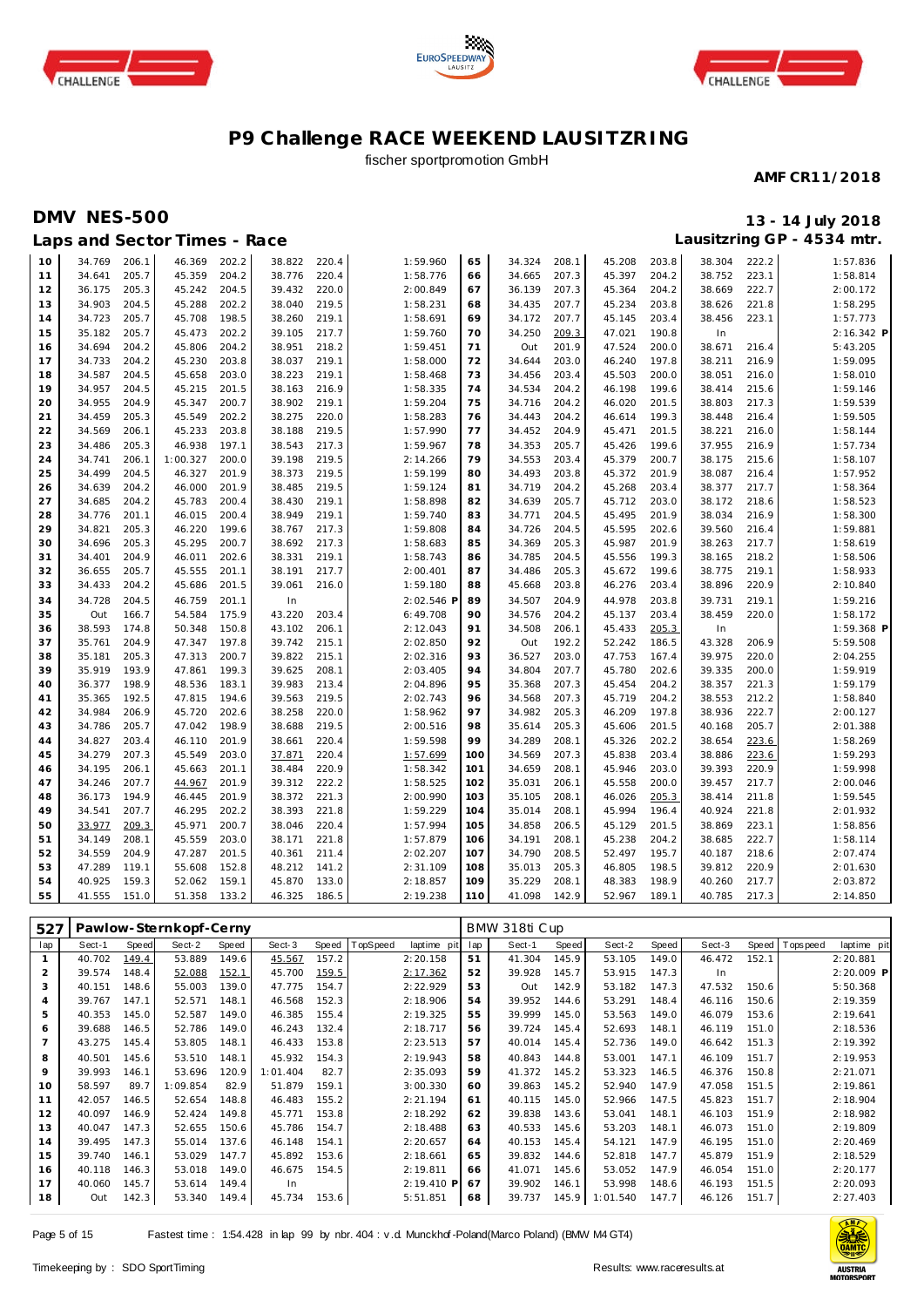





## fischer sportpromotion GmbH

#### **AMF CR11/2018**

## **DMV NES-500 13 - 14 July 2018**

|          |                  |                | Laps and Sector Times - Race |                |                  |                |                      |          |                  |                |                  |                |                  |                | Lausitzring GP - 4534 mtr. |
|----------|------------------|----------------|------------------------------|----------------|------------------|----------------|----------------------|----------|------------------|----------------|------------------|----------------|------------------|----------------|----------------------------|
| 10       | 34.769           | 206.1          | 46.369                       | 202.2          | 38.822           | 220.4          | 1:59.960             | 65       | 34.324           | 208.1          | 45.208           | 203.8          | 38.304           | 222.2          | 1:57.836                   |
| 11       | 34.641           | 205.7          | 45.359                       | 204.2          | 38.776           | 220.4          | 1:58.776             | 66       | 34.665           | 207.3          | 45.397           | 204.2          | 38.752           | 223.1          | 1:58.814                   |
| 12       | 36.175           | 205.3          | 45.242                       | 204.5          | 39.432           | 220.0          | 2:00.849             | 67       | 36.139           | 207.3          | 45.364           | 204.2          | 38.669           | 222.7          | 2:00.172                   |
| 13       | 34.903           | 204.5          | 45.288                       | 202.2          | 38.040           | 219.5          | 1:58.231             | 68       | 34.435           | 207.7          | 45.234           | 203.8          | 38.626           | 221.8          | 1:58.295                   |
| 14       | 34.723           | 205.7          | 45.708                       | 198.5          | 38.260           | 219.1          | 1:58.691             | 69       | 34.172           | 207.7          | 45.145           | 203.4          | 38.456           | 223.1          | 1:57.773                   |
| 15       | 35.182           | 205.7          | 45.473                       | 202.2          | 39.105           | 217.7          | 1:59.760             | 70       | 34.250           | 209.3          | 47.021           | 190.8          | In               |                | 2:16.342 P                 |
| 16       | 34.694           | 204.2          | 45.806                       | 204.2          | 38.951           | 218.2          | 1:59.451             | 71       | Out              | 201.9          | 47.524           | 200.0          | 38.671           | 216.4          | 5:43.205                   |
| 17       | 34.733           | 204.2          | 45.230                       | 203.8          | 38.037           | 219.1          | 1:58.000             | 72       | 34.644           | 203.0          | 46.240           | 197.8          | 38.211           | 216.9          | 1:59.095                   |
| 18       | 34.587           | 204.5          | 45.658                       | 203.0          | 38.223           | 219.1          | 1:58.468             | 73       | 34.456           | 203.4          | 45.503           | 200.0          | 38.051           | 216.0          | 1:58.010                   |
| 19       | 34.957           | 204.5          | 45.215                       | 201.5          | 38.163           | 216.9          | 1:58.335             | 74       | 34.534           | 204.2          | 46.198           | 199.6          | 38.414           | 215.6          | 1:59.146                   |
| 20       | 34.955           | 204.9          | 45.347                       | 200.7          | 38.902           | 219.1          | 1:59.204             | 75       | 34.716           | 204.2          | 46.020           | 201.5          | 38.803           | 217.3          | 1:59.539                   |
| 21       | 34.459           | 205.3          | 45.549                       | 202.2          | 38.275           | 220.0          | 1:58.283             | 76       | 34.443           | 204.2          | 46.614           | 199.3          | 38.448           | 216.4          | 1:59.505                   |
| 22       | 34.569           | 206.1          | 45.233                       | 203.8          | 38.188           | 219.5          | 1:57.990             | 77       | 34.452           | 204.9          | 45.471           | 201.5          | 38.221           | 216.0          | 1:58.144                   |
| 23       | 34.486           | 205.3          | 46.938                       | 197.1          | 38.543           | 217.3          | 1:59.967             | 78       | 34.353           | 205.7          | 45.426           | 199.6          | 37.955           | 216.9          | 1:57.734                   |
| 24       | 34.741           | 206.1          | 1:00.327                     | 200.0          | 39.198           | 219.5          | 2:14.266             | 79       | 34.553           | 203.4          | 45.379           | 200.7          | 38.175           | 215.6          | 1:58.107                   |
| 25       | 34.499           | 204.5          | 46.327                       | 201.9          | 38.373           | 219.5          | 1:59.199             | 80       | 34.493           | 203.8          | 45.372           | 201.9          | 38.087           | 216.4          | 1:57.952                   |
| 26       | 34.639           | 204.2          | 46.000                       | 201.9          | 38.485           | 219.5          | 1:59.124             | 81       | 34.719           | 204.2          | 45.268           | 203.4          | 38.377           | 217.7          | 1:58.364                   |
| 27       | 34.685           | 204.2          | 45.783                       | 200.4          | 38.430           | 219.1          | 1:58.898             | 82       | 34.639           | 205.7          | 45.712           | 203.0          | 38.172           | 218.6          | 1:58.523                   |
| 28       | 34.776           | 201.1          | 46.015                       | 200.4          | 38.949           | 219.1          | 1:59.740             | 83       | 34.771           | 204.5          | 45.495           | 201.9          | 38.034           | 216.9          | 1:58.300                   |
| 29       | 34.821           | 205.3          | 46.220                       | 199.6          | 38.767           | 217.3          | 1:59.808             | 84       | 34.726           | 204.5          | 45.595           | 202.6          | 39.560           | 216.4          | 1:59.881                   |
| 30       | 34.696<br>34.401 | 205.3<br>204.9 | 45.295<br>46.011             | 200.7<br>202.6 | 38.692<br>38.331 | 217.3<br>219.1 | 1:58.683<br>1:58.743 | 85<br>86 | 34.369<br>34.785 | 205.3<br>204.5 | 45.987<br>45.556 | 201.9<br>199.3 | 38.263<br>38.165 | 217.7<br>218.2 | 1:58.619                   |
| 31<br>32 | 36.655           | 205.7          | 45.555                       | 201.1          | 38.191           | 217.7          | 2:00.401             | 87       | 34.486           | 205.3          | 45.672           | 199.6          | 38.775           | 219.1          | 1:58.506<br>1:58.933       |
| 33       | 34.433           | 204.2          | 45.686                       | 201.5          | 39.061           | 216.0          | 1:59.180             | 88       | 45.668           | 203.8          | 46.276           | 203.4          | 38.896           | 220.9          | 2:10.840                   |
| 34       | 34.728           | 204.5          | 46.759                       | 201.1          | In               |                | 2:02.546 F           | 89       | 34.507           | 204.9          | 44.978           | 203.8          | 39.731           | 219.1          | 1:59.216                   |
| 35       | Out              | 166.7          | 54.584                       | 175.9          | 43.220           | 203.4          | 6:49.708             | 90       | 34.576           | 204.2          | 45.137           | 203.4          | 38.459           | 220.0          | 1:58.172                   |
| 36       | 38.593           | 174.8          | 50.348                       | 150.8          | 43.102           | 206.1          | 2:12.043             | 91       | 34.508           | 206.1          | 45.433           | 205.3          | In               |                | 1:59.368 P                 |
| 37       | 35.761           | 204.9          | 47.347                       | 197.8          | 39.742           | 215.1          | 2:02.850             | 92       | Out              | 192.2          | 52.242           | 186.5          | 43.328           | 206.9          | 5:59.508                   |
| 38       | 35.181           | 205.3          | 47.313                       | 200.7          | 39.822           | 215.1          | 2:02.316             | 93       | 36.527           | 203.0          | 47.753           | 167.4          | 39.975           | 220.0          | 2:04.255                   |
| 39       | 35.919           | 193.9          | 47.861                       | 199.3          | 39.625           | 208.1          | 2:03.405             | 94       | 34.804           | 207.7          | 45.780           | 202.6          | 39.335           | 200.0          | 1:59.919                   |
| 40       | 36.377           | 198.9          | 48.536                       | 183.1          | 39.983           | 213.4          | 2:04.896             | 95       | 35.368           | 207.3          | 45.454           | 204.2          | 38.357           | 221.3          | 1:59.179                   |
| 41       | 35.365           | 192.5          | 47.815                       | 194.6          | 39.563           | 219.5          | 2:02.743             | 96       | 34.568           | 207.3          | 45.719           | 204.2          | 38.553           | 212.2          | 1:58.840                   |
| 42       | 34.984           | 206.9          | 45.720                       | 202.6          | 38.258           | 220.0          | 1:58.962             | 97       | 34.982           | 205.3          | 46.209           | 197.8          | 38.936           | 222.7          | 2:00.127                   |
| 43       | 34.786           | 205.7          | 47.042                       | 198.9          | 38.688           | 219.5          | 2:00.516             | 98       | 35.614           | 205.3          | 45.606           | 201.5          | 40.168           | 205.7          | 2:01.388                   |
| 44       | 34.827           | 203.4          | 46.110                       | 201.9          | 38.661           | 220.4          | 1:59.598             | 99       | 34.289           | 208.1          | 45.326           | 202.2          | 38.654           | 223.6          | 1:58.269                   |
| 45       | 34.279           | 207.3          | 45.549                       | 203.0          | 37.871           | 220.4          | 1:57.699             | 100      | 34.569           | 207.3          | 45.838           | 203.4          | 38.886           | 223.6          | 1:59.293                   |
| 46       | 34.195           | 206.1          | 45.663                       | 201.1          | 38.484           | 220.9          | 1:58.342             | 101      | 34.659           | 208.1          | 45.946           | 203.0          | 39.393           | 220.9          | 1:59.998                   |
| 47       | 34.246           | 207.7          | 44.967                       | 201.9          | 39.312           | 222.2          | 1:58.525             | 102      | 35.031           | 206.1          | 45.558           | 200.0          | 39.457           | 217.7          | 2:00.046                   |
| 48       | 36.173           | 194.9          | 46.445                       | 201.9          | 38.372           | 221.3          | 2:00.990             | 103      | 35.105           | 208.1          | 46.026           | 205.3          | 38.414           | 211.8          | 1:59.545                   |
| 49       | 34.541           | 207.7          | 46.295                       | 202.2          | 38.393           | 221.8          | 1:59.229             | 104      | 35.014           | 208.1          | 45.994           | 196.4          | 40.924           | 221.8          | 2:01.932                   |
| 50       | 33.977           | 209.3          | 45.971                       | 200.7          | 38.046           | 220.4          | 1:57.994             | 105      | 34.858           | 206.5          | 45.129           | 201.5          | 38.869           | 223.1          | 1:58.856                   |
| 51       | 34.149           | 208.1          | 45.559                       | 203.0          | 38.171           | 221.8          | 1:57.879             | 106      | 34.191           | 208.1          | 45.238           | 204.2          | 38.685           | 222.7          | 1:58.114                   |
| 52       | 34.559           | 204.9          | 47.287                       | 201.5          | 40.361           | 211.4          | 2:02.207             | 107      | 34.790           | 208.5          | 52.497           | 195.7          | 40.187           | 218.6          | 2:07.474                   |
| 53       | 47.289           | 119.1          | 55.608                       | 152.8          | 48.212           | 141.2          | 2:31.109             | 108      | 35.013           | 205.3          | 46.805           | 198.5          | 39.812           | 220.9          | 2:01.630                   |
| 54       | 40.925           | 159.3          | 52.062                       | 159.1          | 45.870           | 133.0          | 2:18.857             | 109      | 35.229           | 208.1          | 48.383           | 198.9          | 40.260           | 217.7          | 2:03.872                   |
| 55       | 41.555           | 151.0          | 51.358                       | 133.2          | 46.325           | 186.5          | 2:19.238             | 110      | 41.098           | 142.9          | 52.967           | 189.1          | 40.785           | 217.3          | 2:14.850                   |

| 527            |        |       | Pawlow-Sternkopf-Cerny |       |          |       |          |             |     | BMW 318ti Cup |       |          |       |        |       |             |             |
|----------------|--------|-------|------------------------|-------|----------|-------|----------|-------------|-----|---------------|-------|----------|-------|--------|-------|-------------|-------------|
| lap            | Sect-1 | Speed | Sect-2                 | Speed | Sect-3   | Speed | TopSpeed | laptime pit | lap | Sect-1        | Speed | Sect-2   | Speed | Sect-3 | Speed | T ops pee d | laptime pit |
|                | 40.702 | 149.4 | 53.889                 | 149.6 | 45.567   | 157.2 |          | 2:20.158    | 51  | 41.304        | 145.9 | 53.105   | 149.0 | 46.472 | 152.1 |             | 2:20.881    |
| $\overline{2}$ | 39.574 | 148.4 | 52.088                 | 152.1 | 45.700   | 159.5 |          | 2:17.362    | 52  | 39.928        | 145.7 | 53.915   | 147.3 | In.    |       |             | 2:20.009 P  |
| 3              | 40.151 | 148.6 | 55.003                 | 139.0 | 47.775   | 154.7 |          | 2:22.929    | 53  | Out           | 142.9 | 53.182   | 147.3 | 47.532 | 150.6 |             | 5:50.368    |
| $\overline{4}$ | 39.767 | 147.1 | 52.571                 | 148.1 | 46.568   | 152.3 |          | 2:18.906    | 54  | 39.952        | 144.6 | 53.291   | 148.4 | 46.116 | 150.6 |             | 2:19.359    |
| 5              | 40.353 | 145.0 | 52.587                 | 149.0 | 46.385   | 155.4 |          | 2:19.325    | 55  | 39.999        | 145.0 | 53.563   | 149.0 | 46.079 | 153.6 |             | 2:19.641    |
| 6              | 39.688 | 146.5 | 52.786                 | 149.0 | 46.243   | 132.4 |          | 2:18.717    | 56  | 39.724        | 145.4 | 52.693   | 148.1 | 46.119 | 151.0 |             | 2:18.536    |
|                | 43.275 | 145.4 | 53.805                 | 148.1 | 46.433   | 153.8 |          | 2:23.513    | 57  | 40.014        | 145.4 | 52.736   | 149.0 | 46.642 | 151.3 |             | 2:19.392    |
| 8              | 40.501 | 145.6 | 53.510                 | 148.1 | 45.932   | 154.3 |          | 2:19.943    | 58  | 40.843        | 144.8 | 53.001   | 147.1 | 46.109 | 151.7 |             | 2:19.953    |
| 9              | 39.993 | 146.1 | 53.696                 | 120.9 | 1:01.404 | 82.7  |          | 2:35.093    | 59  | 41.372        | 145.2 | 53.323   | 146.5 | 46.376 | 150.8 |             | 2:21.071    |
| 10             | 58.597 | 89.7  | 1:09.854               | 82.9  | 51.879   | 159.1 |          | 3:00.330    | 60  | 39.863        | 145.2 | 52.940   | 147.9 | 47.058 | 151.5 |             | 2:19.861    |
| 11             | 42.057 | 146.5 | 52.654                 | 148.8 | 46.483   | 155.2 |          | 2:21.194    | 61  | 40.115        | 145.0 | 52.966   | 147.5 | 45.823 | 151.7 |             | 2:18.904    |
| 12             | 40.097 | 146.9 | 52.424                 | 149.8 | 45.771   | 153.8 |          | 2:18.292    | 62  | 39.838        | 143.6 | 53.041   | 148.1 | 46.103 | 151.9 |             | 2:18.982    |
| 13             | 40.047 | 147.3 | 52.655                 | 150.6 | 45.786   | 154.7 |          | 2:18.488    | 63  | 40.533        | 145.6 | 53.203   | 148.1 | 46.073 | 151.0 |             | 2:19.809    |
| 14             | 39.495 | 147.3 | 55.014                 | 137.6 | 46.148   | 154.1 |          | 2:20.657    | 64  | 40.153        | 145.4 | 54.121   | 147.9 | 46.195 | 151.0 |             | 2:20.469    |
| 15             | 39.740 | 146.1 | 53.029                 | 147.7 | 45.892   | 153.6 |          | 2:18.661    | 65  | 39.832        | 144.6 | 52.818   | 147.7 | 45.879 | 151.9 |             | 2:18.529    |
| 16             | 40.118 | 146.3 | 53.018                 | 149.0 | 46.675   | 154.5 |          | 2:19.811    | 66  | 41.071        | 145.6 | 53.052   | 147.9 | 46.054 | 151.0 |             | 2:20.177    |
| 17             | 40.060 | 145.7 | 53.614                 | 149.4 | In       |       |          | 2:19.410 P  | 67  | 39.902        | 146.1 | 53.998   | 148.6 | 46.193 | 151.5 |             | 2:20.093    |
| 18             | Out    | 142.3 | 53.340                 | 149.4 | 45.734   | 153.6 |          | 5:51.851    | 68  | 39.737        | 145.9 | 1:01.540 | 147.7 | 46.126 | 151.7 |             | 2:27.403    |

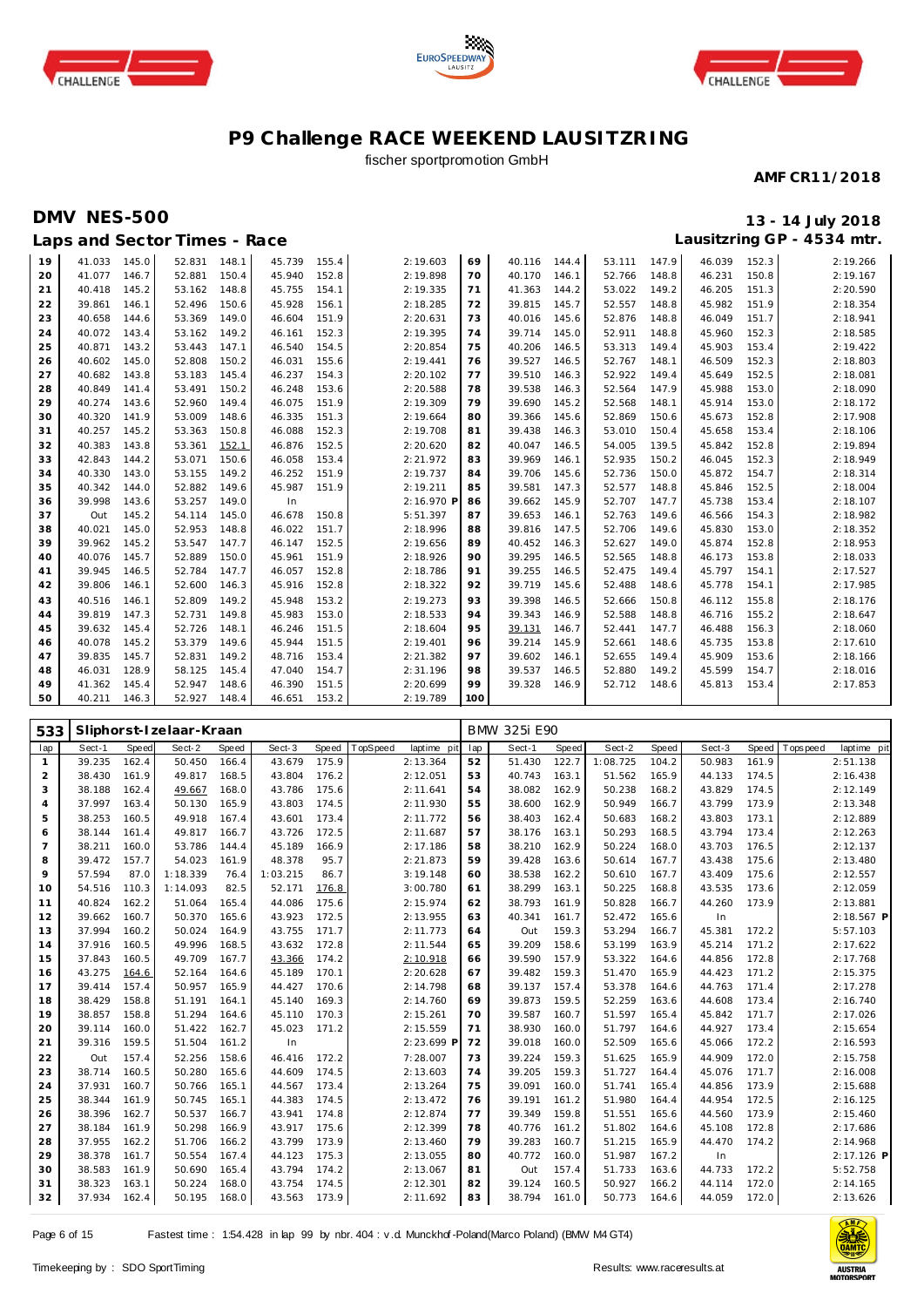





## fischer sportpromotion GmbH

#### **AMF CR11/2018**

## **DMV NES-500 13 - 14 July 2018**

| 41.033<br>145.0<br>152.3<br>19<br>52.831<br>148.1<br>45.739<br>155.4<br>2:19.603<br>69<br>147.9<br>46.039<br>40.116<br>144.4<br>53.111<br>20<br>146.7<br>52.881<br>150.4<br>45.940<br>152.8<br>40.170<br>148.8<br>46.231<br>150.8<br>41.077<br>2:19.898<br>70<br>146.1<br>52.766<br>21<br>40.418<br>145.2<br>53.162<br>148.8<br>45.755<br>154.1<br>41.363<br>53.022<br>149.2<br>46.205<br>151.3<br>2:19.335<br>71<br>144.2<br>52.496<br>150.6<br>45.928<br>2:18.285<br>39.815<br>52.557<br>45.982<br>151.9<br>22<br>39.861<br>146.1<br>156.1<br>145.7<br>148.8<br>72<br>23<br>40.658<br>144.6<br>53.369<br>149.0<br>46.604<br>151.9<br>2:20.631<br>40.016<br>52.876<br>148.8<br>46.049<br>151.7<br>73<br>145.6 | 2:19.266<br>2:19.167<br>2:20.590<br>2:18.354<br>2:18.941<br>2:18.585<br>2:19.422<br>2:18.803<br>2:18.081 |
|----------------------------------------------------------------------------------------------------------------------------------------------------------------------------------------------------------------------------------------------------------------------------------------------------------------------------------------------------------------------------------------------------------------------------------------------------------------------------------------------------------------------------------------------------------------------------------------------------------------------------------------------------------------------------------------------------------------|----------------------------------------------------------------------------------------------------------|
|                                                                                                                                                                                                                                                                                                                                                                                                                                                                                                                                                                                                                                                                                                                |                                                                                                          |
|                                                                                                                                                                                                                                                                                                                                                                                                                                                                                                                                                                                                                                                                                                                |                                                                                                          |
|                                                                                                                                                                                                                                                                                                                                                                                                                                                                                                                                                                                                                                                                                                                |                                                                                                          |
|                                                                                                                                                                                                                                                                                                                                                                                                                                                                                                                                                                                                                                                                                                                |                                                                                                          |
|                                                                                                                                                                                                                                                                                                                                                                                                                                                                                                                                                                                                                                                                                                                |                                                                                                          |
| 2:19.395<br>52.911<br>152.3<br>40.072<br>143.4<br>53.162<br>152.3<br>39.714<br>148.8<br>45.960<br>24<br>149.2<br>46.161<br>74<br>145.0                                                                                                                                                                                                                                                                                                                                                                                                                                                                                                                                                                         |                                                                                                          |
| 25<br>143.2<br>154.5<br>53.313<br>149.4<br>45.903<br>153.4<br>40.871<br>53.443<br>147.1<br>46.540<br>2:20.854<br>75<br>40.206<br>146.5                                                                                                                                                                                                                                                                                                                                                                                                                                                                                                                                                                         |                                                                                                          |
| 152.3<br>40.602<br>145.0<br>52.808<br>150.2<br>155.6<br>2:19.441<br>39.527<br>52.767<br>148.1<br>46.509<br>26<br>46.031<br>76<br>146.5                                                                                                                                                                                                                                                                                                                                                                                                                                                                                                                                                                         |                                                                                                          |
| 143.8<br>39.510<br>52.922<br>152.5<br>27<br>40.682<br>53.183<br>145.4<br>46.237<br>154.3<br>2:20.102<br>146.3<br>149.4<br>45.649<br>77                                                                                                                                                                                                                                                                                                                                                                                                                                                                                                                                                                         |                                                                                                          |
| 28<br>40.849<br>53.491<br>150.2<br>46.248<br>153.6<br>2:20.588<br>39.538<br>52.564<br>45.988<br>153.0<br>141.4<br>78<br>146.3<br>147.9                                                                                                                                                                                                                                                                                                                                                                                                                                                                                                                                                                         | 2:18.090                                                                                                 |
| 2:19.309<br>45.914<br>29<br>40.274<br>143.6<br>52.960<br>149.4<br>46.075<br>151.9<br>79<br>39.690<br>52.568<br>148.1<br>153.0<br>145.2                                                                                                                                                                                                                                                                                                                                                                                                                                                                                                                                                                         | 2:18.172                                                                                                 |
| 53.009<br>52.869<br>45.673<br>152.8<br>40.320<br>141.9<br>148.6<br>46.335<br>151.3<br>2:19.664<br>39.366<br>150.6<br>30<br>80<br>145.6                                                                                                                                                                                                                                                                                                                                                                                                                                                                                                                                                                         | 2:17.908                                                                                                 |
| 31<br>145.2<br>53.363<br>150.8<br>46.088<br>152.3<br>39.438<br>53.010<br>45.658<br>153.4<br>40.257<br>2:19.708<br>81<br>146.3<br>150.4                                                                                                                                                                                                                                                                                                                                                                                                                                                                                                                                                                         | 2:18.106                                                                                                 |
| 32<br>40.383<br>143.8<br>53.361<br>152.1<br>46.876<br>152.5<br>40.047<br>54.005<br>139.5<br>45.842<br>152.8<br>2:20.620<br>82<br>146.5                                                                                                                                                                                                                                                                                                                                                                                                                                                                                                                                                                         | 2:19.894                                                                                                 |
| 33<br>42.843<br>144.2<br>53.071<br>150.6<br>46.058<br>153.4<br>2:21.972<br>39.969<br>52.935<br>150.2<br>46.045<br>152.3<br>83<br>146.1                                                                                                                                                                                                                                                                                                                                                                                                                                                                                                                                                                         | 2:18.949                                                                                                 |
| 2:19.737<br>52.736<br>45.872<br>154.7<br>34<br>40.330<br>143.0<br>53.155<br>149.2<br>46.252<br>151.9<br>39.706<br>150.0<br>84<br>145.6                                                                                                                                                                                                                                                                                                                                                                                                                                                                                                                                                                         | 2:18.314                                                                                                 |
| 45.987<br>2:19.211<br>39.581<br>52.577<br>45.846<br>152.5<br>35<br>40.342<br>144.0<br>52.882<br>149.6<br>151.9<br>147.3<br>148.8<br>85                                                                                                                                                                                                                                                                                                                                                                                                                                                                                                                                                                         | 2:18.004                                                                                                 |
| 36<br>39.998<br>143.6<br>53.257<br>149.0<br>2:16.970 P<br>39.662<br>52.707<br>147.7<br>45.738<br>153.4<br>In<br>86<br>145.9                                                                                                                                                                                                                                                                                                                                                                                                                                                                                                                                                                                    | 2:18.107                                                                                                 |
| 145.2<br>150.8<br>154.3<br>37<br>54.114<br>145.0<br>46.678<br>5:51.397<br>39.653<br>146.1<br>52.763<br>149.6<br>46.566<br>Out<br>87                                                                                                                                                                                                                                                                                                                                                                                                                                                                                                                                                                            | 2:18.982                                                                                                 |
| 145.0<br>40.021<br>52.953<br>148.8<br>46.022<br>151.7<br>2:18.996<br>39.816<br>52.706<br>149.6<br>45.830<br>153.0<br>38<br>88<br>147.5                                                                                                                                                                                                                                                                                                                                                                                                                                                                                                                                                                         | 2:18.352                                                                                                 |
| 53.547<br>39<br>39.962<br>145.2<br>46.147<br>152.5<br>2:19.656<br>40.452<br>52.627<br>149.0<br>45.874<br>152.8<br>147.7<br>89<br>146.3                                                                                                                                                                                                                                                                                                                                                                                                                                                                                                                                                                         | 2:18.953                                                                                                 |
| 40.076<br>145.7<br>52.889<br>2:18.926<br>39.295<br>52.565<br>46.173<br>153.8<br>40<br>150.0<br>45.961<br>151.9<br>146.5<br>148.8<br>90                                                                                                                                                                                                                                                                                                                                                                                                                                                                                                                                                                         | 2:18.033                                                                                                 |
| 39.945<br>52.784<br>2:18.786<br>39.255<br>52.475<br>45.797<br>154.1<br>146.5<br>147.7<br>46.057<br>152.8<br>146.5<br>149.4<br>41<br>91                                                                                                                                                                                                                                                                                                                                                                                                                                                                                                                                                                         | 2:17.527                                                                                                 |
| 42<br>39.806<br>146.1<br>52.600<br>146.3<br>45.916<br>152.8<br>2:18.322<br>39.719<br>52.488<br>148.6<br>45.778<br>154.1<br>92<br>145.6                                                                                                                                                                                                                                                                                                                                                                                                                                                                                                                                                                         | 2:17.985                                                                                                 |
| 153.2<br>155.8<br>43<br>40.516<br>146.1<br>52.809<br>149.2<br>45.948<br>2:19.273<br>39.398<br>52.666<br>150.8<br>46.112<br>93<br>146.5                                                                                                                                                                                                                                                                                                                                                                                                                                                                                                                                                                         | 2:18.176                                                                                                 |
| 52.731<br>45.983<br>2:18.533<br>39.343<br>46.716<br>155.2<br>39.819<br>147.3<br>149.8<br>153.0<br>146.9<br>52.588<br>148.8<br>44<br>94                                                                                                                                                                                                                                                                                                                                                                                                                                                                                                                                                                         | 2:18.647                                                                                                 |
| 52.726<br>2:18.604<br>46.488<br>156.3<br>45<br>39.632<br>145.4<br>148.1<br>46.246<br>151.5<br>95<br>39.131<br>52.441<br>147.7<br>146.7                                                                                                                                                                                                                                                                                                                                                                                                                                                                                                                                                                         | 2:18.060                                                                                                 |
| 153.8<br>40.078<br>145.2<br>53.379<br>45.944<br>151.5<br>2:19.401<br>39.214<br>45.735<br>149.6<br>145.9<br>52.661<br>148.6<br>46<br>96                                                                                                                                                                                                                                                                                                                                                                                                                                                                                                                                                                         | 2:17.610                                                                                                 |
| 153.6<br>47<br>39.835<br>145.7<br>52.831<br>149.2<br>48.716<br>153.4<br>2:21.382<br>97<br>39.602<br>52.655<br>149.4<br>45.909<br>146.1                                                                                                                                                                                                                                                                                                                                                                                                                                                                                                                                                                         | 2:18.166                                                                                                 |
| 39.537<br>149.2<br>45.599<br>154.7<br>48<br>46.031<br>128.9<br>58.125<br>145.4<br>47.040<br>154.7<br>2:31.196<br>98<br>146.5<br>52.880                                                                                                                                                                                                                                                                                                                                                                                                                                                                                                                                                                         | 2:18.016                                                                                                 |
| 49<br>41.362<br>145.4<br>52.947<br>148.6<br>46.390<br>151.5<br>2:20.699<br>99<br>39.328<br>52.712<br>153.4<br>146.9<br>148.6<br>45.813                                                                                                                                                                                                                                                                                                                                                                                                                                                                                                                                                                         | 2:17.853                                                                                                 |
| 50<br>40.211<br>146.3<br>52.927<br>148.4<br>46.651<br>153.2<br>2:19.789<br>100                                                                                                                                                                                                                                                                                                                                                                                                                                                                                                                                                                                                                                 |                                                                                                          |

| 533            |        |       | Sliphorst-Izelaar-Kraan |       |          |       |          |             |     | BMW 325i E90 |       |          |       |        |       |            |             |
|----------------|--------|-------|-------------------------|-------|----------|-------|----------|-------------|-----|--------------|-------|----------|-------|--------|-------|------------|-------------|
| lap            | Sect-1 | Speed | Sect-2                  | Speed | Sect-3   | Speed | TopSpeed | laptime pit | lap | Sect-1       | Speed | Sect-2   | Speed | Sect-3 | Speed | T ops peed | laptime pit |
| $\mathbf{1}$   | 39.235 | 162.4 | 50.450                  | 166.4 | 43.679   | 175.9 |          | 2:13.364    | 52  | 51.430       | 122.7 | 1:08.725 | 104.2 | 50.983 | 161.9 |            | 2:51.138    |
| 2              | 38.430 | 161.9 | 49.817                  | 168.5 | 43.804   | 176.2 |          | 2:12.051    | 53  | 40.743       | 163.1 | 51.562   | 165.9 | 44.133 | 174.5 |            | 2:16.438    |
| 3              | 38.188 | 162.4 | 49.667                  | 168.0 | 43.786   | 175.6 |          | 2:11.641    | 54  | 38.082       | 162.9 | 50.238   | 168.2 | 43.829 | 174.5 |            | 2:12.149    |
| $\overline{4}$ | 37.997 | 163.4 | 50.130                  | 165.9 | 43.803   | 174.5 |          | 2:11.930    | 55  | 38.600       | 162.9 | 50.949   | 166.7 | 43.799 | 173.9 |            | 2:13.348    |
| 5              | 38.253 | 160.5 | 49.918                  | 167.4 | 43.601   | 173.4 |          | 2:11.772    | 56  | 38.403       | 162.4 | 50.683   | 168.2 | 43.803 | 173.1 |            | 2:12.889    |
| 6              | 38.144 | 161.4 | 49.817                  | 166.7 | 43.726   | 172.5 |          | 2:11.687    | 57  | 38.176       | 163.1 | 50.293   | 168.5 | 43.794 | 173.4 |            | 2:12.263    |
| $\overline{7}$ | 38.211 | 160.0 | 53.786                  | 144.4 | 45.189   | 166.9 |          | 2:17.186    | 58  | 38.210       | 162.9 | 50.224   | 168.0 | 43.703 | 176.5 |            | 2:12.137    |
| 8              | 39.472 | 157.7 | 54.023                  | 161.9 | 48.378   | 95.7  |          | 2:21.873    | 59  | 39.428       | 163.6 | 50.614   | 167.7 | 43.438 | 175.6 |            | 2:13.480    |
| 9              | 57.594 | 87.0  | 1:18.339                | 76.4  | 1:03.215 | 86.7  |          | 3:19.148    | 60  | 38.538       | 162.2 | 50.610   | 167.7 | 43.409 | 175.6 |            | 2:12.557    |
| 10             | 54.516 | 110.3 | 1:14.093                | 82.5  | 52.171   | 176.8 |          | 3:00.780    | 61  | 38.299       | 163.1 | 50.225   | 168.8 | 43.535 | 173.6 |            | 2:12.059    |
| 11             | 40.824 | 162.2 | 51.064                  | 165.4 | 44.086   | 175.6 |          | 2:15.974    | 62  | 38.793       | 161.9 | 50.828   | 166.7 | 44.260 | 173.9 |            | 2:13.881    |
| 12             | 39.662 | 160.7 | 50.370                  | 165.6 | 43.923   | 172.5 |          | 2:13.955    | 63  | 40.341       | 161.7 | 52.472   | 165.6 | In     |       |            | 2:18.567 P  |
| 13             | 37.994 | 160.2 | 50.024                  | 164.9 | 43.755   | 171.7 |          | 2:11.773    | 64  | Out          | 159.3 | 53.294   | 166.7 | 45.381 | 172.2 |            | 5:57.103    |
| 14             | 37.916 | 160.5 | 49.996                  | 168.5 | 43.632   | 172.8 |          | 2:11.544    | 65  | 39.209       | 158.6 | 53.199   | 163.9 | 45.214 | 171.2 |            | 2:17.622    |
| 15             | 37.843 | 160.5 | 49.709                  | 167.7 | 43.366   | 174.2 |          | 2:10.918    | 66  | 39.590       | 157.9 | 53.322   | 164.6 | 44.856 | 172.8 |            | 2:17.768    |
| 16             | 43.275 | 164.6 | 52.164                  | 164.6 | 45.189   | 170.1 |          | 2:20.628    | 67  | 39.482       | 159.3 | 51.470   | 165.9 | 44.423 | 171.2 |            | 2:15.375    |
| 17             | 39.414 | 157.4 | 50.957                  | 165.9 | 44.427   | 170.6 |          | 2:14.798    | 68  | 39.137       | 157.4 | 53.378   | 164.6 | 44.763 | 171.4 |            | 2:17.278    |
| 18             | 38.429 | 158.8 | 51.191                  | 164.1 | 45.140   | 169.3 |          | 2:14.760    | 69  | 39.873       | 159.5 | 52.259   | 163.6 | 44.608 | 173.4 |            | 2:16.740    |
| 19             | 38.857 | 158.8 | 51.294                  | 164.6 | 45.110   | 170.3 |          | 2:15.261    | 70  | 39.587       | 160.7 | 51.597   | 165.4 | 45.842 | 171.7 |            | 2:17.026    |
| 20             | 39.114 | 160.0 | 51.422                  | 162.7 | 45.023   | 171.2 |          | 2:15.559    | 71  | 38.930       | 160.0 | 51.797   | 164.6 | 44.927 | 173.4 |            | 2:15.654    |
| 21             | 39.316 | 159.5 | 51.504                  | 161.2 | In       |       |          | 2:23.699 P  | 72  | 39.018       | 160.0 | 52.509   | 165.6 | 45.066 | 172.2 |            | 2:16.593    |
| 22             | Out    | 157.4 | 52.256                  | 158.6 | 46.416   | 172.2 |          | 7:28.007    | 73  | 39.224       | 159.3 | 51.625   | 165.9 | 44.909 | 172.0 |            | 2:15.758    |
| 23             | 38.714 | 160.5 | 50.280                  | 165.6 | 44.609   | 174.5 |          | 2:13.603    | 74  | 39.205       | 159.3 | 51.727   | 164.4 | 45.076 | 171.7 |            | 2:16.008    |
| 24             | 37.931 | 160.7 | 50.766                  | 165.1 | 44.567   | 173.4 |          | 2:13.264    | 75  | 39.091       | 160.0 | 51.741   | 165.4 | 44.856 | 173.9 |            | 2:15.688    |
| 25             | 38.344 | 161.9 | 50.745                  | 165.1 | 44.383   | 174.5 |          | 2:13.472    | 76  | 39.191       | 161.2 | 51.980   | 164.4 | 44.954 | 172.5 |            | 2:16.125    |
| 26             | 38.396 | 162.7 | 50.537                  | 166.7 | 43.941   | 174.8 |          | 2:12.874    | 77  | 39.349       | 159.8 | 51.551   | 165.6 | 44.560 | 173.9 |            | 2:15.460    |
| 27             | 38.184 | 161.9 | 50.298                  | 166.9 | 43.917   | 175.6 |          | 2:12.399    | 78  | 40.776       | 161.2 | 51.802   | 164.6 | 45.108 | 172.8 |            | 2:17.686    |
| 28             | 37.955 | 162.2 | 51.706                  | 166.2 | 43.799   | 173.9 |          | 2:13.460    | 79  | 39.283       | 160.7 | 51.215   | 165.9 | 44.470 | 174.2 |            | 2:14.968    |
| 29             | 38.378 | 161.7 | 50.554                  | 167.4 | 44.123   | 175.3 |          | 2:13.055    | 80  | 40.772       | 160.0 | 51.987   | 167.2 | In     |       |            | 2:17.126 P  |
| 30             | 38.583 | 161.9 | 50.690                  | 165.4 | 43.794   | 174.2 |          | 2:13.067    | 81  | Out          | 157.4 | 51.733   | 163.6 | 44.733 | 172.2 |            | 5:52.758    |
| 31             | 38.323 | 163.1 | 50.224                  | 168.0 | 43.754   | 174.5 |          | 2:12.301    | 82  | 39.124       | 160.5 | 50.927   | 166.2 | 44.114 | 172.0 |            | 2:14.165    |
| 32             | 37.934 | 162.4 | 50.195                  | 168.0 | 43.563   | 173.9 |          | 2:11.692    | 83  | 38.794       | 161.0 | 50.773   | 164.6 | 44.059 | 172.0 |            | 2:13.626    |

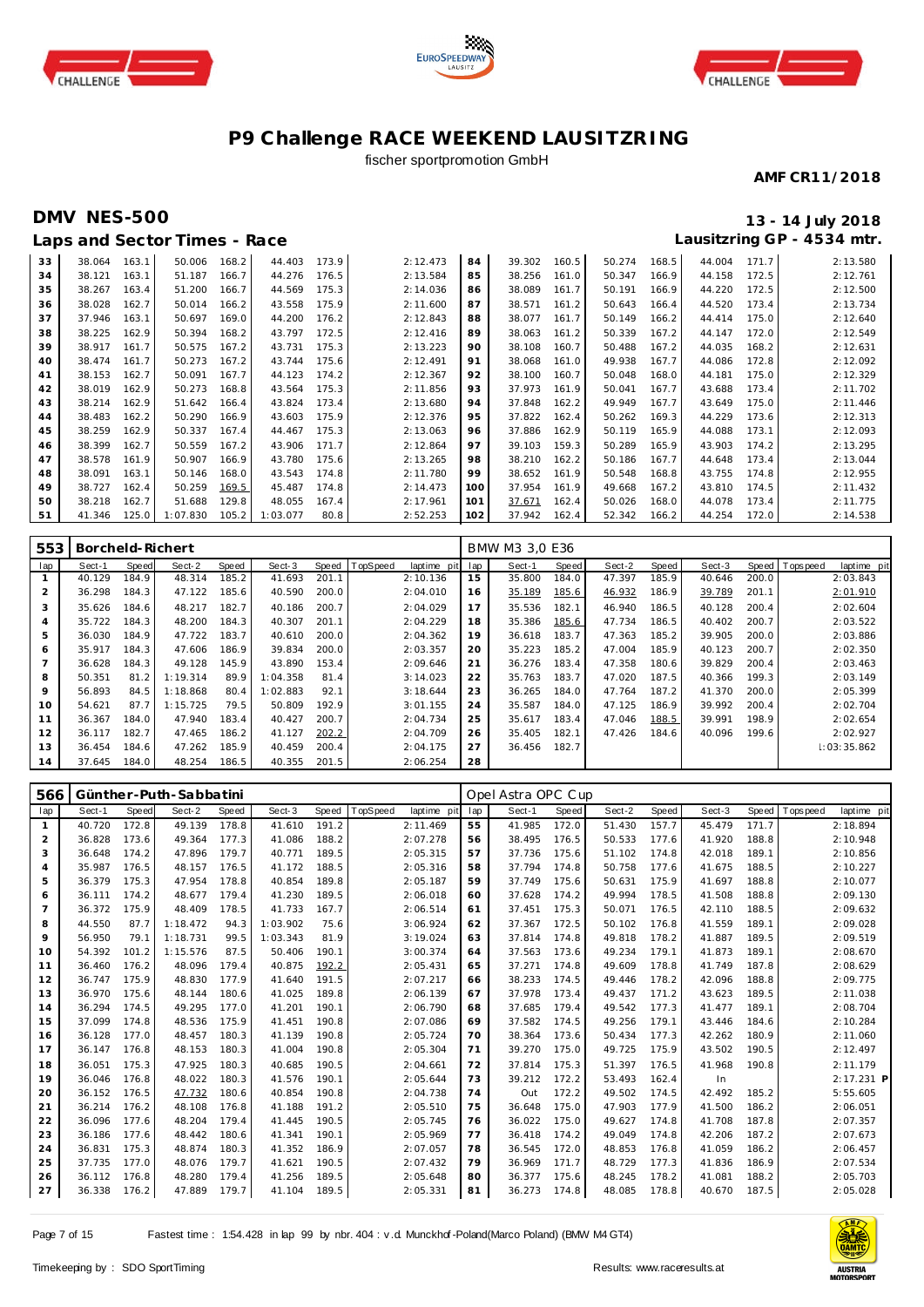





## fischer sportpromotion GmbH

#### **AMF CR11/2018**

## **DMV NES-500 13 - 14 July 2018 Lausitzring GP - 4534 mtr.**

|    |        |       | Laps and Sector Times - Race |       |          |       |          |     |        |       |        |       |        |       | Lausitzring GP - 4534 mtr. |
|----|--------|-------|------------------------------|-------|----------|-------|----------|-----|--------|-------|--------|-------|--------|-------|----------------------------|
| 33 | 38.064 | 163.1 | 50.006                       | 168.2 | 44.403   | 173.9 | 2:12.473 | 84  | 39.302 | 160.5 | 50.274 | 168.5 | 44.004 | 171.7 | 2:13.580                   |
| 34 | 38.121 | 163.1 | 51.187                       | 166.7 | 44.276   | 176.5 | 2:13.584 | 85  | 38.256 | 161.0 | 50.347 | 166.9 | 44.158 | 172.5 | 2:12.761                   |
| 35 | 38.267 | 163.4 | 51.200                       | 166.7 | 44.569   | 175.3 | 2:14.036 | 86  | 38.089 | 161.7 | 50.191 | 166.9 | 44.220 | 172.5 | 2:12.500                   |
| 36 | 38.028 | 162.7 | 50.014                       | 166.2 | 43.558   | 175.9 | 2:11.600 | 87  | 38.571 | 161.2 | 50.643 | 166.4 | 44.520 | 173.4 | 2:13.734                   |
| 37 | 37.946 | 163.1 | 50.697                       | 169.0 | 44.200   | 176.2 | 2:12.843 | 88  | 38.077 | 161.7 | 50.149 | 166.2 | 44.414 | 175.0 | 2:12.640                   |
| 38 | 38.225 | 162.9 | 50.394                       | 168.2 | 43.797   | 172.5 | 2:12.416 | 89  | 38.063 | 161.2 | 50.339 | 167.2 | 44.147 | 172.0 | 2:12.549                   |
| 39 | 38.917 | 161.7 | 50.575                       | 167.2 | 43.731   | 175.3 | 2:13.223 | 90  | 38.108 | 160.7 | 50.488 | 167.2 | 44.035 | 168.2 | 2:12.631                   |
| 40 | 38.474 | 161.7 | 50.273                       | 167.2 | 43.744   | 175.6 | 2:12.491 | 91  | 38.068 | 161.0 | 49.938 | 167.7 | 44.086 | 172.8 | 2:12.092                   |
| 41 | 38.153 | 162.7 | 50.091                       | 167.7 | 44.123   | 174.2 | 2:12.367 | 92  | 38.100 | 160.7 | 50.048 | 168.0 | 44.181 | 175.0 | 2:12.329                   |
| 42 | 38.019 | 162.9 | 50.273                       | 168.8 | 43.564   | 175.3 | 2:11.856 | 93  | 37.973 | 161.9 | 50.041 | 167.7 | 43.688 | 173.4 | 2:11.702                   |
| 43 | 38.214 | 162.9 | 51.642                       | 166.4 | 43.824   | 173.4 | 2:13.680 | 94  | 37.848 | 162.2 | 49.949 | 167.7 | 43.649 | 175.0 | 2:11.446                   |
| 44 | 38.483 | 162.2 | 50.290                       | 166.9 | 43.603   | 175.9 | 2:12.376 | 95  | 37.822 | 162.4 | 50.262 | 169.3 | 44.229 | 173.6 | 2:12.313                   |
| 45 | 38.259 | 162.9 | 50.337                       | 167.4 | 44.467   | 175.3 | 2:13.063 | 96  | 37.886 | 162.9 | 50.119 | 165.9 | 44.088 | 173.1 | 2:12.093                   |
| 46 | 38.399 | 162.7 | 50.559                       | 167.2 | 43.906   | 171.7 | 2:12.864 | 97  | 39.103 | 159.3 | 50.289 | 165.9 | 43.903 | 174.2 | 2:13.295                   |
| 47 | 38.578 | 161.9 | 50.907                       | 166.9 | 43.780   | 175.6 | 2:13.265 | 98  | 38.210 | 162.2 | 50.186 | 167.7 | 44.648 | 173.4 | 2:13.044                   |
| 48 | 38.091 | 163.1 | 50.146                       | 168.0 | 43.543   | 174.8 | 2:11.780 | 99  | 38.652 | 161.9 | 50.548 | 168.8 | 43.755 | 174.8 | 2:12.955                   |
| 49 | 38.727 | 162.4 | 50.259                       | 169.5 | 45.487   | 174.8 | 2:14.473 | 100 | 37.954 | 161.9 | 49.668 | 167.2 | 43.810 | 174.5 | 2:11.432                   |
| 50 | 38.218 | 162.7 | 51.688                       | 129.8 | 48.055   | 167.4 | 2:17.961 | 101 | 37.671 | 162.4 | 50.026 | 168.0 | 44.078 | 173.4 | 2:11.775                   |
| 51 | 41.346 | 125.0 | 1:07.830                     | 105.2 | 1:03.077 | 80.8  | 2:52.253 | 102 | 37.942 | 162.4 | 52.342 | 166.2 | 44.254 | 172.0 | 2:14.538                   |

| 553            | Borcheld-Richert |       |          |       |          |       |                |             |     | BMW M3 3.0 E36 |       |        |       |        |       |                |             |
|----------------|------------------|-------|----------|-------|----------|-------|----------------|-------------|-----|----------------|-------|--------|-------|--------|-------|----------------|-------------|
| lap            | Sect-1           | Speed | Sect-2   | Speed | Sect-3   |       | Speed TopSpeed | laptime pit | lap | Sect-1         | Speed | Sect-2 | Speed | Sect-3 |       | Speed Topspeed | laptime pit |
|                | 40.129           | 184.9 | 48.314   | 185.2 | 41.693   | 201.1 |                | 2:10.136    | 15  | 35.800         | 184.0 | 47.397 | 185.9 | 40.646 | 200.0 |                | 2:03.843    |
| $\overline{2}$ | 36.298           | 184.3 | 47.122   | 185.6 | 40.590   | 200.0 |                | 2:04.010    | 16  | 35.189         | 185.6 | 46.932 | 186.9 | 39.789 | 201.1 |                | 2:01.910    |
| 3              | 35.626           | 184.6 | 48.217   | 182.7 | 40.186   | 200.7 |                | 2:04.029    | 17  | 35.536         | 182.1 | 46.940 | 186.5 | 40.128 | 200.4 |                | 2:02.604    |
| 4              | 35.722           | 184.3 | 48.200   | 184.3 | 40.307   | 201.1 |                | 2:04.229    | 18  | 35.386         | 185.6 | 47.734 | 186.5 | 40.402 | 200.7 |                | 2:03.522    |
| 5              | 36.030           | 184.9 | 47.722   | 183.7 | 40.610   | 200.0 |                | 2:04.362    | 19  | 36.618         | 183.7 | 47.363 | 185.2 | 39.905 | 200.0 |                | 2:03.886    |
| 6              | 35.917           | 184.3 | 47.606   | 186.9 | 39.834   | 200.0 |                | 2:03.357    | 20  | 35.223         | 185.2 | 47.004 | 185.9 | 40.123 | 200.7 |                | 2:02.350    |
|                | 36.628           | 184.3 | 49.128   | 145.9 | 43.890   | 153.4 |                | 2:09.646    | 21  | 36.276         | 183.4 | 47.358 | 180.6 | 39.829 | 200.4 |                | 2:03.463    |
| 8              | 50.351           | 81.2  | 1:19.314 | 89.9  | 1:04.358 | 81.4  |                | 3:14.023    | 22  | 35.763         | 183.7 | 47.020 | 187.5 | 40.366 | 199.3 |                | 2:03.149    |
| 9              | 56.893           | 84.5  | 1:18.868 | 80.4  | 1:02.883 | 92.1  |                | 3:18.644    | 23  | 36.265         | 184.0 | 47.764 | 187.2 | 41.370 | 200.0 |                | 2:05.399    |
| 10             | 54.621           | 87.7  | 1:15.725 | 79.5  | 50.809   | 192.9 |                | 3:01.155    | 24  | 35.587         | 184.0 | 47.125 | 186.9 | 39.992 | 200.4 |                | 2:02.704    |
| 11             | 36.367           | 184.0 | 47.940   | 183.4 | 40.427   | 200.7 |                | 2:04.734    | 25  | 35.617         | 183.4 | 47.046 | 188.5 | 39.991 | 198.9 |                | 2:02.654    |
| 12             | 36.117           | 182.7 | 47.465   | 186.2 | 41.127   | 202.2 |                | 2:04.709    | 26  | 35.405         | 182.1 | 47.426 | 184.6 | 40.096 | 199.6 |                | 2:02.927    |
| 13             | 36.454           | 184.6 | 47.262   | 185.9 | 40.459   | 200.4 |                | 2:04.175    | 27  | 36.456         | 182.7 |        |       |        |       |                | 1:03:35.862 |
| 14             | 37.645           | 184.0 | 48.254   | 186.5 | 40.355   | 201.5 |                | 2:06.254    | 28  |                |       |        |       |        |       |                |             |

| 566            |        |       | Günther-Puth-Sabbatini |       |          |       |          |             |     | Opel Astra OPC Cup |       |        |       |        |       |             |             |
|----------------|--------|-------|------------------------|-------|----------|-------|----------|-------------|-----|--------------------|-------|--------|-------|--------|-------|-------------|-------------|
| lap            | Sect-1 | Speed | Sect-2                 | Speed | Sect-3   | Speed | TopSpeed | laptime pit | lap | Sect-1             | Speed | Sect-2 | Speed | Sect-3 | Speed | T ops pee d | laptime pit |
| $\mathbf{1}$   | 40.720 | 172.8 | 49.139                 | 178.8 | 41.610   | 191.2 |          | 2:11.469    | 55  | 41.985             | 172.0 | 51.430 | 157.7 | 45.479 | 171.7 |             | 2:18.894    |
| $\overline{2}$ | 36.828 | 173.6 | 49.364                 | 177.3 | 41.086   | 188.2 |          | 2:07.278    | 56  | 38.495             | 176.5 | 50.533 | 177.6 | 41.920 | 188.8 |             | 2:10.948    |
| 3              | 36.648 | 174.2 | 47.896                 | 179.7 | 40.771   | 189.5 |          | 2:05.315    | 57  | 37.736             | 175.6 | 51.102 | 174.8 | 42.018 | 189.1 |             | 2:10.856    |
| $\overline{4}$ | 35.987 | 176.5 | 48.157                 | 176.5 | 41.172   | 188.5 |          | 2:05.316    | 58  | 37.794             | 174.8 | 50.758 | 177.6 | 41.675 | 188.5 |             | 2:10.227    |
| 5              | 36.379 | 175.3 | 47.954                 | 178.8 | 40.854   | 189.8 |          | 2:05.187    | 59  | 37.749             | 175.6 | 50.631 | 175.9 | 41.697 | 188.8 |             | 2:10.077    |
| 6              | 36.111 | 174.2 | 48.677                 | 179.4 | 41.230   | 189.5 |          | 2:06.018    | 60  | 37.628             | 174.2 | 49.994 | 178.5 | 41.508 | 188.8 |             | 2:09.130    |
| $\overline{7}$ | 36.372 | 175.9 | 48.409                 | 178.5 | 41.733   | 167.7 |          | 2:06.514    | 61  | 37.451             | 175.3 | 50.071 | 176.5 | 42.110 | 188.5 |             | 2:09.632    |
| 8              | 44.550 | 87.7  | 1:18.472               | 94.3  | 1:03.902 | 75.6  |          | 3:06.924    | 62  | 37.367             | 172.5 | 50.102 | 176.8 | 41.559 | 189.1 |             | 2:09.028    |
| $\circ$        | 56.950 | 79.1  | 1:18.731               | 99.5  | 1:03.343 | 81.9  |          | 3:19.024    | 63  | 37.814             | 174.8 | 49.818 | 178.2 | 41.887 | 189.5 |             | 2:09.519    |
| 10             | 54.392 | 101.2 | 1:15.576               | 87.5  | 50.406   | 190.1 |          | 3:00.374    | 64  | 37.563             | 173.6 | 49.234 | 179.1 | 41.873 | 189.1 |             | 2:08.670    |
| 11             | 36.460 | 176.2 | 48.096                 | 179.4 | 40.875   | 192.2 |          | 2:05.431    | 65  | 37.271             | 174.8 | 49.609 | 178.8 | 41.749 | 187.8 |             | 2:08.629    |
| 12             | 36.747 | 175.9 | 48.830                 | 177.9 | 41.640   | 191.5 |          | 2:07.217    | 66  | 38.233             | 174.5 | 49.446 | 178.2 | 42.096 | 188.8 |             | 2:09.775    |
| 13             | 36.970 | 175.6 | 48.144                 | 180.6 | 41.025   | 189.8 |          | 2:06.139    | 67  | 37.978             | 173.4 | 49.437 | 171.2 | 43.623 | 189.5 |             | 2:11.038    |
| 14             | 36.294 | 174.5 | 49.295                 | 177.0 | 41.201   | 190.1 |          | 2:06.790    | 68  | 37.685             | 179.4 | 49.542 | 177.3 | 41.477 | 189.1 |             | 2:08.704    |
| 15             | 37.099 | 174.8 | 48.536                 | 175.9 | 41.451   | 190.8 |          | 2:07.086    | 69  | 37.582             | 174.5 | 49.256 | 179.1 | 43.446 | 184.6 |             | 2:10.284    |
| 16             | 36.128 | 177.0 | 48.457                 | 180.3 | 41.139   | 190.8 |          | 2:05.724    | 70  | 38.364             | 173.6 | 50.434 | 177.3 | 42.262 | 180.9 |             | 2:11.060    |
| 17             | 36.147 | 176.8 | 48.153                 | 180.3 | 41.004   | 190.8 |          | 2:05.304    | 71  | 39.270             | 175.0 | 49.725 | 175.9 | 43.502 | 190.5 |             | 2:12.497    |
| 18             | 36.051 | 175.3 | 47.925                 | 180.3 | 40.685   | 190.5 |          | 2:04.661    | 72  | 37.814             | 175.3 | 51.397 | 176.5 | 41.968 | 190.8 |             | 2:11.179    |
| 19             | 36.046 | 176.8 | 48.022                 | 180.3 | 41.576   | 190.1 |          | 2:05.644    | 73  | 39.212             | 172.2 | 53.493 | 162.4 | In     |       |             | 2:17.231 P  |
| 20             | 36.152 | 176.5 | 47.732                 | 180.6 | 40.854   | 190.8 |          | 2:04.738    | 74  | Out                | 172.2 | 49.502 | 174.5 | 42.492 | 185.2 |             | 5:55.605    |
| 21             | 36.214 | 176.2 | 48.108                 | 176.8 | 41.188   | 191.2 |          | 2:05.510    | 75  | 36.648             | 175.0 | 47.903 | 177.9 | 41.500 | 186.2 |             | 2:06.051    |
| 22             | 36.096 | 177.6 | 48.204                 | 179.4 | 41.445   | 190.5 |          | 2:05.745    | 76  | 36.022             | 175.0 | 49.627 | 174.8 | 41.708 | 187.8 |             | 2:07.357    |
| 23             | 36.186 | 177.6 | 48.442                 | 180.6 | 41.341   | 190.1 |          | 2:05.969    | 77  | 36.418             | 174.2 | 49.049 | 174.8 | 42.206 | 187.2 |             | 2:07.673    |
| 24             | 36.831 | 175.3 | 48.874                 | 180.3 | 41.352   | 186.9 |          | 2:07.057    | 78  | 36.545             | 172.0 | 48.853 | 176.8 | 41.059 | 186.2 |             | 2:06.457    |
| 25             | 37.735 | 177.0 | 48.076                 | 179.7 | 41.621   | 190.5 |          | 2:07.432    | 79  | 36.969             | 171.7 | 48.729 | 177.3 | 41.836 | 186.9 |             | 2:07.534    |
| 26             | 36.112 | 176.8 | 48.280                 | 179.4 | 41.256   | 189.5 |          | 2:05.648    | 80  | 36.377             | 175.6 | 48.245 | 178.2 | 41.081 | 188.2 |             | 2:05.703    |
| 27             | 36.338 | 176.2 | 47.889                 | 179.7 | 41.104   | 189.5 |          | 2:05.331    | 81  | 36.273             | 174.8 | 48.085 | 178.8 | 40.670 | 187.5 |             | 2:05.028    |

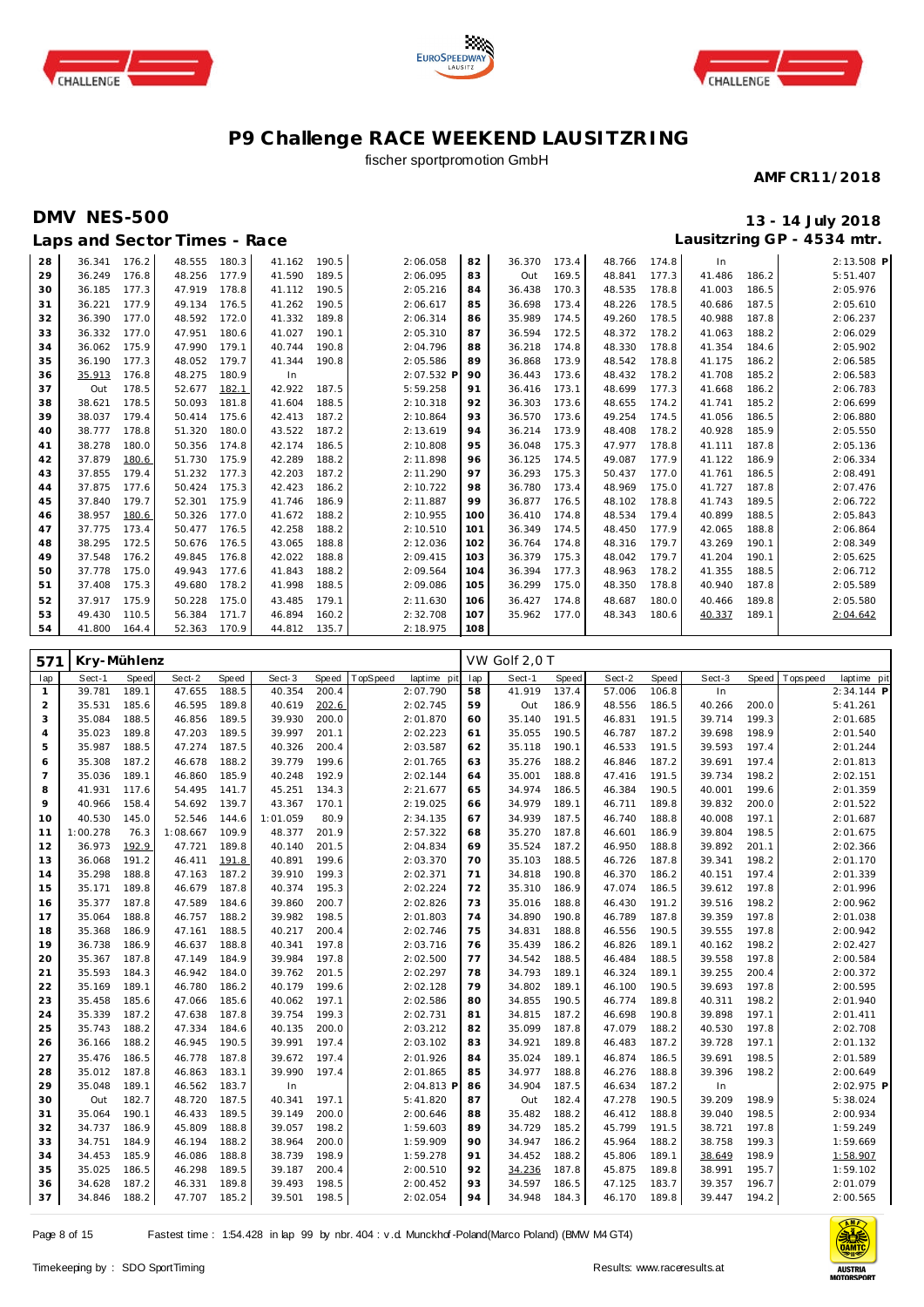





## fischer sportpromotion GmbH

#### **AMF CR11/2018**

**Laps and Sector Times - Race**

## **DMV NES-500 13 - 14 July 2018 Lausitzring GP - 4534 mtr.**

| 28 | 36.341       | 176.2 | 48.555 | 180.3 | 41.162 | 190.5 | 2:06.058   | 82  | 36.370 | 173.4 | 48.766 | 174.8 | In.    |       | 2:13.508 P |
|----|--------------|-------|--------|-------|--------|-------|------------|-----|--------|-------|--------|-------|--------|-------|------------|
| 29 | 36.249       | 176.8 | 48.256 | 177.9 | 41.590 | 189.5 | 2:06.095   | 83  | Out    | 169.5 | 48.841 | 177.3 | 41.486 | 186.2 | 5:51.407   |
| 30 | 36.185       | 177.3 | 47.919 | 178.8 | 41.112 | 190.5 | 2:05.216   | 84  | 36.438 | 170.3 | 48.535 | 178.8 | 41.003 | 186.5 | 2:05.976   |
| 31 | 36.221       | 177.9 | 49.134 | 176.5 | 41.262 | 190.5 | 2:06.617   | 85  | 36.698 | 173.4 | 48.226 | 178.5 | 40.686 | 187.5 | 2:05.610   |
| 32 | 36.390       | 177.0 | 48.592 | 172.0 | 41.332 | 189.8 | 2:06.314   | 86  | 35.989 | 174.5 | 49.260 | 178.5 | 40.988 | 187.8 | 2:06.237   |
| 33 | 36.332       | 177.0 | 47.951 | 180.6 | 41.027 | 190.1 | 2:05.310   | 87  | 36.594 | 172.5 | 48.372 | 178.2 | 41.063 | 188.2 | 2:06.029   |
| 34 | 36.062       | 175.9 | 47.990 | 179.1 | 40.744 | 190.8 | 2:04.796   | 88  | 36.218 | 174.8 | 48.330 | 178.8 | 41.354 | 184.6 | 2:05.902   |
| 35 | 36.190       | 177.3 | 48.052 | 179.7 | 41.344 | 190.8 | 2:05.586   | 89  | 36.868 | 173.9 | 48.542 | 178.8 | 41.175 | 186.2 | 2:06.585   |
| 36 | 35.913       | 176.8 | 48.275 | 180.9 | In     |       | 2:07.532 P | 90  | 36.443 | 173.6 | 48.432 | 178.2 | 41.708 | 185.2 | 2:06.583   |
| 37 | Out          | 178.5 | 52.677 | 182.1 | 42.922 | 187.5 | 5:59.258   | 91  | 36.416 | 173.1 | 48.699 | 177.3 | 41.668 | 186.2 | 2:06.783   |
| 38 | 38.621       | 178.5 | 50.093 | 181.8 | 41.604 | 188.5 | 2:10.318   | 92  | 36.303 | 173.6 | 48.655 | 174.2 | 41.741 | 185.2 | 2:06.699   |
| 39 | 38.037       | 179.4 | 50.414 | 175.6 | 42.413 | 187.2 | 2:10.864   | 93  | 36.570 | 173.6 | 49.254 | 174.5 | 41.056 | 186.5 | 2:06.880   |
| 40 | 38.777       | 178.8 | 51.320 | 180.0 | 43.522 | 187.2 | 2:13.619   | 94  | 36.214 | 173.9 | 48.408 | 178.2 | 40.928 | 185.9 | 2:05.550   |
| 41 | 38.278       | 180.0 | 50.356 | 174.8 | 42.174 | 186.5 | 2:10.808   | 95  | 36.048 | 175.3 | 47.977 | 178.8 | 41.111 | 187.8 | 2:05.136   |
| 42 | 37.879       | 180.6 | 51.730 | 175.9 | 42.289 | 188.2 | 2:11.898   | 96  | 36.125 | 174.5 | 49.087 | 177.9 | 41.122 | 186.9 | 2:06.334   |
| 43 | 37.855       | 179.4 | 51.232 | 177.3 | 42.203 | 187.2 | 2:11.290   | 97  | 36.293 | 175.3 | 50.437 | 177.0 | 41.761 | 186.5 | 2:08.491   |
| 44 | 37.875       | 177.6 | 50.424 | 175.3 | 42.423 | 186.2 | 2:10.722   | 98  | 36.780 | 173.4 | 48.969 | 175.0 | 41.727 | 187.8 | 2:07.476   |
| 45 | 37.840       | 179.7 | 52.301 | 175.9 | 41.746 | 186.9 | 2:11.887   | 99  | 36.877 | 176.5 | 48.102 | 178.8 | 41.743 | 189.5 | 2:06.722   |
| 46 | 38.957       | 180.6 | 50.326 | 177.0 | 41.672 | 188.2 | 2:10.955   | 100 | 36.410 | 174.8 | 48.534 | 179.4 | 40.899 | 188.5 | 2:05.843   |
| 47 | 37.775       | 173.4 | 50.477 | 176.5 | 42.258 | 188.2 | 2:10.510   | 101 | 36.349 | 174.5 | 48.450 | 177.9 | 42.065 | 188.8 | 2:06.864   |
| 48 | 38.295       | 172.5 | 50.676 | 176.5 | 43.065 | 188.8 | 2:12.036   | 102 | 36.764 | 174.8 | 48.316 | 179.7 | 43.269 | 190.1 | 2:08.349   |
| 49 | 37.548       | 176.2 | 49.845 | 176.8 | 42.022 | 188.8 | 2:09.415   | 103 | 36.379 | 175.3 | 48.042 | 179.7 | 41.204 | 190.1 | 2:05.625   |
| 50 | 37.778       | 175.0 | 49.943 | 177.6 | 41.843 | 188.2 | 2:09.564   | 104 | 36.394 | 177.3 | 48.963 | 178.2 | 41.355 | 188.5 | 2:06.712   |
| 51 | 37.408       | 175.3 | 49.680 | 178.2 | 41.998 | 188.5 | 2:09.086   | 105 | 36.299 | 175.0 | 48.350 | 178.8 | 40.940 | 187.8 | 2:05.589   |
| 52 | 37.917       | 175.9 | 50.228 | 175.0 | 43.485 | 179.1 | 2:11.630   | 106 | 36.427 | 174.8 | 48.687 | 180.0 | 40.466 | 189.8 | 2:05.580   |
| 53 | 49.430       | 110.5 | 56.384 | 171.7 | 46.894 | 160.2 | 2:32.708   | 107 | 35.962 | 177.0 | 48.343 | 180.6 | 40.337 | 189.1 | 2:04.642   |
| 54 | 41.800 164.4 |       | 52.363 | 170.9 | 44.812 | 135.7 | 2:18.975   | 108 |        |       |        |       |        |       |            |

| 571            | Kry-Mühlenz |              |          |       |          |       |          |             |     | VW Golf 2,0 T |       |        |       |        |              |             |             |
|----------------|-------------|--------------|----------|-------|----------|-------|----------|-------------|-----|---------------|-------|--------|-------|--------|--------------|-------------|-------------|
| lap            | Sect-1      | <b>Speed</b> | Sect-2   | Speed | Sect-3   | Speed | TopSpeed | laptime pit | lap | Sect-1        | Speed | Sect-2 | Speed | Sect-3 | <b>Speed</b> | T ops pee d | laptime pit |
| $\mathbf{1}$   | 39.781      | 189.1        | 47.655   | 188.5 | 40.354   | 200.4 |          | 2:07.790    | 58  | 41.919        | 137.4 | 57.006 | 106.8 | In     |              |             | 2:34.144 P  |
| $\overline{2}$ | 35.531      | 185.6        | 46.595   | 189.8 | 40.619   | 202.6 |          | 2:02.745    | 59  | Out           | 186.9 | 48.556 | 186.5 | 40.266 | 200.0        |             | 5:41.261    |
| 3              | 35.084      | 188.5        | 46.856   | 189.5 | 39.930   | 200.0 |          | 2:01.870    | 60  | 35.140        | 191.5 | 46.831 | 191.5 | 39.714 | 199.3        |             | 2:01.685    |
| $\overline{4}$ | 35.023      | 189.8        | 47.203   | 189.5 | 39.997   | 201.1 |          | 2:02.223    | 61  | 35.055        | 190.5 | 46.787 | 187.2 | 39.698 | 198.9        |             | 2:01.540    |
| 5              | 35.987      | 188.5        | 47.274   | 187.5 | 40.326   | 200.4 |          | 2:03.587    | 62  | 35.118        | 190.1 | 46.533 | 191.5 | 39.593 | 197.4        |             | 2:01.244    |
| 6              | 35.308      | 187.2        | 46.678   | 188.2 | 39.779   | 199.6 |          | 2:01.765    | 63  | 35.276        | 188.2 | 46.846 | 187.2 | 39.691 | 197.4        |             | 2:01.813    |
| $\overline{7}$ | 35.036      | 189.1        | 46.860   | 185.9 | 40.248   | 192.9 |          | 2:02.144    | 64  | 35.001        | 188.8 | 47.416 | 191.5 | 39.734 | 198.2        |             | 2:02.151    |
| 8              | 41.931      | 117.6        | 54.495   | 141.7 | 45.251   | 134.3 |          | 2:21.677    | 65  | 34.974        | 186.5 | 46.384 | 190.5 | 40.001 | 199.6        |             | 2:01.359    |
| $\circ$        | 40.966      | 158.4        | 54.692   | 139.7 | 43.367   | 170.1 |          | 2:19.025    | 66  | 34.979        | 189.1 | 46.711 | 189.8 | 39.832 | 200.0        |             | 2:01.522    |
| 10             | 40.530      | 145.0        | 52.546   | 144.6 | 1:01.059 | 80.9  |          | 2:34.135    | 67  | 34.939        | 187.5 | 46.740 | 188.8 | 40.008 | 197.1        |             | 2:01.687    |
| 11             | 1:00.278    | 76.3         | 1:08.667 | 109.9 | 48.377   | 201.9 |          | 2:57.322    | 68  | 35.270        | 187.8 | 46.601 | 186.9 | 39.804 | 198.5        |             | 2:01.675    |
| 12             | 36.973      | 192.9        | 47.721   | 189.8 | 40.140   | 201.5 |          | 2:04.834    | 69  | 35.524        | 187.2 | 46.950 | 188.8 | 39.892 | 201.1        |             | 2:02.366    |
| 13             | 36.068      | 191.2        | 46.411   | 191.8 | 40.891   | 199.6 |          | 2:03.370    | 70  | 35.103        | 188.5 | 46.726 | 187.8 | 39.341 | 198.2        |             | 2:01.170    |
| 14             | 35.298      | 188.8        | 47.163   | 187.2 | 39.910   | 199.3 |          | 2:02.371    | 71  | 34.818        | 190.8 | 46.370 | 186.2 | 40.151 | 197.4        |             | 2:01.339    |
| 15             | 35.171      | 189.8        | 46.679   | 187.8 | 40.374   | 195.3 |          | 2:02.224    | 72  | 35.310        | 186.9 | 47.074 | 186.5 | 39.612 | 197.8        |             | 2:01.996    |
| 16             | 35.377      | 187.8        | 47.589   | 184.6 | 39.860   | 200.7 |          | 2:02.826    | 73  | 35.016        | 188.8 | 46.430 | 191.2 | 39.516 | 198.2        |             | 2:00.962    |
| 17             | 35.064      | 188.8        | 46.757   | 188.2 | 39.982   | 198.5 |          | 2:01.803    | 74  | 34.890        | 190.8 | 46.789 | 187.8 | 39.359 | 197.8        |             | 2:01.038    |
| 18             | 35.368      | 186.9        | 47.161   | 188.5 | 40.217   | 200.4 |          | 2:02.746    | 75  | 34.831        | 188.8 | 46.556 | 190.5 | 39.555 | 197.8        |             | 2:00.942    |
| 19             | 36.738      | 186.9        | 46.637   | 188.8 | 40.341   | 197.8 |          | 2:03.716    | 76  | 35.439        | 186.2 | 46.826 | 189.1 | 40.162 | 198.2        |             | 2:02.427    |
| 20             | 35.367      | 187.8        | 47.149   | 184.9 | 39.984   | 197.8 |          | 2:02.500    | 77  | 34.542        | 188.5 | 46.484 | 188.5 | 39.558 | 197.8        |             | 2:00.584    |
| 21             | 35.593      | 184.3        | 46.942   | 184.0 | 39.762   | 201.5 |          | 2:02.297    | 78  | 34.793        | 189.1 | 46.324 | 189.1 | 39.255 | 200.4        |             | 2:00.372    |
| 22             | 35.169      | 189.1        | 46.780   | 186.2 | 40.179   | 199.6 |          | 2:02.128    | 79  | 34.802        | 189.1 | 46.100 | 190.5 | 39.693 | 197.8        |             | 2:00.595    |
| 23             | 35.458      | 185.6        | 47.066   | 185.6 | 40.062   | 197.1 |          | 2:02.586    | 80  | 34.855        | 190.5 | 46.774 | 189.8 | 40.311 | 198.2        |             | 2:01.940    |
| 24             | 35.339      | 187.2        | 47.638   | 187.8 | 39.754   | 199.3 |          | 2:02.731    | 81  | 34.815        | 187.2 | 46.698 | 190.8 | 39.898 | 197.1        |             | 2:01.411    |
| 25             | 35.743      | 188.2        | 47.334   | 184.6 | 40.135   | 200.0 |          | 2:03.212    | 82  | 35.099        | 187.8 | 47.079 | 188.2 | 40.530 | 197.8        |             | 2:02.708    |
| 26             | 36.166      | 188.2        | 46.945   | 190.5 | 39.991   | 197.4 |          | 2:03.102    | 83  | 34.921        | 189.8 | 46.483 | 187.2 | 39.728 | 197.1        |             | 2:01.132    |
| 27             | 35.476      | 186.5        | 46.778   | 187.8 | 39.672   | 197.4 |          | 2:01.926    | 84  | 35.024        | 189.1 | 46.874 | 186.5 | 39.691 | 198.5        |             | 2:01.589    |
| 28             | 35.012      | 187.8        | 46.863   | 183.1 | 39.990   | 197.4 |          | 2:01.865    | 85  | 34.977        | 188.8 | 46.276 | 188.8 | 39.396 | 198.2        |             | 2:00.649    |
| 29             | 35.048      | 189.1        | 46.562   | 183.7 | In       |       |          | 2:04.813 F  | 86  | 34.904        | 187.5 | 46.634 | 187.2 | In     |              |             | 2:02.975 P  |
| 30             | Out         | 182.7        | 48.720   | 187.5 | 40.341   | 197.1 |          | 5:41.820    | 87  | Out           | 182.4 | 47.278 | 190.5 | 39.209 | 198.9        |             | 5:38.024    |
| 31             | 35.064      | 190.1        | 46.433   | 189.5 | 39.149   | 200.0 |          | 2:00.646    | 88  | 35.482        | 188.2 | 46.412 | 188.8 | 39.040 | 198.5        |             | 2:00.934    |
| 32             | 34.737      | 186.9        | 45.809   | 188.8 | 39.057   | 198.2 |          | 1:59.603    | 89  | 34.729        | 185.2 | 45.799 | 191.5 | 38.721 | 197.8        |             | 1:59.249    |
| 33             | 34.751      | 184.9        | 46.194   | 188.2 | 38.964   | 200.0 |          | 1:59.909    | 90  | 34.947        | 186.2 | 45.964 | 188.2 | 38.758 | 199.3        |             | 1:59.669    |
| 34             | 34.453      | 185.9        | 46.086   | 188.8 | 38.739   | 198.9 |          | 1:59.278    | 91  | 34.452        | 188.2 | 45.806 | 189.1 | 38.649 | 198.9        |             | 1:58.907    |
| 35             | 35.025      | 186.5        | 46.298   | 189.5 | 39.187   | 200.4 |          | 2:00.510    | 92  | 34.236        | 187.8 | 45.875 | 189.8 | 38.991 | 195.7        |             | 1:59.102    |
| 36             | 34.628      | 187.2        | 46.331   | 189.8 | 39.493   | 198.5 |          | 2:00.452    | 93  | 34.597        | 186.5 | 47.125 | 183.7 | 39.357 | 196.7        |             | 2:01.079    |
| 37             | 34.846      | 188.2        | 47.707   | 185.2 | 39.501   | 198.5 |          | 2:02.054    | 94  | 34.948        | 184.3 | 46.170 | 189.8 | 39.447 | 194.2        |             | 2:00.565    |

Page 8 of 15 Fastest time : 1:54.428 in lap 99 by nbr. 404 : v .d. Munckhof -Poland(Marco Poland) (BMW M4 GT4)

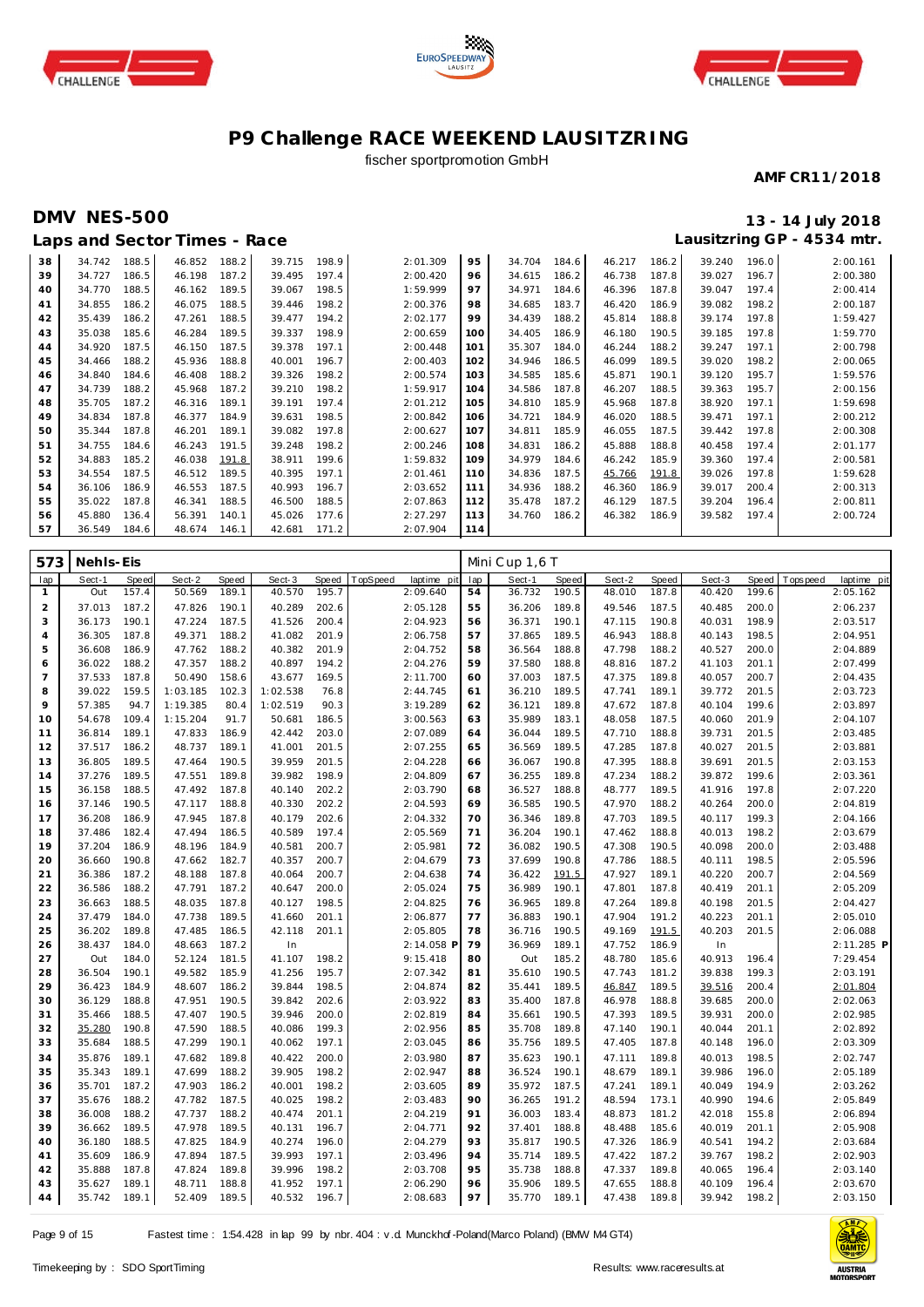





## fischer sportpromotion GmbH

#### **AMF CR11/2018**

## **DMV NES-500 13 - 14 July 2018**

# **Lausitzring GP - 4534 mtr.**

|    |        |       | Laps and Sector Times - Race |       |        |       |          |     |        |       |        |       |        |       | Lausitzring GP - 4534 mtr. |
|----|--------|-------|------------------------------|-------|--------|-------|----------|-----|--------|-------|--------|-------|--------|-------|----------------------------|
| 38 | 34.742 | 188.5 | 46.852                       | 188.2 | 39.715 | 198.9 | 2:01.309 | 95  | 34.704 | 184.6 | 46.217 | 186.2 | 39.240 | 196.0 | 2:00.161                   |
| 39 | 34.727 | 186.5 | 46.198                       | 187.2 | 39.495 | 197.4 | 2:00.420 | 96  | 34.615 | 186.2 | 46.738 | 187.8 | 39.027 | 196.7 | 2:00.380                   |
| 40 | 34.770 | 188.5 | 46.162                       | 189.5 | 39.067 | 198.5 | 1:59.999 | 97  | 34.971 | 184.6 | 46.396 | 187.8 | 39.047 | 197.4 | 2:00.414                   |
| 41 | 34.855 | 186.2 | 46.075                       | 188.5 | 39.446 | 198.2 | 2:00.376 | 98  | 34.685 | 183.7 | 46.420 | 186.9 | 39.082 | 198.2 | 2:00.187                   |
| 42 | 35.439 | 186.2 | 47.261                       | 188.5 | 39.477 | 194.2 | 2:02.177 | 99  | 34.439 | 188.2 | 45.814 | 188.8 | 39.174 | 197.8 | 1:59.427                   |
| 43 | 35.038 | 185.6 | 46.284                       | 189.5 | 39.337 | 198.9 | 2:00.659 | 100 | 34.405 | 186.9 | 46.180 | 190.5 | 39.185 | 197.8 | 1:59.770                   |
| 44 | 34.920 | 187.5 | 46.150                       | 187.5 | 39.378 | 197.1 | 2:00.448 | 101 | 35.307 | 184.0 | 46.244 | 188.2 | 39.247 | 197.1 | 2:00.798                   |
| 45 | 34.466 | 188.2 | 45.936                       | 188.8 | 40.001 | 196.7 | 2:00.403 | 102 | 34.946 | 186.5 | 46.099 | 189.5 | 39.020 | 198.2 | 2:00.065                   |
| 46 | 34.840 | 184.6 | 46.408                       | 188.2 | 39.326 | 198.2 | 2:00.574 | 103 | 34.585 | 185.6 | 45.871 | 190.1 | 39.120 | 195.7 | 1:59.576                   |
| 47 | 34.739 | 188.2 | 45.968                       | 187.2 | 39.210 | 198.2 | 1:59.917 | 104 | 34.586 | 187.8 | 46.207 | 188.5 | 39.363 | 195.7 | 2:00.156                   |
| 48 | 35.705 | 187.2 | 46.316                       | 189.1 | 39.191 | 197.4 | 2:01.212 | 105 | 34.810 | 185.9 | 45.968 | 187.8 | 38.920 | 197.1 | 1:59.698                   |
| 49 | 34.834 | 187.8 | 46.377                       | 184.9 | 39.631 | 198.5 | 2:00.842 | 106 | 34.721 | 184.9 | 46.020 | 188.5 | 39.471 | 197.1 | 2:00.212                   |
| 50 | 35.344 | 187.8 | 46.201                       | 189.1 | 39.082 | 197.8 | 2:00.627 | 107 | 34.811 | 185.9 | 46.055 | 187.5 | 39.442 | 197.8 | 2:00.308                   |
| 51 | 34.755 | 184.6 | 46.243                       | 191.5 | 39.248 | 198.2 | 2:00.246 | 108 | 34.831 | 186.2 | 45.888 | 188.8 | 40.458 | 197.4 | 2:01.177                   |
| 52 | 34.883 | 185.2 | 46.038                       | 191.8 | 38.911 | 199.6 | 1:59.832 | 109 | 34.979 | 184.6 | 46.242 | 185.9 | 39.360 | 197.4 | 2:00.581                   |
| 53 | 34.554 | 187.5 | 46.512                       | 189.5 | 40.395 | 197.1 | 2:01.461 | 110 | 34.836 | 187.5 | 45.766 | 191.8 | 39.026 | 197.8 | 1:59.628                   |
| 54 | 36.106 | 186.9 | 46.553                       | 187.5 | 40.993 | 196.7 | 2:03.652 | 111 | 34.936 | 188.2 | 46.360 | 186.9 | 39.017 | 200.4 | 2:00.313                   |
| 55 | 35.022 | 187.8 | 46.341                       | 188.5 | 46.500 | 188.5 | 2:07.863 | 112 | 35.478 | 187.2 | 46.129 | 187.5 | 39.204 | 196.4 | 2:00.811                   |
| 56 | 45.880 | 136.4 | 56.391                       | 140.1 | 45.026 | 177.6 | 2:27.297 | 113 | 34.760 | 186.2 | 46.382 | 186.9 | 39.582 | 197.4 | 2:00.724                   |
| 57 | 36.549 | 184.6 | 48.674                       | 146.1 | 42.681 | 171.2 | 2:07.904 | 114 |        |       |        |       |        |       |                            |

| 573            | Nehls-Eis        |                |                  |                |                  |                |                         |          | Mini Cup 1,6 T   |                |                  |                |                  |                |                            |
|----------------|------------------|----------------|------------------|----------------|------------------|----------------|-------------------------|----------|------------------|----------------|------------------|----------------|------------------|----------------|----------------------------|
| lap            | Sect-1           | Speed          | Sect-2           | Speed          | Sect-3           | <b>Speed</b>   | TopSpeed<br>laptime pit | lap      | Sect-1           | Speed          | Sect-2           | Speed          | Sect-3           | <b>Speed</b>   | T ops pee d<br>laptime pit |
| $\mathbf{1}$   | Out              | 157.4          | 50.569           | 189.1          | 40.570           | 195.7          | 2:09.640                | 54       | 36.732           | 190.5          | 48.010           | 187.8          | 40.420           | 199.6          | 2:05.162                   |
| 2              | 37.013           | 187.2          | 47.826           | 190.1          | 40.289           | 202.6          | 2:05.128                | 55       | 36.206           | 189.8          | 49.546           | 187.5          | 40.485           | 200.0          | 2:06.237                   |
| 3              | 36.173           | 190.1          | 47.224           | 187.5          | 41.526           | 200.4          | 2:04.923                | 56       | 36.371           | 190.1          | 47.115           | 190.8          | 40.031           | 198.9          | 2:03.517                   |
| $\overline{4}$ | 36.305           | 187.8          | 49.371           | 188.2          | 41.082           | 201.9          | 2:06.758                | 57       | 37.865           | 189.5          | 46.943           | 188.8          | 40.143           | 198.5          | 2:04.951                   |
| 5              | 36.608           | 186.9          | 47.762           | 188.2          | 40.382           | 201.9          | 2:04.752                | 58       | 36.564           | 188.8          | 47.798           | 188.2          | 40.527           | 200.0          | 2:04.889                   |
| 6              | 36.022           | 188.2          | 47.357           | 188.2          | 40.897           | 194.2          | 2:04.276                | 59       | 37.580           | 188.8          | 48.816           | 187.2          | 41.103           | 201.1          | 2:07.499                   |
| $\overline{7}$ | 37.533           | 187.8          | 50.490           | 158.6          | 43.677           | 169.5          | 2:11.700                | 60       | 37.003           | 187.5          | 47.375           | 189.8          | 40.057           | 200.7          | 2:04.435                   |
| 8              | 39.022           | 159.5          | 1:03.185         | 102.3          | 1:02.538         | 76.8           | 2:44.745                | 61       | 36.210           | 189.5          | 47.741           | 189.1          | 39.772           | 201.5          | 2:03.723                   |
| 9              | 57.385           | 94.7           | 1:19.385         | 80.4           | 1:02.519         | 90.3           | 3:19.289                | 62       | 36.121           | 189.8          | 47.672           | 187.8          | 40.104           | 199.6          | 2:03.897                   |
| 10             | 54.678           | 109.4          | 1:15.204         | 91.7           | 50.681           | 186.5          | 3:00.563                | 63       | 35.989           | 183.1          | 48.058           | 187.5          | 40.060           | 201.9          | 2:04.107                   |
| 11             | 36.814           | 189.1          | 47.833           | 186.9          | 42.442           | 203.0          | 2:07.089                | 64       | 36.044           | 189.5          | 47.710           | 188.8          | 39.731           | 201.5          | 2:03.485                   |
| 12             | 37.517           | 186.2          | 48.737           | 189.1          | 41.001           | 201.5          | 2:07.255                | 65       | 36.569           | 189.5          | 47.285           | 187.8          | 40.027           | 201.5          | 2:03.881                   |
| 13             | 36.805           | 189.5          | 47.464           | 190.5          | 39.959           | 201.5          | 2:04.228                | 66       | 36.067           | 190.8          | 47.395           | 188.8          | 39.691           | 201.5          | 2:03.153                   |
| 14             | 37.276           | 189.5          | 47.551           | 189.8          | 39.982           | 198.9          | 2:04.809                | 67       | 36.255           | 189.8          | 47.234           | 188.2          | 39.872           | 199.6          | 2:03.361                   |
| 15             | 36.158           | 188.5          | 47.492           | 187.8          | 40.140           | 202.2          | 2:03.790                | 68       | 36.527           | 188.8          | 48.777           | 189.5          | 41.916           | 197.8          | 2:07.220                   |
| 16             | 37.146           | 190.5          | 47.117           | 188.8          | 40.330           | 202.2          | 2:04.593                | 69       | 36.585           | 190.5          | 47.970           | 188.2          | 40.264           | 200.0          | 2:04.819                   |
| 17             | 36.208           | 186.9          | 47.945           | 187.8          | 40.179           | 202.6          | 2:04.332                | 70       | 36.346           | 189.8          | 47.703           | 189.5          | 40.117           | 199.3          | 2:04.166                   |
| 18             | 37.486           | 182.4          | 47.494           | 186.5          | 40.589           | 197.4          | 2:05.569                | 71       | 36.204           | 190.1          | 47.462           | 188.8          | 40.013           | 198.2          | 2:03.679                   |
| 19             | 37.204           | 186.9          | 48.196           | 184.9          | 40.581           | 200.7          | 2:05.981                | 72       | 36.082           | 190.5          | 47.308           | 190.5          | 40.098           | 200.0          | 2:03.488                   |
| 20             | 36.660           | 190.8          | 47.662           | 182.7          | 40.357           | 200.7          | 2:04.679                | 73       | 37.699           | 190.8          | 47.786           | 188.5          | 40.111           | 198.5          | 2:05.596                   |
| 21             | 36.386           | 187.2          | 48.188           | 187.8          | 40.064           | 200.7          | 2:04.638                | 74       | 36.422           | 191.5          | 47.927           | 189.1          | 40.220           | 200.7          | 2:04.569                   |
| 22             | 36.586           | 188.2          | 47.791           | 187.2          | 40.647           | 200.0          | 2:05.024                | 75       | 36.989           | 190.1          | 47.801           | 187.8          | 40.419           | 201.1          | 2:05.209                   |
| 23             | 36.663           | 188.5          | 48.035           | 187.8          | 40.127           | 198.5          | 2:04.825                | 76       | 36.965           | 189.8          | 47.264           | 189.8          | 40.198           | 201.5          | 2:04.427                   |
| 24             | 37.479           | 184.0          | 47.738           | 189.5          | 41.660           | 201.1          | 2:06.877                | 77       | 36.883           | 190.1          | 47.904           | 191.2          | 40.223           | 201.1          | 2:05.010                   |
| 25             | 36.202           | 189.8          | 47.485           | 186.5          | 42.118           | 201.1          | 2:05.805                | 78       | 36.716           | 190.5          | 49.169           | 191.5          | 40.203           | 201.5          | 2:06.088                   |
| 26             | 38.437           | 184.0          | 48.663           | 187.2          | In               |                | 2:14.058 F              | 79       | 36.969           | 189.1          | 47.752           | 186.9          | In               |                | 2:11.285 P                 |
| 27             | Out              | 184.0          | 52.124           | 181.5          | 41.107           | 198.2          | 9:15.418                | 80       | Out              | 185.2          | 48.780           | 185.6          | 40.913           | 196.4          | 7:29.454                   |
| 28             | 36.504           | 190.1          | 49.582           | 185.9          | 41.256           | 195.7          | 2:07.342                | 81       | 35.610           | 190.5          | 47.743           | 181.2          | 39.838           | 199.3          | 2:03.191                   |
| 29             | 36.423           | 184.9          | 48.607           | 186.2          | 39.844           | 198.5          | 2:04.874                | 82       | 35.441           | 189.5          | 46.847           | 189.5          | 39.516           | 200.4          | 2:01.804                   |
| 30             | 36.129           | 188.8<br>188.5 | 47.951<br>47.407 | 190.5<br>190.5 | 39.842<br>39.946 | 202.6<br>200.0 | 2:03.922                | 83<br>84 | 35.400           | 187.8          | 46.978<br>47.393 | 188.8<br>189.5 | 39.685<br>39.931 | 200.0<br>200.0 | 2:02.063                   |
| 31<br>32       | 35.466<br>35.280 | 190.8          | 47.590           | 188.5          | 40.086           | 199.3          | 2:02.819<br>2:02.956    | 85       | 35.661<br>35.708 | 190.5<br>189.8 | 47.140           | 190.1          | 40.044           | 201.1          | 2:02.985<br>2:02.892       |
| 33             | 35.684           | 188.5          | 47.299           | 190.1          | 40.062           | 197.1          | 2:03.045                | 86       | 35.756           | 189.5          | 47.405           | 187.8          | 40.148           | 196.0          | 2:03.309                   |
| 34             |                  | 189.1          |                  | 189.8          |                  | 200.0          |                         | 87       | 35.623           | 190.1          |                  | 189.8          | 40.013           | 198.5          |                            |
| 35             | 35.876<br>35.343 | 189.1          | 47.682<br>47.699 | 188.2          | 40.422<br>39.905 | 198.2          | 2:03.980<br>2:02.947    | 88       |                  | 190.1          | 47.111           | 189.1          | 39.986           | 196.0          | 2:02.747                   |
| 36             | 35.701           | 187.2          | 47.903           | 186.2          | 40.001           | 198.2          | 2:03.605                | 89       | 36.524<br>35.972 | 187.5          | 48.679<br>47.241 | 189.1          | 40.049           | 194.9          | 2:05.189<br>2:03.262       |
| 37             | 35.676           | 188.2          | 47.782           | 187.5          | 40.025           | 198.2          | 2:03.483                | 90       | 36.265           | 191.2          | 48.594           | 173.1          | 40.990           | 194.6          | 2:05.849                   |
| 38             | 36.008           | 188.2          | 47.737           | 188.2          | 40.474           | 201.1          | 2:04.219                | 91       | 36.003           | 183.4          | 48.873           | 181.2          | 42.018           | 155.8          | 2:06.894                   |
| 39             | 36.662           | 189.5          | 47.978           | 189.5          | 40.131           | 196.7          | 2:04.771                | 92       | 37.401           | 188.8          | 48.488           | 185.6          | 40.019           | 201.1          | 2:05.908                   |
| 40             | 36.180           | 188.5          | 47.825           | 184.9          | 40.274           | 196.0          | 2:04.279                | 93       | 35.817           | 190.5          | 47.326           | 186.9          | 40.541           | 194.2          | 2:03.684                   |
| 41             | 35.609           | 186.9          | 47.894           | 187.5          | 39.993           | 197.1          | 2:03.496                | 94       | 35.714           | 189.5          | 47.422           | 187.2          | 39.767           | 198.2          | 2:02.903                   |
| 42             | 35.888           | 187.8          | 47.824           | 189.8          | 39.996           | 198.2          | 2:03.708                | 95       | 35.738           | 188.8          | 47.337           | 189.8          | 40.065           | 196.4          | 2:03.140                   |
| 43             | 35.627           | 189.1          | 48.711           | 188.8          | 41.952           | 197.1          | 2:06.290                | 96       | 35.906           | 189.5          | 47.655           | 188.8          | 40.109           | 196.4          | 2:03.670                   |
| 44             | 35.742           | 189.1          | 52.409           | 189.5          | 40.532           | 196.7          | 2:08.683                | 97       | 35.770           | 189.1          | 47.438           | 189.8          | 39.942           | 198.2          | 2:03.150                   |
|                |                  |                |                  |                |                  |                |                         |          |                  |                |                  |                |                  |                |                            |

Page 9 of 15 Fastest time : 1:54.428 in lap 99 by nbr. 404 : v .d. Munckhof -Poland(Marco Poland) (BMW M4 GT4)

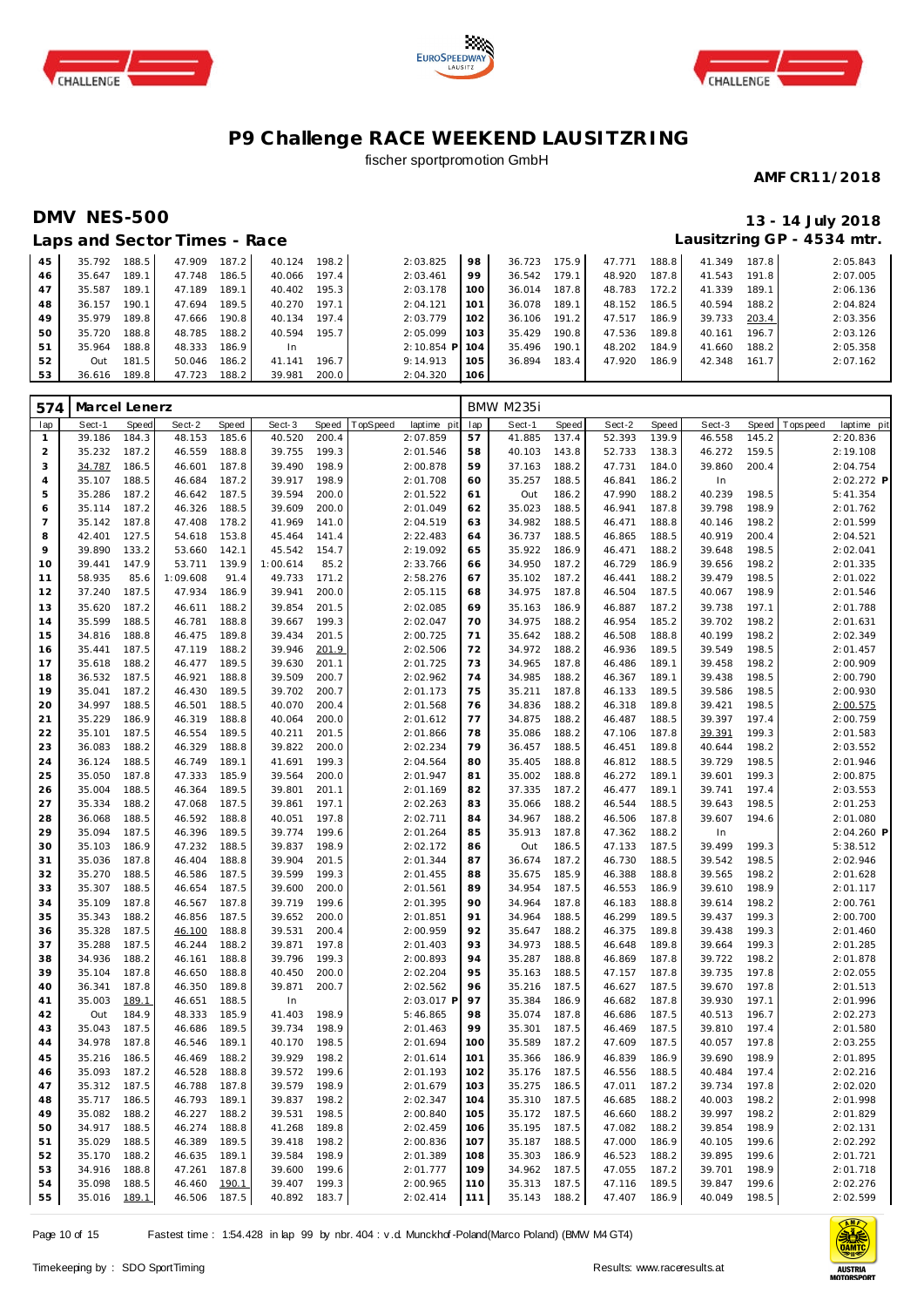





## fischer sportpromotion GmbH

#### **AMF CR11/2018**

## **DMV NES-500 13 - 14 July 2018 Lausitzring GP - 4534 mtr.**

|    |        |       | Laps and Sector Times - Race |       |        |       |                  |                   |        |       |        |       |        |       | Lausitzring GP - 4534 mtr. |
|----|--------|-------|------------------------------|-------|--------|-------|------------------|-------------------|--------|-------|--------|-------|--------|-------|----------------------------|
| 45 | 35.792 | 188.5 | 47.909                       | 187.2 | 40.124 | 198.2 | 2:03.825         | 98                | 36.723 | 175.9 | 47.771 | 188.8 | 41.349 | 187.8 | 2:05.843                   |
| 46 | 35.647 | 189.1 | 47.748                       | 186.5 | 40.066 | 197.4 | 2:03.461         | 99                | 36.542 | 179.1 | 48.920 | 187.8 | 41.543 | 191.8 | 2:07.005                   |
| 47 | 35.587 | 189.1 | 47.189                       | 189.1 | 40.402 | 195.3 | 2:03.178         | 100               | 36.014 | 187.8 | 48.783 | 172.2 | 41.339 | 189.1 | 2:06.136                   |
| 48 | 36.157 | 190.1 | 47.694                       | 189.5 | 40.270 | 197.1 | 2:04.121         | 101               | 36.078 | 189.1 | 48.152 | 186.5 | 40.594 | 188.2 | 2:04.824                   |
| 49 | 35.979 | 189.8 | 47.666                       | 190.8 | 40.134 | 197.4 | 2:03.779         | 102               | 36.106 | 191.2 | 47.517 | 186.9 | 39.733 | 203.4 | 2:03.356                   |
| 50 | 35.720 | 188.8 | 48.785                       | 188.2 | 40.594 | 195.7 | 2:05.099         | 10.3 <sup>2</sup> | 35.429 | 190.8 | 47.536 | 189.8 | 40.161 | 196.7 | 2:03.126                   |
| 51 | 35.964 | 188.8 | 48.333                       | 186.9 | In.    |       | $2:10.854$ P 104 |                   | 35.496 | 190.1 | 48.202 | 184.9 | 41.660 | 188.2 | 2:05.358                   |
| 52 | Out    | 181.5 | 50.046                       | 186.2 | 41.141 | 196.7 | 9:14.913         | $105 -$           | 36.894 | 183.4 | 47.920 | 186.9 | 42.348 | 161.7 | 2:07.162                   |
| 53 | 36.616 | 189.8 | 47.723                       | 188.2 | 39.981 | 200.0 | 2:04.320         | 106               |        |       |        |       |        |       |                            |

| 574            | Marcel Lenerz    |                |                  |                |                  |                |          |                      |            | <b>BMW M235i</b> |                |                  |                |                  |                |             |                      |
|----------------|------------------|----------------|------------------|----------------|------------------|----------------|----------|----------------------|------------|------------------|----------------|------------------|----------------|------------------|----------------|-------------|----------------------|
| lap            | Sect-1           | Speed          | Sect-2           | Speed          | Sect-3           | Speed          | TopSpeed | laptime pit          | lap        | Sect-1           | Speed          | Sect-2           | Speed          | Sect-3           | <b>Speed</b>   | T ops pee d | laptime pit          |
| $\mathbf{1}$   | 39.186           | 184.3          | 48.153           | 185.6          | 40.520           | 200.4          |          | 2:07.859             | 57         | 41.885           | 137.4          | 52.393           | 139.9          | 46.558           | 145.2          |             | 2:20.836             |
| $\overline{c}$ | 35.232           | 187.2          | 46.559           | 188.8          | 39.755           | 199.3          |          | 2:01.546             | 58         | 40.103           | 143.8          | 52.733           | 138.3          | 46.272           | 159.5          |             | 2:19.108             |
| 3              | 34.787           | 186.5          | 46.601           | 187.8          | 39.490           | 198.9          |          | 2:00.878             | 59         | 37.163           | 188.2          | 47.731           | 184.0          | 39.860           | 200.4          |             | 2:04.754             |
| $\overline{4}$ | 35.107           | 188.5          | 46.684           | 187.2          | 39.917           | 198.9          |          | 2:01.708             | 60         | 35.257           | 188.5          | 46.841           | 186.2          | In               |                |             | 2:02.272 P           |
| 5              | 35.286           | 187.2          | 46.642           | 187.5          | 39.594           | 200.0          |          | 2:01.522             | 61         | Out              | 186.2          | 47.990           | 188.2          | 40.239           | 198.5          |             | 5:41.354             |
| 6              | 35.114           | 187.2          | 46.326           | 188.5          | 39.609           | 200.0          |          | 2:01.049             | 62         | 35.023           | 188.5          | 46.941           | 187.8          | 39.798           | 198.9          |             | 2:01.762             |
| $\overline{7}$ | 35.142           | 187.8          | 47.408           | 178.2          | 41.969           | 141.0          |          | 2:04.519             | 63         | 34.982           | 188.5          | 46.471           | 188.8          | 40.146           | 198.2          |             | 2:01.599             |
| 8<br>9         | 42.401<br>39.890 | 127.5<br>133.2 | 54.618<br>53.660 | 153.8<br>142.1 | 45.464<br>45.542 | 141.4          |          | 2:22.483<br>2:19.092 | 64<br>65   | 36.737<br>35.922 | 188.5<br>186.9 | 46.865<br>46.471 | 188.5<br>188.2 | 40.919<br>39.648 | 200.4<br>198.5 |             | 2:04.521<br>2:02.041 |
| 10             | 39.441           | 147.9          | 53.711           | 139.9          | 1:00.614         | 154.7<br>85.2  |          | 2:33.766             | 66         | 34.950           | 187.2          | 46.729           | 186.9          | 39.656           | 198.2          |             | 2:01.335             |
| 11             | 58.935           | 85.6           | 1:09.608         | 91.4           | 49.733           | 171.2          |          | 2:58.276             | 67         | 35.102           | 187.2          | 46.441           | 188.2          | 39.479           | 198.5          |             | 2:01.022             |
| 12             | 37.240           | 187.5          | 47.934           | 186.9          | 39.941           | 200.0          |          | 2:05.115             | 68         | 34.975           | 187.8          | 46.504           | 187.5          | 40.067           | 198.9          |             | 2:01.546             |
| 13             | 35.620           | 187.2          | 46.611           | 188.2          | 39.854           | 201.5          |          | 2:02.085             | 69         | 35.163           | 186.9          | 46.887           | 187.2          | 39.738           | 197.1          |             | 2:01.788             |
| 14             | 35.599           | 188.5          | 46.781           | 188.8          | 39.667           | 199.3          |          | 2:02.047             | 70         | 34.975           | 188.2          | 46.954           | 185.2          | 39.702           | 198.2          |             | 2:01.631             |
| 15             | 34.816           | 188.8          | 46.475           | 189.8          | 39.434           | 201.5          |          | 2:00.725             | 71         | 35.642           | 188.2          | 46.508           | 188.8          | 40.199           | 198.2          |             | 2:02.349             |
| 16             | 35.441           | 187.5          | 47.119           | 188.2          | 39.946           | 201.9          |          | 2:02.506             | 72         | 34.972           | 188.2          | 46.936           | 189.5          | 39.549           | 198.5          |             | 2:01.457             |
| 17             | 35.618           | 188.2          | 46.477           | 189.5          | 39.630           | 201.1          |          | 2:01.725             | 73         | 34.965           | 187.8          | 46.486           | 189.1          | 39.458           | 198.2          |             | 2:00.909             |
| 18             | 36.532           | 187.5          | 46.921           | 188.8          | 39.509           | 200.7          |          | 2:02.962             | 74         | 34.985           | 188.2          | 46.367           | 189.1          | 39.438           | 198.5          |             | 2:00.790             |
| 19             | 35.041           | 187.2          | 46.430           | 189.5          | 39.702           | 200.7          |          | 2:01.173             | 75         | 35.211           | 187.8          | 46.133           | 189.5          | 39.586           | 198.5          |             | 2:00.930             |
| 20             | 34.997           | 188.5          | 46.501           | 188.5          | 40.070           | 200.4          |          | 2:01.568             | 76         | 34.836           | 188.2          | 46.318           | 189.8          | 39.421           | 198.5          |             | 2:00.575             |
| 21             | 35.229           | 186.9          | 46.319           | 188.8          | 40.064           | 200.0          |          | 2:01.612             | 77         | 34.875           | 188.2          | 46.487           | 188.5          | 39.397           | 197.4          |             | 2:00.759             |
| 22             | 35.101           | 187.5          | 46.554           | 189.5          | 40.211           | 201.5          |          | 2:01.866             | 78         | 35.086           | 188.2          | 47.106           | 187.8          | 39.391           | 199.3          |             | 2:01.583             |
| 23             | 36.083           | 188.2          | 46.329           | 188.8          | 39.822           | 200.0          |          | 2:02.234             | 79         | 36.457           | 188.5          | 46.451           | 189.8          | 40.644           | 198.2          |             | 2:03.552             |
| 24             | 36.124           | 188.5          | 46.749           | 189.1          | 41.691           | 199.3          |          | 2:04.564             | 80         | 35.405           | 188.8          | 46.812           | 188.5          | 39.729           | 198.5          |             | 2:01.946             |
| 25             | 35.050           | 187.8          | 47.333           | 185.9          | 39.564           | 200.0          |          | 2:01.947             | 81         | 35.002           | 188.8          | 46.272           | 189.1          | 39.601           | 199.3          |             | 2:00.875             |
| 26             | 35.004           | 188.5          | 46.364           | 189.5          | 39.801           | 201.1          |          | 2:01.169             | 82         | 37.335           | 187.2          | 46.477           | 189.1          | 39.741           | 197.4          |             | 2:03.553             |
| 27             | 35.334           | 188.2          | 47.068           | 187.5          | 39.861           | 197.1          |          | 2:02.263             | 83         | 35.066           | 188.2          | 46.544           | 188.5          | 39.643           | 198.5          |             | 2:01.253             |
| 28             | 36.068           | 188.5          | 46.592           | 188.8          | 40.051           | 197.8          |          | 2:02.711             | 84         | 34.967           | 188.2          | 46.506           | 187.8          | 39.607           | 194.6          |             | 2:01.080             |
| 29             | 35.094           | 187.5          | 46.396           | 189.5          | 39.774           | 199.6          |          | 2:01.264             | 85         | 35.913           | 187.8          | 47.362           | 188.2          | In               |                |             | 2:04.260 P           |
| 30             | 35.103<br>35.036 | 186.9<br>187.8 | 47.232<br>46.404 | 188.5<br>188.8 | 39.837<br>39.904 | 198.9<br>201.5 |          | 2:02.172<br>2:01.344 | 86<br>87   | Out<br>36.674    | 186.5<br>187.2 | 47.133<br>46.730 | 187.5<br>188.5 | 39.499<br>39.542 | 199.3<br>198.5 |             | 5:38.512<br>2:02.946 |
| 31<br>32       | 35.270           | 188.5          | 46.586           | 187.5          | 39.599           | 199.3          |          | 2:01.455             | 88         | 35.675           | 185.9          | 46.388           | 188.8          | 39.565           | 198.2          |             | 2:01.628             |
| 33             | 35.307           | 188.5          | 46.654           | 187.5          | 39.600           | 200.0          |          | 2:01.561             | 89         | 34.954           | 187.5          | 46.553           | 186.9          | 39.610           | 198.9          |             | 2:01.117             |
| 34             | 35.109           | 187.8          | 46.567           | 187.8          | 39.719           | 199.6          |          | 2:01.395             | 90         | 34.964           | 187.8          | 46.183           | 188.8          | 39.614           | 198.2          |             | 2:00.761             |
| 35             | 35.343           | 188.2          | 46.856           | 187.5          | 39.652           | 200.0          |          | 2:01.851             | 91         | 34.964           | 188.5          | 46.299           | 189.5          | 39.437           | 199.3          |             | 2:00.700             |
| 36             | 35.328           | 187.5          | 46.100           | 188.8          | 39.531           | 200.4          |          | 2:00.959             | 92         | 35.647           | 188.2          | 46.375           | 189.8          | 39.438           | 199.3          |             | 2:01.460             |
| 37             | 35.288           | 187.5          | 46.244           | 188.2          | 39.871           | 197.8          |          | 2:01.403             | 93         | 34.973           | 188.5          | 46.648           | 189.8          | 39.664           | 199.3          |             | 2:01.285             |
| 38             | 34.936           | 188.2          | 46.161           | 188.8          | 39.796           | 199.3          |          | 2:00.893             | 94         | 35.287           | 188.8          | 46.869           | 187.8          | 39.722           | 198.2          |             | 2:01.878             |
| 39             | 35.104           | 187.8          | 46.650           | 188.8          | 40.450           | 200.0          |          | 2:02.204             | 95         | 35.163           | 188.5          | 47.157           | 187.8          | 39.735           | 197.8          |             | 2:02.055             |
| 40             | 36.341           | 187.8          | 46.350           | 189.8          | 39.871           | 200.7          |          | 2:02.562             | 96         | 35.216           | 187.5          | 46.627           | 187.5          | 39.670           | 197.8          |             | 2:01.513             |
| 41             | 35.003           | 189.1          | 46.651           | 188.5          | In               |                |          | 2:03.017 F           | 97         | 35.384           | 186.9          | 46.682           | 187.8          | 39.930           | 197.1          |             | 2:01.996             |
| 42             | Out              | 184.9          | 48.333           | 185.9          | 41.403           | 198.9          |          | 5:46.865             | 98         | 35.074           | 187.8          | 46.686           | 187.5          | 40.513           | 196.7          |             | 2:02.273             |
| 43             | 35.043           | 187.5          | 46.686           | 189.5          | 39.734           | 198.9          |          | 2:01.463             | 99         | 35.301           | 187.5          | 46.469           | 187.5          | 39.810           | 197.4          |             | 2:01.580             |
| 44             | 34.978           | 187.8          | 46.546           | 189.1          | 40.170           | 198.5          |          | 2:01.694             | 100        | 35.589           | 187.2          | 47.609           | 187.5          | 40.057           | 197.8          |             | 2:03.255             |
| 45             | 35.216           | 186.5          | 46.469           | 188.2          | 39.929           | 198.2          |          | 2:01.614             | 101        | 35.366           | 186.9          | 46.839           | 186.9          | 39.690           | 198.9          |             | 2:01.895             |
| 46             | 35.093           | 187.2          | 46.528           | 188.8          | 39.572           | 199.6          |          | 2:01.193             | 102        | 35.176           | 187.5          | 46.556           | 188.5          | 40.484           | 197.4          |             | 2:02.216             |
| 47             | 35.312           | 187.5          | 46.788           | 187.8          | 39.579           | 198.9          |          | 2:01.679             | 103        | 35.275           | 186.5          | 47.011           | 187.2          | 39.734           | 197.8          |             | 2:02.020             |
| 48             | 35.717 186.5     |                | 46.793           | 189.1          | 39.837           | 198.2          |          | 2:02.347             | 104        | 35.310 187.5     |                | 46.685           | 188.2          | 40.003           | 198.2          |             | 2:01.998             |
| 49             | 35.082           | 188.2          | 46.227           | 188.2          | 39.531           | 198.5          |          | 2:00.840             | 105        | 35.172           | 187.5          | 46.660           | 188.2          | 39.997           | 198.2          |             | 2:01.829             |
| 50             | 34.917           | 188.5          | 46.274           | 188.8          | 41.268           | 189.8          |          | 2:02.459             | 106        | 35.195           | 187.5          | 47.082           | 188.2          | 39.854           | 198.9          |             | 2:02.131             |
| 51<br>52       | 35.029<br>35.170 | 188.5<br>188.2 | 46.389<br>46.635 | 189.5<br>189.1 | 39.418<br>39.584 | 198.2<br>198.9 |          | 2:00.836<br>2:01.389 | 107<br>108 | 35.187<br>35.303 | 188.5<br>186.9 | 47.000<br>46.523 | 186.9<br>188.2 | 40.105<br>39.895 | 199.6<br>199.6 |             | 2:02.292<br>2:01.721 |
| 53             | 34.916           | 188.8          | 47.261           | 187.8          | 39.600           | 199.6          |          | 2:01.777             | 109        | 34.962           | 187.5          | 47.055           | 187.2          | 39.701           | 198.9          |             | 2:01.718             |
| 54             | 35.098           | 188.5          | 46.460           | 190.1          | 39.407           | 199.3          |          | 2:00.965             | 110        | 35.313           | 187.5          | 47.116           | 189.5          | 39.847           | 199.6          |             | 2:02.276             |
| 55             | 35.016           | 189.1          | 46.506           | 187.5          | 40.892           | 183.7          |          | 2:02.414             | 111        | 35.143           | 188.2          | 47.407           | 186.9          | 40.049           | 198.5          |             | 2:02.599             |
|                |                  |                |                  |                |                  |                |          |                      |            |                  |                |                  |                |                  |                |             |                      |

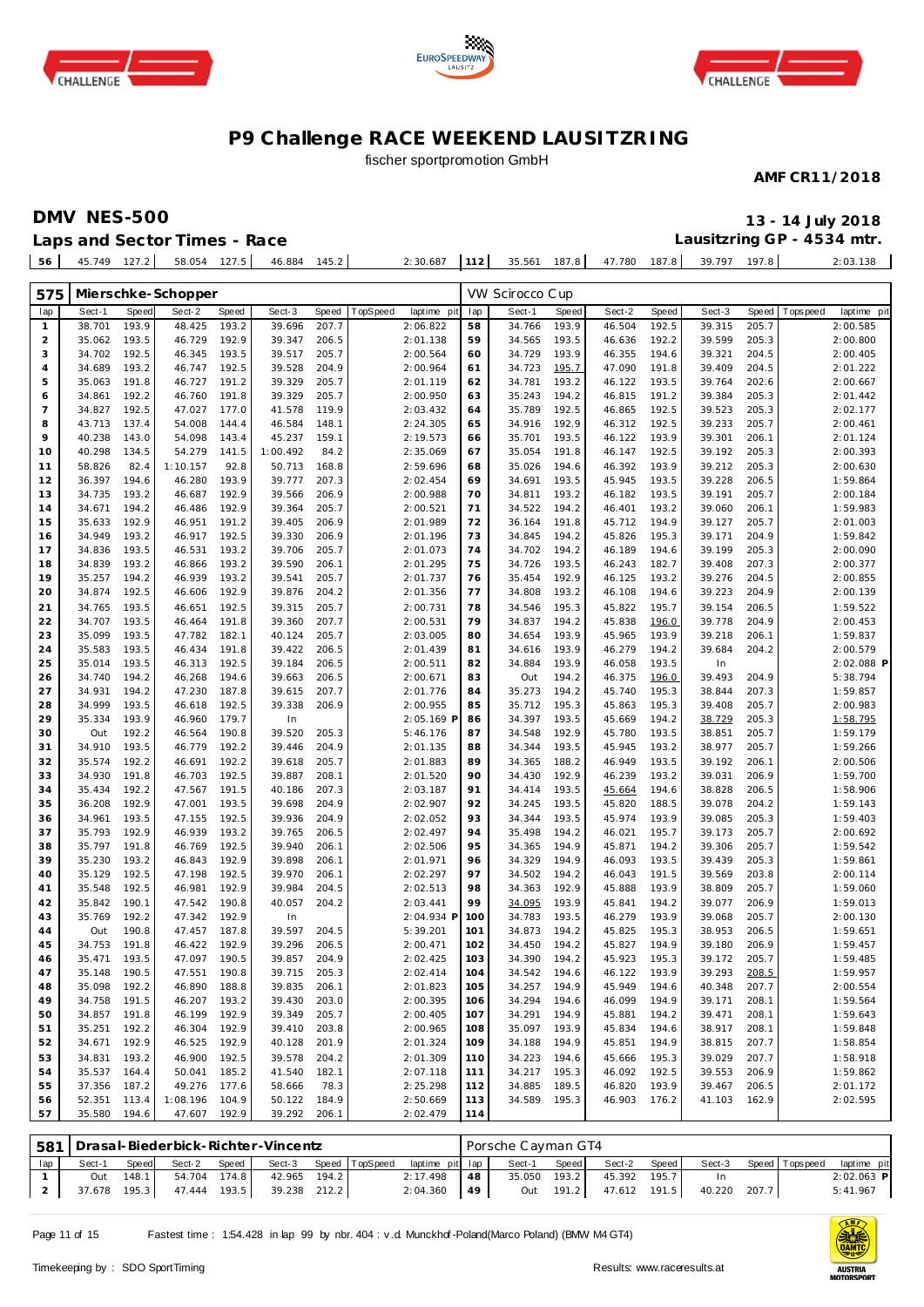





## fischer sportpromotion GmbH

**AMF CR11/2018**

**DMV NES-500 13 - 14 July 2018**

**Lausitzring GP - 4534 mtr.**

**Laps and Sector Times - Race**

| 56 I | 45.749 | 127.2 | 58.054 | 127.5 | 46.884 | 145.2 | 2:30.687 | 112 | 35.561 | 187.8 | 47.780 | 187.8 | 39.797 | 197.8 | 2:03.138 |
|------|--------|-------|--------|-------|--------|-------|----------|-----|--------|-------|--------|-------|--------|-------|----------|
|      |        |       |        |       |        |       |          |     |        |       |        |       |        |       |          |
|      |        |       |        |       |        |       |          |     |        |       |        |       |        |       |          |

| Speed<br>Sect-1<br>Speed<br>Sect-2<br>Speed<br>Sect-3<br>Speed<br>TopSpeed<br>laptime pit<br>lap<br>Sect-1<br>Speed<br>Sect-2<br>Speed<br>Sect-3<br>T ops pee d<br>laptime pit<br>lap<br>38.701<br>193.9<br>48.425<br>193.2<br>39.696<br>207.7<br>2:06.822<br>58<br>34.766<br>193.9<br>46.504<br>192.5<br>39.315<br>205.7<br>2:00.585<br>$\mathbf{1}$<br>192.9<br>205.3<br>35.062<br>193.5<br>46.729<br>39.347<br>206.5<br>2:01.138<br>59<br>34.565<br>193.5<br>46.636<br>192.2<br>39.599<br>2:00.800<br>2<br>192.5<br>46.345<br>193.5<br>39.517<br>205.7<br>2:00.564<br>34.729<br>193.9<br>46.355<br>194.6<br>39.321<br>204.5<br>2:00.405<br>3<br>34.702<br>60<br>34.689<br>193.2<br>46.747<br>192.5<br>39.528<br>204.9<br>2:00.964<br>61<br>34.723<br>195.7<br>47.090<br>191.8<br>39.409<br>204.5<br>2:01.222<br>4<br>5<br>191.8<br>46.727<br>191.2<br>39.329<br>205.7<br>2:01.119<br>62<br>34.781<br>193.2<br>46.122<br>193.5<br>39.764<br>202.6<br>2:00.667<br>35.063<br>39.384<br>205.3<br>192.2<br>46.760<br>191.8<br>39.329<br>205.7<br>2:00.950<br>63<br>35.243<br>194.2<br>46.815<br>191.2<br>2:01.442<br>34.861<br>6<br>7<br>192.5<br>47.027<br>177.0<br>41.578<br>119.9<br>2:03.432<br>35.789<br>192.5<br>46.865<br>192.5<br>39.523<br>205.3<br>34.827<br>64<br>2:02.177<br>205.7<br>43.713<br>137.4<br>54.008<br>144.4<br>46.584<br>148.1<br>2:24.305<br>65<br>34.916<br>192.9<br>46.312<br>192.5<br>39.233<br>2:00.461<br>8<br>9<br>40.238<br>143.0<br>54.098<br>143.4<br>45.237<br>159.1<br>2:19.573<br>35.701<br>193.5<br>46.122<br>193.9<br>39.301<br>206.1<br>66<br>2:01.124<br>205.3<br>40.298<br>134.5<br>54.279<br>141.5<br>1:00.492<br>84.2<br>2:35.069<br>67<br>35.054<br>191.8<br>46.147<br>192.5<br>39.192<br>2:00.393<br>10<br>193.9<br>39.212<br>205.3<br>11<br>58.826<br>82.4<br>1:10.157<br>92.8<br>50.713<br>168.8<br>2:59.696<br>35.026<br>194.6<br>46.392<br>2:00.630<br>68<br>193.9<br>12<br>36.397<br>194.6<br>46.280<br>39.777<br>207.3<br>2:02.454<br>69<br>34.691<br>193.5<br>45.945<br>193.5<br>39.228<br>206.5<br>1:59.864<br>192.9<br>13<br>34.735<br>193.2<br>46.687<br>39.566<br>206.9<br>2:00.988<br>70<br>34.811<br>193.2<br>46.182<br>193.5<br>39.191<br>205.7<br>2:00.184<br>192.9<br>14<br>34.671<br>194.2<br>46.486<br>39.364<br>205.7<br>2:00.521<br>71<br>34.522<br>194.2<br>46.401<br>193.2<br>39.060<br>206.1<br>1:59.983<br>15<br>35.633<br>192.9<br>46.951<br>191.2<br>39.405<br>206.9<br>2:01.989<br>72<br>36.164<br>191.8<br>45.712<br>194.9<br>39.127<br>205.7<br>2:01.003<br>34.949<br>193.2<br>46.917<br>192.5<br>39.330<br>206.9<br>2:01.196<br>73<br>34.845<br>194.2<br>45.826<br>195.3<br>39.171<br>204.9<br>1:59.842<br>16<br>17<br>34.836<br>193.5<br>46.531<br>193.2<br>39.706<br>205.7<br>2:01.073<br>74<br>34.702<br>194.2<br>46.189<br>194.6<br>39.199<br>205.3<br>2:00.090<br>193.2<br>207.3<br>34.839<br>193.2<br>46.866<br>39.590<br>206.1<br>2:01.295<br>75<br>34.726<br>193.5<br>46.243<br>182.7<br>39.408<br>2:00.377<br>18<br>193.2<br>19<br>35.257<br>194.2<br>46.939<br>39.541<br>205.7<br>2:01.737<br>35.454<br>192.9<br>46.125<br>193.2<br>39.276<br>204.5<br>2:00.855<br>76<br>192.9<br>20<br>34.874<br>192.5<br>46.606<br>39.876<br>204.2<br>2:01.356<br>77<br>34.808<br>193.2<br>46.108<br>194.6<br>39.223<br>204.9<br>2:00.139<br>39.315<br>205.7<br>21<br>34.765<br>193.5<br>46.651<br>192.5<br>2:00.731<br>78<br>34.546<br>195.3<br>45.822<br>195.7<br>39.154<br>206.5<br>1:59.522<br>22<br>191.8<br>79<br>34.707<br>193.5<br>46.464<br>39.360<br>207.7<br>2:00.531<br>34.837<br>194.2<br>45.838<br>196.0<br>39.778<br>204.9<br>2:00.453<br>23<br>35.099<br>193.5<br>47.782<br>182.1<br>40.124<br>205.7<br>2:03.005<br>34.654<br>193.9<br>45.965<br>193.9<br>39.218<br>206.1<br>1:59.837<br>80<br>24<br>35.583<br>193.5<br>46.434<br>191.8<br>39.422<br>206.5<br>2:01.439<br>81<br>34.616<br>193.9<br>46.279<br>194.2<br>39.684<br>204.2<br>2:00.579<br>25<br>35.014<br>193.5<br>46.313<br>192.5<br>39.184<br>206.5<br>2:00.511<br>82<br>34.884<br>193.9<br>46.058<br>193.5<br>In<br>2:02.088 P<br>194.2<br>5:38.794<br>26<br>34.740<br>46.268<br>194.6<br>206.5<br>2:00.671<br>83<br>194.2<br>46.375<br>196.0<br>39.493<br>204.9<br>39.663<br>Out<br>27<br>194.2<br>187.8<br>45.740<br>207.3<br>34.931<br>47.230<br>39.615<br>207.7<br>2:01.776<br>84<br>35.273<br>194.2<br>195.3<br>38.844<br>1:59.857<br>193.5<br>205.7<br>28<br>34.999<br>46.618<br>192.5<br>39.338<br>206.9<br>2:00.955<br>85<br>35.712<br>195.3<br>45.863<br>195.3<br>39.408<br>2:00.983<br>29<br>35.334<br>193.9<br>46.960<br>179.7<br>In<br>2:05.169 F<br>34.397<br>193.5<br>45.669<br>194.2<br>38.729<br>205.3<br>1:58.795<br>86<br>192.2<br>205.7<br>30<br>46.564<br>190.8<br>39.520<br>205.3<br>5:46.176<br>87<br>34.548<br>192.9<br>45.780<br>193.5<br>38.851<br>1:59.179<br>Out<br>205.7<br>31<br>34.910<br>193.5<br>46.779<br>192.2<br>39.446<br>204.9<br>2:01.135<br>34.344<br>193.5<br>45.945<br>193.2<br>38.977<br>1:59.266<br>88<br>192.2<br>192.2<br>205.7<br>46.949<br>193.5<br>39.192<br>32<br>35.574<br>46.691<br>39.618<br>2:01.883<br>89<br>34.365<br>188.2<br>206.1<br>2:00.506<br>191.8<br>192.5<br>34.430<br>46.239<br>39.031<br>34.930<br>46.703<br>39.887<br>208.1<br>2:01.520<br>90<br>192.9<br>193.2<br>206.9<br>1:59.700<br>33<br>35.434<br>192.2<br>47.567<br>191.5<br>40.186<br>207.3<br>2:03.187<br>91<br>34.414<br>193.5<br>45.664<br>194.6<br>38.828<br>206.5<br>1:58.906<br>34<br>192.9<br>193.5<br>39.078<br>204.2<br>35<br>36.208<br>47.001<br>39.698<br>204.9<br>2:02.907<br>92<br>34.245<br>193.5<br>45.820<br>188.5<br>1:59.143<br>192.5<br>205.3<br>34.961<br>193.5<br>47.155<br>39.936<br>204.9<br>2:02.052<br>93<br>34.344<br>193.5<br>45.974<br>193.9<br>39.085<br>1:59.403<br>36<br>192.9<br>193.2<br>35.498<br>35.793<br>46.939<br>39.765<br>206.5<br>2:02.497<br>94<br>194.2<br>46.021<br>195.7<br>39.173<br>205.7<br>2:00.692<br>37<br>192.5<br>205.7<br>35.797<br>191.8<br>46.769<br>39.940<br>206.1<br>2:02.506<br>95<br>34.365<br>194.9<br>45.871<br>194.2<br>39.306<br>1:59.542<br>38<br>192.9<br>194.9<br>39<br>35.230<br>193.2<br>46.843<br>39.898<br>206.1<br>2:01.971<br>96<br>34.329<br>46.093<br>193.5<br>39.439<br>205.3<br>1:59.861<br>192.5<br>35.129<br>192.5<br>47.198<br>39.970<br>206.1<br>2:02.297<br>97<br>34.502<br>194.2<br>46.043<br>191.5<br>39.569<br>203.8<br>2:00.114<br>40<br>192.5<br>192.9<br>192.9<br>35.548<br>46.981<br>39.984<br>204.5<br>2:02.513<br>98<br>34.363<br>45.888<br>193.9<br>38.809<br>205.7<br>1:59.060<br>41<br>190.1<br>190.8<br>40.057<br>204.2<br>2:03.441<br>99<br>34.095<br>193.9<br>45.841<br>194.2<br>39.077<br>206.9<br>1:59.013<br>42<br>35.842<br>47.542<br>192.9<br>205.7<br>43<br>35.769<br>192.2<br>47.342<br>In<br>2:04.934 F<br>100<br>34.783<br>193.5<br>46.279<br>193.9<br>39.068<br>2:00.130<br>190.8<br>187.8<br>39.597<br>5:39.201<br>34.873<br>194.2<br>45.825<br>195.3<br>38.953<br>206.5<br>44<br>Out<br>47.457<br>204.5<br>101<br>1:59.651<br>192.9<br>34.753<br>191.8<br>46.422<br>39.296<br>206.5<br>2:00.471<br>34.450<br>194.2<br>45.827<br>194.9<br>39.180<br>206.9<br>1:59.457<br>45<br>102<br>193.5<br>47.097<br>190.5<br>204.9<br>103<br>34.390<br>194.2<br>45.923<br>195.3<br>39.172<br>205.7<br>46<br>35.471<br>39.857<br>2:02.425<br>1:59.485<br>47<br>190.5<br>190.8<br>39.715<br>205.3<br>104<br>34.542<br>194.6<br>46.122<br>193.9<br>39.293<br>208.5<br>1:59.957<br>35.148<br>47.551<br>2:02.414<br>48<br>35.098<br>192.2<br>46.890<br>188.8<br>39.835<br>206.1<br>2:01.823<br>105<br>34.257 194.9<br>45.949<br>194.6<br>40.348<br>207.7<br>2:00.554<br>46.207 193.2<br>203.0<br>1:59.564<br>49<br>34.758 191.5<br>39.430<br>2:00.395<br>106<br>34.294 194.6<br>46.099<br>194.9<br>39.171<br>208.1<br>34.857<br>191.8<br>46.199<br>192.9<br>39.349<br>205.7<br>2:00.405<br>34.291 194.9<br>39.471<br>50<br>107<br>45.881<br>194.2<br>208.1<br>1:59.643<br>192.2<br>46.304<br>192.9<br>39.410<br>203.8<br>2:00.965<br>35.097 193.9<br>38.917<br>1:59.848<br>51<br>35.251<br>108<br>45.834<br>194.6<br>208.1<br>2:01.324<br>38.815<br>52<br>34.671<br>192.9<br>46.525<br>192.9<br>40.128<br>201.9<br>109<br>34.188<br>194.9<br>45.851<br>194.9<br>207.7<br>1:58.854<br>39.029<br>53<br>34.831<br>193.2<br>46.900<br>192.5<br>39.578<br>204.2<br>2:01.309<br>110<br>34.223<br>194.6<br>45.666<br>195.3<br>207.7<br>1:58.918<br>35.537<br>50.041<br>185.2<br>41.540<br>2:07.118<br>34.217 195.3<br>46.092<br>192.5<br>39.553<br>1:59.862<br>54<br>164.4<br>182.1<br>111<br>206.9<br>37.356<br>187.2<br>49.276<br>177.6<br>58.666<br>78.3<br>2:25.298<br>34.885<br>189.5<br>46.820<br>193.9<br>39.467<br>206.5<br>55<br>112<br>2:01.172<br>52.351<br>1:08.196<br>104.9<br>50.122<br>184.9<br>2:50.669<br>34.589 195.3<br>46.903<br>41.103<br>2:02.595<br>113.4<br>113<br>176.2<br>162.9<br>56<br>57<br>35.580<br>194.6<br>47.607<br>192.9<br>39.292<br>206.1<br>2:02.479<br>114 | 575 |  | Mierschke-Schopper |  |  | VW Scirocco Cup |  |  |  |  |
|-------------------------------------------------------------------------------------------------------------------------------------------------------------------------------------------------------------------------------------------------------------------------------------------------------------------------------------------------------------------------------------------------------------------------------------------------------------------------------------------------------------------------------------------------------------------------------------------------------------------------------------------------------------------------------------------------------------------------------------------------------------------------------------------------------------------------------------------------------------------------------------------------------------------------------------------------------------------------------------------------------------------------------------------------------------------------------------------------------------------------------------------------------------------------------------------------------------------------------------------------------------------------------------------------------------------------------------------------------------------------------------------------------------------------------------------------------------------------------------------------------------------------------------------------------------------------------------------------------------------------------------------------------------------------------------------------------------------------------------------------------------------------------------------------------------------------------------------------------------------------------------------------------------------------------------------------------------------------------------------------------------------------------------------------------------------------------------------------------------------------------------------------------------------------------------------------------------------------------------------------------------------------------------------------------------------------------------------------------------------------------------------------------------------------------------------------------------------------------------------------------------------------------------------------------------------------------------------------------------------------------------------------------------------------------------------------------------------------------------------------------------------------------------------------------------------------------------------------------------------------------------------------------------------------------------------------------------------------------------------------------------------------------------------------------------------------------------------------------------------------------------------------------------------------------------------------------------------------------------------------------------------------------------------------------------------------------------------------------------------------------------------------------------------------------------------------------------------------------------------------------------------------------------------------------------------------------------------------------------------------------------------------------------------------------------------------------------------------------------------------------------------------------------------------------------------------------------------------------------------------------------------------------------------------------------------------------------------------------------------------------------------------------------------------------------------------------------------------------------------------------------------------------------------------------------------------------------------------------------------------------------------------------------------------------------------------------------------------------------------------------------------------------------------------------------------------------------------------------------------------------------------------------------------------------------------------------------------------------------------------------------------------------------------------------------------------------------------------------------------------------------------------------------------------------------------------------------------------------------------------------------------------------------------------------------------------------------------------------------------------------------------------------------------------------------------------------------------------------------------------------------------------------------------------------------------------------------------------------------------------------------------------------------------------------------------------------------------------------------------------------------------------------------------------------------------------------------------------------------------------------------------------------------------------------------------------------------------------------------------------------------------------------------------------------------------------------------------------------------------------------------------------------------------------------------------------------------------------------------------------------------------------------------------------------------------------------------------------------------------------------------------------------------------------------------------------------------------------------------------------------------------------------------------------------------------------------------------------------------------------------------------------------------------------------------------------------------------------------------------------------------------------------------------------------------------------------------------------------------------------------------------------------------------------------------------------------------------------------------------------------------------------------------------------------------------------------------------------------------------------------------------------------------------------------------------------------------------------------------------------------------------------------------------------------------------------------------------------------------------------------------------------------------------------------------------------------------------------------------------------------------------------------------------------------------------------------------------------------------------------------------------------------------------------------------------------------------------------------------------------------------------------------------------------------------------------------------------------------------------------------------------------------------------------------------------------------------------------------------------------------------------------------------------------------------------------------------------------------------------------------------------------------------------------------------------------------------------------------------------------------------------------------------------------------------------------------------------------------------------------------------------------------------------------------------------------------------------------------------------------------------------------------------------------------------------------------------------------------------------------------------------------------------------------------------------------------------------------------------------------------------------------------------------------------------------------------------------------------------------------------------------------------------------------------------------------------------------------------------------------------------------------------------------------------------------------------------------------------------------------------------------------------------------------------------------------------------------------------------------------------------------------------------------------------------------------------------------------|-----|--|--------------------|--|--|-----------------|--|--|--|--|
|                                                                                                                                                                                                                                                                                                                                                                                                                                                                                                                                                                                                                                                                                                                                                                                                                                                                                                                                                                                                                                                                                                                                                                                                                                                                                                                                                                                                                                                                                                                                                                                                                                                                                                                                                                                                                                                                                                                                                                                                                                                                                                                                                                                                                                                                                                                                                                                                                                                                                                                                                                                                                                                                                                                                                                                                                                                                                                                                                                                                                                                                                                                                                                                                                                                                                                                                                                                                                                                                                                                                                                                                                                                                                                                                                                                                                                                                                                                                                                                                                                                                                                                                                                                                                                                                                                                                                                                                                                                                                                                                                                                                                                                                                                                                                                                                                                                                                                                                                                                                                                                                                                                                                                                                                                                                                                                                                                                                                                                                                                                                                                                                                                                                                                                                                                                                                                                                                                                                                                                                                                                                                                                                                                                                                                                                                                                                                                                                                                                                                                                                                                                                                                                                                                                                                                                                                                                                                                                                                                                                                                                                                                                                                                                                                                                                                                                                                                                                                                                                                                                                                                                                                                                                                                                                                                                                                                                                                                                                                                                                                                                                                                                                                                                                                                                                                                                                                                                                                                                                                                                                                                                                                                                                                                                                                                                                                                                                                                                                                                         |     |  |                    |  |  |                 |  |  |  |  |
|                                                                                                                                                                                                                                                                                                                                                                                                                                                                                                                                                                                                                                                                                                                                                                                                                                                                                                                                                                                                                                                                                                                                                                                                                                                                                                                                                                                                                                                                                                                                                                                                                                                                                                                                                                                                                                                                                                                                                                                                                                                                                                                                                                                                                                                                                                                                                                                                                                                                                                                                                                                                                                                                                                                                                                                                                                                                                                                                                                                                                                                                                                                                                                                                                                                                                                                                                                                                                                                                                                                                                                                                                                                                                                                                                                                                                                                                                                                                                                                                                                                                                                                                                                                                                                                                                                                                                                                                                                                                                                                                                                                                                                                                                                                                                                                                                                                                                                                                                                                                                                                                                                                                                                                                                                                                                                                                                                                                                                                                                                                                                                                                                                                                                                                                                                                                                                                                                                                                                                                                                                                                                                                                                                                                                                                                                                                                                                                                                                                                                                                                                                                                                                                                                                                                                                                                                                                                                                                                                                                                                                                                                                                                                                                                                                                                                                                                                                                                                                                                                                                                                                                                                                                                                                                                                                                                                                                                                                                                                                                                                                                                                                                                                                                                                                                                                                                                                                                                                                                                                                                                                                                                                                                                                                                                                                                                                                                                                                                                                                         |     |  |                    |  |  |                 |  |  |  |  |
|                                                                                                                                                                                                                                                                                                                                                                                                                                                                                                                                                                                                                                                                                                                                                                                                                                                                                                                                                                                                                                                                                                                                                                                                                                                                                                                                                                                                                                                                                                                                                                                                                                                                                                                                                                                                                                                                                                                                                                                                                                                                                                                                                                                                                                                                                                                                                                                                                                                                                                                                                                                                                                                                                                                                                                                                                                                                                                                                                                                                                                                                                                                                                                                                                                                                                                                                                                                                                                                                                                                                                                                                                                                                                                                                                                                                                                                                                                                                                                                                                                                                                                                                                                                                                                                                                                                                                                                                                                                                                                                                                                                                                                                                                                                                                                                                                                                                                                                                                                                                                                                                                                                                                                                                                                                                                                                                                                                                                                                                                                                                                                                                                                                                                                                                                                                                                                                                                                                                                                                                                                                                                                                                                                                                                                                                                                                                                                                                                                                                                                                                                                                                                                                                                                                                                                                                                                                                                                                                                                                                                                                                                                                                                                                                                                                                                                                                                                                                                                                                                                                                                                                                                                                                                                                                                                                                                                                                                                                                                                                                                                                                                                                                                                                                                                                                                                                                                                                                                                                                                                                                                                                                                                                                                                                                                                                                                                                                                                                                                                         |     |  |                    |  |  |                 |  |  |  |  |
|                                                                                                                                                                                                                                                                                                                                                                                                                                                                                                                                                                                                                                                                                                                                                                                                                                                                                                                                                                                                                                                                                                                                                                                                                                                                                                                                                                                                                                                                                                                                                                                                                                                                                                                                                                                                                                                                                                                                                                                                                                                                                                                                                                                                                                                                                                                                                                                                                                                                                                                                                                                                                                                                                                                                                                                                                                                                                                                                                                                                                                                                                                                                                                                                                                                                                                                                                                                                                                                                                                                                                                                                                                                                                                                                                                                                                                                                                                                                                                                                                                                                                                                                                                                                                                                                                                                                                                                                                                                                                                                                                                                                                                                                                                                                                                                                                                                                                                                                                                                                                                                                                                                                                                                                                                                                                                                                                                                                                                                                                                                                                                                                                                                                                                                                                                                                                                                                                                                                                                                                                                                                                                                                                                                                                                                                                                                                                                                                                                                                                                                                                                                                                                                                                                                                                                                                                                                                                                                                                                                                                                                                                                                                                                                                                                                                                                                                                                                                                                                                                                                                                                                                                                                                                                                                                                                                                                                                                                                                                                                                                                                                                                                                                                                                                                                                                                                                                                                                                                                                                                                                                                                                                                                                                                                                                                                                                                                                                                                                                                         |     |  |                    |  |  |                 |  |  |  |  |
|                                                                                                                                                                                                                                                                                                                                                                                                                                                                                                                                                                                                                                                                                                                                                                                                                                                                                                                                                                                                                                                                                                                                                                                                                                                                                                                                                                                                                                                                                                                                                                                                                                                                                                                                                                                                                                                                                                                                                                                                                                                                                                                                                                                                                                                                                                                                                                                                                                                                                                                                                                                                                                                                                                                                                                                                                                                                                                                                                                                                                                                                                                                                                                                                                                                                                                                                                                                                                                                                                                                                                                                                                                                                                                                                                                                                                                                                                                                                                                                                                                                                                                                                                                                                                                                                                                                                                                                                                                                                                                                                                                                                                                                                                                                                                                                                                                                                                                                                                                                                                                                                                                                                                                                                                                                                                                                                                                                                                                                                                                                                                                                                                                                                                                                                                                                                                                                                                                                                                                                                                                                                                                                                                                                                                                                                                                                                                                                                                                                                                                                                                                                                                                                                                                                                                                                                                                                                                                                                                                                                                                                                                                                                                                                                                                                                                                                                                                                                                                                                                                                                                                                                                                                                                                                                                                                                                                                                                                                                                                                                                                                                                                                                                                                                                                                                                                                                                                                                                                                                                                                                                                                                                                                                                                                                                                                                                                                                                                                                                                         |     |  |                    |  |  |                 |  |  |  |  |
|                                                                                                                                                                                                                                                                                                                                                                                                                                                                                                                                                                                                                                                                                                                                                                                                                                                                                                                                                                                                                                                                                                                                                                                                                                                                                                                                                                                                                                                                                                                                                                                                                                                                                                                                                                                                                                                                                                                                                                                                                                                                                                                                                                                                                                                                                                                                                                                                                                                                                                                                                                                                                                                                                                                                                                                                                                                                                                                                                                                                                                                                                                                                                                                                                                                                                                                                                                                                                                                                                                                                                                                                                                                                                                                                                                                                                                                                                                                                                                                                                                                                                                                                                                                                                                                                                                                                                                                                                                                                                                                                                                                                                                                                                                                                                                                                                                                                                                                                                                                                                                                                                                                                                                                                                                                                                                                                                                                                                                                                                                                                                                                                                                                                                                                                                                                                                                                                                                                                                                                                                                                                                                                                                                                                                                                                                                                                                                                                                                                                                                                                                                                                                                                                                                                                                                                                                                                                                                                                                                                                                                                                                                                                                                                                                                                                                                                                                                                                                                                                                                                                                                                                                                                                                                                                                                                                                                                                                                                                                                                                                                                                                                                                                                                                                                                                                                                                                                                                                                                                                                                                                                                                                                                                                                                                                                                                                                                                                                                                                                         |     |  |                    |  |  |                 |  |  |  |  |
|                                                                                                                                                                                                                                                                                                                                                                                                                                                                                                                                                                                                                                                                                                                                                                                                                                                                                                                                                                                                                                                                                                                                                                                                                                                                                                                                                                                                                                                                                                                                                                                                                                                                                                                                                                                                                                                                                                                                                                                                                                                                                                                                                                                                                                                                                                                                                                                                                                                                                                                                                                                                                                                                                                                                                                                                                                                                                                                                                                                                                                                                                                                                                                                                                                                                                                                                                                                                                                                                                                                                                                                                                                                                                                                                                                                                                                                                                                                                                                                                                                                                                                                                                                                                                                                                                                                                                                                                                                                                                                                                                                                                                                                                                                                                                                                                                                                                                                                                                                                                                                                                                                                                                                                                                                                                                                                                                                                                                                                                                                                                                                                                                                                                                                                                                                                                                                                                                                                                                                                                                                                                                                                                                                                                                                                                                                                                                                                                                                                                                                                                                                                                                                                                                                                                                                                                                                                                                                                                                                                                                                                                                                                                                                                                                                                                                                                                                                                                                                                                                                                                                                                                                                                                                                                                                                                                                                                                                                                                                                                                                                                                                                                                                                                                                                                                                                                                                                                                                                                                                                                                                                                                                                                                                                                                                                                                                                                                                                                                                                         |     |  |                    |  |  |                 |  |  |  |  |
|                                                                                                                                                                                                                                                                                                                                                                                                                                                                                                                                                                                                                                                                                                                                                                                                                                                                                                                                                                                                                                                                                                                                                                                                                                                                                                                                                                                                                                                                                                                                                                                                                                                                                                                                                                                                                                                                                                                                                                                                                                                                                                                                                                                                                                                                                                                                                                                                                                                                                                                                                                                                                                                                                                                                                                                                                                                                                                                                                                                                                                                                                                                                                                                                                                                                                                                                                                                                                                                                                                                                                                                                                                                                                                                                                                                                                                                                                                                                                                                                                                                                                                                                                                                                                                                                                                                                                                                                                                                                                                                                                                                                                                                                                                                                                                                                                                                                                                                                                                                                                                                                                                                                                                                                                                                                                                                                                                                                                                                                                                                                                                                                                                                                                                                                                                                                                                                                                                                                                                                                                                                                                                                                                                                                                                                                                                                                                                                                                                                                                                                                                                                                                                                                                                                                                                                                                                                                                                                                                                                                                                                                                                                                                                                                                                                                                                                                                                                                                                                                                                                                                                                                                                                                                                                                                                                                                                                                                                                                                                                                                                                                                                                                                                                                                                                                                                                                                                                                                                                                                                                                                                                                                                                                                                                                                                                                                                                                                                                                                                         |     |  |                    |  |  |                 |  |  |  |  |
|                                                                                                                                                                                                                                                                                                                                                                                                                                                                                                                                                                                                                                                                                                                                                                                                                                                                                                                                                                                                                                                                                                                                                                                                                                                                                                                                                                                                                                                                                                                                                                                                                                                                                                                                                                                                                                                                                                                                                                                                                                                                                                                                                                                                                                                                                                                                                                                                                                                                                                                                                                                                                                                                                                                                                                                                                                                                                                                                                                                                                                                                                                                                                                                                                                                                                                                                                                                                                                                                                                                                                                                                                                                                                                                                                                                                                                                                                                                                                                                                                                                                                                                                                                                                                                                                                                                                                                                                                                                                                                                                                                                                                                                                                                                                                                                                                                                                                                                                                                                                                                                                                                                                                                                                                                                                                                                                                                                                                                                                                                                                                                                                                                                                                                                                                                                                                                                                                                                                                                                                                                                                                                                                                                                                                                                                                                                                                                                                                                                                                                                                                                                                                                                                                                                                                                                                                                                                                                                                                                                                                                                                                                                                                                                                                                                                                                                                                                                                                                                                                                                                                                                                                                                                                                                                                                                                                                                                                                                                                                                                                                                                                                                                                                                                                                                                                                                                                                                                                                                                                                                                                                                                                                                                                                                                                                                                                                                                                                                                                                         |     |  |                    |  |  |                 |  |  |  |  |
|                                                                                                                                                                                                                                                                                                                                                                                                                                                                                                                                                                                                                                                                                                                                                                                                                                                                                                                                                                                                                                                                                                                                                                                                                                                                                                                                                                                                                                                                                                                                                                                                                                                                                                                                                                                                                                                                                                                                                                                                                                                                                                                                                                                                                                                                                                                                                                                                                                                                                                                                                                                                                                                                                                                                                                                                                                                                                                                                                                                                                                                                                                                                                                                                                                                                                                                                                                                                                                                                                                                                                                                                                                                                                                                                                                                                                                                                                                                                                                                                                                                                                                                                                                                                                                                                                                                                                                                                                                                                                                                                                                                                                                                                                                                                                                                                                                                                                                                                                                                                                                                                                                                                                                                                                                                                                                                                                                                                                                                                                                                                                                                                                                                                                                                                                                                                                                                                                                                                                                                                                                                                                                                                                                                                                                                                                                                                                                                                                                                                                                                                                                                                                                                                                                                                                                                                                                                                                                                                                                                                                                                                                                                                                                                                                                                                                                                                                                                                                                                                                                                                                                                                                                                                                                                                                                                                                                                                                                                                                                                                                                                                                                                                                                                                                                                                                                                                                                                                                                                                                                                                                                                                                                                                                                                                                                                                                                                                                                                                                                         |     |  |                    |  |  |                 |  |  |  |  |
|                                                                                                                                                                                                                                                                                                                                                                                                                                                                                                                                                                                                                                                                                                                                                                                                                                                                                                                                                                                                                                                                                                                                                                                                                                                                                                                                                                                                                                                                                                                                                                                                                                                                                                                                                                                                                                                                                                                                                                                                                                                                                                                                                                                                                                                                                                                                                                                                                                                                                                                                                                                                                                                                                                                                                                                                                                                                                                                                                                                                                                                                                                                                                                                                                                                                                                                                                                                                                                                                                                                                                                                                                                                                                                                                                                                                                                                                                                                                                                                                                                                                                                                                                                                                                                                                                                                                                                                                                                                                                                                                                                                                                                                                                                                                                                                                                                                                                                                                                                                                                                                                                                                                                                                                                                                                                                                                                                                                                                                                                                                                                                                                                                                                                                                                                                                                                                                                                                                                                                                                                                                                                                                                                                                                                                                                                                                                                                                                                                                                                                                                                                                                                                                                                                                                                                                                                                                                                                                                                                                                                                                                                                                                                                                                                                                                                                                                                                                                                                                                                                                                                                                                                                                                                                                                                                                                                                                                                                                                                                                                                                                                                                                                                                                                                                                                                                                                                                                                                                                                                                                                                                                                                                                                                                                                                                                                                                                                                                                                                                         |     |  |                    |  |  |                 |  |  |  |  |
|                                                                                                                                                                                                                                                                                                                                                                                                                                                                                                                                                                                                                                                                                                                                                                                                                                                                                                                                                                                                                                                                                                                                                                                                                                                                                                                                                                                                                                                                                                                                                                                                                                                                                                                                                                                                                                                                                                                                                                                                                                                                                                                                                                                                                                                                                                                                                                                                                                                                                                                                                                                                                                                                                                                                                                                                                                                                                                                                                                                                                                                                                                                                                                                                                                                                                                                                                                                                                                                                                                                                                                                                                                                                                                                                                                                                                                                                                                                                                                                                                                                                                                                                                                                                                                                                                                                                                                                                                                                                                                                                                                                                                                                                                                                                                                                                                                                                                                                                                                                                                                                                                                                                                                                                                                                                                                                                                                                                                                                                                                                                                                                                                                                                                                                                                                                                                                                                                                                                                                                                                                                                                                                                                                                                                                                                                                                                                                                                                                                                                                                                                                                                                                                                                                                                                                                                                                                                                                                                                                                                                                                                                                                                                                                                                                                                                                                                                                                                                                                                                                                                                                                                                                                                                                                                                                                                                                                                                                                                                                                                                                                                                                                                                                                                                                                                                                                                                                                                                                                                                                                                                                                                                                                                                                                                                                                                                                                                                                                                                                         |     |  |                    |  |  |                 |  |  |  |  |
|                                                                                                                                                                                                                                                                                                                                                                                                                                                                                                                                                                                                                                                                                                                                                                                                                                                                                                                                                                                                                                                                                                                                                                                                                                                                                                                                                                                                                                                                                                                                                                                                                                                                                                                                                                                                                                                                                                                                                                                                                                                                                                                                                                                                                                                                                                                                                                                                                                                                                                                                                                                                                                                                                                                                                                                                                                                                                                                                                                                                                                                                                                                                                                                                                                                                                                                                                                                                                                                                                                                                                                                                                                                                                                                                                                                                                                                                                                                                                                                                                                                                                                                                                                                                                                                                                                                                                                                                                                                                                                                                                                                                                                                                                                                                                                                                                                                                                                                                                                                                                                                                                                                                                                                                                                                                                                                                                                                                                                                                                                                                                                                                                                                                                                                                                                                                                                                                                                                                                                                                                                                                                                                                                                                                                                                                                                                                                                                                                                                                                                                                                                                                                                                                                                                                                                                                                                                                                                                                                                                                                                                                                                                                                                                                                                                                                                                                                                                                                                                                                                                                                                                                                                                                                                                                                                                                                                                                                                                                                                                                                                                                                                                                                                                                                                                                                                                                                                                                                                                                                                                                                                                                                                                                                                                                                                                                                                                                                                                                                                         |     |  |                    |  |  |                 |  |  |  |  |
|                                                                                                                                                                                                                                                                                                                                                                                                                                                                                                                                                                                                                                                                                                                                                                                                                                                                                                                                                                                                                                                                                                                                                                                                                                                                                                                                                                                                                                                                                                                                                                                                                                                                                                                                                                                                                                                                                                                                                                                                                                                                                                                                                                                                                                                                                                                                                                                                                                                                                                                                                                                                                                                                                                                                                                                                                                                                                                                                                                                                                                                                                                                                                                                                                                                                                                                                                                                                                                                                                                                                                                                                                                                                                                                                                                                                                                                                                                                                                                                                                                                                                                                                                                                                                                                                                                                                                                                                                                                                                                                                                                                                                                                                                                                                                                                                                                                                                                                                                                                                                                                                                                                                                                                                                                                                                                                                                                                                                                                                                                                                                                                                                                                                                                                                                                                                                                                                                                                                                                                                                                                                                                                                                                                                                                                                                                                                                                                                                                                                                                                                                                                                                                                                                                                                                                                                                                                                                                                                                                                                                                                                                                                                                                                                                                                                                                                                                                                                                                                                                                                                                                                                                                                                                                                                                                                                                                                                                                                                                                                                                                                                                                                                                                                                                                                                                                                                                                                                                                                                                                                                                                                                                                                                                                                                                                                                                                                                                                                                                                         |     |  |                    |  |  |                 |  |  |  |  |
|                                                                                                                                                                                                                                                                                                                                                                                                                                                                                                                                                                                                                                                                                                                                                                                                                                                                                                                                                                                                                                                                                                                                                                                                                                                                                                                                                                                                                                                                                                                                                                                                                                                                                                                                                                                                                                                                                                                                                                                                                                                                                                                                                                                                                                                                                                                                                                                                                                                                                                                                                                                                                                                                                                                                                                                                                                                                                                                                                                                                                                                                                                                                                                                                                                                                                                                                                                                                                                                                                                                                                                                                                                                                                                                                                                                                                                                                                                                                                                                                                                                                                                                                                                                                                                                                                                                                                                                                                                                                                                                                                                                                                                                                                                                                                                                                                                                                                                                                                                                                                                                                                                                                                                                                                                                                                                                                                                                                                                                                                                                                                                                                                                                                                                                                                                                                                                                                                                                                                                                                                                                                                                                                                                                                                                                                                                                                                                                                                                                                                                                                                                                                                                                                                                                                                                                                                                                                                                                                                                                                                                                                                                                                                                                                                                                                                                                                                                                                                                                                                                                                                                                                                                                                                                                                                                                                                                                                                                                                                                                                                                                                                                                                                                                                                                                                                                                                                                                                                                                                                                                                                                                                                                                                                                                                                                                                                                                                                                                                                                         |     |  |                    |  |  |                 |  |  |  |  |
|                                                                                                                                                                                                                                                                                                                                                                                                                                                                                                                                                                                                                                                                                                                                                                                                                                                                                                                                                                                                                                                                                                                                                                                                                                                                                                                                                                                                                                                                                                                                                                                                                                                                                                                                                                                                                                                                                                                                                                                                                                                                                                                                                                                                                                                                                                                                                                                                                                                                                                                                                                                                                                                                                                                                                                                                                                                                                                                                                                                                                                                                                                                                                                                                                                                                                                                                                                                                                                                                                                                                                                                                                                                                                                                                                                                                                                                                                                                                                                                                                                                                                                                                                                                                                                                                                                                                                                                                                                                                                                                                                                                                                                                                                                                                                                                                                                                                                                                                                                                                                                                                                                                                                                                                                                                                                                                                                                                                                                                                                                                                                                                                                                                                                                                                                                                                                                                                                                                                                                                                                                                                                                                                                                                                                                                                                                                                                                                                                                                                                                                                                                                                                                                                                                                                                                                                                                                                                                                                                                                                                                                                                                                                                                                                                                                                                                                                                                                                                                                                                                                                                                                                                                                                                                                                                                                                                                                                                                                                                                                                                                                                                                                                                                                                                                                                                                                                                                                                                                                                                                                                                                                                                                                                                                                                                                                                                                                                                                                                                                         |     |  |                    |  |  |                 |  |  |  |  |
|                                                                                                                                                                                                                                                                                                                                                                                                                                                                                                                                                                                                                                                                                                                                                                                                                                                                                                                                                                                                                                                                                                                                                                                                                                                                                                                                                                                                                                                                                                                                                                                                                                                                                                                                                                                                                                                                                                                                                                                                                                                                                                                                                                                                                                                                                                                                                                                                                                                                                                                                                                                                                                                                                                                                                                                                                                                                                                                                                                                                                                                                                                                                                                                                                                                                                                                                                                                                                                                                                                                                                                                                                                                                                                                                                                                                                                                                                                                                                                                                                                                                                                                                                                                                                                                                                                                                                                                                                                                                                                                                                                                                                                                                                                                                                                                                                                                                                                                                                                                                                                                                                                                                                                                                                                                                                                                                                                                                                                                                                                                                                                                                                                                                                                                                                                                                                                                                                                                                                                                                                                                                                                                                                                                                                                                                                                                                                                                                                                                                                                                                                                                                                                                                                                                                                                                                                                                                                                                                                                                                                                                                                                                                                                                                                                                                                                                                                                                                                                                                                                                                                                                                                                                                                                                                                                                                                                                                                                                                                                                                                                                                                                                                                                                                                                                                                                                                                                                                                                                                                                                                                                                                                                                                                                                                                                                                                                                                                                                                                                         |     |  |                    |  |  |                 |  |  |  |  |
|                                                                                                                                                                                                                                                                                                                                                                                                                                                                                                                                                                                                                                                                                                                                                                                                                                                                                                                                                                                                                                                                                                                                                                                                                                                                                                                                                                                                                                                                                                                                                                                                                                                                                                                                                                                                                                                                                                                                                                                                                                                                                                                                                                                                                                                                                                                                                                                                                                                                                                                                                                                                                                                                                                                                                                                                                                                                                                                                                                                                                                                                                                                                                                                                                                                                                                                                                                                                                                                                                                                                                                                                                                                                                                                                                                                                                                                                                                                                                                                                                                                                                                                                                                                                                                                                                                                                                                                                                                                                                                                                                                                                                                                                                                                                                                                                                                                                                                                                                                                                                                                                                                                                                                                                                                                                                                                                                                                                                                                                                                                                                                                                                                                                                                                                                                                                                                                                                                                                                                                                                                                                                                                                                                                                                                                                                                                                                                                                                                                                                                                                                                                                                                                                                                                                                                                                                                                                                                                                                                                                                                                                                                                                                                                                                                                                                                                                                                                                                                                                                                                                                                                                                                                                                                                                                                                                                                                                                                                                                                                                                                                                                                                                                                                                                                                                                                                                                                                                                                                                                                                                                                                                                                                                                                                                                                                                                                                                                                                                                                         |     |  |                    |  |  |                 |  |  |  |  |
|                                                                                                                                                                                                                                                                                                                                                                                                                                                                                                                                                                                                                                                                                                                                                                                                                                                                                                                                                                                                                                                                                                                                                                                                                                                                                                                                                                                                                                                                                                                                                                                                                                                                                                                                                                                                                                                                                                                                                                                                                                                                                                                                                                                                                                                                                                                                                                                                                                                                                                                                                                                                                                                                                                                                                                                                                                                                                                                                                                                                                                                                                                                                                                                                                                                                                                                                                                                                                                                                                                                                                                                                                                                                                                                                                                                                                                                                                                                                                                                                                                                                                                                                                                                                                                                                                                                                                                                                                                                                                                                                                                                                                                                                                                                                                                                                                                                                                                                                                                                                                                                                                                                                                                                                                                                                                                                                                                                                                                                                                                                                                                                                                                                                                                                                                                                                                                                                                                                                                                                                                                                                                                                                                                                                                                                                                                                                                                                                                                                                                                                                                                                                                                                                                                                                                                                                                                                                                                                                                                                                                                                                                                                                                                                                                                                                                                                                                                                                                                                                                                                                                                                                                                                                                                                                                                                                                                                                                                                                                                                                                                                                                                                                                                                                                                                                                                                                                                                                                                                                                                                                                                                                                                                                                                                                                                                                                                                                                                                                                                         |     |  |                    |  |  |                 |  |  |  |  |
|                                                                                                                                                                                                                                                                                                                                                                                                                                                                                                                                                                                                                                                                                                                                                                                                                                                                                                                                                                                                                                                                                                                                                                                                                                                                                                                                                                                                                                                                                                                                                                                                                                                                                                                                                                                                                                                                                                                                                                                                                                                                                                                                                                                                                                                                                                                                                                                                                                                                                                                                                                                                                                                                                                                                                                                                                                                                                                                                                                                                                                                                                                                                                                                                                                                                                                                                                                                                                                                                                                                                                                                                                                                                                                                                                                                                                                                                                                                                                                                                                                                                                                                                                                                                                                                                                                                                                                                                                                                                                                                                                                                                                                                                                                                                                                                                                                                                                                                                                                                                                                                                                                                                                                                                                                                                                                                                                                                                                                                                                                                                                                                                                                                                                                                                                                                                                                                                                                                                                                                                                                                                                                                                                                                                                                                                                                                                                                                                                                                                                                                                                                                                                                                                                                                                                                                                                                                                                                                                                                                                                                                                                                                                                                                                                                                                                                                                                                                                                                                                                                                                                                                                                                                                                                                                                                                                                                                                                                                                                                                                                                                                                                                                                                                                                                                                                                                                                                                                                                                                                                                                                                                                                                                                                                                                                                                                                                                                                                                                                                         |     |  |                    |  |  |                 |  |  |  |  |
|                                                                                                                                                                                                                                                                                                                                                                                                                                                                                                                                                                                                                                                                                                                                                                                                                                                                                                                                                                                                                                                                                                                                                                                                                                                                                                                                                                                                                                                                                                                                                                                                                                                                                                                                                                                                                                                                                                                                                                                                                                                                                                                                                                                                                                                                                                                                                                                                                                                                                                                                                                                                                                                                                                                                                                                                                                                                                                                                                                                                                                                                                                                                                                                                                                                                                                                                                                                                                                                                                                                                                                                                                                                                                                                                                                                                                                                                                                                                                                                                                                                                                                                                                                                                                                                                                                                                                                                                                                                                                                                                                                                                                                                                                                                                                                                                                                                                                                                                                                                                                                                                                                                                                                                                                                                                                                                                                                                                                                                                                                                                                                                                                                                                                                                                                                                                                                                                                                                                                                                                                                                                                                                                                                                                                                                                                                                                                                                                                                                                                                                                                                                                                                                                                                                                                                                                                                                                                                                                                                                                                                                                                                                                                                                                                                                                                                                                                                                                                                                                                                                                                                                                                                                                                                                                                                                                                                                                                                                                                                                                                                                                                                                                                                                                                                                                                                                                                                                                                                                                                                                                                                                                                                                                                                                                                                                                                                                                                                                                                                         |     |  |                    |  |  |                 |  |  |  |  |
|                                                                                                                                                                                                                                                                                                                                                                                                                                                                                                                                                                                                                                                                                                                                                                                                                                                                                                                                                                                                                                                                                                                                                                                                                                                                                                                                                                                                                                                                                                                                                                                                                                                                                                                                                                                                                                                                                                                                                                                                                                                                                                                                                                                                                                                                                                                                                                                                                                                                                                                                                                                                                                                                                                                                                                                                                                                                                                                                                                                                                                                                                                                                                                                                                                                                                                                                                                                                                                                                                                                                                                                                                                                                                                                                                                                                                                                                                                                                                                                                                                                                                                                                                                                                                                                                                                                                                                                                                                                                                                                                                                                                                                                                                                                                                                                                                                                                                                                                                                                                                                                                                                                                                                                                                                                                                                                                                                                                                                                                                                                                                                                                                                                                                                                                                                                                                                                                                                                                                                                                                                                                                                                                                                                                                                                                                                                                                                                                                                                                                                                                                                                                                                                                                                                                                                                                                                                                                                                                                                                                                                                                                                                                                                                                                                                                                                                                                                                                                                                                                                                                                                                                                                                                                                                                                                                                                                                                                                                                                                                                                                                                                                                                                                                                                                                                                                                                                                                                                                                                                                                                                                                                                                                                                                                                                                                                                                                                                                                                                                         |     |  |                    |  |  |                 |  |  |  |  |
|                                                                                                                                                                                                                                                                                                                                                                                                                                                                                                                                                                                                                                                                                                                                                                                                                                                                                                                                                                                                                                                                                                                                                                                                                                                                                                                                                                                                                                                                                                                                                                                                                                                                                                                                                                                                                                                                                                                                                                                                                                                                                                                                                                                                                                                                                                                                                                                                                                                                                                                                                                                                                                                                                                                                                                                                                                                                                                                                                                                                                                                                                                                                                                                                                                                                                                                                                                                                                                                                                                                                                                                                                                                                                                                                                                                                                                                                                                                                                                                                                                                                                                                                                                                                                                                                                                                                                                                                                                                                                                                                                                                                                                                                                                                                                                                                                                                                                                                                                                                                                                                                                                                                                                                                                                                                                                                                                                                                                                                                                                                                                                                                                                                                                                                                                                                                                                                                                                                                                                                                                                                                                                                                                                                                                                                                                                                                                                                                                                                                                                                                                                                                                                                                                                                                                                                                                                                                                                                                                                                                                                                                                                                                                                                                                                                                                                                                                                                                                                                                                                                                                                                                                                                                                                                                                                                                                                                                                                                                                                                                                                                                                                                                                                                                                                                                                                                                                                                                                                                                                                                                                                                                                                                                                                                                                                                                                                                                                                                                                                         |     |  |                    |  |  |                 |  |  |  |  |
|                                                                                                                                                                                                                                                                                                                                                                                                                                                                                                                                                                                                                                                                                                                                                                                                                                                                                                                                                                                                                                                                                                                                                                                                                                                                                                                                                                                                                                                                                                                                                                                                                                                                                                                                                                                                                                                                                                                                                                                                                                                                                                                                                                                                                                                                                                                                                                                                                                                                                                                                                                                                                                                                                                                                                                                                                                                                                                                                                                                                                                                                                                                                                                                                                                                                                                                                                                                                                                                                                                                                                                                                                                                                                                                                                                                                                                                                                                                                                                                                                                                                                                                                                                                                                                                                                                                                                                                                                                                                                                                                                                                                                                                                                                                                                                                                                                                                                                                                                                                                                                                                                                                                                                                                                                                                                                                                                                                                                                                                                                                                                                                                                                                                                                                                                                                                                                                                                                                                                                                                                                                                                                                                                                                                                                                                                                                                                                                                                                                                                                                                                                                                                                                                                                                                                                                                                                                                                                                                                                                                                                                                                                                                                                                                                                                                                                                                                                                                                                                                                                                                                                                                                                                                                                                                                                                                                                                                                                                                                                                                                                                                                                                                                                                                                                                                                                                                                                                                                                                                                                                                                                                                                                                                                                                                                                                                                                                                                                                                                                         |     |  |                    |  |  |                 |  |  |  |  |
|                                                                                                                                                                                                                                                                                                                                                                                                                                                                                                                                                                                                                                                                                                                                                                                                                                                                                                                                                                                                                                                                                                                                                                                                                                                                                                                                                                                                                                                                                                                                                                                                                                                                                                                                                                                                                                                                                                                                                                                                                                                                                                                                                                                                                                                                                                                                                                                                                                                                                                                                                                                                                                                                                                                                                                                                                                                                                                                                                                                                                                                                                                                                                                                                                                                                                                                                                                                                                                                                                                                                                                                                                                                                                                                                                                                                                                                                                                                                                                                                                                                                                                                                                                                                                                                                                                                                                                                                                                                                                                                                                                                                                                                                                                                                                                                                                                                                                                                                                                                                                                                                                                                                                                                                                                                                                                                                                                                                                                                                                                                                                                                                                                                                                                                                                                                                                                                                                                                                                                                                                                                                                                                                                                                                                                                                                                                                                                                                                                                                                                                                                                                                                                                                                                                                                                                                                                                                                                                                                                                                                                                                                                                                                                                                                                                                                                                                                                                                                                                                                                                                                                                                                                                                                                                                                                                                                                                                                                                                                                                                                                                                                                                                                                                                                                                                                                                                                                                                                                                                                                                                                                                                                                                                                                                                                                                                                                                                                                                                                                         |     |  |                    |  |  |                 |  |  |  |  |
|                                                                                                                                                                                                                                                                                                                                                                                                                                                                                                                                                                                                                                                                                                                                                                                                                                                                                                                                                                                                                                                                                                                                                                                                                                                                                                                                                                                                                                                                                                                                                                                                                                                                                                                                                                                                                                                                                                                                                                                                                                                                                                                                                                                                                                                                                                                                                                                                                                                                                                                                                                                                                                                                                                                                                                                                                                                                                                                                                                                                                                                                                                                                                                                                                                                                                                                                                                                                                                                                                                                                                                                                                                                                                                                                                                                                                                                                                                                                                                                                                                                                                                                                                                                                                                                                                                                                                                                                                                                                                                                                                                                                                                                                                                                                                                                                                                                                                                                                                                                                                                                                                                                                                                                                                                                                                                                                                                                                                                                                                                                                                                                                                                                                                                                                                                                                                                                                                                                                                                                                                                                                                                                                                                                                                                                                                                                                                                                                                                                                                                                                                                                                                                                                                                                                                                                                                                                                                                                                                                                                                                                                                                                                                                                                                                                                                                                                                                                                                                                                                                                                                                                                                                                                                                                                                                                                                                                                                                                                                                                                                                                                                                                                                                                                                                                                                                                                                                                                                                                                                                                                                                                                                                                                                                                                                                                                                                                                                                                                                                         |     |  |                    |  |  |                 |  |  |  |  |
|                                                                                                                                                                                                                                                                                                                                                                                                                                                                                                                                                                                                                                                                                                                                                                                                                                                                                                                                                                                                                                                                                                                                                                                                                                                                                                                                                                                                                                                                                                                                                                                                                                                                                                                                                                                                                                                                                                                                                                                                                                                                                                                                                                                                                                                                                                                                                                                                                                                                                                                                                                                                                                                                                                                                                                                                                                                                                                                                                                                                                                                                                                                                                                                                                                                                                                                                                                                                                                                                                                                                                                                                                                                                                                                                                                                                                                                                                                                                                                                                                                                                                                                                                                                                                                                                                                                                                                                                                                                                                                                                                                                                                                                                                                                                                                                                                                                                                                                                                                                                                                                                                                                                                                                                                                                                                                                                                                                                                                                                                                                                                                                                                                                                                                                                                                                                                                                                                                                                                                                                                                                                                                                                                                                                                                                                                                                                                                                                                                                                                                                                                                                                                                                                                                                                                                                                                                                                                                                                                                                                                                                                                                                                                                                                                                                                                                                                                                                                                                                                                                                                                                                                                                                                                                                                                                                                                                                                                                                                                                                                                                                                                                                                                                                                                                                                                                                                                                                                                                                                                                                                                                                                                                                                                                                                                                                                                                                                                                                                                                         |     |  |                    |  |  |                 |  |  |  |  |
|                                                                                                                                                                                                                                                                                                                                                                                                                                                                                                                                                                                                                                                                                                                                                                                                                                                                                                                                                                                                                                                                                                                                                                                                                                                                                                                                                                                                                                                                                                                                                                                                                                                                                                                                                                                                                                                                                                                                                                                                                                                                                                                                                                                                                                                                                                                                                                                                                                                                                                                                                                                                                                                                                                                                                                                                                                                                                                                                                                                                                                                                                                                                                                                                                                                                                                                                                                                                                                                                                                                                                                                                                                                                                                                                                                                                                                                                                                                                                                                                                                                                                                                                                                                                                                                                                                                                                                                                                                                                                                                                                                                                                                                                                                                                                                                                                                                                                                                                                                                                                                                                                                                                                                                                                                                                                                                                                                                                                                                                                                                                                                                                                                                                                                                                                                                                                                                                                                                                                                                                                                                                                                                                                                                                                                                                                                                                                                                                                                                                                                                                                                                                                                                                                                                                                                                                                                                                                                                                                                                                                                                                                                                                                                                                                                                                                                                                                                                                                                                                                                                                                                                                                                                                                                                                                                                                                                                                                                                                                                                                                                                                                                                                                                                                                                                                                                                                                                                                                                                                                                                                                                                                                                                                                                                                                                                                                                                                                                                                                                         |     |  |                    |  |  |                 |  |  |  |  |
|                                                                                                                                                                                                                                                                                                                                                                                                                                                                                                                                                                                                                                                                                                                                                                                                                                                                                                                                                                                                                                                                                                                                                                                                                                                                                                                                                                                                                                                                                                                                                                                                                                                                                                                                                                                                                                                                                                                                                                                                                                                                                                                                                                                                                                                                                                                                                                                                                                                                                                                                                                                                                                                                                                                                                                                                                                                                                                                                                                                                                                                                                                                                                                                                                                                                                                                                                                                                                                                                                                                                                                                                                                                                                                                                                                                                                                                                                                                                                                                                                                                                                                                                                                                                                                                                                                                                                                                                                                                                                                                                                                                                                                                                                                                                                                                                                                                                                                                                                                                                                                                                                                                                                                                                                                                                                                                                                                                                                                                                                                                                                                                                                                                                                                                                                                                                                                                                                                                                                                                                                                                                                                                                                                                                                                                                                                                                                                                                                                                                                                                                                                                                                                                                                                                                                                                                                                                                                                                                                                                                                                                                                                                                                                                                                                                                                                                                                                                                                                                                                                                                                                                                                                                                                                                                                                                                                                                                                                                                                                                                                                                                                                                                                                                                                                                                                                                                                                                                                                                                                                                                                                                                                                                                                                                                                                                                                                                                                                                                                                         |     |  |                    |  |  |                 |  |  |  |  |
|                                                                                                                                                                                                                                                                                                                                                                                                                                                                                                                                                                                                                                                                                                                                                                                                                                                                                                                                                                                                                                                                                                                                                                                                                                                                                                                                                                                                                                                                                                                                                                                                                                                                                                                                                                                                                                                                                                                                                                                                                                                                                                                                                                                                                                                                                                                                                                                                                                                                                                                                                                                                                                                                                                                                                                                                                                                                                                                                                                                                                                                                                                                                                                                                                                                                                                                                                                                                                                                                                                                                                                                                                                                                                                                                                                                                                                                                                                                                                                                                                                                                                                                                                                                                                                                                                                                                                                                                                                                                                                                                                                                                                                                                                                                                                                                                                                                                                                                                                                                                                                                                                                                                                                                                                                                                                                                                                                                                                                                                                                                                                                                                                                                                                                                                                                                                                                                                                                                                                                                                                                                                                                                                                                                                                                                                                                                                                                                                                                                                                                                                                                                                                                                                                                                                                                                                                                                                                                                                                                                                                                                                                                                                                                                                                                                                                                                                                                                                                                                                                                                                                                                                                                                                                                                                                                                                                                                                                                                                                                                                                                                                                                                                                                                                                                                                                                                                                                                                                                                                                                                                                                                                                                                                                                                                                                                                                                                                                                                                                                         |     |  |                    |  |  |                 |  |  |  |  |
|                                                                                                                                                                                                                                                                                                                                                                                                                                                                                                                                                                                                                                                                                                                                                                                                                                                                                                                                                                                                                                                                                                                                                                                                                                                                                                                                                                                                                                                                                                                                                                                                                                                                                                                                                                                                                                                                                                                                                                                                                                                                                                                                                                                                                                                                                                                                                                                                                                                                                                                                                                                                                                                                                                                                                                                                                                                                                                                                                                                                                                                                                                                                                                                                                                                                                                                                                                                                                                                                                                                                                                                                                                                                                                                                                                                                                                                                                                                                                                                                                                                                                                                                                                                                                                                                                                                                                                                                                                                                                                                                                                                                                                                                                                                                                                                                                                                                                                                                                                                                                                                                                                                                                                                                                                                                                                                                                                                                                                                                                                                                                                                                                                                                                                                                                                                                                                                                                                                                                                                                                                                                                                                                                                                                                                                                                                                                                                                                                                                                                                                                                                                                                                                                                                                                                                                                                                                                                                                                                                                                                                                                                                                                                                                                                                                                                                                                                                                                                                                                                                                                                                                                                                                                                                                                                                                                                                                                                                                                                                                                                                                                                                                                                                                                                                                                                                                                                                                                                                                                                                                                                                                                                                                                                                                                                                                                                                                                                                                                                                         |     |  |                    |  |  |                 |  |  |  |  |
|                                                                                                                                                                                                                                                                                                                                                                                                                                                                                                                                                                                                                                                                                                                                                                                                                                                                                                                                                                                                                                                                                                                                                                                                                                                                                                                                                                                                                                                                                                                                                                                                                                                                                                                                                                                                                                                                                                                                                                                                                                                                                                                                                                                                                                                                                                                                                                                                                                                                                                                                                                                                                                                                                                                                                                                                                                                                                                                                                                                                                                                                                                                                                                                                                                                                                                                                                                                                                                                                                                                                                                                                                                                                                                                                                                                                                                                                                                                                                                                                                                                                                                                                                                                                                                                                                                                                                                                                                                                                                                                                                                                                                                                                                                                                                                                                                                                                                                                                                                                                                                                                                                                                                                                                                                                                                                                                                                                                                                                                                                                                                                                                                                                                                                                                                                                                                                                                                                                                                                                                                                                                                                                                                                                                                                                                                                                                                                                                                                                                                                                                                                                                                                                                                                                                                                                                                                                                                                                                                                                                                                                                                                                                                                                                                                                                                                                                                                                                                                                                                                                                                                                                                                                                                                                                                                                                                                                                                                                                                                                                                                                                                                                                                                                                                                                                                                                                                                                                                                                                                                                                                                                                                                                                                                                                                                                                                                                                                                                                                                         |     |  |                    |  |  |                 |  |  |  |  |
|                                                                                                                                                                                                                                                                                                                                                                                                                                                                                                                                                                                                                                                                                                                                                                                                                                                                                                                                                                                                                                                                                                                                                                                                                                                                                                                                                                                                                                                                                                                                                                                                                                                                                                                                                                                                                                                                                                                                                                                                                                                                                                                                                                                                                                                                                                                                                                                                                                                                                                                                                                                                                                                                                                                                                                                                                                                                                                                                                                                                                                                                                                                                                                                                                                                                                                                                                                                                                                                                                                                                                                                                                                                                                                                                                                                                                                                                                                                                                                                                                                                                                                                                                                                                                                                                                                                                                                                                                                                                                                                                                                                                                                                                                                                                                                                                                                                                                                                                                                                                                                                                                                                                                                                                                                                                                                                                                                                                                                                                                                                                                                                                                                                                                                                                                                                                                                                                                                                                                                                                                                                                                                                                                                                                                                                                                                                                                                                                                                                                                                                                                                                                                                                                                                                                                                                                                                                                                                                                                                                                                                                                                                                                                                                                                                                                                                                                                                                                                                                                                                                                                                                                                                                                                                                                                                                                                                                                                                                                                                                                                                                                                                                                                                                                                                                                                                                                                                                                                                                                                                                                                                                                                                                                                                                                                                                                                                                                                                                                                                         |     |  |                    |  |  |                 |  |  |  |  |
|                                                                                                                                                                                                                                                                                                                                                                                                                                                                                                                                                                                                                                                                                                                                                                                                                                                                                                                                                                                                                                                                                                                                                                                                                                                                                                                                                                                                                                                                                                                                                                                                                                                                                                                                                                                                                                                                                                                                                                                                                                                                                                                                                                                                                                                                                                                                                                                                                                                                                                                                                                                                                                                                                                                                                                                                                                                                                                                                                                                                                                                                                                                                                                                                                                                                                                                                                                                                                                                                                                                                                                                                                                                                                                                                                                                                                                                                                                                                                                                                                                                                                                                                                                                                                                                                                                                                                                                                                                                                                                                                                                                                                                                                                                                                                                                                                                                                                                                                                                                                                                                                                                                                                                                                                                                                                                                                                                                                                                                                                                                                                                                                                                                                                                                                                                                                                                                                                                                                                                                                                                                                                                                                                                                                                                                                                                                                                                                                                                                                                                                                                                                                                                                                                                                                                                                                                                                                                                                                                                                                                                                                                                                                                                                                                                                                                                                                                                                                                                                                                                                                                                                                                                                                                                                                                                                                                                                                                                                                                                                                                                                                                                                                                                                                                                                                                                                                                                                                                                                                                                                                                                                                                                                                                                                                                                                                                                                                                                                                                                         |     |  |                    |  |  |                 |  |  |  |  |
|                                                                                                                                                                                                                                                                                                                                                                                                                                                                                                                                                                                                                                                                                                                                                                                                                                                                                                                                                                                                                                                                                                                                                                                                                                                                                                                                                                                                                                                                                                                                                                                                                                                                                                                                                                                                                                                                                                                                                                                                                                                                                                                                                                                                                                                                                                                                                                                                                                                                                                                                                                                                                                                                                                                                                                                                                                                                                                                                                                                                                                                                                                                                                                                                                                                                                                                                                                                                                                                                                                                                                                                                                                                                                                                                                                                                                                                                                                                                                                                                                                                                                                                                                                                                                                                                                                                                                                                                                                                                                                                                                                                                                                                                                                                                                                                                                                                                                                                                                                                                                                                                                                                                                                                                                                                                                                                                                                                                                                                                                                                                                                                                                                                                                                                                                                                                                                                                                                                                                                                                                                                                                                                                                                                                                                                                                                                                                                                                                                                                                                                                                                                                                                                                                                                                                                                                                                                                                                                                                                                                                                                                                                                                                                                                                                                                                                                                                                                                                                                                                                                                                                                                                                                                                                                                                                                                                                                                                                                                                                                                                                                                                                                                                                                                                                                                                                                                                                                                                                                                                                                                                                                                                                                                                                                                                                                                                                                                                                                                                                         |     |  |                    |  |  |                 |  |  |  |  |
|                                                                                                                                                                                                                                                                                                                                                                                                                                                                                                                                                                                                                                                                                                                                                                                                                                                                                                                                                                                                                                                                                                                                                                                                                                                                                                                                                                                                                                                                                                                                                                                                                                                                                                                                                                                                                                                                                                                                                                                                                                                                                                                                                                                                                                                                                                                                                                                                                                                                                                                                                                                                                                                                                                                                                                                                                                                                                                                                                                                                                                                                                                                                                                                                                                                                                                                                                                                                                                                                                                                                                                                                                                                                                                                                                                                                                                                                                                                                                                                                                                                                                                                                                                                                                                                                                                                                                                                                                                                                                                                                                                                                                                                                                                                                                                                                                                                                                                                                                                                                                                                                                                                                                                                                                                                                                                                                                                                                                                                                                                                                                                                                                                                                                                                                                                                                                                                                                                                                                                                                                                                                                                                                                                                                                                                                                                                                                                                                                                                                                                                                                                                                                                                                                                                                                                                                                                                                                                                                                                                                                                                                                                                                                                                                                                                                                                                                                                                                                                                                                                                                                                                                                                                                                                                                                                                                                                                                                                                                                                                                                                                                                                                                                                                                                                                                                                                                                                                                                                                                                                                                                                                                                                                                                                                                                                                                                                                                                                                                                                         |     |  |                    |  |  |                 |  |  |  |  |
|                                                                                                                                                                                                                                                                                                                                                                                                                                                                                                                                                                                                                                                                                                                                                                                                                                                                                                                                                                                                                                                                                                                                                                                                                                                                                                                                                                                                                                                                                                                                                                                                                                                                                                                                                                                                                                                                                                                                                                                                                                                                                                                                                                                                                                                                                                                                                                                                                                                                                                                                                                                                                                                                                                                                                                                                                                                                                                                                                                                                                                                                                                                                                                                                                                                                                                                                                                                                                                                                                                                                                                                                                                                                                                                                                                                                                                                                                                                                                                                                                                                                                                                                                                                                                                                                                                                                                                                                                                                                                                                                                                                                                                                                                                                                                                                                                                                                                                                                                                                                                                                                                                                                                                                                                                                                                                                                                                                                                                                                                                                                                                                                                                                                                                                                                                                                                                                                                                                                                                                                                                                                                                                                                                                                                                                                                                                                                                                                                                                                                                                                                                                                                                                                                                                                                                                                                                                                                                                                                                                                                                                                                                                                                                                                                                                                                                                                                                                                                                                                                                                                                                                                                                                                                                                                                                                                                                                                                                                                                                                                                                                                                                                                                                                                                                                                                                                                                                                                                                                                                                                                                                                                                                                                                                                                                                                                                                                                                                                                                                         |     |  |                    |  |  |                 |  |  |  |  |
|                                                                                                                                                                                                                                                                                                                                                                                                                                                                                                                                                                                                                                                                                                                                                                                                                                                                                                                                                                                                                                                                                                                                                                                                                                                                                                                                                                                                                                                                                                                                                                                                                                                                                                                                                                                                                                                                                                                                                                                                                                                                                                                                                                                                                                                                                                                                                                                                                                                                                                                                                                                                                                                                                                                                                                                                                                                                                                                                                                                                                                                                                                                                                                                                                                                                                                                                                                                                                                                                                                                                                                                                                                                                                                                                                                                                                                                                                                                                                                                                                                                                                                                                                                                                                                                                                                                                                                                                                                                                                                                                                                                                                                                                                                                                                                                                                                                                                                                                                                                                                                                                                                                                                                                                                                                                                                                                                                                                                                                                                                                                                                                                                                                                                                                                                                                                                                                                                                                                                                                                                                                                                                                                                                                                                                                                                                                                                                                                                                                                                                                                                                                                                                                                                                                                                                                                                                                                                                                                                                                                                                                                                                                                                                                                                                                                                                                                                                                                                                                                                                                                                                                                                                                                                                                                                                                                                                                                                                                                                                                                                                                                                                                                                                                                                                                                                                                                                                                                                                                                                                                                                                                                                                                                                                                                                                                                                                                                                                                                                                         |     |  |                    |  |  |                 |  |  |  |  |
|                                                                                                                                                                                                                                                                                                                                                                                                                                                                                                                                                                                                                                                                                                                                                                                                                                                                                                                                                                                                                                                                                                                                                                                                                                                                                                                                                                                                                                                                                                                                                                                                                                                                                                                                                                                                                                                                                                                                                                                                                                                                                                                                                                                                                                                                                                                                                                                                                                                                                                                                                                                                                                                                                                                                                                                                                                                                                                                                                                                                                                                                                                                                                                                                                                                                                                                                                                                                                                                                                                                                                                                                                                                                                                                                                                                                                                                                                                                                                                                                                                                                                                                                                                                                                                                                                                                                                                                                                                                                                                                                                                                                                                                                                                                                                                                                                                                                                                                                                                                                                                                                                                                                                                                                                                                                                                                                                                                                                                                                                                                                                                                                                                                                                                                                                                                                                                                                                                                                                                                                                                                                                                                                                                                                                                                                                                                                                                                                                                                                                                                                                                                                                                                                                                                                                                                                                                                                                                                                                                                                                                                                                                                                                                                                                                                                                                                                                                                                                                                                                                                                                                                                                                                                                                                                                                                                                                                                                                                                                                                                                                                                                                                                                                                                                                                                                                                                                                                                                                                                                                                                                                                                                                                                                                                                                                                                                                                                                                                                                                         |     |  |                    |  |  |                 |  |  |  |  |
|                                                                                                                                                                                                                                                                                                                                                                                                                                                                                                                                                                                                                                                                                                                                                                                                                                                                                                                                                                                                                                                                                                                                                                                                                                                                                                                                                                                                                                                                                                                                                                                                                                                                                                                                                                                                                                                                                                                                                                                                                                                                                                                                                                                                                                                                                                                                                                                                                                                                                                                                                                                                                                                                                                                                                                                                                                                                                                                                                                                                                                                                                                                                                                                                                                                                                                                                                                                                                                                                                                                                                                                                                                                                                                                                                                                                                                                                                                                                                                                                                                                                                                                                                                                                                                                                                                                                                                                                                                                                                                                                                                                                                                                                                                                                                                                                                                                                                                                                                                                                                                                                                                                                                                                                                                                                                                                                                                                                                                                                                                                                                                                                                                                                                                                                                                                                                                                                                                                                                                                                                                                                                                                                                                                                                                                                                                                                                                                                                                                                                                                                                                                                                                                                                                                                                                                                                                                                                                                                                                                                                                                                                                                                                                                                                                                                                                                                                                                                                                                                                                                                                                                                                                                                                                                                                                                                                                                                                                                                                                                                                                                                                                                                                                                                                                                                                                                                                                                                                                                                                                                                                                                                                                                                                                                                                                                                                                                                                                                                                                         |     |  |                    |  |  |                 |  |  |  |  |
|                                                                                                                                                                                                                                                                                                                                                                                                                                                                                                                                                                                                                                                                                                                                                                                                                                                                                                                                                                                                                                                                                                                                                                                                                                                                                                                                                                                                                                                                                                                                                                                                                                                                                                                                                                                                                                                                                                                                                                                                                                                                                                                                                                                                                                                                                                                                                                                                                                                                                                                                                                                                                                                                                                                                                                                                                                                                                                                                                                                                                                                                                                                                                                                                                                                                                                                                                                                                                                                                                                                                                                                                                                                                                                                                                                                                                                                                                                                                                                                                                                                                                                                                                                                                                                                                                                                                                                                                                                                                                                                                                                                                                                                                                                                                                                                                                                                                                                                                                                                                                                                                                                                                                                                                                                                                                                                                                                                                                                                                                                                                                                                                                                                                                                                                                                                                                                                                                                                                                                                                                                                                                                                                                                                                                                                                                                                                                                                                                                                                                                                                                                                                                                                                                                                                                                                                                                                                                                                                                                                                                                                                                                                                                                                                                                                                                                                                                                                                                                                                                                                                                                                                                                                                                                                                                                                                                                                                                                                                                                                                                                                                                                                                                                                                                                                                                                                                                                                                                                                                                                                                                                                                                                                                                                                                                                                                                                                                                                                                                                         |     |  |                    |  |  |                 |  |  |  |  |
|                                                                                                                                                                                                                                                                                                                                                                                                                                                                                                                                                                                                                                                                                                                                                                                                                                                                                                                                                                                                                                                                                                                                                                                                                                                                                                                                                                                                                                                                                                                                                                                                                                                                                                                                                                                                                                                                                                                                                                                                                                                                                                                                                                                                                                                                                                                                                                                                                                                                                                                                                                                                                                                                                                                                                                                                                                                                                                                                                                                                                                                                                                                                                                                                                                                                                                                                                                                                                                                                                                                                                                                                                                                                                                                                                                                                                                                                                                                                                                                                                                                                                                                                                                                                                                                                                                                                                                                                                                                                                                                                                                                                                                                                                                                                                                                                                                                                                                                                                                                                                                                                                                                                                                                                                                                                                                                                                                                                                                                                                                                                                                                                                                                                                                                                                                                                                                                                                                                                                                                                                                                                                                                                                                                                                                                                                                                                                                                                                                                                                                                                                                                                                                                                                                                                                                                                                                                                                                                                                                                                                                                                                                                                                                                                                                                                                                                                                                                                                                                                                                                                                                                                                                                                                                                                                                                                                                                                                                                                                                                                                                                                                                                                                                                                                                                                                                                                                                                                                                                                                                                                                                                                                                                                                                                                                                                                                                                                                                                                                                         |     |  |                    |  |  |                 |  |  |  |  |
|                                                                                                                                                                                                                                                                                                                                                                                                                                                                                                                                                                                                                                                                                                                                                                                                                                                                                                                                                                                                                                                                                                                                                                                                                                                                                                                                                                                                                                                                                                                                                                                                                                                                                                                                                                                                                                                                                                                                                                                                                                                                                                                                                                                                                                                                                                                                                                                                                                                                                                                                                                                                                                                                                                                                                                                                                                                                                                                                                                                                                                                                                                                                                                                                                                                                                                                                                                                                                                                                                                                                                                                                                                                                                                                                                                                                                                                                                                                                                                                                                                                                                                                                                                                                                                                                                                                                                                                                                                                                                                                                                                                                                                                                                                                                                                                                                                                                                                                                                                                                                                                                                                                                                                                                                                                                                                                                                                                                                                                                                                                                                                                                                                                                                                                                                                                                                                                                                                                                                                                                                                                                                                                                                                                                                                                                                                                                                                                                                                                                                                                                                                                                                                                                                                                                                                                                                                                                                                                                                                                                                                                                                                                                                                                                                                                                                                                                                                                                                                                                                                                                                                                                                                                                                                                                                                                                                                                                                                                                                                                                                                                                                                                                                                                                                                                                                                                                                                                                                                                                                                                                                                                                                                                                                                                                                                                                                                                                                                                                                                         |     |  |                    |  |  |                 |  |  |  |  |
|                                                                                                                                                                                                                                                                                                                                                                                                                                                                                                                                                                                                                                                                                                                                                                                                                                                                                                                                                                                                                                                                                                                                                                                                                                                                                                                                                                                                                                                                                                                                                                                                                                                                                                                                                                                                                                                                                                                                                                                                                                                                                                                                                                                                                                                                                                                                                                                                                                                                                                                                                                                                                                                                                                                                                                                                                                                                                                                                                                                                                                                                                                                                                                                                                                                                                                                                                                                                                                                                                                                                                                                                                                                                                                                                                                                                                                                                                                                                                                                                                                                                                                                                                                                                                                                                                                                                                                                                                                                                                                                                                                                                                                                                                                                                                                                                                                                                                                                                                                                                                                                                                                                                                                                                                                                                                                                                                                                                                                                                                                                                                                                                                                                                                                                                                                                                                                                                                                                                                                                                                                                                                                                                                                                                                                                                                                                                                                                                                                                                                                                                                                                                                                                                                                                                                                                                                                                                                                                                                                                                                                                                                                                                                                                                                                                                                                                                                                                                                                                                                                                                                                                                                                                                                                                                                                                                                                                                                                                                                                                                                                                                                                                                                                                                                                                                                                                                                                                                                                                                                                                                                                                                                                                                                                                                                                                                                                                                                                                                                                         |     |  |                    |  |  |                 |  |  |  |  |
|                                                                                                                                                                                                                                                                                                                                                                                                                                                                                                                                                                                                                                                                                                                                                                                                                                                                                                                                                                                                                                                                                                                                                                                                                                                                                                                                                                                                                                                                                                                                                                                                                                                                                                                                                                                                                                                                                                                                                                                                                                                                                                                                                                                                                                                                                                                                                                                                                                                                                                                                                                                                                                                                                                                                                                                                                                                                                                                                                                                                                                                                                                                                                                                                                                                                                                                                                                                                                                                                                                                                                                                                                                                                                                                                                                                                                                                                                                                                                                                                                                                                                                                                                                                                                                                                                                                                                                                                                                                                                                                                                                                                                                                                                                                                                                                                                                                                                                                                                                                                                                                                                                                                                                                                                                                                                                                                                                                                                                                                                                                                                                                                                                                                                                                                                                                                                                                                                                                                                                                                                                                                                                                                                                                                                                                                                                                                                                                                                                                                                                                                                                                                                                                                                                                                                                                                                                                                                                                                                                                                                                                                                                                                                                                                                                                                                                                                                                                                                                                                                                                                                                                                                                                                                                                                                                                                                                                                                                                                                                                                                                                                                                                                                                                                                                                                                                                                                                                                                                                                                                                                                                                                                                                                                                                                                                                                                                                                                                                                                                         |     |  |                    |  |  |                 |  |  |  |  |
|                                                                                                                                                                                                                                                                                                                                                                                                                                                                                                                                                                                                                                                                                                                                                                                                                                                                                                                                                                                                                                                                                                                                                                                                                                                                                                                                                                                                                                                                                                                                                                                                                                                                                                                                                                                                                                                                                                                                                                                                                                                                                                                                                                                                                                                                                                                                                                                                                                                                                                                                                                                                                                                                                                                                                                                                                                                                                                                                                                                                                                                                                                                                                                                                                                                                                                                                                                                                                                                                                                                                                                                                                                                                                                                                                                                                                                                                                                                                                                                                                                                                                                                                                                                                                                                                                                                                                                                                                                                                                                                                                                                                                                                                                                                                                                                                                                                                                                                                                                                                                                                                                                                                                                                                                                                                                                                                                                                                                                                                                                                                                                                                                                                                                                                                                                                                                                                                                                                                                                                                                                                                                                                                                                                                                                                                                                                                                                                                                                                                                                                                                                                                                                                                                                                                                                                                                                                                                                                                                                                                                                                                                                                                                                                                                                                                                                                                                                                                                                                                                                                                                                                                                                                                                                                                                                                                                                                                                                                                                                                                                                                                                                                                                                                                                                                                                                                                                                                                                                                                                                                                                                                                                                                                                                                                                                                                                                                                                                                                                                         |     |  |                    |  |  |                 |  |  |  |  |
|                                                                                                                                                                                                                                                                                                                                                                                                                                                                                                                                                                                                                                                                                                                                                                                                                                                                                                                                                                                                                                                                                                                                                                                                                                                                                                                                                                                                                                                                                                                                                                                                                                                                                                                                                                                                                                                                                                                                                                                                                                                                                                                                                                                                                                                                                                                                                                                                                                                                                                                                                                                                                                                                                                                                                                                                                                                                                                                                                                                                                                                                                                                                                                                                                                                                                                                                                                                                                                                                                                                                                                                                                                                                                                                                                                                                                                                                                                                                                                                                                                                                                                                                                                                                                                                                                                                                                                                                                                                                                                                                                                                                                                                                                                                                                                                                                                                                                                                                                                                                                                                                                                                                                                                                                                                                                                                                                                                                                                                                                                                                                                                                                                                                                                                                                                                                                                                                                                                                                                                                                                                                                                                                                                                                                                                                                                                                                                                                                                                                                                                                                                                                                                                                                                                                                                                                                                                                                                                                                                                                                                                                                                                                                                                                                                                                                                                                                                                                                                                                                                                                                                                                                                                                                                                                                                                                                                                                                                                                                                                                                                                                                                                                                                                                                                                                                                                                                                                                                                                                                                                                                                                                                                                                                                                                                                                                                                                                                                                                                                         |     |  |                    |  |  |                 |  |  |  |  |
|                                                                                                                                                                                                                                                                                                                                                                                                                                                                                                                                                                                                                                                                                                                                                                                                                                                                                                                                                                                                                                                                                                                                                                                                                                                                                                                                                                                                                                                                                                                                                                                                                                                                                                                                                                                                                                                                                                                                                                                                                                                                                                                                                                                                                                                                                                                                                                                                                                                                                                                                                                                                                                                                                                                                                                                                                                                                                                                                                                                                                                                                                                                                                                                                                                                                                                                                                                                                                                                                                                                                                                                                                                                                                                                                                                                                                                                                                                                                                                                                                                                                                                                                                                                                                                                                                                                                                                                                                                                                                                                                                                                                                                                                                                                                                                                                                                                                                                                                                                                                                                                                                                                                                                                                                                                                                                                                                                                                                                                                                                                                                                                                                                                                                                                                                                                                                                                                                                                                                                                                                                                                                                                                                                                                                                                                                                                                                                                                                                                                                                                                                                                                                                                                                                                                                                                                                                                                                                                                                                                                                                                                                                                                                                                                                                                                                                                                                                                                                                                                                                                                                                                                                                                                                                                                                                                                                                                                                                                                                                                                                                                                                                                                                                                                                                                                                                                                                                                                                                                                                                                                                                                                                                                                                                                                                                                                                                                                                                                                                                         |     |  |                    |  |  |                 |  |  |  |  |
|                                                                                                                                                                                                                                                                                                                                                                                                                                                                                                                                                                                                                                                                                                                                                                                                                                                                                                                                                                                                                                                                                                                                                                                                                                                                                                                                                                                                                                                                                                                                                                                                                                                                                                                                                                                                                                                                                                                                                                                                                                                                                                                                                                                                                                                                                                                                                                                                                                                                                                                                                                                                                                                                                                                                                                                                                                                                                                                                                                                                                                                                                                                                                                                                                                                                                                                                                                                                                                                                                                                                                                                                                                                                                                                                                                                                                                                                                                                                                                                                                                                                                                                                                                                                                                                                                                                                                                                                                                                                                                                                                                                                                                                                                                                                                                                                                                                                                                                                                                                                                                                                                                                                                                                                                                                                                                                                                                                                                                                                                                                                                                                                                                                                                                                                                                                                                                                                                                                                                                                                                                                                                                                                                                                                                                                                                                                                                                                                                                                                                                                                                                                                                                                                                                                                                                                                                                                                                                                                                                                                                                                                                                                                                                                                                                                                                                                                                                                                                                                                                                                                                                                                                                                                                                                                                                                                                                                                                                                                                                                                                                                                                                                                                                                                                                                                                                                                                                                                                                                                                                                                                                                                                                                                                                                                                                                                                                                                                                                                                                         |     |  |                    |  |  |                 |  |  |  |  |
|                                                                                                                                                                                                                                                                                                                                                                                                                                                                                                                                                                                                                                                                                                                                                                                                                                                                                                                                                                                                                                                                                                                                                                                                                                                                                                                                                                                                                                                                                                                                                                                                                                                                                                                                                                                                                                                                                                                                                                                                                                                                                                                                                                                                                                                                                                                                                                                                                                                                                                                                                                                                                                                                                                                                                                                                                                                                                                                                                                                                                                                                                                                                                                                                                                                                                                                                                                                                                                                                                                                                                                                                                                                                                                                                                                                                                                                                                                                                                                                                                                                                                                                                                                                                                                                                                                                                                                                                                                                                                                                                                                                                                                                                                                                                                                                                                                                                                                                                                                                                                                                                                                                                                                                                                                                                                                                                                                                                                                                                                                                                                                                                                                                                                                                                                                                                                                                                                                                                                                                                                                                                                                                                                                                                                                                                                                                                                                                                                                                                                                                                                                                                                                                                                                                                                                                                                                                                                                                                                                                                                                                                                                                                                                                                                                                                                                                                                                                                                                                                                                                                                                                                                                                                                                                                                                                                                                                                                                                                                                                                                                                                                                                                                                                                                                                                                                                                                                                                                                                                                                                                                                                                                                                                                                                                                                                                                                                                                                                                                                         |     |  |                    |  |  |                 |  |  |  |  |
|                                                                                                                                                                                                                                                                                                                                                                                                                                                                                                                                                                                                                                                                                                                                                                                                                                                                                                                                                                                                                                                                                                                                                                                                                                                                                                                                                                                                                                                                                                                                                                                                                                                                                                                                                                                                                                                                                                                                                                                                                                                                                                                                                                                                                                                                                                                                                                                                                                                                                                                                                                                                                                                                                                                                                                                                                                                                                                                                                                                                                                                                                                                                                                                                                                                                                                                                                                                                                                                                                                                                                                                                                                                                                                                                                                                                                                                                                                                                                                                                                                                                                                                                                                                                                                                                                                                                                                                                                                                                                                                                                                                                                                                                                                                                                                                                                                                                                                                                                                                                                                                                                                                                                                                                                                                                                                                                                                                                                                                                                                                                                                                                                                                                                                                                                                                                                                                                                                                                                                                                                                                                                                                                                                                                                                                                                                                                                                                                                                                                                                                                                                                                                                                                                                                                                                                                                                                                                                                                                                                                                                                                                                                                                                                                                                                                                                                                                                                                                                                                                                                                                                                                                                                                                                                                                                                                                                                                                                                                                                                                                                                                                                                                                                                                                                                                                                                                                                                                                                                                                                                                                                                                                                                                                                                                                                                                                                                                                                                                                                         |     |  |                    |  |  |                 |  |  |  |  |
|                                                                                                                                                                                                                                                                                                                                                                                                                                                                                                                                                                                                                                                                                                                                                                                                                                                                                                                                                                                                                                                                                                                                                                                                                                                                                                                                                                                                                                                                                                                                                                                                                                                                                                                                                                                                                                                                                                                                                                                                                                                                                                                                                                                                                                                                                                                                                                                                                                                                                                                                                                                                                                                                                                                                                                                                                                                                                                                                                                                                                                                                                                                                                                                                                                                                                                                                                                                                                                                                                                                                                                                                                                                                                                                                                                                                                                                                                                                                                                                                                                                                                                                                                                                                                                                                                                                                                                                                                                                                                                                                                                                                                                                                                                                                                                                                                                                                                                                                                                                                                                                                                                                                                                                                                                                                                                                                                                                                                                                                                                                                                                                                                                                                                                                                                                                                                                                                                                                                                                                                                                                                                                                                                                                                                                                                                                                                                                                                                                                                                                                                                                                                                                                                                                                                                                                                                                                                                                                                                                                                                                                                                                                                                                                                                                                                                                                                                                                                                                                                                                                                                                                                                                                                                                                                                                                                                                                                                                                                                                                                                                                                                                                                                                                                                                                                                                                                                                                                                                                                                                                                                                                                                                                                                                                                                                                                                                                                                                                                                                         |     |  |                    |  |  |                 |  |  |  |  |
|                                                                                                                                                                                                                                                                                                                                                                                                                                                                                                                                                                                                                                                                                                                                                                                                                                                                                                                                                                                                                                                                                                                                                                                                                                                                                                                                                                                                                                                                                                                                                                                                                                                                                                                                                                                                                                                                                                                                                                                                                                                                                                                                                                                                                                                                                                                                                                                                                                                                                                                                                                                                                                                                                                                                                                                                                                                                                                                                                                                                                                                                                                                                                                                                                                                                                                                                                                                                                                                                                                                                                                                                                                                                                                                                                                                                                                                                                                                                                                                                                                                                                                                                                                                                                                                                                                                                                                                                                                                                                                                                                                                                                                                                                                                                                                                                                                                                                                                                                                                                                                                                                                                                                                                                                                                                                                                                                                                                                                                                                                                                                                                                                                                                                                                                                                                                                                                                                                                                                                                                                                                                                                                                                                                                                                                                                                                                                                                                                                                                                                                                                                                                                                                                                                                                                                                                                                                                                                                                                                                                                                                                                                                                                                                                                                                                                                                                                                                                                                                                                                                                                                                                                                                                                                                                                                                                                                                                                                                                                                                                                                                                                                                                                                                                                                                                                                                                                                                                                                                                                                                                                                                                                                                                                                                                                                                                                                                                                                                                                                         |     |  |                    |  |  |                 |  |  |  |  |
|                                                                                                                                                                                                                                                                                                                                                                                                                                                                                                                                                                                                                                                                                                                                                                                                                                                                                                                                                                                                                                                                                                                                                                                                                                                                                                                                                                                                                                                                                                                                                                                                                                                                                                                                                                                                                                                                                                                                                                                                                                                                                                                                                                                                                                                                                                                                                                                                                                                                                                                                                                                                                                                                                                                                                                                                                                                                                                                                                                                                                                                                                                                                                                                                                                                                                                                                                                                                                                                                                                                                                                                                                                                                                                                                                                                                                                                                                                                                                                                                                                                                                                                                                                                                                                                                                                                                                                                                                                                                                                                                                                                                                                                                                                                                                                                                                                                                                                                                                                                                                                                                                                                                                                                                                                                                                                                                                                                                                                                                                                                                                                                                                                                                                                                                                                                                                                                                                                                                                                                                                                                                                                                                                                                                                                                                                                                                                                                                                                                                                                                                                                                                                                                                                                                                                                                                                                                                                                                                                                                                                                                                                                                                                                                                                                                                                                                                                                                                                                                                                                                                                                                                                                                                                                                                                                                                                                                                                                                                                                                                                                                                                                                                                                                                                                                                                                                                                                                                                                                                                                                                                                                                                                                                                                                                                                                                                                                                                                                                                                         |     |  |                    |  |  |                 |  |  |  |  |

|      | 581   Drasal-Biederbick-Richter-Vincentz |                        |                           |  |                                       |     | Porsche Cayman GT4 |                           |                                     |                       |              |
|------|------------------------------------------|------------------------|---------------------------|--|---------------------------------------|-----|--------------------|---------------------------|-------------------------------------|-----------------------|--------------|
| lap, | Sect-1                                   | Speed Sect-2 Speed     |                           |  | Sect-3 Speed TopSpeed laptime pit lap |     | Sect-1             | Speed Sect-2 Speed        |                                     | Sect-3 Speed Topspeed | laptime pit  |
|      |                                          | Out 148.1 54.704 174.8 | 42.965 194.2              |  | 2:17.498                              | -48 |                    | 35.050 193.2 45.392 195.7 | In.                                 |                       | $2:02.063$ P |
|      | 37.678 195.3                             |                        | 47.444 193.5 39.238 212.2 |  | $2:04.360$ 49                         |     |                    |                           | Out 191.2 47.612 191.5 40.220 207.7 |                       | 5:41.967     |

Page 11 of 15 Fastest time : 1:54.428 in lap 99 by nbr. 404 : v.d. Munckhof-Poland(Marco Poland) (BMW M4 GT4)

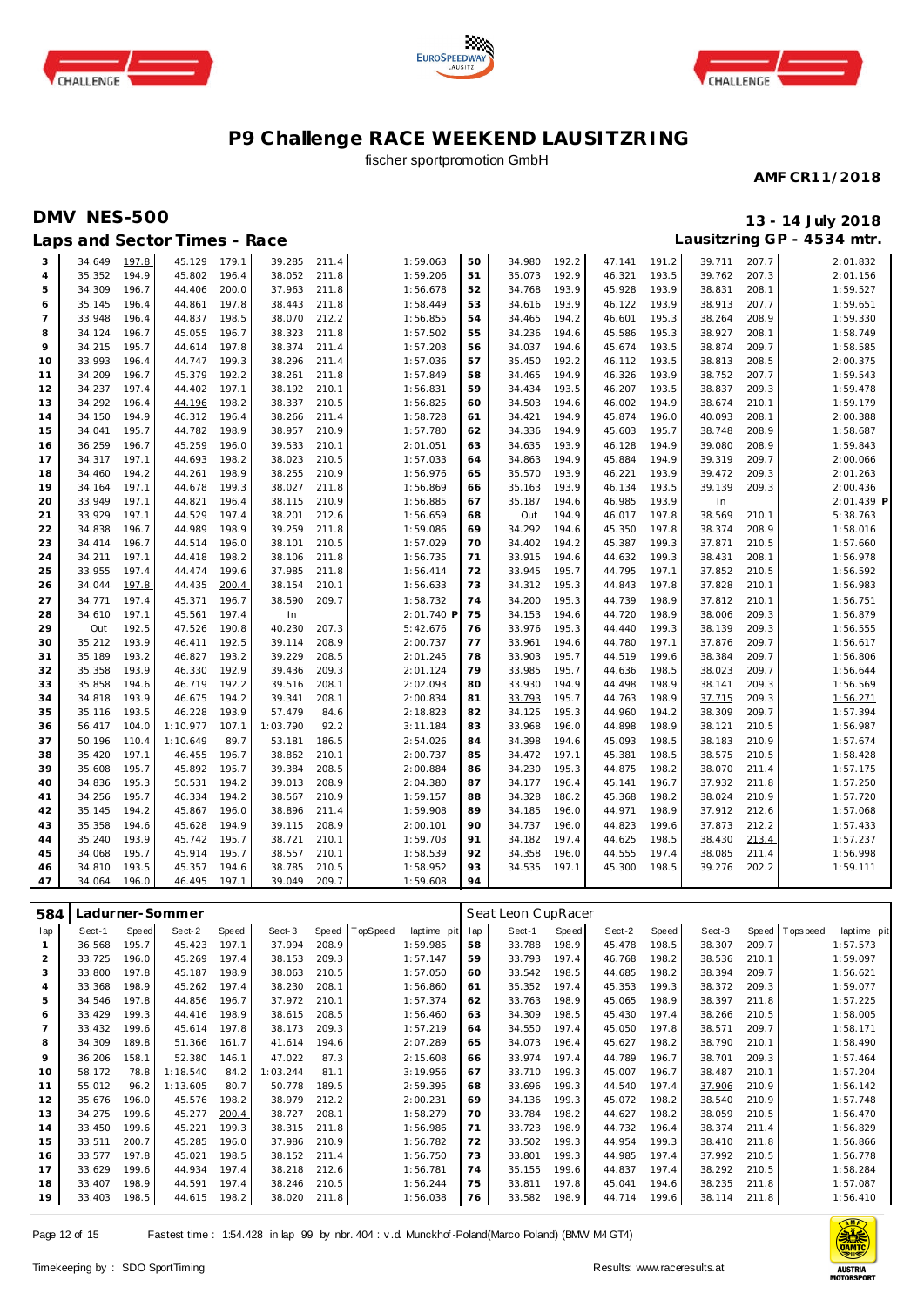





## fischer sportpromotion GmbH

#### **AMF CR11/2018**

## **DMV NES-500 13 - 14 July 2018**

| 39.711<br>197.8<br>45.129<br>50<br>191.2<br>3<br>34.649<br>179.1<br>39.285<br>211.4<br>1:59.063<br>34.980<br>192.2<br>47.141              | 207.7<br>2:01.832 |
|-------------------------------------------------------------------------------------------------------------------------------------------|-------------------|
| 194.9<br>45.802<br>196.4<br>38.052<br>211.8<br>51<br>35.073<br>192.9<br>46.321<br>193.5<br>39.762<br>35.352<br>1:59.206<br>$\overline{4}$ | 207.3<br>2:01.156 |
| 5<br>196.7<br>44.406<br>200.0<br>37.963<br>211.8<br>193.9<br>45.928<br>193.9<br>34.309<br>1:56.678<br>52<br>34.768<br>38.831              | 208.1<br>1:59.527 |
| 35.145<br>196.4<br>44.861<br>197.8<br>38.443<br>211.8<br>1:58.449<br>53<br>34.616<br>193.9<br>46.122<br>193.9<br>38.913<br>6              | 207.7<br>1:59.651 |
| $\overline{7}$<br>33.948<br>196.4<br>44.837<br>198.5<br>38.070<br>212.2<br>1:56.855<br>54<br>194.2<br>46.601<br>195.3<br>38.264<br>34.465 | 208.9<br>1:59.330 |
| 34.124<br>196.7<br>45.055<br>196.7<br>211.8<br>1:57.502<br>34.236<br>45.586<br>195.3<br>38.927<br>8<br>38.323<br>55<br>194.6              | 208.1<br>1:58.749 |
| 9<br>195.7<br>197.8<br>38.374<br>211.4<br>34.037<br>194.6<br>45.674<br>193.5<br>38.874<br>34.215<br>44.614<br>1:57.203<br>56              | 209.7<br>1:58.585 |
| 33.993<br>196.4<br>199.3<br>35.450<br>192.2<br>193.5<br>44.747<br>38.296<br>211.4<br>1:57.036<br>57<br>46.112<br>38.813<br>10             | 208.5<br>2:00.375 |
| 34.209<br>196.7<br>45.379<br>192.2<br>38.261<br>211.8<br>34.465<br>194.9<br>46.326<br>193.9<br>38.752<br>11<br>1:57.849<br>58             | 207.7<br>1:59.543 |
| 12<br>34.237<br>197.4<br>44.402<br>197.1<br>38.192<br>210.1<br>59<br>34.434<br>193.5<br>46.207<br>193.5<br>38.837<br>1:56.831             | 209.3<br>1:59.478 |
| 13<br>34.292<br>196.4<br>44.196<br>198.2<br>38.337<br>1:56.825<br>34.503<br>194.6<br>46.002<br>194.9<br>38.674<br>210.5<br>60             | 210.1<br>1:59.179 |
| 45.874<br>34.150<br>194.9<br>46.312<br>196.4<br>38.266<br>211.4<br>1:58.728<br>34.421<br>194.9<br>196.0<br>40.093<br>14<br>61             | 2:00.388<br>208.1 |
| 44.782<br>198.9<br>38.957<br>34.336<br>45.603<br>15<br>34.041<br>195.7<br>210.9<br>1:57.780<br>194.9<br>195.7<br>38.748<br>62             | 208.9<br>1:58.687 |
| 36.259<br>196.7<br>45.259<br>196.0<br>39.533<br>210.1<br>2:01.051<br>34.635<br>193.9<br>46.128<br>194.9<br>39.080<br>16<br>63             | 208.9<br>1:59.843 |
| 17<br>34.317<br>197.1<br>44.693<br>198.2<br>38.023<br>210.5<br>1:57.033<br>34.863<br>194.9<br>45.884<br>194.9<br>39.319<br>64             | 209.7<br>2:00.066 |
| 44.261<br>198.9<br>38.255<br>210.9<br>1:56.976<br>193.9<br>46.221<br>193.9<br>18<br>34.460<br>194.2<br>65<br>35.570<br>39.472             | 209.3<br>2:01.263 |
| 197.1<br>38.027<br>211.8<br>46.134<br>19<br>34.164<br>44.678<br>199.3<br>1:56.869<br>35.163<br>193.9<br>193.5<br>39.139<br>66             | 209.3<br>2:00.436 |
| 210.9<br>46.985<br>33.949<br>197.1<br>44.821<br>196.4<br>38.115<br>1:56.885<br>35.187<br>194.6<br>193.9<br>In<br>20<br>67                 | 2:01.439 P        |
| 33.929<br>197.1<br>44.529<br>197.4<br>38.201<br>212.6<br>1:56.659<br>Out<br>194.9<br>46.017<br>197.8<br>38.569<br>21<br>68                | 210.1<br>5:38.763 |
| 198.9<br>34.838<br>196.7<br>44.989<br>39.259<br>211.8<br>1:59.086<br>34.292<br>194.6<br>45.350<br>197.8<br>38.374<br>22<br>69             | 208.9<br>1:58.016 |
| 210.5<br>194.2<br>45.387<br>199.3<br>23<br>34.414<br>196.7<br>44.514<br>196.0<br>38.101<br>1:57.029<br>70<br>34.402<br>37.871             | 210.5<br>1:57.660 |
| 198.2<br>211.8<br>71<br>33.915<br>44.632<br>199.3<br>24<br>34.211<br>197.1<br>44.418<br>38.106<br>1:56.735<br>194.6<br>38.431             | 208.1<br>1:56.978 |
| 25<br>33.955<br>197.4<br>44.474<br>199.6<br>37.985<br>211.8<br>1:56.414<br>72<br>33.945<br>195.7<br>44.795<br>197.1<br>37.852             | 210.5<br>1:56.592 |
| 34.044<br>197.8<br>200.4<br>210.1<br>1:56.633<br>73<br>34.312<br>195.3<br>44.843<br>197.8<br>37.828<br>26<br>44.435<br>38.154             | 210.1<br>1:56.983 |
| 44.739<br>34.771<br>197.4<br>45.371<br>196.7<br>38.590<br>209.7<br>1:58.732<br>74<br>34.200<br>195.3<br>198.9<br>37.812<br>27             | 210.1<br>1:56.751 |
| 44.720<br>198.9<br>28<br>34.610<br>197.1<br>45.561<br>197.4<br>In<br>2:01.740 F<br>75<br>34.153<br>194.6<br>38.006                        | 209.3<br>1:56.879 |
| 192.5<br>33.976<br>44.440<br>199.3<br>29<br>Out<br>47.526<br>190.8<br>40.230<br>207.3<br>5:42.676<br>76<br>195.3<br>38.139                | 209.3<br>1:56.555 |
| 193.9<br>192.5<br>35.212<br>46.411<br>39.114<br>208.9<br>2:00.737<br>77<br>33.961<br>194.6<br>44.780<br>197.1<br>37.876<br>30             | 209.7<br>1:56.617 |
| 35.189<br>193.2<br>46.827<br>193.2<br>39.229<br>208.5<br>2:01.245<br>78<br>33.903<br>195.7<br>44.519<br>199.6<br>38.384<br>31             | 209.7<br>1:56.806 |
| 192.9<br>35.358<br>193.9<br>46.330<br>39.436<br>209.3<br>2:01.124<br>79<br>33.985<br>195.7<br>44.636<br>198.5<br>38.023<br>32             | 209.7<br>1:56.644 |
| 194.6<br>46.719<br>192.2<br>39.516<br>33.930<br>194.9<br>198.9<br>33<br>35.858<br>208.1<br>2:02.093<br>80<br>44.498<br>38.141             | 209.3<br>1:56.569 |
| 193.9<br>194.2<br>44.763<br>34<br>34.818<br>46.675<br>39.341<br>208.1<br>2:00.834<br>81<br>33.793<br>195.7<br>198.9<br>37.715             | 209.3<br>1:56.271 |
| 35<br>193.5<br>46.228<br>193.9<br>57.479<br>2:18.823<br>34.125<br>195.3<br>44.960<br>194.2<br>38.309<br>35.116<br>84.6<br>82              | 209.7<br>1:57.394 |
| 104.0<br>1:10.977<br>107.1<br>1:03.790<br>92.2<br>83<br>33.968<br>196.0<br>44.898<br>198.9<br>36<br>56.417<br>3:11.184<br>38.121          | 210.5<br>1:56.987 |
| 50.196<br>1:10.649<br>89.7<br>53.181<br>186.5<br>2:54.026<br>84<br>34.398<br>194.6<br>45.093<br>198.5<br>38.183<br>37<br>110.4            | 210.9<br>1:57.674 |
| 197.1<br>196.7<br>210.1<br>197.1<br>45.381<br>198.5<br>38.575<br>38<br>35.420<br>46.455<br>38.862<br>2:00.737<br>85<br>34.472             | 210.5<br>1:58.428 |
| 195.7<br>34.230<br>44.875<br>39<br>35.608<br>195.7<br>45.892<br>39.384<br>208.5<br>2:00.884<br>195.3<br>198.2<br>38.070<br>86             | 211.4<br>1:57.175 |
| 34.836<br>195.3<br>50.531<br>194.2<br>39.013<br>208.9<br>34.177<br>196.4<br>45.141<br>196.7<br>37.932<br>40<br>2:04.380<br>87             | 211.8<br>1:57.250 |
| 34.256<br>195.7<br>46.334<br>194.2<br>38.567<br>210.9<br>34.328<br>186.2<br>45.368<br>198.2<br>38.024<br>41<br>1:59.157<br>88             | 210.9<br>1:57.720 |
| 194.2<br>45.867<br>196.0<br>1:59.908<br>89<br>44.971<br>198.9<br>37.912<br>42<br>35.145<br>38.896<br>211.4<br>34.185<br>196.0             | 212.6<br>1:57.068 |
| 45.628<br>194.9<br>208.9<br>44.823<br>43<br>35.358<br>194.6<br>39.115<br>2:00.101<br>90<br>34.737<br>196.0<br>199.6<br>37.873             | 212.2<br>1:57.433 |
| 193.9<br>45.742<br>195.7<br>34.182<br>197.4<br>44.625<br>35.240<br>38.721<br>210.1<br>1:59.703<br>91<br>198.5<br>38.430<br>44             | 213.4<br>1:57.237 |
| 195.7<br>195.7<br>45.914<br>38.557<br>210.1<br>1:58.539<br>34.358<br>196.0<br>44.555<br>197.4<br>38.085<br>45<br>34.068<br>92             | 211.4<br>1:56.998 |
| 34.810<br>193.5<br>45.357<br>194.6<br>38.785<br>210.5<br>93<br>34.535<br>197.1<br>45.300<br>198.5<br>1:58.952<br>39.276<br>46             | 202.2<br>1:59.111 |
| 94<br>47<br>34.064<br>196.0<br>46.495<br>197.1<br>39.049<br>209.7<br>1:59.608                                                             |                   |

| 584            |        |       | adurner-Sommer. |       |          |       |         |             | Seat Leon CupRacer |        |       |        |       |        |       |             |             |  |
|----------------|--------|-------|-----------------|-------|----------|-------|---------|-------------|--------------------|--------|-------|--------|-------|--------|-------|-------------|-------------|--|
| lap            | Sect-1 | Speed | Sect-2          | Speed | Sect-3   | Speed | opSpeed | laptime pit | lap                | Sect-1 | Speed | Sect-2 | Speed | Sect-3 | Speed | T ops pee d | laptime pit |  |
|                | 36.568 | 195.7 | 45.423          | 197.1 | 37.994   | 208.9 |         | 1:59.985    | 58                 | 33.788 | 198.9 | 45.478 | 198.5 | 38.307 | 209.7 |             | 1:57.573    |  |
| 2              | 33.725 | 196.0 | 45.269          | 197.4 | 38.153   | 209.3 |         | 1:57.147    | 59                 | 33.793 | 197.4 | 46.768 | 198.2 | 38.536 | 210.1 |             | 1:59.097    |  |
| 3              | 33.800 | 197.8 | 45.187          | 198.9 | 38.063   | 210.5 |         | 1:57.050    | 60                 | 33.542 | 198.5 | 44.685 | 198.2 | 38.394 | 209.7 |             | 1:56.621    |  |
| 4              | 33.368 | 198.9 | 45.262          | 197.4 | 38.230   | 208.1 |         | 1:56.860    | 61                 | 35.352 | 197.4 | 45.353 | 199.3 | 38.372 | 209.3 |             | 1:59.077    |  |
| 5              | 34.546 | 197.8 | 44.856          | 196.7 | 37.972   | 210.1 |         | 1:57.374    | 62                 | 33.763 | 198.9 | 45.065 | 198.9 | 38.397 | 211.8 |             | 1:57.225    |  |
| 6              | 33.429 | 199.3 | 44.416          | 198.9 | 38.615   | 208.5 |         | 1:56.460    | 63                 | 34.309 | 198.5 | 45.430 | 197.4 | 38.266 | 210.5 |             | 1:58.005    |  |
| $\overline{7}$ | 33.432 | 199.6 | 45.614          | 197.8 | 38.173   | 209.3 |         | 1:57.219    | 64                 | 34.550 | 197.4 | 45.050 | 197.8 | 38.571 | 209.7 |             | 1:58.171    |  |
| 8              | 34.309 | 189.8 | 51.366          | 161.7 | 41.614   | 194.6 |         | 2:07.289    | 65                 | 34.073 | 196.4 | 45.627 | 198.2 | 38.790 | 210.1 |             | 1:58.490    |  |
| 9              | 36.206 | 158.1 | 52.380          | 146.1 | 47.022   | 87.3  |         | 2:15.608    | 66                 | 33.974 | 197.4 | 44.789 | 196.7 | 38.701 | 209.3 |             | 1:57.464    |  |
| 10             | 58.172 | 78.8  | 1:18.540        | 84.2  | 1:03.244 | 81.1  |         | 3:19.956    | 67                 | 33.710 | 199.3 | 45.007 | 196.7 | 38.487 | 210.1 |             | 1:57.204    |  |
| 11             | 55.012 | 96.2  | 1:13.605        | 80.7  | 50.778   | 189.5 |         | 2:59.395    | 68                 | 33.696 | 199.3 | 44.540 | 197.4 | 37.906 | 210.9 |             | 1:56.142    |  |
| 12             | 35.676 | 196.0 | 45.576          | 198.2 | 38.979   | 212.2 |         | 2:00.231    | 69                 | 34.136 | 199.3 | 45.072 | 198.2 | 38.540 | 210.9 |             | 1:57.748    |  |
| 13             | 34.275 | 199.6 | 45.277          | 200.4 | 38.727   | 208.1 |         | 1:58.279    | 70                 | 33.784 | 198.2 | 44.627 | 198.2 | 38.059 | 210.5 |             | 1:56.470    |  |
| 14             | 33.450 | 199.6 | 45.221          | 199.3 | 38.315   | 211.8 |         | 1:56.986    | 71                 | 33.723 | 198.9 | 44.732 | 196.4 | 38.374 | 211.4 |             | 1:56.829    |  |
| 15             | 33.511 | 200.7 | 45.285          | 196.0 | 37.986   | 210.9 |         | 1:56.782    | 72                 | 33.502 | 199.3 | 44.954 | 199.3 | 38.410 | 211.8 |             | 1:56.866    |  |
| 16             | 33.577 | 197.8 | 45.021          | 198.5 | 38.152   | 211.4 |         | 1:56.750    | 73                 | 33.801 | 199.3 | 44.985 | 197.4 | 37.992 | 210.5 |             | 1:56.778    |  |
| 17             | 33.629 | 199.6 | 44.934          | 197.4 | 38.218   | 212.6 |         | 1:56.781    | 74                 | 35.155 | 199.6 | 44.837 | 197.4 | 38.292 | 210.5 |             | 1:58.284    |  |
| 18             | 33.407 | 198.9 | 44.591          | 197.4 | 38.246   | 210.5 |         | 1:56.244    | 75                 | 33.811 | 197.8 | 45.041 | 194.6 | 38.235 | 211.8 |             | 1:57.087    |  |
| 19             | 33.403 | 198.5 | 44.615          | 198.2 | 38.020   | 211.8 |         | 1:56.038    | 76                 | 33.582 | 198.9 | 44.714 | 199.6 | 38.114 | 211.8 |             | 1:56.410    |  |

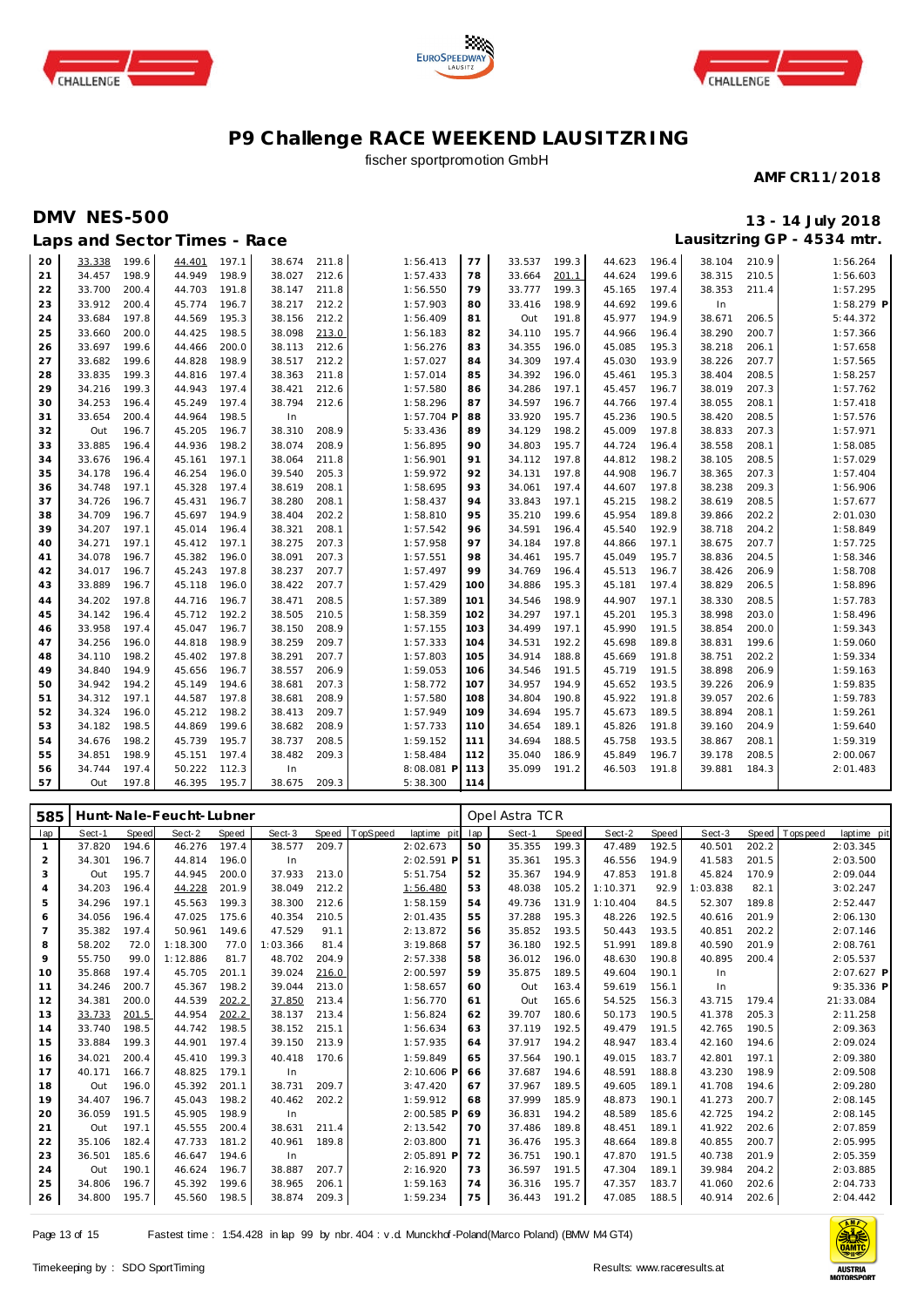





## fischer sportpromotion GmbH

#### **AMF CR11/2018**

## **DMV NES-500 13 - 14 July 2018 Lausitzring GP - 4534 mtr.**

| Lausitzring GP - 4534 mtr.<br>Laps and Sector Times - Race |        |       |        |       |        |       |              |     |        |       |        |       |        |       |              |
|------------------------------------------------------------|--------|-------|--------|-------|--------|-------|--------------|-----|--------|-------|--------|-------|--------|-------|--------------|
| 20                                                         | 33.338 | 199.6 | 44.401 | 197.1 | 38.674 | 211.8 | 1:56.413     | 77  | 33.537 | 199.3 | 44.623 | 196.4 | 38.104 | 210.9 | 1:56.264     |
| 21                                                         | 34.457 | 198.9 | 44.949 | 198.9 | 38.027 | 212.6 | 1:57.433     | 78  | 33.664 | 201.1 | 44.624 | 199.6 | 38.315 | 210.5 | 1:56.603     |
| 22                                                         | 33.700 | 200.4 | 44.703 | 191.8 | 38.147 | 211.8 | 1:56.550     | 79  | 33.777 | 199.3 | 45.165 | 197.4 | 38.353 | 211.4 | 1:57.295     |
| 23                                                         | 33.912 | 200.4 | 45.774 | 196.7 | 38.217 | 212.2 | 1:57.903     | 80  | 33.416 | 198.9 | 44.692 | 199.6 | In     |       | $1:58.279$ P |
| 24                                                         | 33.684 | 197.8 | 44.569 | 195.3 | 38.156 | 212.2 | 1:56.409     | 81  | Out    | 191.8 | 45.977 | 194.9 | 38.671 | 206.5 | 5:44.372     |
| 25                                                         | 33.660 | 200.0 | 44.425 | 198.5 | 38.098 | 213.0 | 1:56.183     | 82  | 34.110 | 195.7 | 44.966 | 196.4 | 38.290 | 200.7 | 1:57.366     |
| 26                                                         | 33.697 | 199.6 | 44.466 | 200.0 | 38.113 | 212.6 | 1:56.276     | 83  | 34.355 | 196.0 | 45.085 | 195.3 | 38.218 | 206.1 | 1:57.658     |
| 27                                                         | 33.682 | 199.6 | 44.828 | 198.9 | 38.517 | 212.2 | 1:57.027     | 84  | 34.309 | 197.4 | 45.030 | 193.9 | 38.226 | 207.7 | 1:57.565     |
| 28                                                         | 33.835 | 199.3 | 44.816 | 197.4 | 38.363 | 211.8 | 1:57.014     | 85  | 34.392 | 196.0 | 45.461 | 195.3 | 38.404 | 208.5 | 1:58.257     |
| 29                                                         | 34.216 | 199.3 | 44.943 | 197.4 | 38.421 | 212.6 | 1:57.580     | 86  | 34.286 | 197.1 | 45.457 | 196.7 | 38.019 | 207.3 | 1:57.762     |
| 30                                                         | 34.253 | 196.4 | 45.249 | 197.4 | 38.794 | 212.6 | 1:58.296     | 87  | 34.597 | 196.7 | 44.766 | 197.4 | 38.055 | 208.1 | 1:57.418     |
| 31                                                         | 33.654 | 200.4 | 44.964 | 198.5 | In     |       | $1:57.704$ P | 88  | 33.920 | 195.7 | 45.236 | 190.5 | 38.420 | 208.5 | 1:57.576     |
| 32                                                         | Out    | 196.7 | 45.205 | 196.7 | 38.310 | 208.9 | 5:33.436     | 89  | 34.129 | 198.2 | 45.009 | 197.8 | 38.833 | 207.3 | 1:57.971     |
| 33                                                         | 33.885 | 196.4 | 44.936 | 198.2 | 38.074 | 208.9 | 1:56.895     | 90  | 34.803 | 195.7 | 44.724 | 196.4 | 38.558 | 208.1 | 1:58.085     |
| 34                                                         | 33.676 | 196.4 | 45.161 | 197.1 | 38.064 | 211.8 | 1:56.901     | 91  | 34.112 | 197.8 | 44.812 | 198.2 | 38.105 | 208.5 | 1:57.029     |
| 35                                                         | 34.178 | 196.4 | 46.254 | 196.0 | 39.540 | 205.3 | 1:59.972     | 92  | 34.131 | 197.8 | 44.908 | 196.7 | 38.365 | 207.3 | 1:57.404     |
| 36                                                         | 34.748 | 197.1 | 45.328 | 197.4 | 38.619 | 208.1 | 1:58.695     | 93  | 34.061 | 197.4 | 44.607 | 197.8 | 38.238 | 209.3 | 1:56.906     |
| 37                                                         | 34.726 | 196.7 | 45.431 | 196.7 | 38.280 | 208.1 | 1:58.437     | 94  | 33.843 | 197.1 | 45.215 | 198.2 | 38.619 | 208.5 | 1:57.677     |
| 38                                                         | 34.709 | 196.7 | 45.697 | 194.9 | 38.404 | 202.2 | 1:58.810     | 95  | 35.210 | 199.6 | 45.954 | 189.8 | 39.866 | 202.2 | 2:01.030     |
| 39                                                         | 34.207 | 197.1 | 45.014 | 196.4 | 38.321 | 208.1 | 1:57.542     | 96  | 34.591 | 196.4 | 45.540 | 192.9 | 38.718 | 204.2 | 1:58.849     |
| 40                                                         | 34.271 | 197.1 | 45.412 | 197.1 | 38.275 | 207.3 | 1:57.958     | 97  | 34.184 | 197.8 | 44.866 | 197.1 | 38.675 | 207.7 | 1:57.725     |
| 41                                                         | 34.078 | 196.7 | 45.382 | 196.0 | 38.091 | 207.3 | 1:57.551     | 98  | 34.461 | 195.7 | 45.049 | 195.7 | 38.836 | 204.5 | 1:58.346     |
| 42                                                         | 34.017 | 196.7 | 45.243 | 197.8 | 38.237 | 207.7 | 1:57.497     | 99  | 34.769 | 196.4 | 45.513 | 196.7 | 38.426 | 206.9 | 1:58.708     |
| 43                                                         | 33.889 | 196.7 | 45.118 | 196.0 | 38.422 | 207.7 | 1:57.429     | 100 | 34.886 | 195.3 | 45.181 | 197.4 | 38.829 | 206.5 | 1:58.896     |
| 44                                                         | 34.202 | 197.8 | 44.716 | 196.7 | 38.471 | 208.5 | 1:57.389     | 101 | 34.546 | 198.9 | 44.907 | 197.1 | 38.330 | 208.5 | 1:57.783     |
| 45                                                         | 34.142 | 196.4 | 45.712 | 192.2 | 38.505 | 210.5 | 1:58.359     | 102 | 34.297 | 197.1 | 45.201 | 195.3 | 38.998 | 203.0 | 1:58.496     |
| 46                                                         | 33.958 | 197.4 | 45.047 | 196.7 | 38.150 | 208.9 | 1:57.155     | 103 | 34.499 | 197.1 | 45.990 | 191.5 | 38.854 | 200.0 | 1:59.343     |
| 47                                                         | 34.256 | 196.0 | 44.818 | 198.9 | 38.259 | 209.7 | 1:57.333     | 104 | 34.531 | 192.2 | 45.698 | 189.8 | 38.831 | 199.6 | 1:59.060     |
| 48                                                         | 34.110 | 198.2 | 45.402 | 197.8 | 38.291 | 207.7 | 1:57.803     | 105 | 34.914 | 188.8 | 45.669 | 191.8 | 38.751 | 202.2 | 1:59.334     |
| 49                                                         | 34.840 | 194.9 | 45.656 | 196.7 | 38.557 | 206.9 | 1:59.053     | 106 | 34.546 | 191.5 | 45.719 | 191.5 | 38.898 | 206.9 | 1:59.163     |
| 50                                                         | 34.942 | 194.2 | 45.149 | 194.6 | 38.681 | 207.3 | 1:58.772     | 107 | 34.957 | 194.9 | 45.652 | 193.5 | 39.226 | 206.9 | 1:59.835     |
| 51                                                         | 34.312 | 197.1 | 44.587 | 197.8 | 38.681 | 208.9 | 1:57.580     | 108 | 34.804 | 190.8 | 45.922 | 191.8 | 39.057 | 202.6 | 1:59.783     |
| 52                                                         | 34.324 | 196.0 | 45.212 | 198.2 | 38.413 | 209.7 | 1:57.949     | 109 | 34.694 | 195.7 | 45.673 | 189.5 | 38.894 | 208.1 | 1:59.261     |
| 53                                                         | 34.182 | 198.5 | 44.869 | 199.6 | 38.682 | 208.9 | 1:57.733     | 110 | 34.654 | 189.1 | 45.826 | 191.8 | 39.160 | 204.9 | 1:59.640     |
| 54                                                         | 34.676 | 198.2 | 45.739 | 195.7 | 38.737 | 208.5 | 1:59.152     | 111 | 34.694 | 188.5 | 45.758 | 193.5 | 38.867 | 208.1 | 1:59.319     |
| 55                                                         | 34.851 | 198.9 | 45.151 | 197.4 | 38.482 | 209.3 | 1:58.484     | 112 | 35.040 | 186.9 | 45.849 | 196.7 | 39.178 | 208.5 | 2:00.067     |
| 56                                                         | 34.744 | 197.4 | 50.222 | 112.3 | In     |       | 8:08.081 P   | 113 | 35.099 | 191.2 | 46.503 | 191.8 | 39.881 | 184.3 | 2:01.483     |
| 57                                                         | Out    | 197.8 | 46.395 | 195.7 | 38.675 | 209.3 | 5:38.300     | 114 |        |       |        |       |        |       |              |

| 585            |        |       | Hunt-Nale-Feucht-Lubner |       |          |       |          |              |     | Opel Astra TCR |              |          |       |          |       |                 |             |
|----------------|--------|-------|-------------------------|-------|----------|-------|----------|--------------|-----|----------------|--------------|----------|-------|----------|-------|-----------------|-------------|
| lap            | Sect-1 | Speed | Sect-2                  | Speed | Sect-3   | Speed | TopSpeed | laptime pit  | lap | Sect-1         | <b>Speed</b> | Sect-2   | Speed | Sect-3   | Speed | <b>Topspeed</b> | laptime pit |
|                | 37.820 | 194.6 | 46.276                  | 197.4 | 38.577   | 209.7 |          | 2:02.673     | 50  | 35.355         | 199.3        | 47.489   | 192.5 | 40.501   | 202.2 |                 | 2:03.345    |
| 2              | 34.301 | 196.7 | 44.814                  | 196.0 | In       |       |          | 2:02.591 P   | 51  | 35.361         | 195.3        | 46.556   | 194.9 | 41.583   | 201.5 |                 | 2:03.500    |
| 3              | Out    | 195.7 | 44.945                  | 200.0 | 37.933   | 213.0 |          | 5:51.754     | 52  | 35.367         | 194.9        | 47.853   | 191.8 | 45.824   | 170.9 |                 | 2:09.044    |
| 4              | 34.203 | 196.4 | 44.228                  | 201.9 | 38.049   | 212.2 |          | 1:56.480     | 53  | 48.038         | 105.2        | 1:10.371 | 92.9  | 1:03.838 | 82.1  |                 | 3:02.247    |
| 5              | 34.296 | 197.1 | 45.563                  | 199.3 | 38.300   | 212.6 |          | 1:58.159     | 54  | 49.736         | 131.9        | 1:10.404 | 84.5  | 52.307   | 189.8 |                 | 2:52.447    |
| 6              | 34.056 | 196.4 | 47.025                  | 175.6 | 40.354   | 210.5 |          | 2:01.435     | 55  | 37.288         | 195.3        | 48.226   | 192.5 | 40.616   | 201.9 |                 | 2:06.130    |
| $\overline{7}$ | 35.382 | 197.4 | 50.961                  | 149.6 | 47.529   | 91.1  |          | 2:13.872     | 56  | 35.852         | 193.5        | 50.443   | 193.5 | 40.851   | 202.2 |                 | 2:07.146    |
| 8              | 58.202 | 72.0  | 1:18.300                | 77.0  | 1:03.366 | 81.4  |          | 3:19.868     | 57  | 36.180         | 192.5        | 51.991   | 189.8 | 40.590   | 201.9 |                 | 2:08.761    |
| 9              | 55.750 | 99.0  | 1:12.886                | 81.7  | 48.702   | 204.9 |          | 2:57.338     | 58  | 36.012         | 196.0        | 48.630   | 190.8 | 40.895   | 200.4 |                 | 2:05.537    |
| 10             | 35.868 | 197.4 | 45.705                  | 201.1 | 39.024   | 216.0 |          | 2:00.597     | 59  | 35.875         | 189.5        | 49.604   | 190.1 | In       |       |                 | 2:07.627 P  |
| 11             | 34.246 | 200.7 | 45.367                  | 198.2 | 39.044   | 213.0 |          | 1:58.657     | 60  | Out            | 163.4        | 59.619   | 156.1 | In       |       |                 | 9:35.336 P  |
| 12             | 34.381 | 200.0 | 44.539                  | 202.2 | 37.850   | 213.4 |          | 1:56.770     | 61  | Out            | 165.6        | 54.525   | 156.3 | 43.715   | 179.4 |                 | 21:33.084   |
| 13             | 33.733 | 201.5 | 44.954                  | 202.2 | 38.137   | 213.4 |          | 1:56.824     | 62  | 39.707         | 180.6        | 50.173   | 190.5 | 41.378   | 205.3 |                 | 2:11.258    |
| 14             | 33.740 | 198.5 | 44.742                  | 198.5 | 38.152   | 215.1 |          | 1:56.634     | 63  | 37.119         | 192.5        | 49.479   | 191.5 | 42.765   | 190.5 |                 | 2:09.363    |
| 15             | 33.884 | 199.3 | 44.901                  | 197.4 | 39.150   | 213.9 |          | 1:57.935     | 64  | 37.917         | 194.2        | 48.947   | 183.4 | 42.160   | 194.6 |                 | 2:09.024    |
| 16             | 34.021 | 200.4 | 45.410                  | 199.3 | 40.418   | 170.6 |          | 1:59.849     | 65  | 37.564         | 190.1        | 49.015   | 183.7 | 42.801   | 197.1 |                 | 2:09.380    |
| 17             | 40.171 | 166.7 | 48.825                  | 179.1 | In       |       |          | $2:10.606$ P | 66  | 37.687         | 194.6        | 48.591   | 188.8 | 43.230   | 198.9 |                 | 2:09.508    |
| 18             | Out    | 196.0 | 45.392                  | 201.1 | 38.731   | 209.7 |          | 3:47.420     | 67  | 37.967         | 189.5        | 49.605   | 189.1 | 41.708   | 194.6 |                 | 2:09.280    |
| 19             | 34.407 | 196.7 | 45.043                  | 198.2 | 40.462   | 202.2 |          | 1:59.912     | 68  | 37.999         | 185.9        | 48.873   | 190.1 | 41.273   | 200.7 |                 | 2:08.145    |
| 20             | 36.059 | 191.5 | 45.905                  | 198.9 | In       |       |          | 2:00.585 P   | 69  | 36.831         | 194.2        | 48.589   | 185.6 | 42.725   | 194.2 |                 | 2:08.145    |
| 21             | Out    | 197.1 | 45.555                  | 200.4 | 38.631   | 211.4 |          | 2:13.542     | 70  | 37.486         | 189.8        | 48.451   | 189.1 | 41.922   | 202.6 |                 | 2:07.859    |
| 22             | 35.106 | 182.4 | 47.733                  | 181.2 | 40.961   | 189.8 |          | 2:03.800     | 71  | 36.476         | 195.3        | 48.664   | 189.8 | 40.855   | 200.7 |                 | 2:05.995    |
| 23             | 36.501 | 185.6 | 46.647                  | 194.6 | In       |       |          | 2:05.891 P   | 72  | 36.751         | 190.1        | 47.870   | 191.5 | 40.738   | 201.9 |                 | 2:05.359    |
| 24             | Out    | 190.1 | 46.624                  | 196.7 | 38.887   | 207.7 |          | 2:16.920     | 73  | 36.597         | 191.5        | 47.304   | 189.1 | 39.984   | 204.2 |                 | 2:03.885    |
| 25             | 34.806 | 196.7 | 45.392                  | 199.6 | 38.965   | 206.1 |          | 1:59.163     | 74  | 36.316         | 195.7        | 47.357   | 183.7 | 41.060   | 202.6 |                 | 2:04.733    |
| 26             | 34.800 | 195.7 | 45.560                  | 198.5 | 38.874   | 209.3 |          | 1:59.234     | 75  | 36.443         | 191.2        | 47.085   | 188.5 | 40.914   | 202.6 |                 | 2:04.442    |

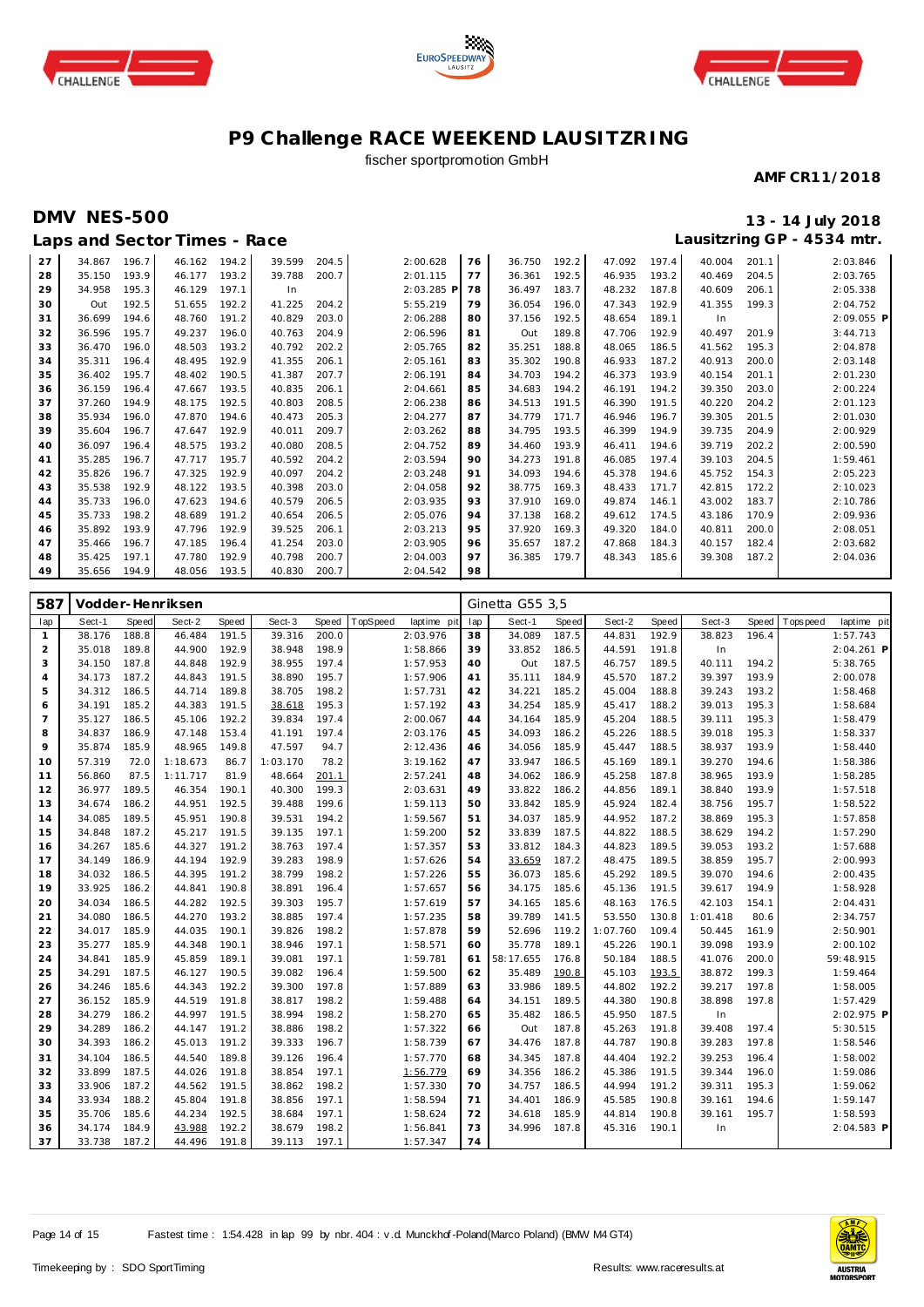





## fischer sportpromotion GmbH

#### **AMF CR11/2018**

## **DMV NES-500 13 - 14 July 2018 Laps and Sector Times - Race**

| 27 | 34.867       | 196.7 | 46.162 | 194.2 | 39.599 | 204.5 | 2:00.628   | 76 | 36.750 | 192.2 | 47.092 | 197.4 | 40.004 | 201.1 | 2:03.846   |
|----|--------------|-------|--------|-------|--------|-------|------------|----|--------|-------|--------|-------|--------|-------|------------|
| 28 | 35.150       | 193.9 | 46.177 | 193.2 | 39.788 | 200.7 | 2:01.115   | 77 | 36.361 | 192.5 | 46.935 | 193.2 | 40.469 | 204.5 | 2:03.765   |
| 29 | 34.958       | 195.3 | 46.129 | 197.1 | In     |       | 2:03.285 P | 78 | 36.497 | 183.7 | 48.232 | 187.8 | 40.609 | 206.1 | 2:05.338   |
| 30 | Out          | 192.5 | 51.655 | 192.2 | 41.225 | 204.2 | 5:55.219   | 79 | 36.054 | 196.0 | 47.343 | 192.9 | 41.355 | 199.3 | 2:04.752   |
| 31 | 36.699       | 194.6 | 48.760 | 191.2 | 40.829 | 203.0 | 2:06.288   | 80 | 37.156 | 192.5 | 48.654 | 189.1 | In     |       | 2:09.055 P |
| 32 | 36.596       | 195.7 | 49.237 | 196.0 | 40.763 | 204.9 | 2:06.596   | 81 | Out    | 189.8 | 47.706 | 192.9 | 40.497 | 201.9 | 3:44.713   |
| 33 | 36.470       | 196.0 | 48.503 | 193.2 | 40.792 | 202.2 | 2:05.765   | 82 | 35.251 | 188.8 | 48.065 | 186.5 | 41.562 | 195.3 | 2:04.878   |
| 34 | 35.311       | 196.4 | 48.495 | 192.9 | 41.355 | 206.1 | 2:05.161   | 83 | 35.302 | 190.8 | 46.933 | 187.2 | 40.913 | 200.0 | 2:03.148   |
| 35 | 36.402       | 195.7 | 48.402 | 190.5 | 41.387 | 207.7 | 2:06.191   | 84 | 34.703 | 194.2 | 46.373 | 193.9 | 40.154 | 201.1 | 2:01.230   |
| 36 | 36.159       | 196.4 | 47.667 | 193.5 | 40.835 | 206.1 | 2:04.661   | 85 | 34.683 | 194.2 | 46.191 | 194.2 | 39.350 | 203.0 | 2:00.224   |
| 37 | 37.260       | 194.9 | 48.175 | 192.5 | 40.803 | 208.5 | 2:06.238   | 86 | 34.513 | 191.5 | 46.390 | 191.5 | 40.220 | 204.2 | 2:01.123   |
| 38 | 35.934       | 196.0 | 47.870 | 194.6 | 40.473 | 205.3 | 2:04.277   | 87 | 34.779 | 171.7 | 46.946 | 196.7 | 39.305 | 201.5 | 2:01.030   |
| 39 | 35.604       | 196.7 | 47.647 | 192.9 | 40.011 | 209.7 | 2:03.262   | 88 | 34.795 | 193.5 | 46.399 | 194.9 | 39.735 | 204.9 | 2:00.929   |
| 40 | 36.097       | 196.4 | 48.575 | 193.2 | 40.080 | 208.5 | 2:04.752   | 89 | 34.460 | 193.9 | 46.411 | 194.6 | 39.719 | 202.2 | 2:00.590   |
| 41 | 35.285       | 196.7 | 47.717 | 195.7 | 40.592 | 204.2 | 2:03.594   | 90 | 34.273 | 191.8 | 46.085 | 197.4 | 39.103 | 204.5 | 1:59.461   |
| 42 | 35.826       | 196.7 | 47.325 | 192.9 | 40.097 | 204.2 | 2:03.248   | 91 | 34.093 | 194.6 | 45.378 | 194.6 | 45.752 | 154.3 | 2:05.223   |
| 43 | 35.538       | 192.9 | 48.122 | 193.5 | 40.398 | 203.0 | 2:04.058   | 92 | 38.775 | 169.3 | 48.433 | 171.7 | 42.815 | 172.2 | 2:10.023   |
| 44 | 35.733       | 196.0 | 47.623 | 194.6 | 40.579 | 206.5 | 2:03.935   | 93 | 37.910 | 169.0 | 49.874 | 146.1 | 43.002 | 183.7 | 2:10.786   |
| 45 | 35.733       | 198.2 | 48.689 | 191.2 | 40.654 | 206.5 | 2:05.076   | 94 | 37.138 | 168.2 | 49.612 | 174.5 | 43.186 | 170.9 | 2:09.936   |
| 46 | 35.892       | 193.9 | 47.796 | 192.9 | 39.525 | 206.1 | 2:03.213   | 95 | 37.920 | 169.3 | 49.320 | 184.0 | 40.811 | 200.0 | 2:08.051   |
| 47 | 35.466       | 196.7 | 47.185 | 196.4 | 41.254 | 203.0 | 2:03.905   | 96 | 35.657 | 187.2 | 47.868 | 184.3 | 40.157 | 182.4 | 2:03.682   |
| 48 | 35.425       | 197.1 | 47.780 | 192.9 | 40.798 | 200.7 | 2:04.003   | 97 | 36.385 | 179.7 | 48.343 | 185.6 | 39.308 | 187.2 | 2:04.036   |
| 49 | 35.656 194.9 |       | 48.056 | 193.5 | 40.830 | 200.7 | 2:04.542   | 98 |        |       |        |       |        |       |            |

| 587            |        |       | Vodder-Henriksen |       |          |       |          |             | Ginetta G55 3,5 |           |       |          |       |          |       |            |             |
|----------------|--------|-------|------------------|-------|----------|-------|----------|-------------|-----------------|-----------|-------|----------|-------|----------|-------|------------|-------------|
| lap            | Sect-1 | Speed | Sect-2           | Speed | Sect-3   | Speed | TopSpeed | laptime pit | lap             | Sect-1    | Speed | Sect-2   | Speed | Sect-3   | Speed | T ops peed | laptime pit |
| $\mathbf{1}$   | 38.176 | 188.8 | 46.484           | 191.5 | 39.316   | 200.0 |          | 2:03.976    | 38              | 34.089    | 187.5 | 44.831   | 192.9 | 38.823   | 196.4 |            | 1:57.743    |
| 2              | 35.018 | 189.8 | 44.900           | 192.9 | 38.948   | 198.9 |          | 1:58.866    | 39              | 33.852    | 186.5 | 44.591   | 191.8 | In       |       |            | 2:04.261 P  |
| 3              | 34.150 | 187.8 | 44.848           | 192.9 | 38.955   | 197.4 |          | 1:57.953    | 40              | Out       | 187.5 | 46.757   | 189.5 | 40.111   | 194.2 |            | 5:38.765    |
| 4              | 34.173 | 187.2 | 44.843           | 191.5 | 38.890   | 195.7 |          | 1:57.906    | 41              | 35.111    | 184.9 | 45.570   | 187.2 | 39.397   | 193.9 |            | 2:00.078    |
| 5              | 34.312 | 186.5 | 44.714           | 189.8 | 38.705   | 198.2 |          | 1:57.731    | 42              | 34.221    | 185.2 | 45.004   | 188.8 | 39.243   | 193.2 |            | 1:58.468    |
| 6              | 34.191 | 185.2 | 44.383           | 191.5 | 38.618   | 195.3 |          | 1:57.192    | 43              | 34.254    | 185.9 | 45.417   | 188.2 | 39.013   | 195.3 |            | 1:58.684    |
| $\overline{7}$ | 35.127 | 186.5 | 45.106           | 192.2 | 39.834   | 197.4 |          | 2:00.067    | 44              | 34.164    | 185.9 | 45.204   | 188.5 | 39.111   | 195.3 |            | 1:58.479    |
| 8              | 34.837 | 186.9 | 47.148           | 153.4 | 41.191   | 197.4 |          | 2:03.176    | 45              | 34.093    | 186.2 | 45.226   | 188.5 | 39.018   | 195.3 |            | 1:58.337    |
| 9              | 35.874 | 185.9 | 48.965           | 149.8 | 47.597   | 94.7  |          | 2:12.436    | 46              | 34.056    | 185.9 | 45.447   | 188.5 | 38.937   | 193.9 |            | 1:58.440    |
| 10             | 57.319 | 72.0  | 1:18.673         | 86.7  | 1:03.170 | 78.2  |          | 3:19.162    | 47              | 33.947    | 186.5 | 45.169   | 189.1 | 39.270   | 194.6 |            | 1:58.386    |
| 11             | 56.860 | 87.5  | 1:11.717         | 81.9  | 48.664   | 201.1 |          | 2:57.241    | 48              | 34.062    | 186.9 | 45.258   | 187.8 | 38.965   | 193.9 |            | 1:58.285    |
| 12             | 36.977 | 189.5 | 46.354           | 190.1 | 40.300   | 199.3 |          | 2:03.631    | 49              | 33.822    | 186.2 | 44.856   | 189.1 | 38.840   | 193.9 |            | 1:57.518    |
| 13             | 34.674 | 186.2 | 44.951           | 192.5 | 39.488   | 199.6 |          | 1:59.113    | 50              | 33.842    | 185.9 | 45.924   | 182.4 | 38.756   | 195.7 |            | 1:58.522    |
| 14             | 34.085 | 189.5 | 45.951           | 190.8 | 39.531   | 194.2 |          | 1:59.567    | 51              | 34.037    | 185.9 | 44.952   | 187.2 | 38.869   | 195.3 |            | 1:57.858    |
| 15             | 34.848 | 187.2 | 45.217           | 191.5 | 39.135   | 197.1 |          | 1:59.200    | 52              | 33.839    | 187.5 | 44.822   | 188.5 | 38.629   | 194.2 |            | 1:57.290    |
| 16             | 34.267 | 185.6 | 44.327           | 191.2 | 38.763   | 197.4 |          | 1:57.357    | 53              | 33.812    | 184.3 | 44.823   | 189.5 | 39.053   | 193.2 |            | 1:57.688    |
| 17             | 34.149 | 186.9 | 44.194           | 192.9 | 39.283   | 198.9 |          | 1:57.626    | 54              | 33.659    | 187.2 | 48.475   | 189.5 | 38.859   | 195.7 |            | 2:00.993    |
| 18             | 34.032 | 186.5 | 44.395           | 191.2 | 38.799   | 198.2 |          | 1:57.226    | 55              | 36.073    | 185.6 | 45.292   | 189.5 | 39.070   | 194.6 |            | 2:00.435    |
| 19             | 33.925 | 186.2 | 44.841           | 190.8 | 38.891   | 196.4 |          | 1:57.657    | 56              | 34.175    | 185.6 | 45.136   | 191.5 | 39.617   | 194.9 |            | 1:58.928    |
| 20             | 34.034 | 186.5 | 44.282           | 192.5 | 39.303   | 195.7 |          | 1:57.619    | 57              | 34.165    | 185.6 | 48.163   | 176.5 | 42.103   | 154.1 |            | 2:04.431    |
| 21             | 34.080 | 186.5 | 44.270           | 193.2 | 38.885   | 197.4 |          | 1:57.235    | 58              | 39.789    | 141.5 | 53.550   | 130.8 | 1:01.418 | 80.6  |            | 2:34.757    |
| 22             | 34.017 | 185.9 | 44.035           | 190.1 | 39.826   | 198.2 |          | 1:57.878    | 59              | 52.696    | 119.2 | 1:07.760 | 109.4 | 50.445   | 161.9 |            | 2:50.901    |
| 23             | 35.277 | 185.9 | 44.348           | 190.1 | 38.946   | 197.1 |          | 1:58.571    | 60              | 35.778    | 189.1 | 45.226   | 190.1 | 39.098   | 193.9 |            | 2:00.102    |
| 24             | 34.841 | 185.9 | 45.859           | 189.1 | 39.081   | 197.1 |          | 1:59.781    | 61              | 58:17.655 | 176.8 | 50.184   | 188.5 | 41.076   | 200.0 |            | 59:48.915   |
| 25             | 34.291 | 187.5 | 46.127           | 190.5 | 39.082   | 196.4 |          | 1:59.500    | 62              | 35.489    | 190.8 | 45.103   | 193.5 | 38.872   | 199.3 |            | 1:59.464    |
| 26             | 34.246 | 185.6 | 44.343           | 192.2 | 39.300   | 197.8 |          | 1:57.889    | 63              | 33.986    | 189.5 | 44.802   | 192.2 | 39.217   | 197.8 |            | 1:58.005    |
| 27             | 36.152 | 185.9 | 44.519           | 191.8 | 38.817   | 198.2 |          | 1:59.488    | 64              | 34.151    | 189.5 | 44.380   | 190.8 | 38.898   | 197.8 |            | 1:57.429    |
| 28             | 34.279 | 186.2 | 44.997           | 191.5 | 38.994   | 198.2 |          | 1:58.270    | 65              | 35.482    | 186.5 | 45.950   | 187.5 | In       |       |            | 2:02.975 P  |
| 29             | 34.289 | 186.2 | 44.147           | 191.2 | 38.886   | 198.2 |          | 1:57.322    | 66              | Out       | 187.8 | 45.263   | 191.8 | 39.408   | 197.4 |            | 5:30.515    |
| 30             | 34.393 | 186.2 | 45.013           | 191.2 | 39.333   | 196.7 |          | 1:58.739    | 67              | 34.476    | 187.8 | 44.787   | 190.8 | 39.283   | 197.8 |            | 1:58.546    |
| 31             | 34.104 | 186.5 | 44.540           | 189.8 | 39.126   | 196.4 |          | 1:57.770    | 68              | 34.345    | 187.8 | 44.404   | 192.2 | 39.253   | 196.4 |            | 1:58.002    |
| 32             | 33.899 | 187.5 | 44.026           | 191.8 | 38.854   | 197.1 |          | 1:56.779    | 69              | 34.356    | 186.2 | 45.386   | 191.5 | 39.344   | 196.0 |            | 1:59.086    |
| 33             | 33.906 | 187.2 | 44.562           | 191.5 | 38.862   | 198.2 |          | 1:57.330    | 70              | 34.757    | 186.5 | 44.994   | 191.2 | 39.311   | 195.3 |            | 1:59.062    |
| 34             | 33.934 | 188.2 | 45.804           | 191.8 | 38.856   | 197.1 |          | 1:58.594    | 71              | 34.401    | 186.9 | 45.585   | 190.8 | 39.161   | 194.6 |            | 1:59.147    |
| 35             | 35.706 | 185.6 | 44.234           | 192.5 | 38.684   | 197.1 |          | 1:58.624    | 72              | 34.618    | 185.9 | 44.814   | 190.8 | 39.161   | 195.7 |            | 1:58.593    |
| 36             | 34.174 | 184.9 | 43.988           | 192.2 | 38.679   | 198.2 |          | 1:56.841    | 73              | 34.996    | 187.8 | 45.316   | 190.1 | In       |       |            | 2:04.583 P  |
| 37             | 33.738 | 187.2 | 44.496           | 191.8 | 39.113   | 197.1 |          | 1:57.347    | 74              |           |       |          |       |          |       |            |             |